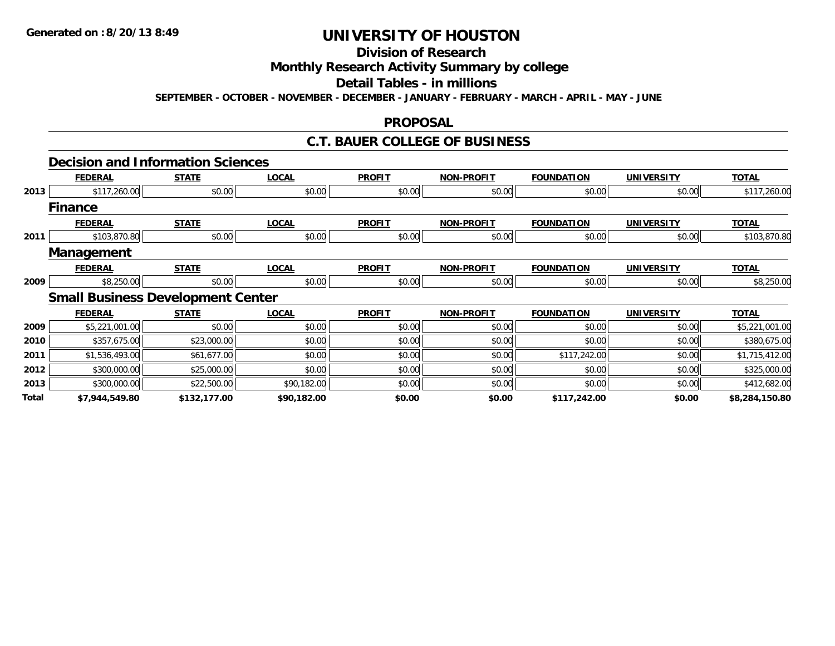#### **Division of Research**

## **Monthly Research Activity Summary by college**

#### **Detail Tables - in millions**

**SEPTEMBER - OCTOBER - NOVEMBER - DECEMBER - JANUARY - FEBRUARY - MARCH - APRIL - MAY - JUNE**

#### **PROPOSAL**

### **C.T. BAUER COLLEGE OF BUSINESS**

|       | <b>Decision and Information Sciences</b> |              |              |               |                   |                   |                   |                |
|-------|------------------------------------------|--------------|--------------|---------------|-------------------|-------------------|-------------------|----------------|
|       | <b>FEDERAL</b>                           | <b>STATE</b> | <b>LOCAL</b> | <b>PROFIT</b> | <b>NON-PROFIT</b> | <b>FOUNDATION</b> | <b>UNIVERSITY</b> | <b>TOTAL</b>   |
| 2013  | \$117,260.00                             | \$0.00       | \$0.00       | \$0.00        | \$0.00            | \$0.00            | \$0.00            | \$117,260.00   |
|       | <b>Finance</b>                           |              |              |               |                   |                   |                   |                |
|       | <b>FEDERAL</b>                           | <b>STATE</b> | <b>LOCAL</b> | <b>PROFIT</b> | <b>NON-PROFIT</b> | <b>FOUNDATION</b> | <b>UNIVERSITY</b> | <b>TOTAL</b>   |
| 2011  | \$103,870.80                             | \$0.00       | \$0.00       | \$0.00        | \$0.00            | \$0.00            | \$0.00            | \$103,870.80   |
|       | <b>Management</b>                        |              |              |               |                   |                   |                   |                |
|       | <b>FEDERAL</b>                           | <b>STATE</b> | <b>LOCAL</b> | <b>PROFIT</b> | <b>NON-PROFIT</b> | <b>FOUNDATION</b> | <b>UNIVERSITY</b> | <b>TOTAL</b>   |
| 2009  | \$8,250.00                               | \$0.00       | \$0.00       | \$0.00        | \$0.00            | \$0.00            | \$0.00            | \$8,250.00     |
|       | <b>Small Business Development Center</b> |              |              |               |                   |                   |                   |                |
|       | <b>FEDERAL</b>                           | <b>STATE</b> | <b>LOCAL</b> | <b>PROFIT</b> | <b>NON-PROFIT</b> | <b>FOUNDATION</b> | <b>UNIVERSITY</b> | <b>TOTAL</b>   |
| 2009  | \$5,221,001.00                           | \$0.00       | \$0.00       | \$0.00        | \$0.00            | \$0.00            | \$0.00            | \$5,221,001.00 |
| 2010  | \$357,675.00                             | \$23,000.00  | \$0.00       | \$0.00        | \$0.00            | \$0.00            | \$0.00            | \$380,675.00   |
| 2011  | \$1,536,493.00                           | \$61,677.00  | \$0.00       | \$0.00        | \$0.00            | \$117,242.00      | \$0.00            | \$1,715,412.00 |
| 2012  | \$300,000.00                             | \$25,000.00  | \$0.00       | \$0.00        | \$0.00            | \$0.00            | \$0.00            | \$325,000.00   |
| 2013  | \$300,000.00                             | \$22,500.00  | \$90,182.00  | \$0.00        | \$0.00            | \$0.00            | \$0.00            | \$412,682.00   |
| Total | \$7,944,549.80                           | \$132,177.00 | \$90,182.00  | \$0.00        | \$0.00            | \$117,242.00      | \$0.00            | \$8,284,150.80 |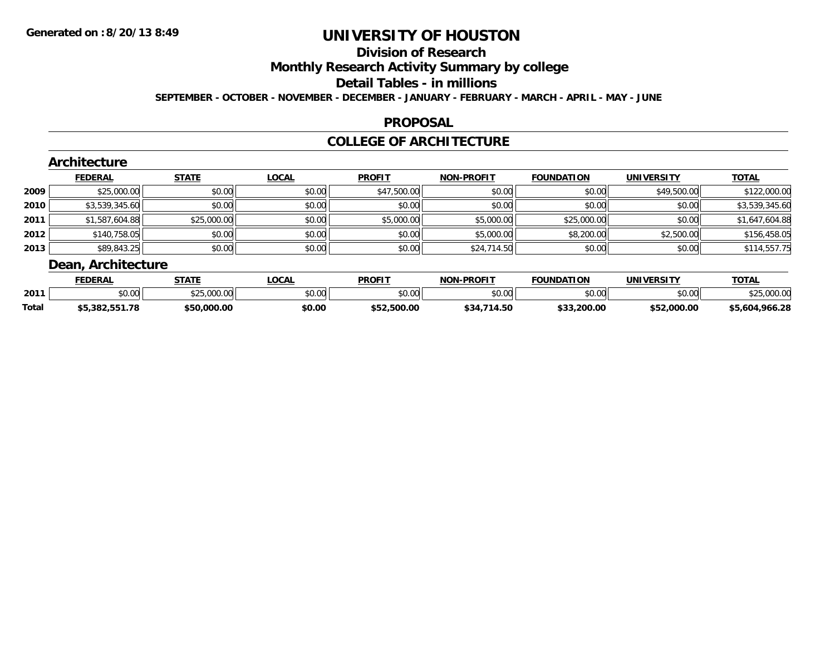# **Division of Research**

**Monthly Research Activity Summary by college**

#### **Detail Tables - in millions**

**SEPTEMBER - OCTOBER - NOVEMBER - DECEMBER - JANUARY - FEBRUARY - MARCH - APRIL - MAY - JUNE**

### **PROPOSAL**

### **COLLEGE OF ARCHITECTURE**

|      | Architecture       |              |              |               |                   |                   |                   |                |
|------|--------------------|--------------|--------------|---------------|-------------------|-------------------|-------------------|----------------|
|      | <b>FEDERAL</b>     | <b>STATE</b> | <b>LOCAL</b> | <b>PROFIT</b> | <b>NON-PROFIT</b> | <b>FOUNDATION</b> | <b>UNIVERSITY</b> | <b>TOTAL</b>   |
| 2009 | \$25,000.00        | \$0.00       | \$0.00       | \$47,500.00   | \$0.00            | \$0.00            | \$49,500.00       | \$122,000.00   |
| 2010 | \$3,539,345.60     | \$0.00       | \$0.00       | \$0.00        | \$0.00            | \$0.00            | \$0.00            | \$3,539,345.60 |
| 2011 | \$1,587,604.88     | \$25,000.00  | \$0.00       | \$5,000.00    | \$5,000.00        | \$25,000.00       | \$0.00            | \$1,647,604.88 |
| 2012 | \$140,758.05       | \$0.00       | \$0.00       | \$0.00        | \$5,000.00        | \$8,200.00        | \$2,500.00        | \$156,458.05   |
| 2013 | \$89,843.25        | \$0.00       | \$0.00       | \$0.00        | \$24,714.50       | \$0.00            | \$0.00            | \$114,557.75   |
|      | Dean, Architecture |              |              |               |                   |                   |                   |                |

|              | <b>FEDERAL</b>                   | <b>STATE</b>         | <b>LOCAL</b>  | <b>PROFIT</b>  | <b>DDOEIT</b><br>ימות | <b>FOUNDATION</b>  | <b>UNIVERSITY</b> | <b>TOTAL</b>           |
|--------------|----------------------------------|----------------------|---------------|----------------|-----------------------|--------------------|-------------------|------------------------|
| 2011         | $\circ$ $\circ$ $\circ$<br>DU.UU | \$25000<br>DU.UUU.UU | 0000<br>PO.OO | \$0.00         | \$0.00                | \$0.00             | \$0.00            | 00000                  |
| <b>Total</b> | 2002.554<br>ں کے بات ہ           | \$50,000.00          | \$0.00        | ぐにつ<br>.500.00 | .714.50<br>54ء,       | \$33.200.00<br>ሖሳሳ | \$52,000.00       | .28<br>\$5,604<br>.966 |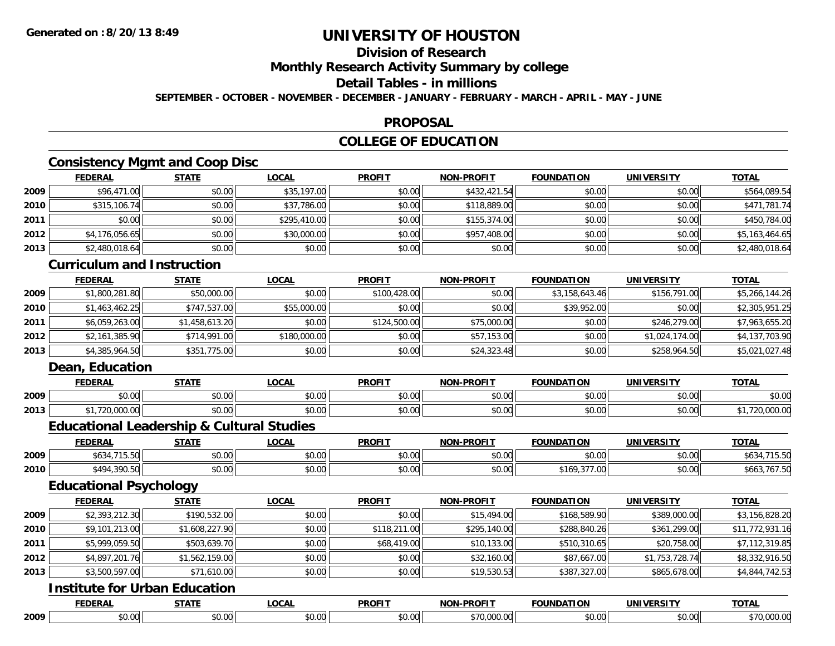## **Division of Research**

**Monthly Research Activity Summary by college**

### **Detail Tables - in millions**

**SEPTEMBER - OCTOBER - NOVEMBER - DECEMBER - JANUARY - FEBRUARY - MARCH - APRIL - MAY - JUNE**

### **PROPOSAL**

## **COLLEGE OF EDUCATION**

### **Consistency Mgmt and Coop Disc**

|      | <b>FEDERAL</b> | <b>STATE</b> | <u>LOCAL</u> | <b>PROFIT</b> | <b>NON-PROFIT</b> | <b>FOUNDATION</b> | <b>UNIVERSITY</b> | <b>TOTAL</b>   |
|------|----------------|--------------|--------------|---------------|-------------------|-------------------|-------------------|----------------|
| 2009 | \$96,471.00    | \$0.00       | \$35,197.00  | \$0.00        | \$432,421.54      | \$0.00            | \$0.00            | \$564,089.54   |
| 2010 | \$315,106.74   | \$0.00       | \$37,786.00  | \$0.00        | \$118,889.00      | \$0.00            | \$0.00            | \$471,781.74   |
| 2011 | \$0.00         | \$0.00       | \$295,410.00 | \$0.00        | \$155,374.00      | \$0.00            | \$0.00            | \$450,784.00   |
| 2012 | \$4,176,056.65 | \$0.00       | \$30,000.00  | \$0.00        | \$957,408.00      | \$0.00            | \$0.00            | \$5,163,464.65 |
| 2013 | \$2,480,018.64 | \$0.00       | \$0.00       | \$0.00        | \$0.00            | \$0.00            | \$0.00            | \$2,480,018.64 |

### **Curriculum and Instruction**

|      | <b>FEDERAL</b> | <b>STATE</b>   | <u>LOCAL</u> | <b>PROFIT</b> | <b>NON-PROFIT</b> | <b>FOUNDATION</b> | <b>UNIVERSITY</b> | <b>TOTAL</b>   |
|------|----------------|----------------|--------------|---------------|-------------------|-------------------|-------------------|----------------|
| 2009 | \$1,800,281.80 | \$50,000.00    | \$0.00       | \$100,428,00  | \$0.00            | \$3,158,643.46    | \$156,791.00      | \$5,266,144.26 |
| 2010 | \$1,463,462.25 | \$747,537.00   | \$55,000.00  | \$0.00        | \$0.00            | \$39,952.00       | \$0.00            | \$2,305,951.25 |
| 2011 | \$6,059,263.00 | \$1,458,613.20 | \$0.00       | \$124,500.00  | \$75,000.00       | \$0.00            | \$246,279.00      | \$7,963,655.20 |
| 2012 | \$2,161,385.90 | \$714,991.00   | \$180,000.00 | \$0.00        | \$57,153.00       | \$0.00            | \$1,024,174.00    | \$4,137,703.90 |
| 2013 | \$4,385,964.50 | \$351,775.00   | \$0.00       | \$0.00        | \$24,323.48       | \$0.00            | \$258,964.50      | \$5,021,027.48 |

### **Dean, Education**

|      | <b>FEDERAL</b>                       | 0 T A T F        | $\sim$ $\sim$ $\sim$ $\sim$<br>$\mathbf{v}$<br>.vuni | <b>PROFIT</b>        | ------        | ----          | INIVI          | <b>TAT</b>     |
|------|--------------------------------------|------------------|------------------------------------------------------|----------------------|---------------|---------------|----------------|----------------|
| 2009 | 0.00<br>v.vu                         | ሶስ ሰሰ<br>י. ש    | ሐሴ ሰሰ<br>JU.UU                                       | 0000<br>JU.UU        | ტი იი<br>JU.U | 0000<br>טט.טט | 0.00<br>וטט.טע | ტი იი<br>DU.UU |
| 2013 | $\sim$ $\sim$<br>$\sim$<br>zu.uuu.uu | $\sim$ 00<br>ט.ט | ሐሴ ሰሰ<br>JU.UU                                       | 0000<br><b>JU.UU</b> | 0000<br>JU.UU | 0000<br>JU.UU | \$0.00         | ZU.UUU.UU      |

### **Educational Leadership & Cultural Studies**

|      | <b>FEDERAL</b>                                                       | <b>CTATE</b>   | $\sim$<br>.UUAL                          | <b>PROFIT</b>          | <b>NON-PROFIT</b>       | <b>FOUNDATION</b>    | UNIVERSITY | <b>TOTAL</b>     |
|------|----------------------------------------------------------------------|----------------|------------------------------------------|------------------------|-------------------------|----------------------|------------|------------------|
| 2009 | $\overline{a}$<br>$\uparrow$ / $\uparrow$<br>$\overline{\mathbf{u}}$ | ሐሴ ሰሰ<br>JU.UU | ሶስ ሰሰ<br>pu.uu                           | $\sim$ $\sim$<br>JU.UU | 0 <sup>n</sup><br>PU.UU | \$0.00               | \$0.00     |                  |
| 2010 | \$494,390.5⊾                                                         | ደስ ሰስ<br>vu.uu | $\mathfrak{g} \circ \mathfrak{g}$<br>,uu | $\sim$ $\sim$<br>vu.vu | \$0.00                  | $ -$<br>\$169,377.00 | \$0.00     | ີ 107.ນປ<br>ᢧ᠐᠐Ⴢ |

### **Educational Psychology**

|      | <b>FEDERAL</b> | <b>STATE</b>   | LOCAL  | <b>PROFIT</b> | <b>NON-PROFIT</b> | <b>FOUNDATION</b> | <b>UNIVERSITY</b> | <b>TOTAL</b>    |
|------|----------------|----------------|--------|---------------|-------------------|-------------------|-------------------|-----------------|
| 2009 | \$2,393,212.30 | \$190,532.00   | \$0.00 | \$0.00        | \$15,494.00       | \$168,589.90      | \$389,000.00      | \$3,156,828.20  |
| 2010 | \$9,101,213.00 | \$1,608,227.90 | \$0.00 | \$118,211.00  | \$295,140.00      | \$288,840.26      | \$361,299.00      | \$11,772,931.16 |
| 2011 | \$5,999,059.50 | \$503,639.70   | \$0.00 | \$68,419.00   | \$10,133.00       | \$510,310.65      | \$20,758.00       | \$7,112,319.85  |
| 2012 | \$4,897,201.76 | \$1,562,159.00 | \$0.00 | \$0.00        | \$32,160.00       | \$87,667.00       | \$1,753,728.74    | \$8,332,916.50  |
| 2013 | \$3,500,597.00 | \$71,610.00    | \$0.00 | \$0.00        | \$19,530.53       | \$387,327.00      | \$865,678.00      | \$4,844,742.53  |

#### **Institute for Urban Education**

|      | <b>FEDERA</b>  | $\sim$ $\sim$ $\sim$ $\sim$ | LOCAL | <b>DDAEL1</b> | <b>DRAFIT</b><br>ימות | ⊓∩N<br>$\mathbf{v}$ | JNIVI<br>יו הר  | $T^{\prime}$                |
|------|----------------|-----------------------------|-------|---------------|-----------------------|---------------------|-----------------|-----------------------------|
| 2009 | ტი იი<br>JU.UU | $\sim$ $\sim$<br>ט.טי       | ΩΩ    | ሖ ヘ<br>ט.ט    | $\sim$                | ሶስ ሰስ<br>,u.uu      | اامہ ہ<br>וט.טי | $\sim$ $\sim$<br>טט.טט<br>. |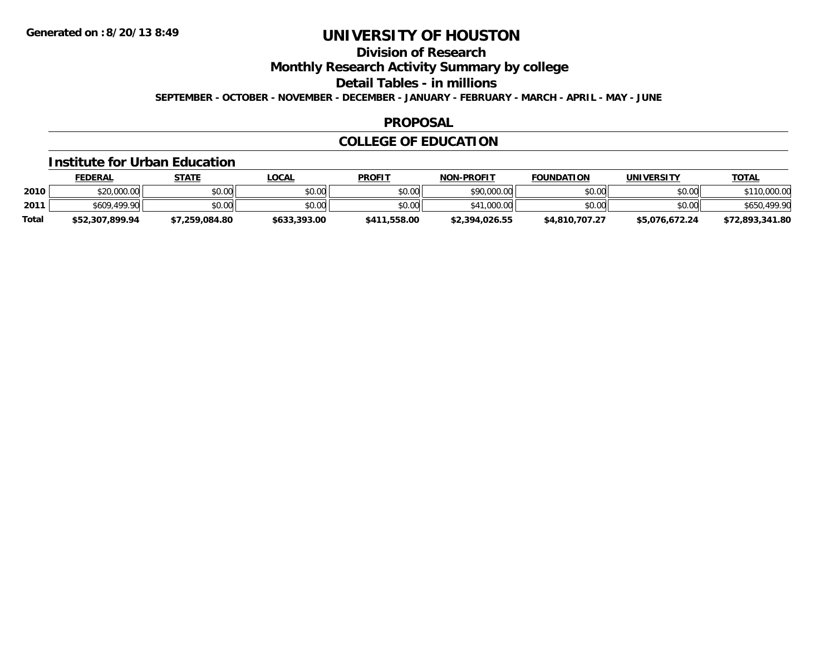## **Division of Research**

**Monthly Research Activity Summary by college**

**Detail Tables - in millions**

**SEPTEMBER - OCTOBER - NOVEMBER - DECEMBER - JANUARY - FEBRUARY - MARCH - APRIL - MAY - JUNE**

### **PROPOSAL**

### **COLLEGE OF EDUCATION**

#### **Institute for Urban Education**

|              | <b>FEDERAL</b>  | <u>STATE</u>   | <u>LOCAL</u> | <b>PROFIT</b> | <b>NON-PROFIT</b> | <b>FOUNDATION</b> | UNIVERSITY     | <u>TOTAL</u>    |
|--------------|-----------------|----------------|--------------|---------------|-------------------|-------------------|----------------|-----------------|
| 2010         | \$20,000.00     | \$0.00         | \$0.00       | \$0.00        | \$90,000.00       | \$0.00            | \$0.00         | \$110,000.00    |
| 2011         | \$609,499.90    | \$0.00         | \$0.00       | \$0.00        | \$41,000.00       | \$0.00            | \$0.00         | \$650,499.90    |
| <b>Total</b> | \$52,307,899.94 | \$7,259,084.80 | \$633,393.00 | \$411,558.00  | \$2,394,026.55    | \$4,810,707.27    | \$5,076,672.24 | \$72,893,341.80 |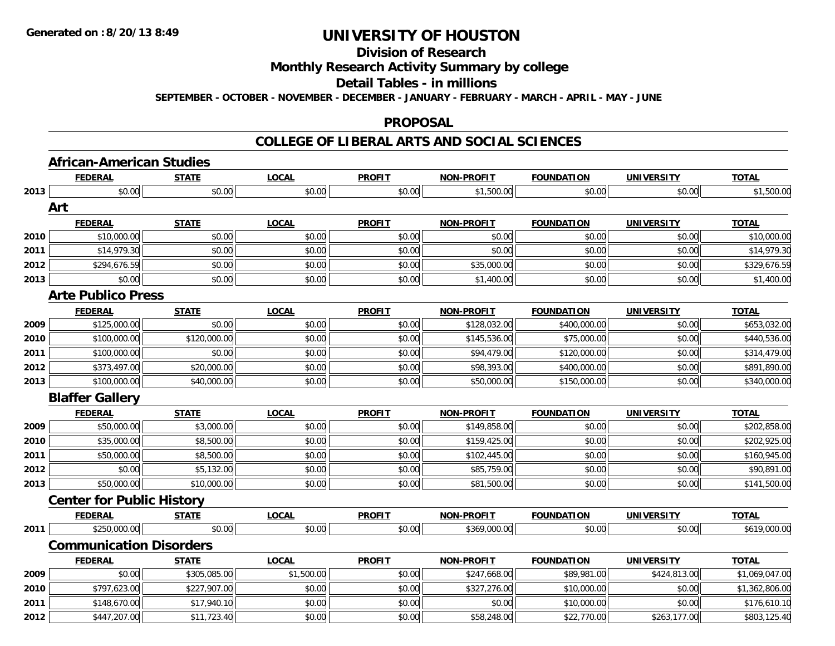## **Division of Research**

### **Monthly Research Activity Summary by college**

#### **Detail Tables - in millions**

**SEPTEMBER - OCTOBER - NOVEMBER - DECEMBER - JANUARY - FEBRUARY - MARCH - APRIL - MAY - JUNE**

#### **PROPOSAL**

### **COLLEGE OF LIBERAL ARTS AND SOCIAL SCIENCES**

|      | <b>FEDERAL</b>                   | <b>STATE</b> | <b>LOCAL</b> | <b>PROFIT</b> | <b>NON-PROFIT</b> | <b>FOUNDATION</b> | <b>UNIVERSITY</b> | <b>TOTAL</b>   |
|------|----------------------------------|--------------|--------------|---------------|-------------------|-------------------|-------------------|----------------|
| 2013 | \$0.00                           | \$0.00       | \$0.00       | \$0.00        | \$1,500.00        | \$0.00            | \$0.00            | \$1,500.00     |
| Art  |                                  |              |              |               |                   |                   |                   |                |
|      | <b>FEDERAL</b>                   | <b>STATE</b> | <b>LOCAL</b> | <b>PROFIT</b> | <b>NON-PROFIT</b> | <b>FOUNDATION</b> | <b>UNIVERSITY</b> | <b>TOTAL</b>   |
| 2010 | \$10,000.00                      | \$0.00       | \$0.00       | \$0.00        | \$0.00            | \$0.00            | \$0.00            | \$10,000.00    |
| 2011 | \$14,979.30                      | \$0.00       | \$0.00       | \$0.00        | \$0.00            | \$0.00            | \$0.00            | \$14,979.30    |
| 2012 | \$294,676.59                     | \$0.00       | \$0.00       | \$0.00        | \$35,000.00       | \$0.00            | \$0.00            | \$329,676.59   |
| 2013 | \$0.00                           | \$0.00       | \$0.00       | \$0.00        | \$1,400.00        | \$0.00            | \$0.00            | \$1,400.00     |
|      | <b>Arte Publico Press</b>        |              |              |               |                   |                   |                   |                |
|      | <b>FEDERAL</b>                   | <b>STATE</b> | <b>LOCAL</b> | <b>PROFIT</b> | <b>NON-PROFIT</b> | <b>FOUNDATION</b> | <b>UNIVERSITY</b> | <b>TOTAL</b>   |
| 2009 | \$125,000.00                     | \$0.00       | \$0.00       | \$0.00        | \$128,032.00      | \$400,000.00      | \$0.00            | \$653,032.00   |
| 2010 | \$100,000.00                     | \$120,000.00 | \$0.00       | \$0.00        | \$145,536.00      | \$75,000.00       | \$0.00            | \$440,536.00   |
| 2011 | \$100,000.00                     | \$0.00       | \$0.00       | \$0.00        | \$94,479.00       | \$120,000.00      | \$0.00            | \$314,479.00   |
| 2012 | \$373,497.00                     | \$20,000.00  | \$0.00       | \$0.00        | \$98,393.00       | \$400,000.00      | \$0.00            | \$891,890.00   |
| 2013 | \$100,000.00                     | \$40,000.00  | \$0.00       | \$0.00        | \$50,000.00       | \$150,000.00      | \$0.00            | \$340,000.00   |
|      | <b>Blaffer Gallery</b>           |              |              |               |                   |                   |                   |                |
|      | <b>FEDERAL</b>                   | <b>STATE</b> | <b>LOCAL</b> | <b>PROFIT</b> | <b>NON-PROFIT</b> | <b>FOUNDATION</b> | <b>UNIVERSITY</b> | <b>TOTAL</b>   |
| 2009 | \$50,000.00                      | \$3,000.00   | \$0.00       | \$0.00        | \$149,858.00      | \$0.00            | \$0.00            | \$202,858.00   |
| 2010 | \$35,000.00                      | \$8,500.00   | \$0.00       | \$0.00        | \$159,425.00      | \$0.00            | \$0.00            | \$202,925.00   |
| 2011 | \$50,000.00                      | \$8,500.00   | \$0.00       | \$0.00        | \$102,445.00      | \$0.00            | \$0.00            | \$160,945.00   |
| 2012 | \$0.00                           | \$5,132.00   | \$0.00       | \$0.00        | \$85,759.00       | \$0.00            | \$0.00            | \$90,891.00    |
| 2013 | \$50,000.00                      | \$10,000.00  | \$0.00       | \$0.00        | \$81,500.00       | \$0.00            | \$0.00            | \$141,500.00   |
|      | <b>Center for Public History</b> |              |              |               |                   |                   |                   |                |
|      | <b>FEDERAL</b>                   | <b>STATE</b> | <b>LOCAL</b> | <b>PROFIT</b> | NON-PROFIT        | <b>FOUNDATION</b> | <b>UNIVERSITY</b> | <b>TOTAL</b>   |
| 2011 | \$250,000.00                     | \$0.00       | \$0.00       | \$0.00        | \$369,000.00      | \$0.00            | \$0.00            | \$619,000.00   |
|      | <b>Communication Disorders</b>   |              |              |               |                   |                   |                   |                |
|      | <b>FEDERAL</b>                   | <b>STATE</b> | <b>LOCAL</b> | <b>PROFIT</b> | NON-PROFIT        | <b>FOUNDATION</b> | <b>UNIVERSITY</b> | <b>TOTAL</b>   |
| 2009 | \$0.00                           | \$305,085.00 | \$1,500.00   | \$0.00        | \$247,668.00      | \$89,981.00       | \$424,813.00      | \$1,069,047.00 |
| 2010 | \$797,623.00                     | \$227,907.00 | \$0.00       | \$0.00        | \$327,276.00      | \$10,000.00       | \$0.00            | \$1,362,806.00 |
| 2011 | \$148,670.00                     | \$17,940.10  | \$0.00       | \$0.00        | \$0.00            | \$10,000.00       | \$0.00            | \$176,610.10   |
|      |                                  |              | \$0.00       | \$0.00        | \$58,248.00       | \$22,770.00       | \$263,177.00      |                |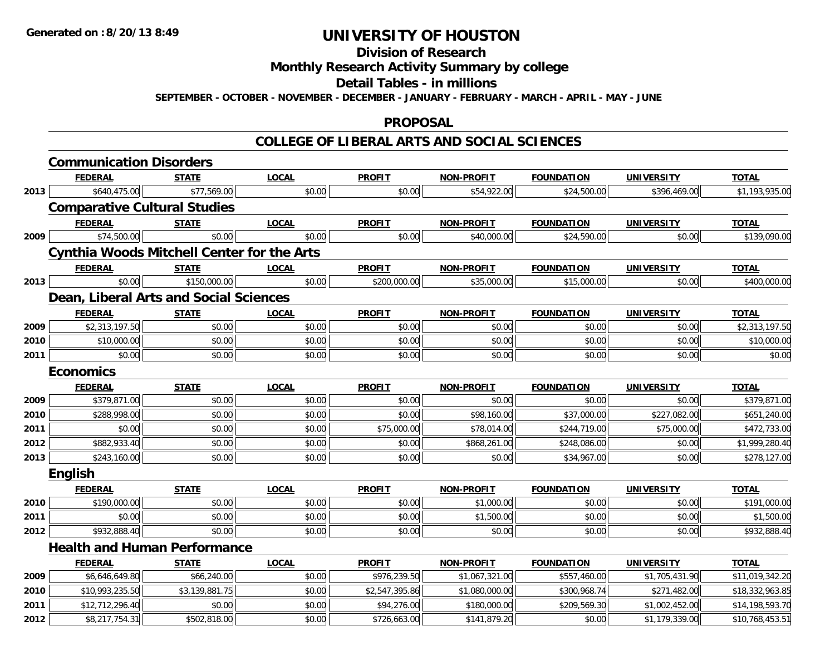# **Division of Research**

# **Monthly Research Activity Summary by college**

#### **Detail Tables - in millions**

**SEPTEMBER - OCTOBER - NOVEMBER - DECEMBER - JANUARY - FEBRUARY - MARCH - APRIL - MAY - JUNE**

### **PROPOSAL**

### **COLLEGE OF LIBERAL ARTS AND SOCIAL SCIENCES**

|      | <b>Communication Disorders</b>                    |                |              |                |                   |                   |                   |                 |
|------|---------------------------------------------------|----------------|--------------|----------------|-------------------|-------------------|-------------------|-----------------|
|      | <b>FEDERAL</b>                                    | <b>STATE</b>   | <b>LOCAL</b> | <b>PROFIT</b>  | <b>NON-PROFIT</b> | <b>FOUNDATION</b> | <b>UNIVERSITY</b> | <b>TOTAL</b>    |
| 2013 | \$640,475.00                                      | \$77,569.00    | \$0.00       | \$0.00         | \$54,922.00       | \$24,500.00       | \$396,469.00      | \$1,193,935.00  |
|      | <b>Comparative Cultural Studies</b>               |                |              |                |                   |                   |                   |                 |
|      | <b>FEDERAL</b>                                    | <b>STATE</b>   | <b>LOCAL</b> | <b>PROFIT</b>  | <b>NON-PROFIT</b> | <b>FOUNDATION</b> | <b>UNIVERSITY</b> | <b>TOTAL</b>    |
| 2009 | \$74,500.00                                       | \$0.00         | \$0.00       | \$0.00         | \$40,000.00       | \$24,590.00       | \$0.00            | \$139,090.00    |
|      | <b>Cynthia Woods Mitchell Center for the Arts</b> |                |              |                |                   |                   |                   |                 |
|      | <b>FEDERAL</b>                                    | <b>STATE</b>   | <b>LOCAL</b> | <b>PROFIT</b>  | <b>NON-PROFIT</b> | <b>FOUNDATION</b> | <b>UNIVERSITY</b> | <b>TOTAL</b>    |
| 2013 | \$0.00                                            | \$150,000.00   | \$0.00       | \$200,000.00   | \$35,000.00       | \$15,000.00       | \$0.00            | \$400,000.00    |
|      | Dean, Liberal Arts and Social Sciences            |                |              |                |                   |                   |                   |                 |
|      | <b>FEDERAL</b>                                    | <b>STATE</b>   | <b>LOCAL</b> | <b>PROFIT</b>  | <b>NON-PROFIT</b> | <b>FOUNDATION</b> | <b>UNIVERSITY</b> | <b>TOTAL</b>    |
| 2009 | \$2,313,197.50                                    | \$0.00         | \$0.00       | \$0.00         | \$0.00            | \$0.00            | \$0.00            | \$2,313,197.50  |
| 2010 | \$10,000.00                                       | \$0.00         | \$0.00       | \$0.00         | \$0.00            | \$0.00            | \$0.00            | \$10,000.00     |
| 2011 | \$0.00                                            | \$0.00         | \$0.00       | \$0.00         | \$0.00            | \$0.00            | \$0.00            | \$0.00          |
|      | <b>Economics</b>                                  |                |              |                |                   |                   |                   |                 |
|      | <b>FEDERAL</b>                                    | <b>STATE</b>   | <b>LOCAL</b> | <b>PROFIT</b>  | <b>NON-PROFIT</b> | <b>FOUNDATION</b> | <b>UNIVERSITY</b> | <b>TOTAL</b>    |
| 2009 | \$379,871.00                                      | \$0.00         | \$0.00       | \$0.00         | \$0.00            | \$0.00            | \$0.00            | \$379,871.00    |
| 2010 | \$288,998.00                                      | \$0.00         | \$0.00       | \$0.00         | \$98,160.00       | \$37,000.00       | \$227,082.00      | \$651,240.00    |
| 2011 | \$0.00                                            | \$0.00         | \$0.00       | \$75,000.00    | \$78,014.00       | \$244,719.00      | \$75,000.00       | \$472,733.00    |
| 2012 | \$882,933.40                                      | \$0.00         | \$0.00       | \$0.00         | \$868,261.00      | \$248,086.00      | \$0.00            | \$1,999,280.40  |
| 2013 | \$243,160.00                                      | \$0.00         | \$0.00       | \$0.00         | \$0.00            | \$34,967.00       | \$0.00            | \$278,127.00    |
|      | English                                           |                |              |                |                   |                   |                   |                 |
|      | <b>FEDERAL</b>                                    | <b>STATE</b>   | <b>LOCAL</b> | <b>PROFIT</b>  | <b>NON-PROFIT</b> | <b>FOUNDATION</b> | <b>UNIVERSITY</b> | <b>TOTAL</b>    |
| 2010 | \$190,000.00                                      | \$0.00         | \$0.00       | \$0.00         | \$1,000.00        | \$0.00            | \$0.00            | \$191,000.00    |
| 2011 | \$0.00                                            | \$0.00         | \$0.00       | \$0.00         | \$1,500.00        | \$0.00            | \$0.00            | \$1,500.00      |
| 2012 | \$932,888.40                                      | \$0.00         | \$0.00       | \$0.00         | \$0.00            | \$0.00            | \$0.00            | \$932,888.40    |
|      | <b>Health and Human Performance</b>               |                |              |                |                   |                   |                   |                 |
|      | <b>FEDERAL</b>                                    | <b>STATE</b>   | <b>LOCAL</b> | <b>PROFIT</b>  | <b>NON-PROFIT</b> | <b>FOUNDATION</b> | <b>UNIVERSITY</b> | <b>TOTAL</b>    |
| 2009 | \$6,646,649.80                                    | \$66,240.00    | \$0.00       | \$976,239.50   | \$1,067,321.00    | \$557,460.00      | \$1,705,431.90    | \$11,019,342.20 |
| 2010 | \$10,993,235.50                                   | \$3,139,881.75 | \$0.00       | \$2,547,395.86 | \$1,080,000.00    | \$300,968.74      | \$271,482.00      | \$18,332,963.85 |
| 2011 | \$12,712,296.40                                   | \$0.00         | \$0.00       | \$94,276.00    | \$180,000.00      | \$209,569.30      | \$1,002,452.00    | \$14,198,593.70 |
| 2012 | \$8,217,754.31                                    | \$502,818.00   | \$0.00       | \$726,663.00   | \$141,879.20      | \$0.00            | \$1,179,339.00    | \$10,768,453.51 |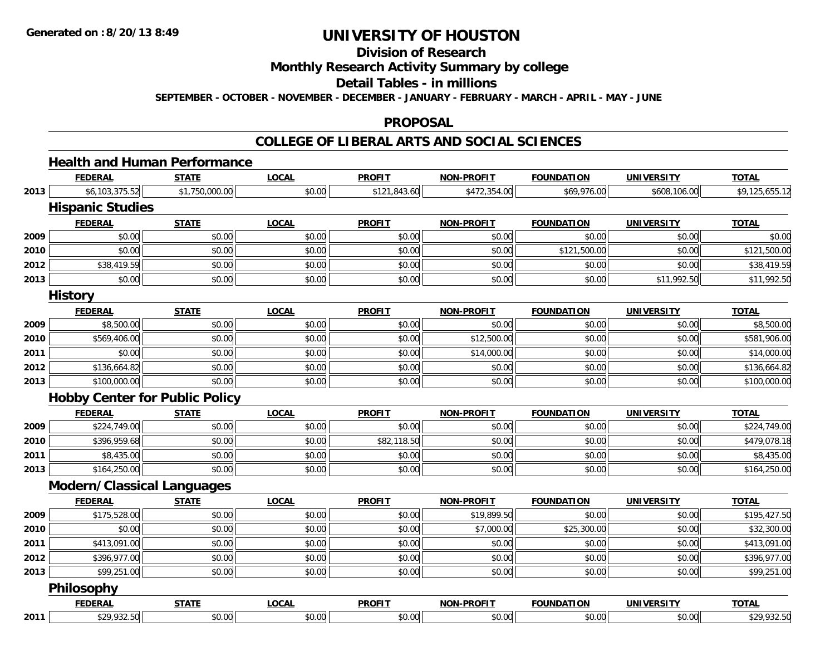**Division of Research**

**Monthly Research Activity Summary by college**

**Detail Tables - in millions**

**SEPTEMBER - OCTOBER - NOVEMBER - DECEMBER - JANUARY - FEBRUARY - MARCH - APRIL - MAY - JUNE**

### **PROPOSAL**

### **COLLEGE OF LIBERAL ARTS AND SOCIAL SCIENCES**

# **Health and Human Performance**

|      | <b>FEDERAL</b>                    | <b>STATE</b>                          | <b>LOCAL</b> | <b>PROFIT</b> | <b>NON-PROFIT</b> | <b>FOUNDATION</b> | <b>UNIVERSITY</b> | <b>TOTAL</b>   |
|------|-----------------------------------|---------------------------------------|--------------|---------------|-------------------|-------------------|-------------------|----------------|
| 2013 | \$6,103,375.52                    | \$1,750,000.00                        | \$0.00       | \$121,843.60  | \$472,354.00      | \$69,976.00       | \$608,106.00      | \$9,125,655.12 |
|      | <b>Hispanic Studies</b>           |                                       |              |               |                   |                   |                   |                |
|      | <b>FEDERAL</b>                    | <b>STATE</b>                          | <b>LOCAL</b> | <b>PROFIT</b> | <b>NON-PROFIT</b> | <b>FOUNDATION</b> | <b>UNIVERSITY</b> | <b>TOTAL</b>   |
| 2009 | \$0.00                            | \$0.00                                | \$0.00       | \$0.00        | \$0.00            | \$0.00            | \$0.00            | \$0.00         |
| 2010 | \$0.00                            | \$0.00                                | \$0.00       | \$0.00        | \$0.00            | \$121,500.00      | \$0.00            | \$121,500.00   |
| 2012 | \$38,419.59                       | \$0.00                                | \$0.00       | \$0.00        | \$0.00            | \$0.00            | \$0.00            | \$38,419.59    |
| 2013 | \$0.00                            | \$0.00                                | \$0.00       | \$0.00        | \$0.00            | \$0.00            | \$11,992.50       | \$11,992.50    |
|      | <b>History</b>                    |                                       |              |               |                   |                   |                   |                |
|      | <b>FEDERAL</b>                    | <b>STATE</b>                          | <b>LOCAL</b> | <b>PROFIT</b> | <b>NON-PROFIT</b> | <b>FOUNDATION</b> | <b>UNIVERSITY</b> | <b>TOTAL</b>   |
| 2009 | \$8,500.00                        | \$0.00                                | \$0.00       | \$0.00        | \$0.00            | \$0.00            | \$0.00            | \$8,500.00     |
| 2010 | \$569,406.00                      | \$0.00                                | \$0.00       | \$0.00        | \$12,500.00       | \$0.00            | \$0.00            | \$581,906.00   |
| 2011 | \$0.00                            | \$0.00                                | \$0.00       | \$0.00        | \$14,000.00       | \$0.00            | \$0.00            | \$14,000.00    |
| 2012 | \$136,664.82                      | \$0.00                                | \$0.00       | \$0.00        | \$0.00            | \$0.00            | \$0.00            | \$136,664.82   |
| 2013 | \$100,000.00                      | \$0.00                                | \$0.00       | \$0.00        | \$0.00            | \$0.00            | \$0.00            | \$100,000.00   |
|      |                                   | <b>Hobby Center for Public Policy</b> |              |               |                   |                   |                   |                |
|      | <b>FEDERAL</b>                    | <b>STATE</b>                          | <b>LOCAL</b> | <b>PROFIT</b> | <b>NON-PROFIT</b> | <b>FOUNDATION</b> | <b>UNIVERSITY</b> | <b>TOTAL</b>   |
| 2009 | \$224,749.00                      | \$0.00                                | \$0.00       | \$0.00        | \$0.00            | \$0.00            | \$0.00            | \$224,749.00   |
| 2010 | \$396,959.68                      | \$0.00                                | \$0.00       | \$82,118.50   | \$0.00            | \$0.00            | \$0.00            | \$479,078.18   |
| 2011 | \$8,435.00                        | \$0.00                                | \$0.00       | \$0.00        | \$0.00            | \$0.00            | \$0.00            | \$8,435.00     |
| 2013 | \$164,250.00                      | \$0.00                                | \$0.00       | \$0.00        | \$0.00            | \$0.00            | \$0.00            | \$164,250.00   |
|      | <b>Modern/Classical Languages</b> |                                       |              |               |                   |                   |                   |                |
|      | <b>FEDERAL</b>                    | <b>STATE</b>                          | <b>LOCAL</b> | <b>PROFIT</b> | NON-PROFIT        | <b>FOUNDATION</b> | <b>UNIVERSITY</b> | <b>TOTAL</b>   |
| 2009 | \$175,528.00                      | \$0.00                                | \$0.00       | \$0.00        | \$19,899.50       | \$0.00            | \$0.00            | \$195,427.50   |
| 2010 | \$0.00                            | \$0.00                                | \$0.00       | \$0.00        | \$7,000.00        | \$25,300.00       | \$0.00            | \$32,300.00    |
| 2011 | \$413,091.00                      | \$0.00                                | \$0.00       | \$0.00        | \$0.00            | \$0.00            | \$0.00            | \$413,091.00   |
| 2012 | \$396,977.00                      | \$0.00                                | \$0.00       | \$0.00        | \$0.00            | \$0.00            | \$0.00            | \$396,977.00   |
| 2013 | \$99,251.00                       | \$0.00                                | \$0.00       | \$0.00        | \$0.00            | \$0.00            | \$0.00            | \$99,251.00    |
|      | <b>Philosophy</b>                 |                                       |              |               |                   |                   |                   |                |
|      | <b>FEDERAL</b>                    | <b>STATE</b>                          | <b>LOCAL</b> | <b>PROFIT</b> | <b>NON-PROFIT</b> | <b>FOUNDATION</b> | <b>UNIVERSITY</b> | <b>TOTAL</b>   |
| 2011 | \$29,932.50                       | \$0.00                                | \$0.00       | \$0.00        | \$0.00            | \$0.00            | \$0.00            | \$29,932.50    |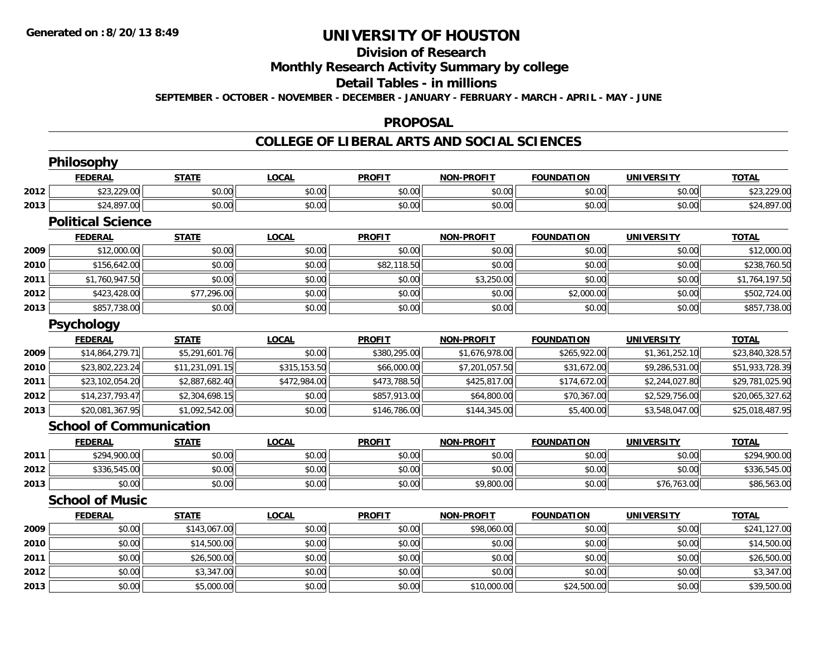#### **Division of Research**

**Monthly Research Activity Summary by college**

#### **Detail Tables - in millions**

**SEPTEMBER - OCTOBER - NOVEMBER - DECEMBER - JANUARY - FEBRUARY - MARCH - APRIL - MAY - JUNE**

### **PROPOSAL**

### **COLLEGE OF LIBERAL ARTS AND SOCIAL SCIENCES**

|      | Philosophy                     |                 |              |               |                   |                   |                   |                 |
|------|--------------------------------|-----------------|--------------|---------------|-------------------|-------------------|-------------------|-----------------|
|      | <b>FEDERAL</b>                 | <b>STATE</b>    | <b>LOCAL</b> | <b>PROFIT</b> | <b>NON-PROFIT</b> | <b>FOUNDATION</b> | <b>UNIVERSITY</b> | <b>TOTAL</b>    |
| 2012 | \$23,229.00                    | \$0.00          | \$0.00       | \$0.00        | \$0.00            | \$0.00            | \$0.00            | \$23,229.00     |
| 2013 | \$24,897.00                    | \$0.00          | \$0.00       | \$0.00        | \$0.00            | \$0.00            | \$0.00            | \$24,897.00     |
|      | <b>Political Science</b>       |                 |              |               |                   |                   |                   |                 |
|      | <b>FEDERAL</b>                 | <b>STATE</b>    | <b>LOCAL</b> | <b>PROFIT</b> | <b>NON-PROFIT</b> | <b>FOUNDATION</b> | <b>UNIVERSITY</b> | <b>TOTAL</b>    |
| 2009 | \$12,000.00                    | \$0.00          | \$0.00       | \$0.00        | \$0.00            | \$0.00            | \$0.00            | \$12,000.00     |
| 2010 | \$156,642.00                   | \$0.00          | \$0.00       | \$82,118.50   | \$0.00            | \$0.00            | \$0.00            | \$238,760.50    |
| 2011 | \$1,760,947.50                 | \$0.00          | \$0.00       | \$0.00        | \$3,250.00        | \$0.00            | \$0.00            | \$1,764,197.50  |
| 2012 | \$423,428.00                   | \$77,296.00     | \$0.00       | \$0.00        | \$0.00            | \$2,000.00        | \$0.00            | \$502,724.00    |
| 2013 | \$857,738.00                   | \$0.00          | \$0.00       | \$0.00        | \$0.00            | \$0.00            | \$0.00            | \$857,738.00    |
|      | Psychology                     |                 |              |               |                   |                   |                   |                 |
|      | <b>FEDERAL</b>                 | <b>STATE</b>    | <b>LOCAL</b> | <b>PROFIT</b> | <b>NON-PROFIT</b> | <b>FOUNDATION</b> | <b>UNIVERSITY</b> | <b>TOTAL</b>    |
| 2009 | \$14,864,279.71                | \$5,291,601.76  | \$0.00       | \$380,295.00  | \$1,676,978.00    | \$265,922.00      | \$1,361,252.10    | \$23,840,328.57 |
| 2010 | \$23,802,223.24                | \$11,231,091.15 | \$315,153.50 | \$66,000.00   | \$7,201,057.50    | \$31,672.00       | \$9,286,531.00    | \$51,933,728.39 |
| 2011 | \$23,102,054.20                | \$2,887,682.40  | \$472,984.00 | \$473,788.50  | \$425,817.00      | \$174,672.00      | \$2,244,027.80    | \$29,781,025.90 |
| 2012 | \$14,237,793.47                | \$2,304,698.15  | \$0.00       | \$857,913.00  | \$64,800.00       | \$70,367.00       | \$2,529,756.00    | \$20,065,327.62 |
| 2013 | \$20,081,367.95                | \$1,092,542.00  | \$0.00       | \$146,786.00  | \$144,345.00      | \$5,400.00        | \$3,548,047.00    | \$25,018,487.95 |
|      | <b>School of Communication</b> |                 |              |               |                   |                   |                   |                 |
|      | <b>FEDERAL</b>                 | <b>STATE</b>    | <b>LOCAL</b> | <b>PROFIT</b> | <b>NON-PROFIT</b> | <b>FOUNDATION</b> | <b>UNIVERSITY</b> | <b>TOTAL</b>    |
| 2011 | \$294,900.00                   | \$0.00          | \$0.00       | \$0.00        | \$0.00            | \$0.00            | \$0.00            | \$294,900.00    |
| 2012 | \$336,545.00                   | \$0.00          | \$0.00       | \$0.00        | \$0.00            | \$0.00            | \$0.00            | \$336,545.00    |
| 2013 | \$0.00                         | \$0.00          | \$0.00       | \$0.00        | \$9,800.00        | \$0.00            | \$76,763.00       | \$86,563.00     |
|      | <b>School of Music</b>         |                 |              |               |                   |                   |                   |                 |
|      | <b>FEDERAL</b>                 | <b>STATE</b>    | <b>LOCAL</b> | <b>PROFIT</b> | <b>NON-PROFIT</b> | <b>FOUNDATION</b> | <b>UNIVERSITY</b> | <b>TOTAL</b>    |
| 2009 | \$0.00                         | \$143,067.00    | \$0.00       | \$0.00        | \$98,060.00       | \$0.00            | \$0.00            | \$241,127.00    |
| 2010 | \$0.00                         | \$14,500.00     | \$0.00       | \$0.00        | \$0.00            | \$0.00            | \$0.00            | \$14,500.00     |
| 2011 | \$0.00                         | \$26,500.00     | \$0.00       | \$0.00        | \$0.00            | \$0.00            | \$0.00            | \$26,500.00     |
| 2012 | \$0.00                         | \$3,347.00      | \$0.00       | \$0.00        | \$0.00            | \$0.00            | \$0.00            | \$3,347.00      |
| 2013 | \$0.00                         | \$5,000.00      | \$0.00       | \$0.00        | \$10,000.00       | \$24,500.00       | \$0.00            | \$39,500.00     |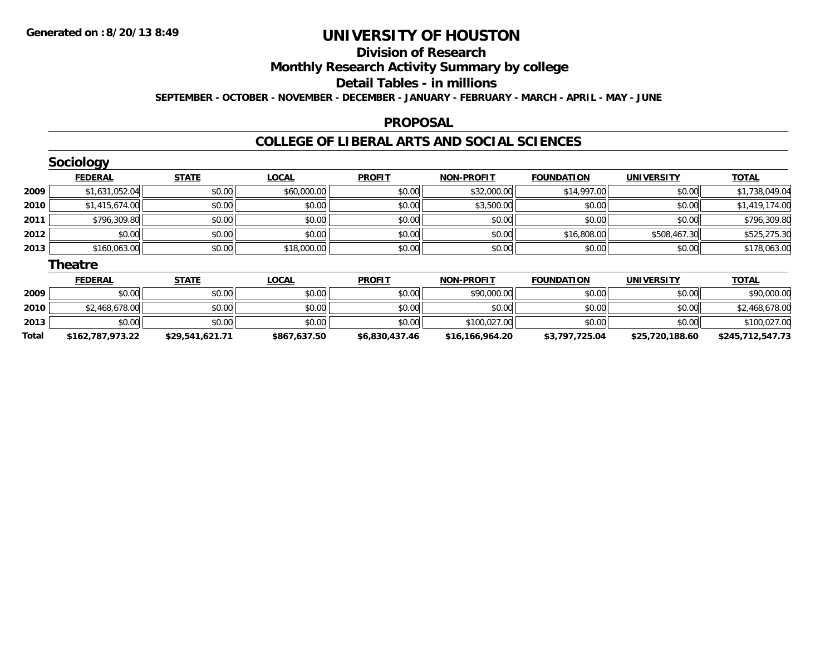# **Division of Research**

**Monthly Research Activity Summary by college**

#### **Detail Tables - in millions**

**SEPTEMBER - OCTOBER - NOVEMBER - DECEMBER - JANUARY - FEBRUARY - MARCH - APRIL - MAY - JUNE**

### **PROPOSAL**

### **COLLEGE OF LIBERAL ARTS AND SOCIAL SCIENCES**

|      | Sociology      |              |              |               |                   |                   |                   |                |
|------|----------------|--------------|--------------|---------------|-------------------|-------------------|-------------------|----------------|
|      | <b>FEDERAL</b> | <b>STATE</b> | <b>LOCAL</b> | <b>PROFIT</b> | <b>NON-PROFIT</b> | <b>FOUNDATION</b> | <b>UNIVERSITY</b> | <b>TOTAL</b>   |
| 2009 | \$1,631,052.04 | \$0.00       | \$60,000.00  | \$0.00        | \$32,000.00       | \$14,997.00       | \$0.00            | \$1,738,049.04 |
| 2010 | \$1,415,674.00 | \$0.00       | \$0.00       | \$0.00        | \$3,500.00        | \$0.00            | \$0.00            | \$1,419,174.00 |
| 2011 | \$796,309.80   | \$0.00       | \$0.00       | \$0.00        | \$0.00            | \$0.00            | \$0.00            | \$796,309.80   |
| 2012 | \$0.00         | \$0.00       | \$0.00       | \$0.00        | \$0.00            | \$16,808.00       | \$508,467.30      | \$525,275.30   |
| 2013 | \$160,063.00   | \$0.00       | \$18,000.00  | \$0.00        | \$0.00            | \$0.00            | \$0.00            | \$178,063.00   |
|      | <b>Theatre</b> |              |              |               |                   |                   |                   |                |
|      | <b>FEDERAL</b> | <b>STATE</b> | <b>LOCAL</b> | <b>PROFIT</b> | <b>NON-PROFIT</b> | <b>FOUNDATION</b> | <b>UNIVERSITY</b> | <b>TOTAL</b>   |
| 2009 | \$0.00         | \$0.00       | \$0.00       | \$0.00        | \$90,000.00       | \$0.00            | \$0.00            | \$90,000.00    |
|      |                |              |              |               |                   |                   |                   |                |

| Total | 787,973.22<br>516ء | $1.621.7^*$<br>\$29,541 | \$867,637.50 | \$6,830,437.46 | ,964.20<br>\$16,<br>166. | \$3,797,725.04<br>. ، ، ر. ب | 720,188.60<br>\$25, | . E 47. 79<br>\$245<br>54    |
|-------|--------------------|-------------------------|--------------|----------------|--------------------------|------------------------------|---------------------|------------------------------|
| 2013  | \$0.00             | \$0.00                  | \$0.00       | \$0.00         | .027.00<br>\$100.02.     | \$0.00                       | \$0.00              | מח דרח ו<br>\$100.02.<br>.uu |
| 2010  | .468.678.00        | \$0.00                  | \$0.00       | \$0.00         | \$0.00                   | \$0.00                       | \$0.00              | $\sim$ $\sim$                |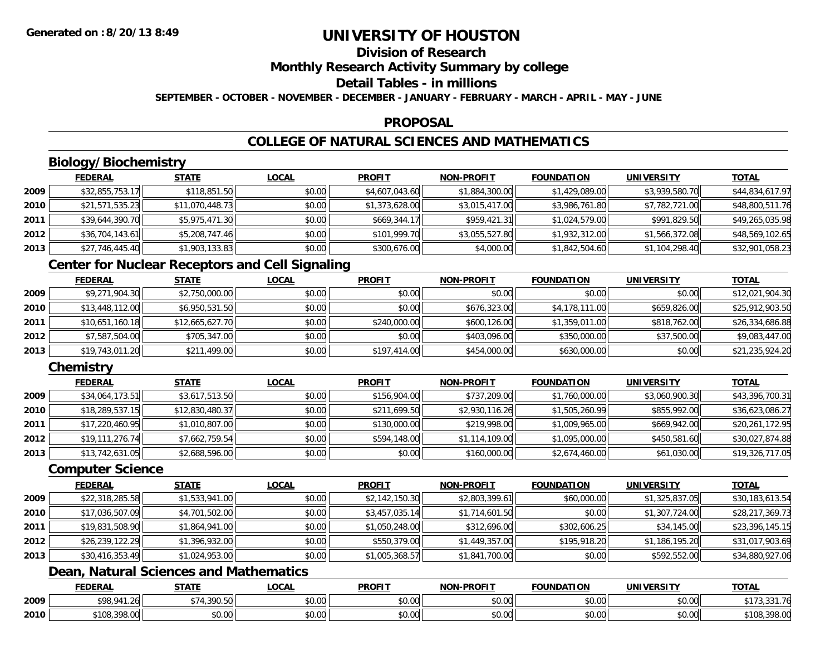## **Division of Research**

**Monthly Research Activity Summary by college**

#### **Detail Tables - in millions**

**SEPTEMBER - OCTOBER - NOVEMBER - DECEMBER - JANUARY - FEBRUARY - MARCH - APRIL - MAY - JUNE**

### **PROPOSAL**

## **COLLEGE OF NATURAL SCIENCES AND MATHEMATICS**

## **Biology/Biochemistry**

|      | <b>FEDERAL</b>  | <b>STATE</b>    | <b>LOCAL</b> | <b>PROFIT</b>  | <b>NON-PROFIT</b> | <b>FOUNDATION</b> | <b>UNIVERSITY</b> | <b>TOTAL</b>    |
|------|-----------------|-----------------|--------------|----------------|-------------------|-------------------|-------------------|-----------------|
| 2009 | \$32,855,753.17 | \$118,851.50    | \$0.00       | \$4,607,043.60 | \$1,884,300.00    | \$1,429,089.00    | \$3,939,580.70    | \$44,834,617.97 |
| 2010 | \$21,571,535.23 | \$11,070,448.73 | \$0.00       | \$1,373,628.00 | \$3,015,417.00    | \$3,986,761.80    | \$7,782,721.00    | \$48,800,511.76 |
| 2011 | \$39,644,390.70 | \$5,975,471.30  | \$0.00       | \$669,344.17   | \$959,421.31      | \$1,024,579.00    | \$991,829.50      | \$49,265,035.98 |
| 2012 | \$36,704,143.61 | \$5,208,747.46  | \$0.00       | \$101,999.70   | \$3,055,527.80    | \$1,932,312.00    | \$1,566,372.08    | \$48,569,102.65 |
| 2013 | \$27,746,445.40 | \$1,903,133.83  | \$0.00       | \$300,676.00   | \$4,000.00        | \$1,842,504.60    | \$1,104,298.40    | \$32,901,058.23 |

### **Center for Nuclear Receptors and Cell Signaling**

|      | <u>FEDERAL</u>  | <u>STATE</u>    | <b>LOCAL</b> | <b>PROFIT</b> | <b>NON-PROFIT</b> | <b>FOUNDATION</b> | <b>UNIVERSITY</b> | <b>TOTAL</b>    |
|------|-----------------|-----------------|--------------|---------------|-------------------|-------------------|-------------------|-----------------|
| 2009 | \$9,271,904.30  | \$2,750,000.00  | \$0.00       | \$0.00        | \$0.00            | \$0.00            | \$0.00            | \$12,021,904.30 |
| 2010 | \$13,448,112.00 | \$6,950,531.50  | \$0.00       | \$0.00        | \$676,323.00      | \$4,178,111.00    | \$659,826,00      | \$25,912,903.50 |
| 2011 | \$10,651,160.18 | \$12,665,627.70 | \$0.00       | \$240,000.00  | \$600,126,00      | \$1,359,011.00    | \$818,762,00      | \$26,334,686.88 |
| 2012 | \$7,587,504.00  | \$705,347.00    | \$0.00       | \$0.00        | \$403,096.00      | \$350,000.00      | \$37,500.00       | \$9,083,447.00  |
| 2013 | \$19,743,011.20 | \$211,499.00    | \$0.00       | \$197,414.00  | \$454,000.00      | \$630,000.00      | \$0.00            | \$21,235,924.20 |

## **Chemistry**

|      | <b>FEDERAL</b>  | <b>STATE</b>    | <b>LOCAL</b> | <b>PROFIT</b> | <b>NON-PROFIT</b> | <b>FOUNDATION</b> | <b>UNIVERSITY</b> | <b>TOTAL</b>    |
|------|-----------------|-----------------|--------------|---------------|-------------------|-------------------|-------------------|-----------------|
| 2009 | \$34,064,173.51 | \$3,617,513.50  | \$0.00       | \$156,904.00  | \$737,209.00      | \$1,760,000.00    | \$3,060,900.30    | \$43,396,700.31 |
| 2010 | \$18,289,537.15 | \$12,830,480.37 | \$0.00       | \$211,699.50  | \$2,930,116.26    | \$1,505,260.99    | \$855,992.00      | \$36,623,086.27 |
| 2011 | \$17,220,460.95 | \$1,010,807.00  | \$0.00       | \$130,000.00  | \$219,998.00      | \$1,009,965.00    | \$669,942.00      | \$20,261,172.95 |
| 2012 | \$19,111,276.74 | \$7,662,759.54  | \$0.00       | \$594,148.00  | \$1,114,109.00    | \$1,095,000.00    | \$450,581.60      | \$30,027,874.88 |
| 2013 | \$13,742,631.05 | \$2,688,596.00  | \$0.00       | \$0.00        | \$160,000.00      | \$2,674,460.00    | \$61,030.00       | \$19,326,717.05 |

#### **Computer Science**

|      | <b>FEDERAL</b>  | <b>STATE</b>   | <b>LOCAL</b> | <b>PROFIT</b>  | <b>NON-PROFIT</b> | <b>FOUNDATION</b> | <b>UNIVERSITY</b> | <b>TOTAL</b>    |
|------|-----------------|----------------|--------------|----------------|-------------------|-------------------|-------------------|-----------------|
| 2009 | \$22,318,285.58 | \$1,533,941.00 | \$0.00       | \$2,142,150.30 | \$2,803,399.61    | \$60,000.00       | \$1,325,837.05    | \$30,183,613.54 |
| 2010 | \$17,036,507.09 | \$4,701,502.00 | \$0.00       | \$3,457,035.14 | \$1,714,601.50    | \$0.00            | \$1,307,724.00    | \$28,217,369.73 |
| 2011 | \$19,831,508.90 | \$1,864,941.00 | \$0.00       | \$1,050,248.00 | \$312,696.00      | \$302,606.25      | \$34,145.00       | \$23,396,145.15 |
| 2012 | \$26,239,122.29 | \$1,396,932.00 | \$0.00       | \$550,379.00   | \$1,449,357.00    | \$195,918.20      | \$1,186,195.20    | \$31,017,903.69 |
| 2013 | \$30,416,353.49 | \$1,024,953.00 | \$0.00       | \$1,005,368.57 | \$1,841,700.00    | \$0.00            | \$592,552.00      | \$34,880,927.06 |

## **Dean, Natural Sciences and Mathematics**

|      | <b>FEDERAL</b>               | CTATI         | 00 <sub>n</sub><br>.UGAL  | <b>PROFIT</b>          | $\cdot$ <sub>J</sub> -PROF!<br><b>NICH</b> | <b>FOUNDATION</b> | EDCITY<br>UNIVE        | <b>TOTAL</b>          |
|------|------------------------------|---------------|---------------------------|------------------------|--------------------------------------------|-------------------|------------------------|-----------------------|
| 2009 | 000011<br>$\sim$<br>. .      | 200 $ED$      | ሐሴ ሰሰ<br>JU.UU            | $\sim$ $\sim$<br>טט.טע | $\sim$ $\sim$<br>vv.vv                     | \$0.00            | $\sim$ $\sim$<br>vu.vu | .<br>$\sim$ $-$<br>.  |
| 2010 | 0.00<br>3100.5<br>TU8.398.UU | 0000<br>ง∪.∪บ | $\sim$<br>$\sim$<br>vu.uu | ሶስ ሰሰ<br>טט.טע         | $\sim$ 00<br>vu.vu                         | \$0.00            | \$0.00                 | 0000<br>`10ઠ<br>70.UU |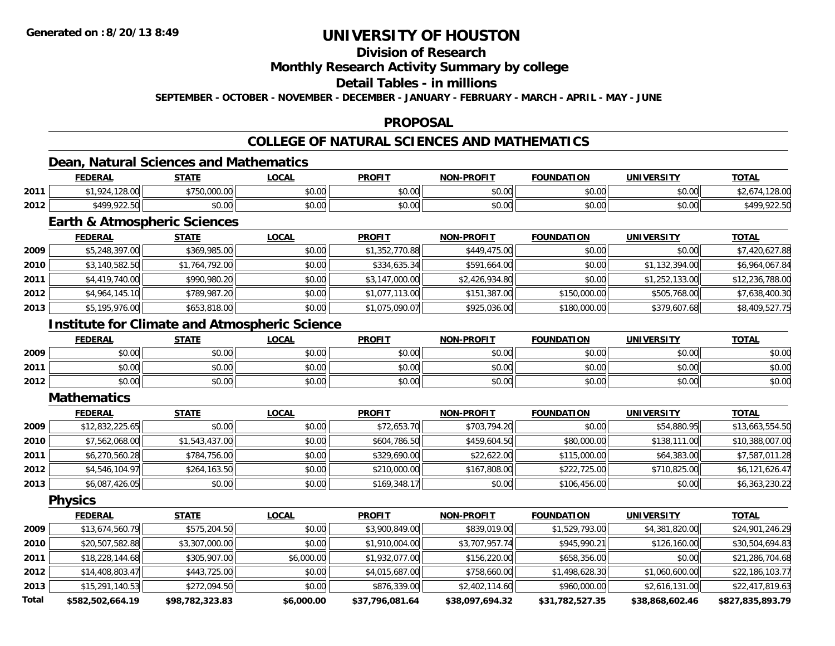## **Division of Research**

### **Monthly Research Activity Summary by college**

#### **Detail Tables - in millions**

**SEPTEMBER - OCTOBER - NOVEMBER - DECEMBER - JANUARY - FEBRUARY - MARCH - APRIL - MAY - JUNE**

### **PROPOSAL**

## **COLLEGE OF NATURAL SCIENCES AND MATHEMATICS**

### **Dean, Natural Sciences and Mathematics**

|      | <b>FEDERAL</b>             | <b>STATE</b>                           | ∟OCAL                  | <b>PROFIT</b>                               | <b>NON-PROFIT</b> | <b>FOUNDATION</b> | <b>UNIVERSITY</b> | <b>TOTAL</b>                   |
|------|----------------------------|----------------------------------------|------------------------|---------------------------------------------|-------------------|-------------------|-------------------|--------------------------------|
| 2011 | 120.00<br>$\cap$<br>LZ8.UU | $\sim$ 000.00<br>よつにへ<br>1790.000.001. | $\sim$ $\sim$<br>JU.UU | 60.00<br>JU.UU                              | \$0.00            | 0000<br>JU.UU     | \$0.00            | $\sim$<br>120.UU               |
| 2012 | \$499,922.50               | \$0.00                                 | $\sim$ $\sim$<br>JU.UU | $\mathfrak{e}\cap\mathfrak{e}\cap$<br>JU.UU | \$0.00            | ሶስ ሰሰ<br>JU.UU    | \$0.00            | ` <i>∧</i> 00 022 50<br>122.5U |

### **Earth & Atmospheric Sciences**

|      | <b>FEDERAL</b> | <b>STATE</b>   | <b>LOCAL</b> | <b>PROFIT</b>  | NON-PROFIT     | <b>FOUNDATION</b> | <b>UNIVERSITY</b> | <u>TOTAL</u>    |
|------|----------------|----------------|--------------|----------------|----------------|-------------------|-------------------|-----------------|
| 2009 | \$5,248,397.00 | \$369,985.00   | \$0.00       | \$1,352,770.88 | \$449,475.00   | \$0.00            | \$0.00            | \$7,420,627.88  |
| 2010 | \$3,140,582.50 | \$1,764,792.00 | \$0.00       | \$334,635.34   | \$591,664.00   | \$0.00            | \$1,132,394.00    | \$6,964,067.84  |
| 2011 | \$4,419,740.00 | \$990,980.20   | \$0.00       | \$3,147,000.00 | \$2,426,934.80 | \$0.00            | \$1,252,133.00    | \$12,236,788.00 |
| 2012 | \$4.964.145.10 | \$789,987.20   | \$0.00       | \$1,077,113.00 | \$151,387.00   | \$150,000.00      | \$505,768.00      | \$7,638,400.30  |
| 2013 | \$5,195,976.00 | \$653,818.00   | \$0.00       | \$1,075,090.07 | \$925,036.00   | \$180,000.00      | \$379,607.68      | \$8,409,527.75  |

### **Institute for Climate and Atmospheric Science**

|      | <b>FEDERAL</b>        | <b>STATE</b> | <u>LOCAL</u> | <b>PROFIT</b>          | <b>NON-PROFIT</b> | <b>FOUNDATION</b> | <b>UNIVERSITY</b> | <b>TOTAL</b> |
|------|-----------------------|--------------|--------------|------------------------|-------------------|-------------------|-------------------|--------------|
| 2009 | ሳ ሳ<br>pv.uu          | \$0.00       | \$0.00       | \$0.00<br><b>SU.UU</b> | \$0.00            | \$0.00            | \$0.00            | \$0.00       |
| 2011 | ልስ ሰሰ<br>PU.UU        | \$0.00       | \$0.00       | \$0.00                 | \$0.00            | \$0.00            | \$0.00            | \$0.00       |
| 2012 | ÷∩<br>$\cap$<br>DU.UU | \$0.00       | \$0.00       | \$0.00                 | \$0.00            | \$0.00            | \$0.00            | \$0.00       |

#### **Mathematics**

|      | <b>FEDERAL</b>  | <b>STATE</b>   | <b>LOCAL</b> | <b>PROFIT</b> | <b>NON-PROFIT</b> | <b>FOUNDATION</b> | <b>UNIVERSITY</b> | <b>TOTAL</b>    |
|------|-----------------|----------------|--------------|---------------|-------------------|-------------------|-------------------|-----------------|
| 2009 | \$12,832,225.65 | \$0.00         | \$0.00       | \$72,653.70   | \$703.794.20      | \$0.00            | \$54,880.95       | \$13,663,554.50 |
| 2010 | \$7,562,068.00  | \$1,543,437.00 | \$0.00       | \$604,786.50  | \$459,604.50      | \$80,000.00       | \$138,111.00      | \$10,388,007.00 |
| 2011 | \$6,270,560.28  | \$784,756.00   | \$0.00       | \$329,690.00  | \$22,622.00       | \$115,000.00      | \$64,383.00       | \$7,587,011.28  |
| 2012 | \$4.546.104.97  | \$264,163.50   | \$0.00       | \$210,000.00  | \$167,808.00      | \$222,725.00      | \$710,825.00      | \$6,121,626.47  |
| 2013 | \$6,087,426.05  | \$0.00         | \$0.00       | \$169,348.17  | \$0.00            | \$106,456.00      | \$0.00            | \$6,363,230.22  |

**Physics**

|              | <b>FEDERAL</b>   | <b>STATE</b>    | <u>LOCAL</u> | <b>PROFIT</b>   | <b>NON-PROFIT</b> | <b>FOUNDATION</b> | <b>UNIVERSITY</b> | <b>TOTAL</b>     |
|--------------|------------------|-----------------|--------------|-----------------|-------------------|-------------------|-------------------|------------------|
| 2009         | \$13,674,560.79  | \$575,204.50    | \$0.00       | \$3,900,849.00  | \$839,019.00      | \$1,529,793.00    | \$4,381,820.00    | \$24,901,246.29  |
| 2010         | \$20,507,582.88  | \$3,307,000.00  | \$0.00       | \$1,910,004.00  | \$3,707,957.74    | \$945,990.21      | \$126,160.00      | \$30,504,694.83  |
| 2011         | \$18,228,144.68  | \$305,907.00    | \$6,000.00   | \$1,932,077.00  | \$156,220.00      | \$658,356.00      | \$0.00            | \$21,286,704.68  |
| 2012         | \$14,408,803.47  | \$443,725.00    | \$0.00       | \$4,015,687.00  | \$758,660.00      | \$1,498,628.30    | \$1,060,600.00    | \$22,186,103.77  |
| 2013         | \$15,291,140.53  | \$272,094.50    | \$0.00       | \$876,339.00    | \$2,402,114.60    | \$960,000.00      | \$2,616,131.00    | \$22,417,819.63  |
| <b>Total</b> | \$582,502,664.19 | \$98,782,323.83 | \$6,000.00   | \$37,796,081.64 | \$38,097,694.32   | \$31,782,527.35   | \$38,868,602.46   | \$827,835,893.79 |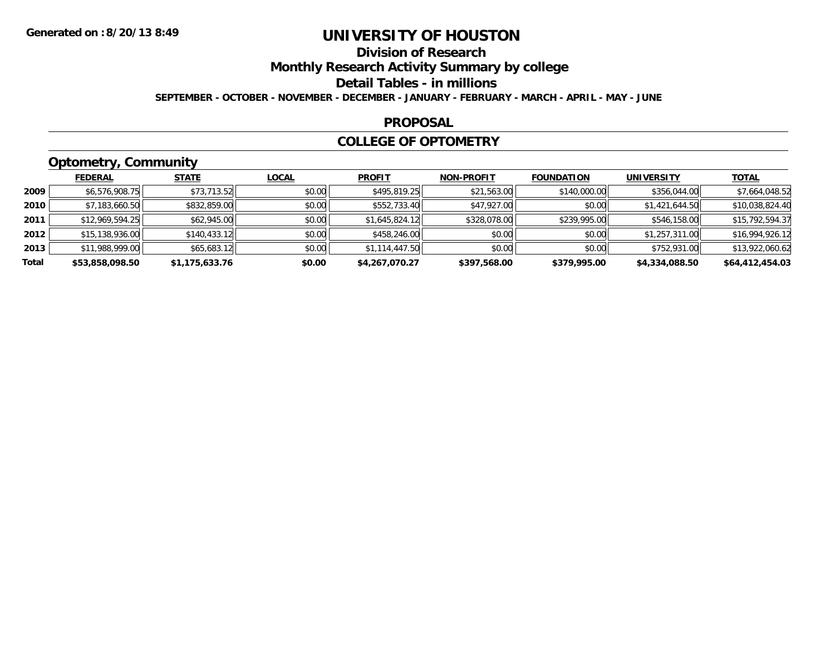## **Division of Research**

**Monthly Research Activity Summary by college**

#### **Detail Tables - in millions**

**SEPTEMBER - OCTOBER - NOVEMBER - DECEMBER - JANUARY - FEBRUARY - MARCH - APRIL - MAY - JUNE**

### **PROPOSAL**

### **COLLEGE OF OPTOMETRY**

## **Optometry, Community**

|       | ___             |                |              |                |                   |                   |                   |                 |
|-------|-----------------|----------------|--------------|----------------|-------------------|-------------------|-------------------|-----------------|
|       | <b>FEDERAL</b>  | <b>STATE</b>   | <u>LOCAL</u> | <b>PROFIT</b>  | <b>NON-PROFIT</b> | <b>FOUNDATION</b> | <b>UNIVERSITY</b> | <b>TOTAL</b>    |
| 2009  | \$6,576,908.75  | \$73,713.52    | \$0.00       | \$495,819.25   | \$21,563.00       | \$140,000.00      | \$356,044.00      | \$7,664,048.52  |
| 2010  | \$7,183,660.50  | \$832,859.00   | \$0.00       | \$552,733.40   | \$47,927.00       | \$0.00            | \$1,421,644.50    | \$10,038,824.40 |
| 2011  | \$12,969,594.25 | \$62,945.00    | \$0.00       | \$1,645,824.12 | \$328,078.00      | \$239,995.00      | \$546,158.00      | \$15,792,594.37 |
| 2012  | \$15,138,936.00 | \$140,433.12   | \$0.00       | \$458,246.00   | \$0.00            | \$0.00            | \$1,257,311.00    | \$16,994,926.12 |
| 2013  | \$11,988,999.00 | \$65,683.12    | \$0.00       | \$1,114,447.50 | \$0.00            | \$0.00            | \$752,931.00      | \$13,922,060.62 |
| Total | \$53,858,098.50 | \$1,175,633.76 | \$0.00       | \$4,267,070.27 | \$397,568.00      | \$379,995.00      | \$4,334,088.50    | \$64,412,454.03 |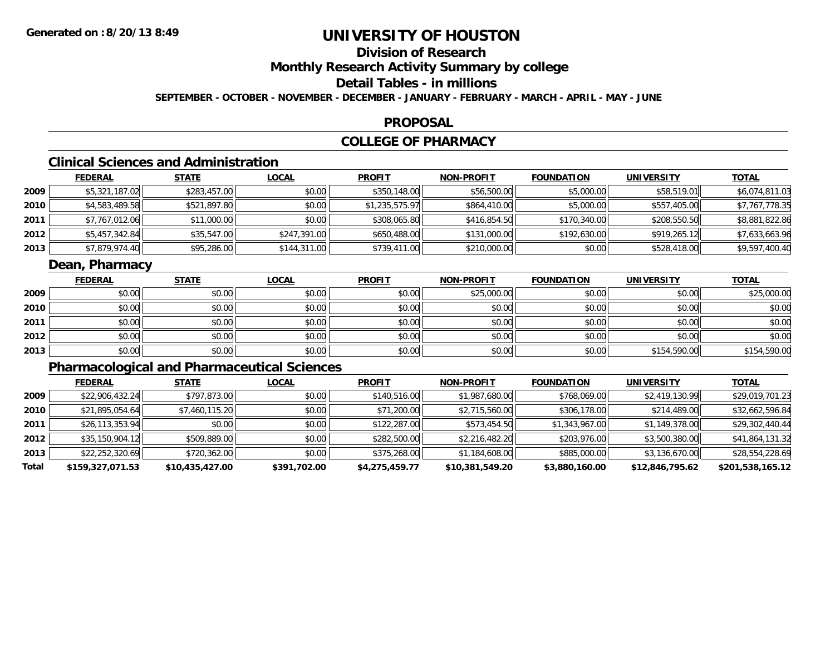# **Division of Research**

**Monthly Research Activity Summary by college**

## **Detail Tables - in millions**

**SEPTEMBER - OCTOBER - NOVEMBER - DECEMBER - JANUARY - FEBRUARY - MARCH - APRIL - MAY - JUNE**

### **PROPOSAL**

### **COLLEGE OF PHARMACY**

## **Clinical Sciences and Administration**

|      | <b>FEDERAL</b> | <u>STATE</u> | <b>LOCAL</b> | <b>PROFIT</b>  | <b>NON-PROFIT</b> | <b>FOUNDATION</b> | UNIVERSITY   | <u>TOTAL</u>   |
|------|----------------|--------------|--------------|----------------|-------------------|-------------------|--------------|----------------|
| 2009 | \$5,321,187.02 | \$283,457.00 | \$0.00       | \$350,148.00   | \$56,500.00       | \$5,000.00        | \$58,519.01  | \$6,074,811.03 |
| 2010 | \$4,583,489.58 | \$521,897.80 | \$0.00       | \$1,235,575.97 | \$864,410.00      | \$5,000.00        | \$557,405.00 | \$7,767,778.35 |
| 2011 | \$7,767,012.06 | \$11,000.00  | \$0.00       | \$308,065.80   | \$416,854.50      | \$170,340.00      | \$208,550.50 | \$8,881,822.86 |
| 2012 | \$5,457,342.84 | \$35,547.00  | \$247,391.00 | \$650,488.00   | \$131,000.00      | \$192,630.00      | \$919,265.12 | \$7,633,663.96 |
| 2013 | \$7,879,974.40 | \$95,286.00  | \$144,311.00 | \$739,411.00   | \$210,000.00      | \$0.00            | \$528,418.00 | \$9,597,400.40 |

### **Dean, Pharmacy**

|      | <u>FEDERAL</u> | <b>STATE</b> | <b>LOCAL</b> | <b>PROFIT</b> | <b>NON-PROFIT</b> | <b>FOUNDATION</b> | <b>UNIVERSITY</b> | <b>TOTAL</b> |
|------|----------------|--------------|--------------|---------------|-------------------|-------------------|-------------------|--------------|
| 2009 | \$0.00         | \$0.00       | \$0.00       | \$0.00        | \$25,000.00       | \$0.00            | \$0.00            | \$25,000.00  |
| 2010 | \$0.00         | \$0.00       | \$0.00       | \$0.00        | \$0.00            | \$0.00            | \$0.00            | \$0.00       |
| 2011 | \$0.00         | \$0.00       | \$0.00       | \$0.00        | \$0.00            | \$0.00            | \$0.00            | \$0.00       |
| 2012 | \$0.00         | \$0.00       | \$0.00       | \$0.00        | \$0.00            | \$0.00            | \$0.00            | \$0.00       |
| 2013 | \$0.00         | \$0.00       | \$0.00       | \$0.00        | \$0.00            | \$0.00            | \$154,590.00      | \$154,590.00 |

## **Pharmacological and Pharmaceutical Sciences**

|       | <b>FEDERAL</b>   | <b>STATE</b>    | <u>LOCAL</u> | <b>PROFIT</b>  | <b>NON-PROFIT</b> | <b>FOUNDATION</b> | UNIVERSITY      | <b>TOTAL</b>     |
|-------|------------------|-----------------|--------------|----------------|-------------------|-------------------|-----------------|------------------|
| 2009  | \$22,906,432.24  | \$797,873.00    | \$0.00       | \$140,516.00   | \$1,987,680.00    | \$768,069.00      | \$2,419,130.99  | \$29,019,701.23  |
| 2010  | \$21,895,054.64  | \$7,460,115.20  | \$0.00       | \$71,200.00    | \$2,715,560.00    | \$306,178.00      | \$214,489.00    | \$32,662,596.84  |
| 2011  | \$26,113,353.94  | \$0.00          | \$0.00       | \$122,287.00   | \$573,454.50      | \$1,343,967.00    | \$1,149,378.00  | \$29,302,440.44  |
| 2012  | \$35,150,904.12  | \$509,889.00    | \$0.00       | \$282,500.00   | \$2,216,482.20    | \$203,976.00      | \$3,500,380.00  | \$41,864,131.32  |
| 2013  | \$22,252,320.69  | \$720,362.00    | \$0.00       | \$375,268.00   | \$1,184,608.00    | \$885,000.00      | \$3,136,670.00  | \$28,554,228.69  |
| Total | \$159,327,071.53 | \$10,435,427.00 | \$391,702.00 | \$4,275,459.77 | \$10,381,549.20   | \$3,880,160.00    | \$12,846,795.62 | \$201,538,165.12 |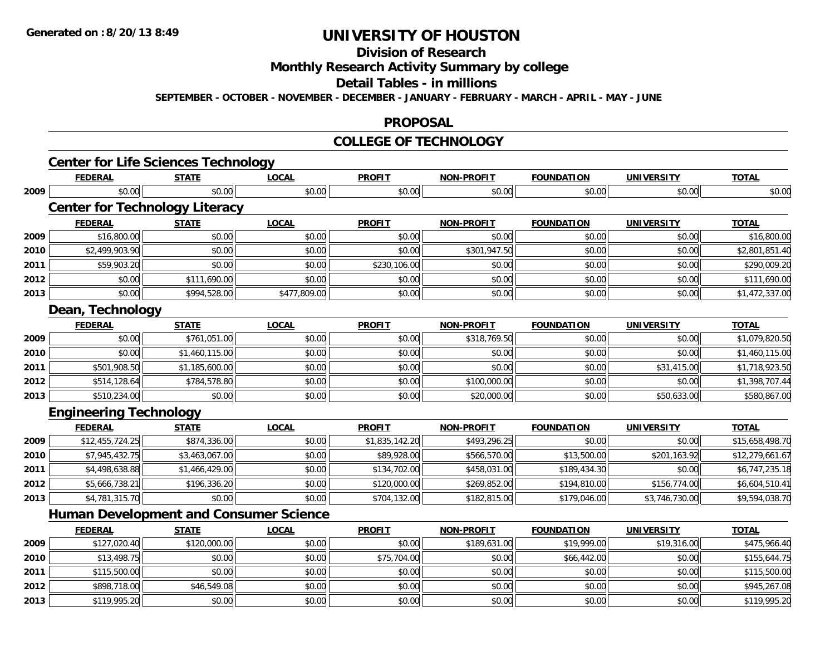# **Division of Research**

**Monthly Research Activity Summary by college**

#### **Detail Tables - in millions**

**SEPTEMBER - OCTOBER - NOVEMBER - DECEMBER - JANUARY - FEBRUARY - MARCH - APRIL - MAY - JUNE**

### **PROPOSAL**

#### **COLLEGE OF TECHNOLOGY**

|      | <b>Center for Life Sciences Technology</b>    |                |              |                |                   |                   |                   |                 |
|------|-----------------------------------------------|----------------|--------------|----------------|-------------------|-------------------|-------------------|-----------------|
|      | <b>FEDERAL</b>                                | <b>STATE</b>   | <b>LOCAL</b> | <b>PROFIT</b>  | <b>NON-PROFIT</b> | <b>FOUNDATION</b> | <b>UNIVERSITY</b> | <b>TOTAL</b>    |
| 2009 | \$0.00                                        | \$0.00         | \$0.00       | \$0.00         | \$0.00            | \$0.00            | \$0.00            | \$0.00          |
|      | <b>Center for Technology Literacy</b>         |                |              |                |                   |                   |                   |                 |
|      | <b>FEDERAL</b>                                | <b>STATE</b>   | <b>LOCAL</b> | <b>PROFIT</b>  | <b>NON-PROFIT</b> | <b>FOUNDATION</b> | <b>UNIVERSITY</b> | <b>TOTAL</b>    |
| 2009 | \$16,800.00                                   | \$0.00         | \$0.00       | \$0.00         | \$0.00            | \$0.00            | \$0.00            | \$16,800.00     |
| 2010 | \$2,499,903.90                                | \$0.00         | \$0.00       | \$0.00         | \$301,947.50      | \$0.00            | \$0.00            | \$2,801,851.40  |
| 2011 | \$59,903.20                                   | \$0.00         | \$0.00       | \$230,106.00   | \$0.00            | \$0.00            | \$0.00            | \$290,009.20    |
| 2012 | \$0.00                                        | \$111,690.00   | \$0.00       | \$0.00         | \$0.00            | \$0.00            | \$0.00            | \$111,690.00    |
| 2013 | \$0.00                                        | \$994,528.00   | \$477,809.00 | \$0.00         | \$0.00            | \$0.00            | \$0.00            | \$1,472,337.00  |
|      | Dean, Technology                              |                |              |                |                   |                   |                   |                 |
|      | <b>FEDERAL</b>                                | <b>STATE</b>   | <b>LOCAL</b> | <b>PROFIT</b>  | <b>NON-PROFIT</b> | <b>FOUNDATION</b> | <b>UNIVERSITY</b> | <b>TOTAL</b>    |
| 2009 | \$0.00                                        | \$761,051.00   | \$0.00       | \$0.00         | \$318,769.50      | \$0.00            | \$0.00            | \$1,079,820.50  |
| 2010 | \$0.00                                        | \$1,460,115.00 | \$0.00       | \$0.00         | \$0.00            | \$0.00            | \$0.00            | \$1,460,115.00  |
| 2011 | \$501,908.50                                  | \$1,185,600.00 | \$0.00       | \$0.00         | \$0.00            | \$0.00            | \$31,415.00       | \$1,718,923.50  |
| 2012 | \$514,128.64                                  | \$784,578.80   | \$0.00       | \$0.00         | \$100,000.00      | \$0.00            | \$0.00            | \$1,398,707.44  |
| 2013 | \$510,234.00                                  | \$0.00         | \$0.00       | \$0.00         | \$20,000.00       | \$0.00            | \$50,633.00       | \$580,867.00    |
|      | <b>Engineering Technology</b>                 |                |              |                |                   |                   |                   |                 |
|      | <b>FEDERAL</b>                                | <b>STATE</b>   | <b>LOCAL</b> | <b>PROFIT</b>  | <b>NON-PROFIT</b> | <b>FOUNDATION</b> | <b>UNIVERSITY</b> | <b>TOTAL</b>    |
| 2009 | \$12,455,724.25                               | \$874,336.00   | \$0.00       | \$1,835,142.20 | \$493,296.25      | \$0.00            | \$0.00            | \$15,658,498.70 |
| 2010 | \$7,945,432.75                                | \$3,463,067.00 | \$0.00       | \$89,928.00    | \$566,570.00      | \$13,500.00       | \$201,163.92      | \$12,279,661.67 |
| 2011 | \$4,498,638.88                                | \$1,466,429.00 | \$0.00       | \$134,702.00   | \$458,031.00      | \$189,434.30      | \$0.00            | \$6,747,235.18  |
| 2012 | \$5,666,738.21                                | \$196,336.20   | \$0.00       | \$120,000.00   | \$269,852.00      | \$194,810.00      | \$156,774.00      | \$6,604,510.41  |
| 2013 | \$4,781,315.70                                | \$0.00         | \$0.00       | \$704,132.00   | \$182,815.00      | \$179,046.00      | \$3,746,730.00    | \$9,594,038.70  |
|      | <b>Human Development and Consumer Science</b> |                |              |                |                   |                   |                   |                 |
|      | <b>FEDERAL</b>                                | <b>STATE</b>   | <b>LOCAL</b> | <b>PROFIT</b>  | <b>NON-PROFIT</b> | <b>FOUNDATION</b> | <b>UNIVERSITY</b> | <b>TOTAL</b>    |
| 2009 | \$127,020.40                                  | \$120,000.00   | \$0.00       | \$0.00         | \$189,631.00      | \$19,999.00       | \$19,316.00       | \$475,966.40    |
| 2010 | \$13,498.75                                   | \$0.00         | \$0.00       | \$75,704.00    | \$0.00            | \$66,442.00       | \$0.00            | \$155,644.75    |
| 2011 | \$115,500.00                                  | \$0.00         | \$0.00       | \$0.00         | \$0.00            | \$0.00            | \$0.00            | \$115,500.00    |
| 2012 | \$898,718.00                                  | \$46,549.08    | \$0.00       | \$0.00         | \$0.00            | \$0.00            | \$0.00            | \$945,267.08    |
| 2013 | \$119,995.20                                  | \$0.00         | \$0.00       | \$0.00         | \$0.00            | \$0.00            | \$0.00            | \$119,995.20    |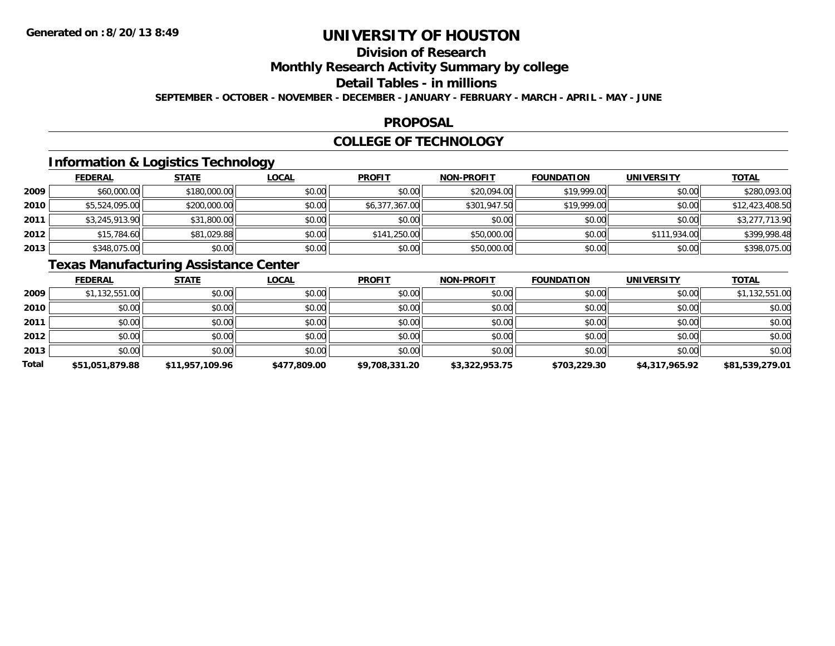# **Division of Research**

**Monthly Research Activity Summary by college**

#### **Detail Tables - in millions**

**SEPTEMBER - OCTOBER - NOVEMBER - DECEMBER - JANUARY - FEBRUARY - MARCH - APRIL - MAY - JUNE**

### **PROPOSAL**

### **COLLEGE OF TECHNOLOGY**

## **Information & Logistics Technology**

|      | <b>FEDERAL</b> | <b>STATE</b> | <u>LOCAL</u> | <b>PROFIT</b>  | <b>NON-PROFIT</b> | <b>FOUNDATION</b> | <b>UNIVERSITY</b> | <b>TOTAL</b>    |
|------|----------------|--------------|--------------|----------------|-------------------|-------------------|-------------------|-----------------|
| 2009 | \$60,000.00    | \$180,000.00 | \$0.00       | \$0.00         | \$20,094.00       | \$19,999.00       | \$0.00            | \$280,093.00    |
| 2010 | \$5,524,095.00 | \$200,000.00 | \$0.00       | \$6,377,367.00 | \$301,947.50      | \$19,999.00       | \$0.00            | \$12,423,408.50 |
| 2011 | \$3,245,913.90 | \$31,800.00  | \$0.00       | \$0.00         | \$0.00            | \$0.00            | \$0.00            | \$3,277,713.90  |
| 2012 | \$15,784.60    | \$81,029.88  | \$0.00       | \$141,250.00   | \$50,000.00       | \$0.00            | \$111,934.00      | \$399,998.48    |
| 2013 | \$348,075.00   | \$0.00       | \$0.00       | \$0.00         | \$50,000.00       | \$0.00            | \$0.00            | \$398,075.00    |

## **Texas Manufacturing Assistance Center**

|       | <b>FEDERAL</b>  | <b>STATE</b>    | <b>LOCAL</b> | <b>PROFIT</b>  | <b>NON-PROFIT</b> | <b>FOUNDATION</b> | <b>UNIVERSITY</b> | <b>TOTAL</b>    |
|-------|-----------------|-----------------|--------------|----------------|-------------------|-------------------|-------------------|-----------------|
| 2009  | \$1,132,551.00  | \$0.00          | \$0.00       | \$0.00         | \$0.00            | \$0.00            | \$0.00            | \$1,132,551.00  |
| 2010  | \$0.00          | \$0.00          | \$0.00       | \$0.00         | \$0.00            | \$0.00            | \$0.00            | \$0.00          |
| 2011  | \$0.00          | \$0.00          | \$0.00       | \$0.00         | \$0.00            | \$0.00            | \$0.00            | \$0.00          |
| 2012  | \$0.00          | \$0.00          | \$0.00       | \$0.00         | \$0.00            | \$0.00            | \$0.00            | \$0.00          |
| 2013  | \$0.00          | \$0.00          | \$0.00       | \$0.00         | \$0.00            | \$0.00            | \$0.00            | \$0.00          |
| Total | \$51,051,879.88 | \$11,957,109.96 | \$477,809.00 | \$9,708,331.20 | \$3,322,953.75    | \$703,229.30      | \$4,317,965.92    | \$81,539,279.01 |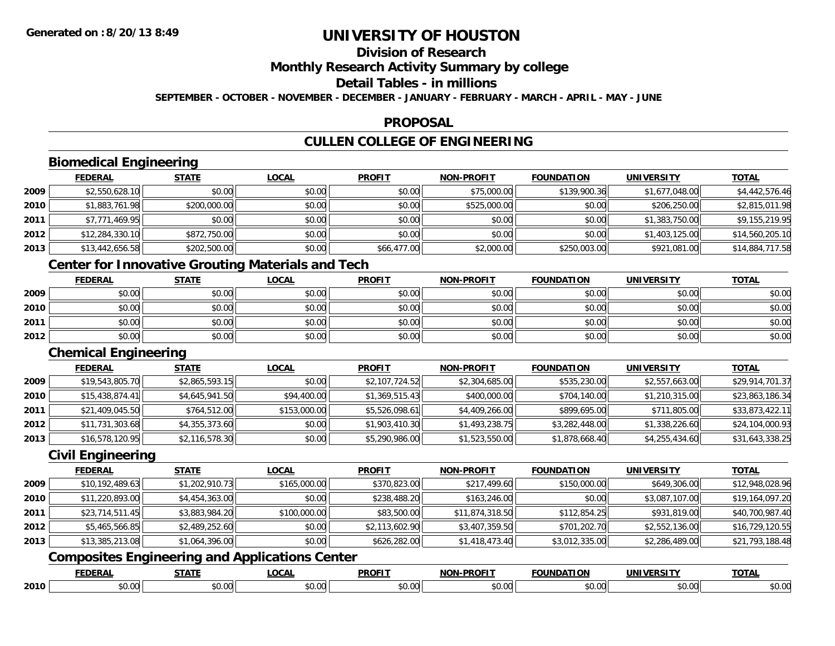# **Division of Research**

### **Monthly Research Activity Summary by college**

## **Detail Tables - in millions**

**SEPTEMBER - OCTOBER - NOVEMBER - DECEMBER - JANUARY - FEBRUARY - MARCH - APRIL - MAY - JUNE**

### **PROPOSAL**

## **CULLEN COLLEGE OF ENGINEERING**

## **Biomedical Engineering**

|      | <b>FEDERAL</b>  | <b>STATE</b> | <u>LOCAL</u> | <b>PROFIT</b> | <b>NON-PROFIT</b> | <b>FOUNDATION</b> | <b>UNIVERSITY</b> | <b>TOTAL</b>    |
|------|-----------------|--------------|--------------|---------------|-------------------|-------------------|-------------------|-----------------|
| 2009 | \$2,550,628.10  | \$0.00       | \$0.00       | \$0.00        | \$75,000.00       | \$139,900.36      | \$1,677,048.00    | \$4,442,576.46  |
| 2010 | \$1,883,761.98  | \$200,000.00 | \$0.00       | \$0.00        | \$525,000.00      | \$0.00            | \$206,250.00      | \$2,815,011.98  |
| 2011 | \$7,771,469.95  | \$0.00       | \$0.00       | \$0.00        | \$0.00            | \$0.00            | \$1,383,750.00    | \$9,155,219.95  |
| 2012 | \$12,284,330.10 | \$872,750.00 | \$0.00       | \$0.00        | \$0.00            | \$0.00            | \$1,403,125.00    | \$14,560,205.10 |
| 2013 | \$13,442,656.58 | \$202,500.00 | \$0.00       | \$66,477.00   | \$2,000.00        | \$250,003.00      | \$921,081.00      | \$14,884,717.58 |

### **Center for Innovative Grouting Materials and Tech**

|      | <u>FEDERAL</u> | <b>STATE</b> | <u>LOCAL</u> | <b>PROFIT</b> | <b>NON-PROFIT</b> | <b>FOUNDATION</b> | <b>UNIVERSITY</b> | <b>TOTAL</b> |
|------|----------------|--------------|--------------|---------------|-------------------|-------------------|-------------------|--------------|
| 2009 | \$0.00         | \$0.00       | \$0.00       | \$0.00        | \$0.00            | \$0.00            | \$0.00            | \$0.00       |
| 2010 | \$0.00         | \$0.00       | \$0.00       | \$0.00        | \$0.00            | \$0.00            | \$0.00            | \$0.00       |
| 2011 | \$0.00         | \$0.00       | \$0.00       | \$0.00        | \$0.00            | \$0.00            | \$0.00            | \$0.00       |
| 2012 | \$0.00         | \$0.00       | \$0.00       | \$0.00        | \$0.00            | \$0.00            | \$0.00            | \$0.00       |

### **Chemical Engineering**

|      | <b>FEDERAL</b>  | <b>STATE</b>   | <u>LOCAL</u> | <b>PROFIT</b>  | <b>NON-PROFIT</b> | <b>FOUNDATION</b> | UNIVERSITY     | <u>TOTAL</u>    |
|------|-----------------|----------------|--------------|----------------|-------------------|-------------------|----------------|-----------------|
| 2009 | \$19,543,805.70 | \$2,865,593.15 | \$0.00       | \$2,107,724.52 | \$2,304,685.00    | \$535,230.00      | \$2,557,663.00 | \$29,914,701.37 |
| 2010 | \$15,438,874.41 | \$4,645,941.50 | \$94,400.00  | \$1,369,515.43 | \$400,000.00      | \$704,140.00      | \$1,210,315.00 | \$23,863,186.34 |
| 2011 | \$21,409,045.50 | \$764,512.00   | \$153,000.00 | \$5,526,098.61 | \$4,409,266.00    | \$899,695.00      | \$711,805.00   | \$33,873,422.11 |
| 2012 | \$11,731,303.68 | \$4,355,373.60 | \$0.00       | \$1,903,410.30 | \$1,493,238.75    | \$3,282,448.00    | \$1,338,226.60 | \$24,104,000.93 |
| 2013 | \$16,578,120.95 | \$2,116,578.30 | \$0.00       | \$5,290,986.00 | \$1,523,550.00    | \$1,878,668.40    | \$4,255,434.60 | \$31,643,338.25 |

### **Civil Engineering**

|      | <u>FEDERAL</u>  | <b>STATE</b>   | <b>LOCAL</b> | <b>PROFIT</b>  | <b>NON-PROFIT</b> | <b>FOUNDATION</b> | UNIVERSITY     | <b>TOTAL</b>    |
|------|-----------------|----------------|--------------|----------------|-------------------|-------------------|----------------|-----------------|
| 2009 | \$10,192,489.63 | \$1,202,910.73 | \$165,000.00 | \$370,823.00   | \$217,499.60      | \$150,000.00      | \$649,306.00   | \$12,948,028.96 |
| 2010 | \$11,220,893.00 | \$4,454,363.00 | \$0.00       | \$238,488.20   | \$163,246.00      | \$0.00            | \$3,087,107.00 | \$19,164,097.20 |
| 2011 | \$23,714,511.45 | \$3,883,984.20 | \$100,000.00 | \$83,500.00    | \$11,874,318.50   | \$112,854.25      | \$931,819.00   | \$40,700,987.40 |
| 2012 | \$5,465,566.85  | \$2,489,252.60 | \$0.00       | \$2,113,602.90 | \$3,407,359.50    | \$701,202.70      | \$2,552,136.00 | \$16,729,120.55 |
| 2013 | \$13,385,213.08 | \$1,064,396.00 | \$0.00       | \$626,282.00   | \$1,418,473.40    | \$3,012,335.00    | \$2,286,489.00 | \$21,793,188.48 |

## **Composites Engineering and Applications Center**

|      | <b>FEDERAI</b> | <b>CTATE</b>                | <b>_OCAI</b> | <b>DDAEL1</b><br>'NUN | <b>DDOEIT</b><br>וחרות | INIDA <sup>-</sup> | ידו אר<br><b>JNIVF</b> | $-2 - 1$<br>$\mathbf{u}$ |
|------|----------------|-----------------------------|--------------|-----------------------|------------------------|--------------------|------------------------|--------------------------|
| 2010 | 0000<br>JU.UU  | $\sim$ $\sim$<br>Ωr<br>ט.טע | $\sim$       | . r                   | וה י<br>ט.טי           | 500<br>וטטוע       | $\sim$ 00<br>PO.OO     | ሶስ ሰሰ<br>PO.OO           |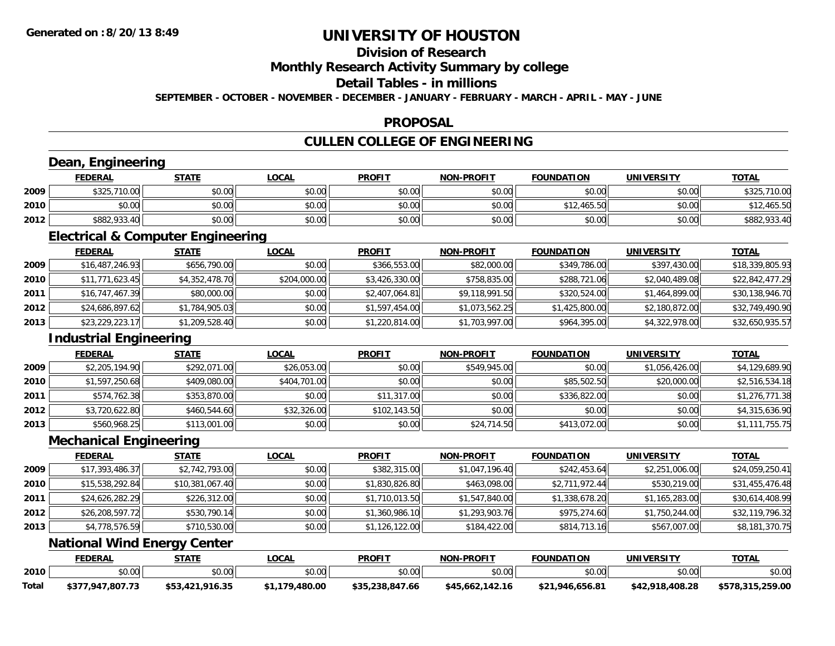# **Division of Research**

### **Monthly Research Activity Summary by college**

### **Detail Tables - in millions**

**SEPTEMBER - OCTOBER - NOVEMBER - DECEMBER - JANUARY - FEBRUARY - MARCH - APRIL - MAY - JUNE**

### **PROPOSAL**

## **CULLEN COLLEGE OF ENGINEERING**

### **Dean, Engineering**

|      | Engineering<br>Dean, |              |              |               |                   |                   |                   |              |  |  |  |
|------|----------------------|--------------|--------------|---------------|-------------------|-------------------|-------------------|--------------|--|--|--|
|      | <b>FEDERAL</b>       | <u>STATE</u> | <u>LOCAL</u> | <b>PROFIT</b> | <b>NON-PROFIT</b> | <b>FOUNDATION</b> | <b>UNIVERSITY</b> | <b>TOTAL</b> |  |  |  |
| 2009 | \$325,710.00         | \$0.00       | \$0.00       | \$0.00        | \$0.00            | \$0.00            | \$0.00            | \$325,710.00 |  |  |  |
| 2010 | \$0.00               | \$0.00       | \$0.00       | \$0.00        | \$0.00            | \$12,465.50       | \$0.00            | \$12,465.50  |  |  |  |
| 2012 | \$882,933.40         | \$0.00       | \$0.00       | \$0.00        | \$0.00            | \$0.00            | \$0.00            | \$882,933.40 |  |  |  |

<u> 1980 - Andrea Station Barbara, actor a component de la componentación de la componentación de la componentaci</u>

### **Electrical & Computer Engineering**

<u> 1980 - Johann Barbara, martxa amerikan per</u>

|      | <b>FEDERAL</b>  | <b>STATE</b>   | <b>LOCAL</b> | <b>PROFIT</b>  | <b>NON-PROFIT</b> | <b>FOUNDATION</b> | <b>UNIVERSITY</b> | <u>TOTAL</u>    |
|------|-----------------|----------------|--------------|----------------|-------------------|-------------------|-------------------|-----------------|
| 2009 | \$16,487,246.93 | \$656,790.00   | \$0.00       | \$366,553.00   | \$82,000.00       | \$349,786.00      | \$397,430.00      | \$18,339,805.93 |
| 2010 | \$11,771,623.45 | \$4,352,478.70 | \$204,000.00 | \$3,426,330.00 | \$758,835.00      | \$288,721.06      | \$2,040,489.08    | \$22,842,477.29 |
| 2011 | \$16,747,467.39 | \$80,000.00    | \$0.00       | \$2,407,064.81 | \$9,118,991.50    | \$320,524.00      | \$1,464,899.00    | \$30,138,946.70 |
| 2012 | \$24,686,897.62 | \$1,784,905.03 | \$0.00       | \$1,597,454.00 | \$1,073,562.25    | \$1,425,800.00    | \$2,180,872.00    | \$32,749,490.90 |
| 2013 | \$23,229,223.17 | \$1,209,528.40 | \$0.00       | \$1,220,814.00 | \$1,703,997.00    | \$964,395.00      | \$4,322,978.00    | \$32,650,935.57 |

### **Industrial Engineering**

|        | <b>Industrial Engineering</b> |              |              |               |                   |                   |                   |                |
|--------|-------------------------------|--------------|--------------|---------------|-------------------|-------------------|-------------------|----------------|
|        | <b>FEDERAL</b>                | <b>STATE</b> | <u>LOCAL</u> | <b>PROFIT</b> | <b>NON-PROFIT</b> | <b>FOUNDATION</b> | <b>UNIVERSITY</b> | <b>TOTAL</b>   |
| 2009   | \$2,205,194.90                | \$292,071.00 | \$26,053.00  | \$0.00        | \$549,945.00      | \$0.00            | \$1,056,426.00    | \$4,129,689.90 |
| ا 2010 | \$1,597,250.68                | \$409,080.00 | \$404,701.00 | \$0.00        | \$0.00            | \$85,502.50       | \$20,000.00       | \$2,516,534.18 |
| 2011   | \$574,762.38                  | \$353,870.00 | \$0.00       | \$11,317.00   | \$0.00            | \$336,822.00      | \$0.00            | \$1,276,771.38 |
| 2012   | \$3,720,622.80                | \$460,544.60 | \$32,326.00  | \$102,143.50  | \$0.00            | \$0.00            | \$0.00            | \$4,315,636.90 |
| 2013   | \$560,968.25                  | \$113,001.00 | \$0.00       | \$0.00        | \$24,714.50       | \$413,072.00      | \$0.00            | \$1,111,755.75 |

### **Mechanical Engineering**

|      | <b>FEDERAL</b>  | <b>STATE</b>    | <u>LOCAL</u> | <b>PROFIT</b>  | <b>NON-PROFIT</b> | <b>FOUNDATION</b> | UNIVERSITY     | <b>TOTAL</b>    |
|------|-----------------|-----------------|--------------|----------------|-------------------|-------------------|----------------|-----------------|
| 2009 | \$17,393,486.37 | \$2,742,793.00  | \$0.00       | \$382,315.00   | \$1,047,196.40    | \$242,453.64      | \$2,251,006.00 | \$24,059,250.41 |
| 2010 | \$15,538,292.84 | \$10,381,067.40 | \$0.00       | \$1,830,826.80 | \$463,098,00      | \$2,711,972.44    | \$530,219,00   | \$31,455,476.48 |
| 2011 | \$24,626,282.29 | \$226,312.00    | \$0.00       | \$1,710,013.50 | \$1,547,840.00    | \$1,338,678.20    | \$1,165,283.00 | \$30,614,408.99 |
| 2012 | \$26,208,597.72 | \$530,790.14    | \$0.00       | \$1,360,986.10 | \$1,293,903.76    | \$975,274.60      | \$1,750,244.00 | \$32,119,796.32 |
| 2013 | \$4,778,576.59  | \$710,530.00    | \$0.00       | \$1,126,122.00 | \$184,422.00      | \$814,713.16      | \$567,007.00   | \$8,181,370.75  |

<u> 1989 - Johann Stoff, deutscher Stoffen und der Stoffen und der Stoffen und der Stoffen und der Stoffen und de</u>

### **National Wind Energy Center**

|       | <b>FEDERAL</b>   | <b>STATE</b>    | .OCAL                  | <b>PROFIT</b>   | <b>NON-PROFIT</b> | <b>FOUNDATION</b> | UNIVERSITY      | <u>ТОТА.</u>     |
|-------|------------------|-----------------|------------------------|-----------------|-------------------|-------------------|-----------------|------------------|
| 2010  | ደበ በበ<br>vv.vv   | \$0.00          | $n \cap \neg$<br>ง∪.∪บ | ደባ ሀይ<br>vu.vu  | \$0.00            | \$0.00            | \$0.00          | \$0.00           |
| Total | \$377,947,807.73 | \$53,421,916.35 | \$1.179.480.00         | \$35,238,847.66 | \$45.662.142.16   | \$21.946.656.81   | \$42,918,408.28 | \$578.315.259.00 |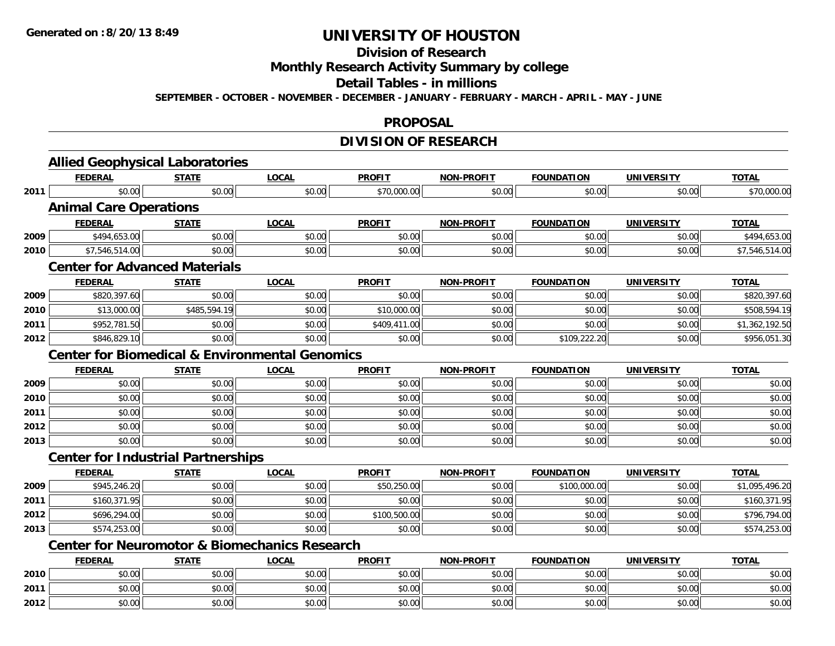#### **Division of Research**

**Monthly Research Activity Summary by college**

#### **Detail Tables - in millions**

**SEPTEMBER - OCTOBER - NOVEMBER - DECEMBER - JANUARY - FEBRUARY - MARCH - APRIL - MAY - JUNE**

#### **PROPOSAL**

## **DIVISION OF RESEARCH**

|      | <b>Allied Geophysical Laboratories</b>                    |              |              |               |                   |                   |                   |                |
|------|-----------------------------------------------------------|--------------|--------------|---------------|-------------------|-------------------|-------------------|----------------|
|      | <b>FEDERAL</b>                                            | <b>STATE</b> | <b>LOCAL</b> | <b>PROFIT</b> | <b>NON-PROFIT</b> | <b>FOUNDATION</b> | <b>UNIVERSITY</b> | <b>TOTAL</b>   |
| 2011 | \$0.00                                                    | \$0.00       | \$0.00       | \$70,000.00   | \$0.00            | \$0.00            | \$0.00            | \$70,000.00    |
|      | <b>Animal Care Operations</b>                             |              |              |               |                   |                   |                   |                |
|      | <b>FEDERAL</b>                                            | <b>STATE</b> | <b>LOCAL</b> | <b>PROFIT</b> | <b>NON-PROFIT</b> | <b>FOUNDATION</b> | <b>UNIVERSITY</b> | <b>TOTAL</b>   |
| 2009 | \$494,653.00                                              | \$0.00       | \$0.00       | \$0.00        | \$0.00            | \$0.00            | \$0.00            | \$494,653.00   |
| 2010 | \$7,546,514.00                                            | \$0.00       | \$0.00       | \$0.00        | \$0.00            | \$0.00            | \$0.00            | \$7,546,514.00 |
|      | <b>Center for Advanced Materials</b>                      |              |              |               |                   |                   |                   |                |
|      | <b>FEDERAL</b>                                            | <b>STATE</b> | <b>LOCAL</b> | <b>PROFIT</b> | <b>NON-PROFIT</b> | <b>FOUNDATION</b> | <b>UNIVERSITY</b> | <b>TOTAL</b>   |
| 2009 | \$820,397.60                                              | \$0.00       | \$0.00       | \$0.00        | \$0.00            | \$0.00            | \$0.00            | \$820,397.60   |
| 2010 | \$13,000.00                                               | \$485,594.19 | \$0.00       | \$10,000.00   | \$0.00            | \$0.00            | \$0.00            | \$508,594.19   |
| 2011 | \$952,781.50                                              | \$0.00       | \$0.00       | \$409,411.00  | \$0.00            | \$0.00            | \$0.00            | \$1,362,192.50 |
| 2012 | \$846,829.10                                              | \$0.00       | \$0.00       | \$0.00        | \$0.00            | \$109,222.20      | \$0.00            | \$956,051.30   |
|      | <b>Center for Biomedical &amp; Environmental Genomics</b> |              |              |               |                   |                   |                   |                |
|      | <b>FEDERAL</b>                                            | <b>STATE</b> | <b>LOCAL</b> | <b>PROFIT</b> | <b>NON-PROFIT</b> | <b>FOUNDATION</b> | <b>UNIVERSITY</b> | <b>TOTAL</b>   |
| 2009 | \$0.00                                                    | \$0.00       | \$0.00       | \$0.00        | \$0.00            | \$0.00            | \$0.00            | \$0.00         |
| 2010 | \$0.00                                                    | \$0.00       | \$0.00       | \$0.00        | \$0.00            | \$0.00            | \$0.00            | \$0.00         |
| 2011 | \$0.00                                                    | \$0.00       | \$0.00       | \$0.00        | \$0.00            | \$0.00            | \$0.00            | \$0.00         |
| 2012 | \$0.00                                                    | \$0.00       | \$0.00       | \$0.00        | \$0.00            | \$0.00            | \$0.00            | \$0.00         |
| 2013 | \$0.00                                                    | \$0.00       | \$0.00       | \$0.00        | \$0.00            | \$0.00            | \$0.00            | \$0.00         |
|      | <b>Center for Industrial Partnerships</b>                 |              |              |               |                   |                   |                   |                |
|      | <b>FEDERAL</b>                                            | <b>STATE</b> | <b>LOCAL</b> | <b>PROFIT</b> | NON-PROFIT        | <b>FOUNDATION</b> | <b>UNIVERSITY</b> | <b>TOTAL</b>   |
| 2009 | \$945,246.20                                              | \$0.00       | \$0.00       | \$50,250.00   | \$0.00            | \$100,000.00      | \$0.00            | \$1,095,496.20 |
| 2011 | \$160,371.95                                              | \$0.00       | \$0.00       | \$0.00        | \$0.00            | \$0.00            | \$0.00            | \$160,371.95   |
| 2012 | \$696,294.00                                              | \$0.00       | \$0.00       | \$100,500.00  | \$0.00            | \$0.00            | \$0.00            | \$796,794.00   |
| 2013 | \$574,253.00                                              | \$0.00       | \$0.00       | \$0.00        | \$0.00            | \$0.00            | \$0.00            | \$574,253.00   |
|      | <b>Center for Neuromotor &amp; Biomechanics Research</b>  |              |              |               |                   |                   |                   |                |
|      | <b>FEDERAL</b>                                            | <b>STATE</b> | <b>LOCAL</b> | <b>PROFIT</b> | NON-PROFIT        | <b>FOUNDATION</b> | <b>UNIVERSITY</b> | <b>TOTAL</b>   |
| 2010 | \$0.00                                                    | \$0.00       | \$0.00       | \$0.00        | \$0.00            | \$0.00            | \$0.00            | \$0.00         |
| 2011 | \$0.00                                                    | \$0.00       | \$0.00       | \$0.00        | \$0.00            | \$0.00            | \$0.00            | \$0.00         |
| 2012 | \$0.00                                                    | \$0.00       | \$0.00       | \$0.00        | \$0.00            | \$0.00            | \$0.00            | \$0.00         |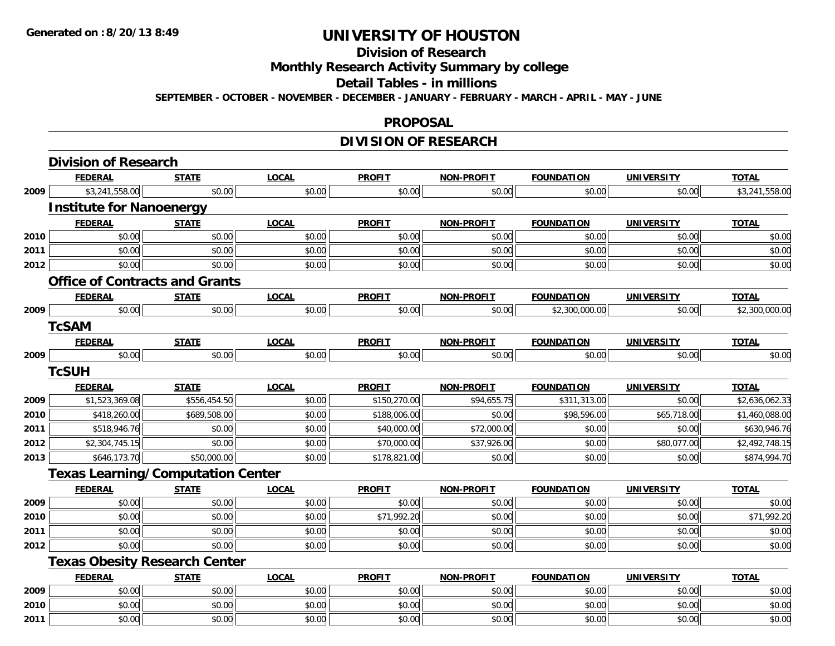#### **Division of Research**

**Monthly Research Activity Summary by college**

#### **Detail Tables - in millions**

**SEPTEMBER - OCTOBER - NOVEMBER - DECEMBER - JANUARY - FEBRUARY - MARCH - APRIL - MAY - JUNE**

#### **PROPOSAL**

## **DIVISION OF RESEARCH**

|      | <b>Division of Research</b>              |              |              |               |                   |                   |                   |                |
|------|------------------------------------------|--------------|--------------|---------------|-------------------|-------------------|-------------------|----------------|
|      | <b>FEDERAL</b>                           | <b>STATE</b> | <b>LOCAL</b> | <b>PROFIT</b> | <b>NON-PROFIT</b> | <b>FOUNDATION</b> | <b>UNIVERSITY</b> | <b>TOTAL</b>   |
| 2009 | \$3,241,558.00                           | \$0.00       | \$0.00       | \$0.00        | \$0.00            | \$0.00            | \$0.00            | \$3,241,558.00 |
|      | <b>Institute for Nanoenergy</b>          |              |              |               |                   |                   |                   |                |
|      | <b>FEDERAL</b>                           | <b>STATE</b> | <b>LOCAL</b> | <b>PROFIT</b> | <b>NON-PROFIT</b> | <b>FOUNDATION</b> | <b>UNIVERSITY</b> | <b>TOTAL</b>   |
| 2010 | \$0.00                                   | \$0.00       | \$0.00       | \$0.00        | \$0.00            | \$0.00            | \$0.00            | \$0.00         |
| 2011 | \$0.00                                   | \$0.00       | \$0.00       | \$0.00        | \$0.00            | \$0.00            | \$0.00            | \$0.00         |
| 2012 | \$0.00                                   | \$0.00       | \$0.00       | \$0.00        | \$0.00            | \$0.00            | \$0.00            | \$0.00         |
|      | <b>Office of Contracts and Grants</b>    |              |              |               |                   |                   |                   |                |
|      | <b>FEDERAL</b>                           | <b>STATE</b> | <b>LOCAL</b> | <b>PROFIT</b> | <b>NON-PROFIT</b> | <b>FOUNDATION</b> | <b>UNIVERSITY</b> | <b>TOTAL</b>   |
| 2009 | \$0.00                                   | \$0.00       | \$0.00       | \$0.00        | \$0.00            | \$2,300,000.00    | \$0.00            | \$2,300,000.00 |
|      | <b>TcSAM</b>                             |              |              |               |                   |                   |                   |                |
|      | <b>FEDERAL</b>                           | <b>STATE</b> | <b>LOCAL</b> | <b>PROFIT</b> | <b>NON-PROFIT</b> | <b>FOUNDATION</b> | <b>UNIVERSITY</b> | <b>TOTAL</b>   |
| 2009 | \$0.00                                   | \$0.00       | \$0.00       | \$0.00        | \$0.00            | \$0.00            | \$0.00            | \$0.00         |
|      | <b>TcSUH</b>                             |              |              |               |                   |                   |                   |                |
|      | <b>FEDERAL</b>                           | <b>STATE</b> | <b>LOCAL</b> | <b>PROFIT</b> | <b>NON-PROFIT</b> | <b>FOUNDATION</b> | <b>UNIVERSITY</b> | <b>TOTAL</b>   |
| 2009 | \$1,523,369.08                           | \$556,454.50 | \$0.00       | \$150,270.00  | \$94,655.75       | \$311,313.00      | \$0.00            | \$2,636,062.33 |
| 2010 | \$418,260.00                             | \$689,508.00 | \$0.00       | \$188,006.00  | \$0.00            | \$98,596.00       | \$65,718.00       | \$1,460,088.00 |
| 2011 | \$518,946.76                             | \$0.00       | \$0.00       | \$40,000.00   | \$72,000.00       | \$0.00            | \$0.00            | \$630,946.76   |
| 2012 | \$2,304,745.15                           | \$0.00       | \$0.00       | \$70,000.00   | \$37,926.00       | \$0.00            | \$80,077.00       | \$2,492,748.15 |
| 2013 | \$646,173.70                             | \$50,000.00  | \$0.00       | \$178,821.00  | \$0.00            | \$0.00            | \$0.00            | \$874,994.70   |
|      | <b>Texas Learning/Computation Center</b> |              |              |               |                   |                   |                   |                |
|      | <b>FEDERAL</b>                           | <b>STATE</b> | <b>LOCAL</b> | <b>PROFIT</b> | <b>NON-PROFIT</b> | <b>FOUNDATION</b> | <b>UNIVERSITY</b> | <b>TOTAL</b>   |
| 2009 | \$0.00                                   | \$0.00       | \$0.00       | \$0.00        | \$0.00            | \$0.00            | \$0.00            | \$0.00         |
| 2010 | \$0.00                                   | \$0.00       | \$0.00       | \$71,992.20   | \$0.00            | \$0.00            | \$0.00            | \$71,992.20    |
| 2011 | \$0.00                                   | \$0.00       | \$0.00       | \$0.00        | \$0.00            | \$0.00            | \$0.00            | \$0.00         |
| 2012 | \$0.00                                   | \$0.00       | \$0.00       | \$0.00        | \$0.00            | \$0.00            | \$0.00            | \$0.00         |
|      | <b>Texas Obesity Research Center</b>     |              |              |               |                   |                   |                   |                |
|      | <b>FEDERAL</b>                           | <b>STATE</b> | <b>LOCAL</b> | <b>PROFIT</b> | <b>NON-PROFIT</b> | <b>FOUNDATION</b> | <b>UNIVERSITY</b> | <b>TOTAL</b>   |
| 2009 | \$0.00                                   | \$0.00       | \$0.00       | \$0.00        | \$0.00            | \$0.00            | \$0.00            | \$0.00         |
| 2010 | \$0.00                                   | \$0.00       | \$0.00       | \$0.00        | \$0.00            | \$0.00            | \$0.00            | \$0.00         |
| 2011 | \$0.00                                   | \$0.00       | \$0.00       | \$0.00        | \$0.00            | \$0.00            | \$0.00            | \$0.00         |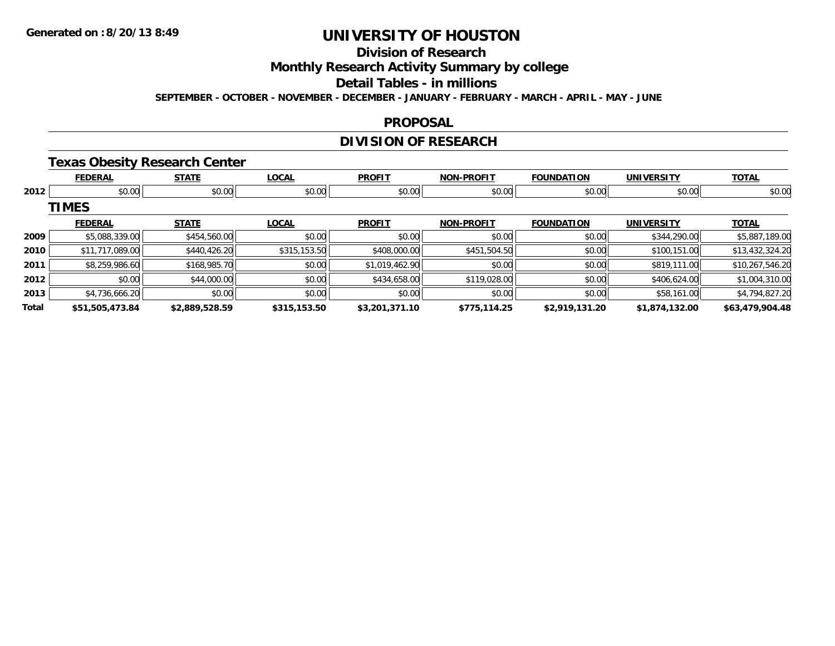# **Division of Research**

**Monthly Research Activity Summary by college**

#### **Detail Tables - in millions**

**SEPTEMBER - OCTOBER - NOVEMBER - DECEMBER - JANUARY - FEBRUARY - MARCH - APRIL - MAY - JUNE**

#### **PROPOSAL**

## **DIVISION OF RESEARCH**

### **Texas Obesity Research Center**

|       | <b>FEDERAL</b>  | <b>STATE</b>   | <b>LOCAL</b> | <b>PROFIT</b>  | <b>NON-PROFIT</b> | <b>FOUNDATION</b> | <b>UNIVERSITY</b> | <b>TOTAL</b>    |
|-------|-----------------|----------------|--------------|----------------|-------------------|-------------------|-------------------|-----------------|
| 2012  | \$0.00          | \$0.00         | \$0.00       | \$0.00         | \$0.00            | \$0.00            | \$0.00            | \$0.00          |
|       | <b>TIMES</b>    |                |              |                |                   |                   |                   |                 |
|       | <b>FEDERAL</b>  | <b>STATE</b>   | <b>LOCAL</b> | <b>PROFIT</b>  | <b>NON-PROFIT</b> | <b>FOUNDATION</b> | <b>UNIVERSITY</b> | <b>TOTAL</b>    |
| 2009  | \$5,088,339.00  | \$454,560.00   | \$0.00       | \$0.00         | \$0.00            | \$0.00            | \$344,290.00      | \$5,887,189.00  |
| 2010  | \$11,717,089.00 | \$440,426.20   | \$315,153.50 | \$408,000.00   | \$451,504.50      | \$0.00            | \$100,151.00      | \$13,432,324.20 |
| 2011  | \$8,259,986.60  | \$168,985.70   | \$0.00       | \$1,019,462.90 | \$0.00            | \$0.00            | \$819,111.00      | \$10,267,546.20 |
| 2012  | \$0.00          | \$44,000.00    | \$0.00       | \$434,658.00   | \$119,028.00      | \$0.00            | \$406,624.00      | \$1,004,310.00  |
| 2013  | \$4,736,666.20  | \$0.00         | \$0.00       | \$0.00         | \$0.00            | \$0.00            | \$58,161.00       | \$4,794,827.20  |
| Total | \$51,505,473.84 | \$2,889,528.59 | \$315,153.50 | \$3,201,371.10 | \$775,114.25      | \$2,919,131.20    | \$1,874,132.00    | \$63,479,904.48 |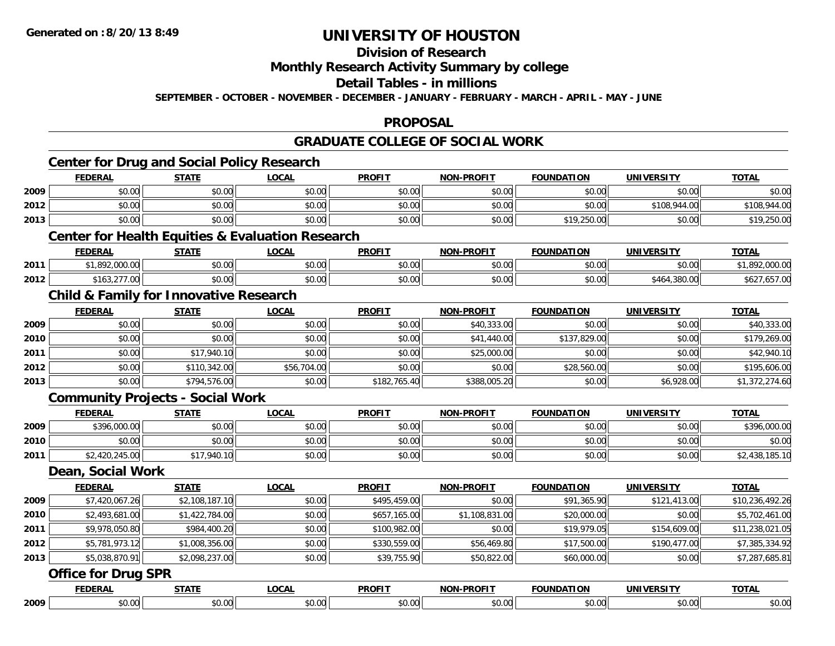# **Division of Research**

### **Monthly Research Activity Summary by college**

#### **Detail Tables - in millions**

**SEPTEMBER - OCTOBER - NOVEMBER - DECEMBER - JANUARY - FEBRUARY - MARCH - APRIL - MAY - JUNE**

### **PROPOSAL**

### **GRADUATE COLLEGE OF SOCIAL WORK**

|      | <b>FEDERAL</b>                                    | <b>STATE</b>   | <b>LOCAL</b>                                                | <b>PROFIT</b> | NON-PROFIT        | <b>FOUNDATION</b> | <b>UNIVERSITY</b> | <b>TOTAL</b>    |
|------|---------------------------------------------------|----------------|-------------------------------------------------------------|---------------|-------------------|-------------------|-------------------|-----------------|
| 2009 | \$0.00                                            | \$0.00         | \$0.00                                                      | \$0.00        | \$0.00            | \$0.00            | \$0.00            | \$0.00          |
| 2012 | \$0.00                                            | \$0.00         | \$0.00                                                      | \$0.00        | \$0.00            | \$0.00            | \$108,944.00      | \$108,944.00    |
| 2013 | \$0.00                                            | \$0.00         | \$0.00                                                      | \$0.00        | \$0.00            | \$19,250.00       | \$0.00            | \$19,250.00     |
|      |                                                   |                | <b>Center for Health Equities &amp; Evaluation Research</b> |               |                   |                   |                   |                 |
|      | <b>FEDERAL</b>                                    | <b>STATE</b>   | <b>LOCAL</b>                                                | <b>PROFIT</b> | <b>NON-PROFIT</b> | <b>FOUNDATION</b> | <b>UNIVERSITY</b> | <b>TOTAL</b>    |
| 2011 | \$1,892,000.00                                    | \$0.00         | \$0.00                                                      | \$0.00        | \$0.00            | \$0.00            | \$0.00            | \$1,892,000.00  |
| 2012 | \$163,277.00                                      | \$0.00         | \$0.00                                                      | \$0.00        | \$0.00            | \$0.00            | \$464,380.00      | \$627,657.00    |
|      | <b>Child &amp; Family for Innovative Research</b> |                |                                                             |               |                   |                   |                   |                 |
|      | <b>FEDERAL</b>                                    | <b>STATE</b>   | <b>LOCAL</b>                                                | <b>PROFIT</b> | <b>NON-PROFIT</b> | <b>FOUNDATION</b> | <b>UNIVERSITY</b> | <b>TOTAL</b>    |
| 2009 | \$0.00                                            | \$0.00         | \$0.00                                                      | \$0.00        | \$40,333.00       | \$0.00            | \$0.00            | \$40,333.00     |
| 2010 | \$0.00                                            | \$0.00         | \$0.00                                                      | \$0.00        | \$41,440.00       | \$137,829.00      | \$0.00            | \$179,269.00    |
| 2011 | \$0.00                                            | \$17,940.10    | \$0.00                                                      | \$0.00        | \$25,000.00       | \$0.00            | \$0.00            | \$42,940.10     |
| 2012 | \$0.00                                            | \$110,342.00   | \$56,704.00                                                 | \$0.00        | \$0.00            | \$28,560.00       | \$0.00            | \$195,606.00    |
| 2013 | \$0.00                                            | \$794,576.00   | \$0.00                                                      | \$182,765.40  | \$388,005.20      | \$0.00            | \$6,928.00        | \$1,372,274.60  |
|      | <b>Community Projects - Social Work</b>           |                |                                                             |               |                   |                   |                   |                 |
|      | <b>FEDERAL</b>                                    | <b>STATE</b>   | <b>LOCAL</b>                                                | <b>PROFIT</b> | <b>NON-PROFIT</b> | <b>FOUNDATION</b> | <b>UNIVERSITY</b> | <b>TOTAL</b>    |
| 2009 | \$396,000.00                                      | \$0.00         | \$0.00                                                      | \$0.00        | \$0.00            | \$0.00            | \$0.00            | \$396,000.00    |
| 2010 | \$0.00                                            | \$0.00         | \$0.00                                                      | \$0.00        | \$0.00            | \$0.00            | \$0.00            | \$0.00          |
| 2011 | \$2,420,245.00                                    | \$17,940.10    | \$0.00                                                      | \$0.00        | \$0.00            | \$0.00            | \$0.00            | \$2,438,185.10  |
|      | Dean, Social Work                                 |                |                                                             |               |                   |                   |                   |                 |
|      | <b>FEDERAL</b>                                    | <b>STATE</b>   | <b>LOCAL</b>                                                | <b>PROFIT</b> | <b>NON-PROFIT</b> | <b>FOUNDATION</b> | <b>UNIVERSITY</b> | <b>TOTAL</b>    |
| 2009 | \$7,420,067.26                                    | \$2,108,187.10 | \$0.00                                                      | \$495,459.00  | \$0.00            | \$91,365.90       | \$121,413.00      | \$10,236,492.26 |
| 2010 | \$2,493,681.00                                    | \$1,422,784.00 | \$0.00                                                      | \$657,165.00  | \$1,108,831.00    | \$20,000.00       | \$0.00            | \$5,702,461.00  |
| 2011 | \$9,978,050.80                                    | \$984,400.20   | \$0.00                                                      | \$100,982.00  | \$0.00            | \$19,979.05       | \$154,609.00      | \$11,238,021.05 |
| 2012 | \$5,781,973.12                                    | \$1,008,356.00 | \$0.00                                                      | \$330,559.00  | \$56,469.80       | \$17,500.00       | \$190,477.00      | \$7,385,334.92  |
| 2013 | \$5,038,870.91                                    | \$2,098,237.00 | \$0.00                                                      | \$39,755.90   | \$50,822.00       | \$60,000.00       | \$0.00            | \$7,287,685.81  |
|      | <b>Office for Drug SPR</b>                        |                |                                                             |               |                   |                   |                   |                 |
|      | <b>FEDERAL</b>                                    | <b>STATE</b>   | <b>LOCAL</b>                                                | <b>PROFIT</b> | <b>NON-PROFIT</b> | <b>FOUNDATION</b> | <b>UNIVERSITY</b> | <b>TOTAL</b>    |
| 2009 | \$0.00                                            | \$0.00         | \$0.00                                                      | \$0.00        | \$0.00            | \$0.00            | \$0.00            | \$0.00          |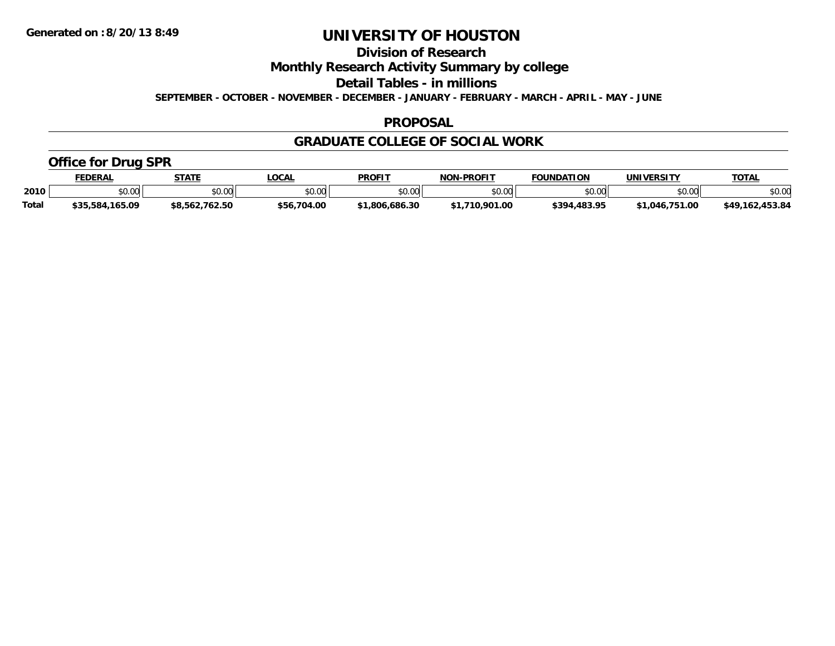**Division of Research**

**Monthly Research Activity Summary by college**

**Detail Tables - in millions**

**SEPTEMBER - OCTOBER - NOVEMBER - DECEMBER - JANUARY - FEBRUARY - MARCH - APRIL - MAY - JUNE**

### **PROPOSAL**

### **GRADUATE COLLEGE OF SOCIAL WORK**

### **Office for Drug SPR**

|              | <b>FEDERAL</b>  | <b>STATE</b>       | LOCAL                  | <b>PROFIT</b>  | <b>J-PROFIT</b><br><b>NON</b> | <b>FOUNDATION</b> | UNIVERSITY                                  | <b>TOTAL</b>      |
|--------------|-----------------|--------------------|------------------------|----------------|-------------------------------|-------------------|---------------------------------------------|-------------------|
| 2010         | vv.vv           | \$0.00             | $n \cap \neg$<br>DU.UG | en uu<br>PO.OO | \$0.00                        | \$0.00            | \$0.00                                      | \$0.00            |
| <b>Total</b> | \$35,584,165.09 | 762.50<br>\$8.562. | .704.00<br>\$56.       | \$1.806.686.30 | 001<br>1.00                   | \$394,483.95      | .00<br>$^{\star}$ 1 $\Omega$ 46 $^{\prime}$ | 453.84<br>.649.1' |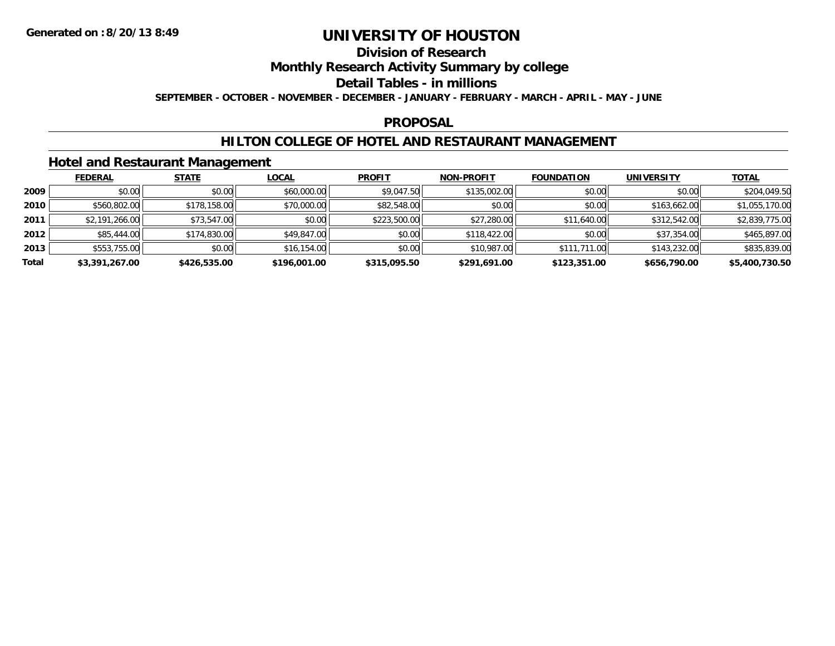## **Division of Research**

### **Monthly Research Activity Summary by college**

#### **Detail Tables - in millions**

**SEPTEMBER - OCTOBER - NOVEMBER - DECEMBER - JANUARY - FEBRUARY - MARCH - APRIL - MAY - JUNE**

### **PROPOSAL**

### **HILTON COLLEGE OF HOTEL AND RESTAURANT MANAGEMENT**

### **Hotel and Restaurant Management**

|       | <b>FEDERAL</b> | <b>STATE</b> | <u>LOCAL</u> | <b>PROFIT</b> | <b>NON-PROFIT</b> | <b>FOUNDATION</b> | <b>UNIVERSITY</b> | <b>TOTAL</b>   |
|-------|----------------|--------------|--------------|---------------|-------------------|-------------------|-------------------|----------------|
| 2009  | \$0.00         | \$0.00       | \$60,000.00  | \$9,047.50    | \$135,002.00      | \$0.00            | \$0.00            | \$204,049.50   |
| 2010  | \$560,802.00   | \$178,158.00 | \$70,000.00  | \$82,548.00   | \$0.00            | \$0.00            | \$163,662.00      | \$1,055,170.00 |
| 2011  | \$2,191,266.00 | \$73,547.00  | \$0.00       | \$223,500.00  | \$27,280.00       | \$11,640.00       | \$312,542.00      | \$2,839,775.00 |
| 2012  | \$85,444.00    | \$174,830.00 | \$49,847.00  | \$0.00        | \$118,422.00      | \$0.00            | \$37,354.00       | \$465,897.00   |
| 2013  | \$553,755.00   | \$0.00       | \$16,154.00  | \$0.00        | \$10,987.00       | \$111,711.00      | \$143,232.00      | \$835,839.00   |
| Total | \$3,391,267.00 | \$426,535.00 | \$196,001.00 | \$315,095.50  | \$291,691.00      | \$123,351.00      | \$656,790.00      | \$5,400,730.50 |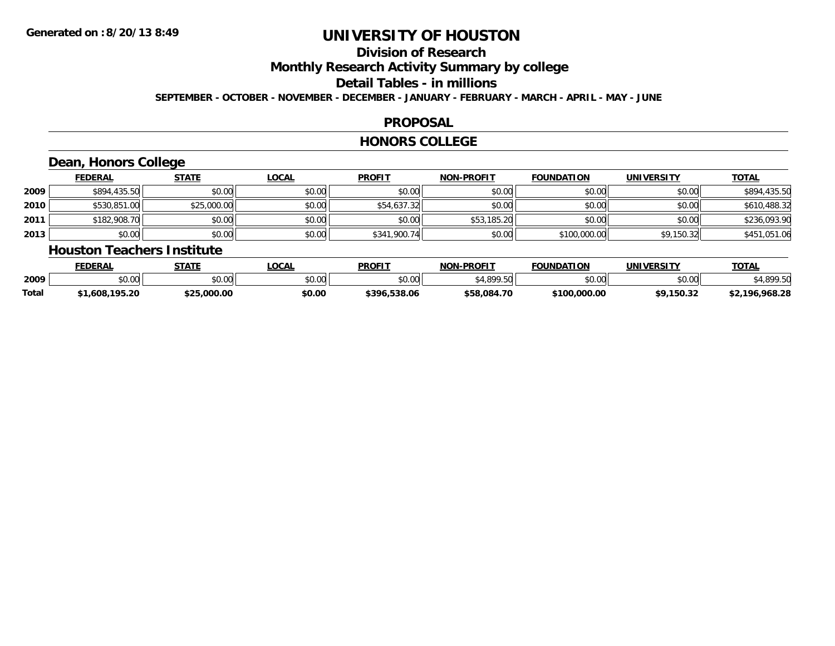# **Division of Research**

**Monthly Research Activity Summary by college**

#### **Detail Tables - in millions**

**SEPTEMBER - OCTOBER - NOVEMBER - DECEMBER - JANUARY - FEBRUARY - MARCH - APRIL - MAY - JUNE**

### **PROPOSAL**

#### **HONORS COLLEGE**

## **Dean, Honors College**

|      | <b>FEDERAL</b> | <b>STATE</b> | <b>LOCAL</b> | <b>PROFIT</b> | <b>NON-PROFIT</b> | <b>FOUNDATION</b> | UNIVERSITY | <b>TOTAL</b> |
|------|----------------|--------------|--------------|---------------|-------------------|-------------------|------------|--------------|
| 2009 | \$894,435.50   | \$0.00       | \$0.00       | \$0.00        | \$0.00            | \$0.00            | \$0.00     | \$894,435.50 |
| 2010 | \$530,851.00   | \$25,000.00  | \$0.00       | \$54,637.32   | \$0.00            | \$0.00            | \$0.00     | \$610,488.32 |
| 2011 | \$182,908.70   | \$0.00       | \$0.00       | \$0.00        | \$53,185.20       | \$0.00            | \$0.00     | \$236,093.90 |
| 2013 | \$0.00         | \$0.00       | \$0.00       | \$341,900.74  | \$0.00            | \$100,000.00      | \$9,150.32 | \$451,051.06 |

#### **Houston Teachers Institute**

|       | <b>FEDERAL</b>     | STATE       | <b>_OCAL</b> | <b>PROFIT</b>    | <b>J-PROFIT</b><br>NON- | <b>FOUNDATION</b> | UNIVERSITY | <b>TOTAL</b>        |
|-------|--------------------|-------------|--------------|------------------|-------------------------|-------------------|------------|---------------------|
| 2009  | $\sim$ 00<br>vu.uu | \$0.00      | \$0.00       | \$0.00           | 0.10000<br>.5U          | \$0.00            | \$0.00     | 000E                |
| Total | .,608,195.20       | \$25.000.00 | \$0.00       | .538.06<br>\$396 | \$58,084.70             | \$100,000.00      | \$9.150.32 | ,968.28<br>$+2.106$ |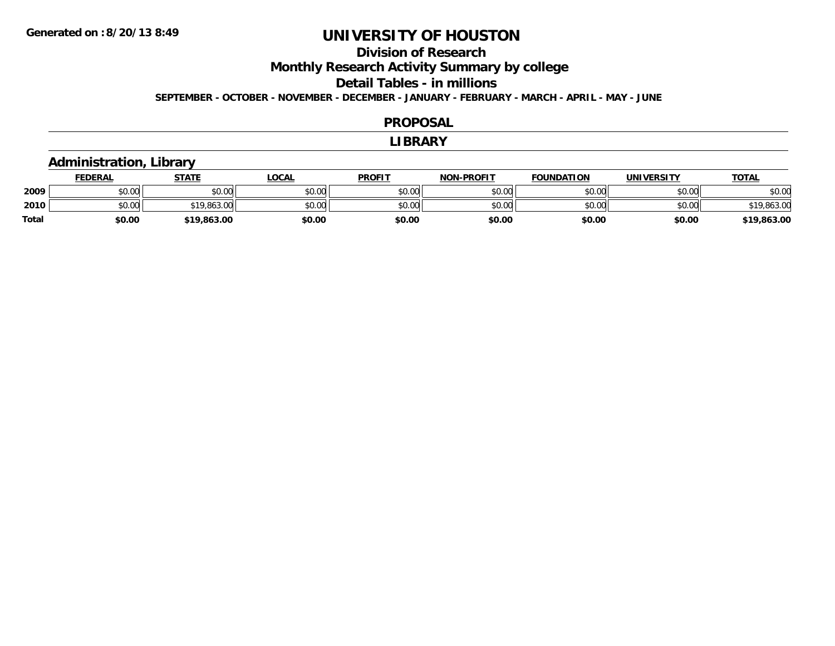# **Division of Research**

**Monthly Research Activity Summary by college**

#### **Detail Tables - in millions**

**SEPTEMBER - OCTOBER - NOVEMBER - DECEMBER - JANUARY - FEBRUARY - MARCH - APRIL - MAY - JUNE**

#### **PROPOSAL**

#### **LIBRARY**

### **Administration, Library**

|              | <b>FEDERAL</b>       | <b>STATE</b> | <b>OCAL</b> | <b>PROFIT</b> | <b>NON-PROFIT</b> | <b>FOUNDATION</b> | UNIVERSITY | <b>TOTAL</b> |
|--------------|----------------------|--------------|-------------|---------------|-------------------|-------------------|------------|--------------|
| 2009         | 0000<br>JU.UU        | \$0.00       | \$0.00      | \$0.00        | \$0.00            | \$0.00            | \$0.00     | \$0.00       |
| 2010         | 0000<br><b>DU.UU</b> | \$19,863.00  | \$0.00      | \$0.00        | \$0.00            | \$0.00            | \$0.00     | \$19,863.00  |
| <b>Total</b> | \$0.00               | \$19,863.00  | \$0.00      | \$0.00        | \$0.00            | \$0.00            | \$0.00     | \$19,863.00  |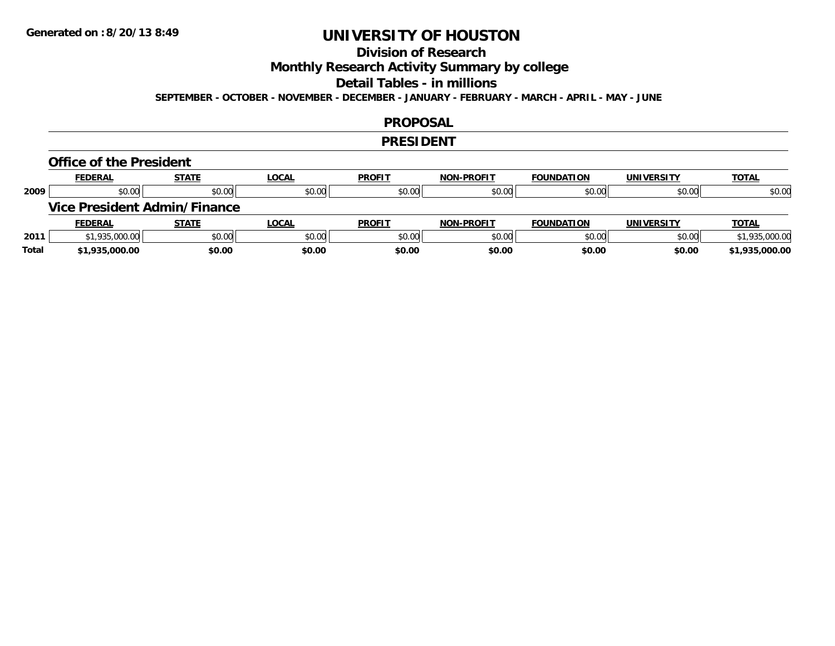## **Division of Research**

**Monthly Research Activity Summary by college**

#### **Detail Tables - in millions**

**SEPTEMBER - OCTOBER - NOVEMBER - DECEMBER - JANUARY - FEBRUARY - MARCH - APRIL - MAY - JUNE**

#### **PROPOSAL**

#### **PRESIDENT**

#### **Office of the President**

|      | <b>FEDERAL</b>                      | <b>STATE</b> | <u>LOCAL</u> | <b>PROFIT</b> | <b>NON-PROFIT</b> | <b>FOUNDATION</b> | <b>UNIVERSITY</b> | <b>TOTAL</b>   |
|------|-------------------------------------|--------------|--------------|---------------|-------------------|-------------------|-------------------|----------------|
| 2009 | \$0.00                              | \$0.00       | \$0.00       | \$0.00        | \$0.00            | \$0.00            | \$0.00            | \$0.00         |
|      | <b>Vice President Admin/Finance</b> |              |              |               |                   |                   |                   |                |
|      |                                     |              |              |               |                   |                   |                   |                |
|      | <b>FEDERAL</b>                      | <u>STATE</u> | <u>LOCAL</u> | <b>PROFIT</b> | <b>NON-PROFIT</b> | <b>FOUNDATION</b> | <b>UNIVERSITY</b> | <b>TOTAL</b>   |
| 2011 | \$1,935,000.00                      | \$0.00       | \$0.00       | \$0.00        | \$0.00            | \$0.00            | \$0.00            | \$1,935,000.00 |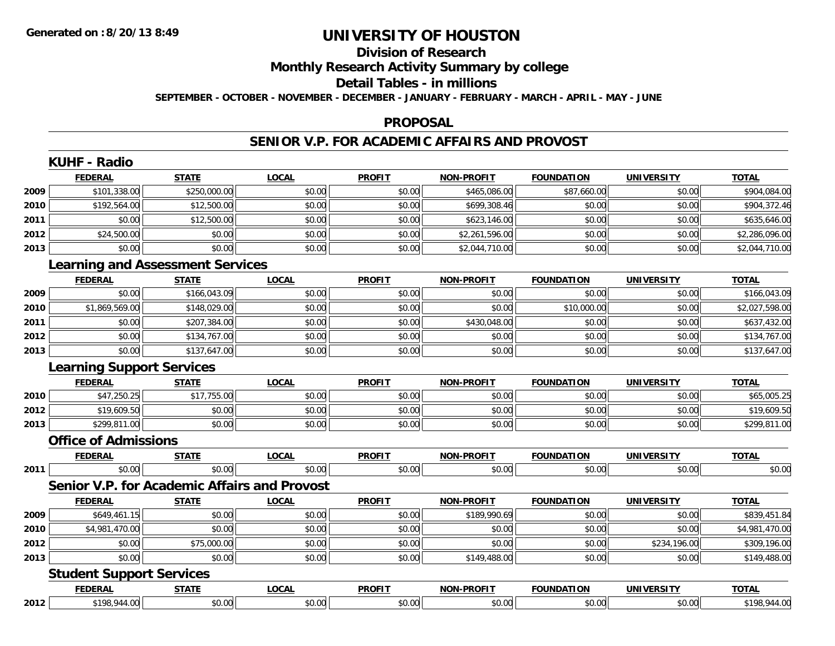# **Division of Research**

# **Monthly Research Activity Summary by college**

#### **Detail Tables - in millions**

**SEPTEMBER - OCTOBER - NOVEMBER - DECEMBER - JANUARY - FEBRUARY - MARCH - APRIL - MAY - JUNE**

#### **PROPOSAL**

### **SENIOR V.P. FOR ACADEMIC AFFAIRS AND PROVOST**

|      | <b>KUHF - Radio</b>                     |              |                                                     |               |                   |                   |                   |                |
|------|-----------------------------------------|--------------|-----------------------------------------------------|---------------|-------------------|-------------------|-------------------|----------------|
|      | <b>FEDERAL</b>                          | <b>STATE</b> | <b>LOCAL</b>                                        | <b>PROFIT</b> | NON-PROFIT        | <b>FOUNDATION</b> | <b>UNIVERSITY</b> | <b>TOTAL</b>   |
| 2009 | \$101,338.00                            | \$250,000.00 | \$0.00                                              | \$0.00        | \$465,086.00      | \$87,660.00       | \$0.00            | \$904,084.00   |
| 2010 | \$192,564.00                            | \$12,500.00  | \$0.00                                              | \$0.00        | \$699,308.46      | \$0.00            | \$0.00            | \$904,372.46   |
| 2011 | \$0.00                                  | \$12,500.00  | \$0.00                                              | \$0.00        | \$623,146.00      | \$0.00            | \$0.00            | \$635,646.00   |
| 2012 | \$24,500.00                             | \$0.00       | \$0.00                                              | \$0.00        | \$2,261,596.00    | \$0.00            | \$0.00            | \$2,286,096.00 |
| 2013 | \$0.00                                  | \$0.00       | \$0.00                                              | \$0.00        | \$2,044,710.00    | \$0.00            | \$0.00            | \$2,044,710.00 |
|      | <b>Learning and Assessment Services</b> |              |                                                     |               |                   |                   |                   |                |
|      | <b>FEDERAL</b>                          | <b>STATE</b> | <b>LOCAL</b>                                        | <b>PROFIT</b> | <b>NON-PROFIT</b> | <b>FOUNDATION</b> | <b>UNIVERSITY</b> | <b>TOTAL</b>   |
| 2009 | \$0.00                                  | \$166,043.09 | \$0.00                                              | \$0.00        | \$0.00            | \$0.00            | \$0.00            | \$166,043.09   |
| 2010 | \$1,869,569.00                          | \$148,029.00 | \$0.00                                              | \$0.00        | \$0.00            | \$10,000.00       | \$0.00            | \$2,027,598.00 |
| 2011 | \$0.00                                  | \$207,384.00 | \$0.00                                              | \$0.00        | \$430,048.00      | \$0.00            | \$0.00            | \$637,432.00   |
| 2012 | \$0.00                                  | \$134,767.00 | \$0.00                                              | \$0.00        | \$0.00            | \$0.00            | \$0.00            | \$134,767.00   |
| 2013 | \$0.00                                  | \$137,647.00 | \$0.00                                              | \$0.00        | \$0.00            | \$0.00            | \$0.00            | \$137,647.00   |
|      | <b>Learning Support Services</b>        |              |                                                     |               |                   |                   |                   |                |
|      | <b>FEDERAL</b>                          | <b>STATE</b> | <b>LOCAL</b>                                        | <b>PROFIT</b> | <b>NON-PROFIT</b> | <b>FOUNDATION</b> | <b>UNIVERSITY</b> | <b>TOTAL</b>   |
| 2010 | \$47,250.25                             | \$17,755.00  | \$0.00                                              | \$0.00        | \$0.00            | \$0.00            | \$0.00            | \$65,005.25    |
| 2012 | \$19,609.50                             | \$0.00       | \$0.00                                              | \$0.00        | \$0.00            | \$0.00            | \$0.00            | \$19,609.50    |
| 2013 | \$299,811.00                            | \$0.00       | \$0.00                                              | \$0.00        | \$0.00            | \$0.00            | \$0.00            | \$299,811.00   |
|      | <b>Office of Admissions</b>             |              |                                                     |               |                   |                   |                   |                |
|      | <b>FEDERAL</b>                          | <b>STATE</b> | <b>LOCAL</b>                                        | <b>PROFIT</b> | NON-PROFIT        | <b>FOUNDATION</b> | <b>UNIVERSITY</b> | <b>TOTAL</b>   |
| 2011 | \$0.00                                  | \$0.00       | \$0.00                                              | \$0.00        | \$0.00            | \$0.00            | \$0.00            | \$0.00         |
|      |                                         |              | <b>Senior V.P. for Academic Affairs and Provost</b> |               |                   |                   |                   |                |
|      | <b>FEDERAL</b>                          | <b>STATE</b> | <b>LOCAL</b>                                        | <b>PROFIT</b> | <b>NON-PROFIT</b> | <b>FOUNDATION</b> | <b>UNIVERSITY</b> | <b>TOTAL</b>   |
| 2009 | \$649,461.15                            | \$0.00       | \$0.00                                              | \$0.00        | \$189,990.69      | \$0.00            | \$0.00            | \$839,451.84   |
| 2010 | \$4,981,470.00                          | \$0.00       | \$0.00                                              | \$0.00        | \$0.00            | \$0.00            | \$0.00            | \$4,981,470.00 |
| 2012 | \$0.00                                  | \$75,000.00  | \$0.00                                              | \$0.00        | \$0.00            | \$0.00            | \$234,196.00      | \$309,196.00   |
| 2013 | \$0.00                                  | \$0.00       | \$0.00                                              | \$0.00        | \$149,488.00      | \$0.00            | \$0.00            | \$149,488.00   |
|      | <b>Student Support Services</b>         |              |                                                     |               |                   |                   |                   |                |
|      | <b>FEDERAL</b>                          | <b>STATE</b> | <b>LOCAL</b>                                        | <b>PROFIT</b> | <b>NON-PROFIT</b> | <b>FOUNDATION</b> | <b>UNIVERSITY</b> | <b>TOTAL</b>   |
| 2012 | \$198,944.00                            | \$0.00       | \$0.00                                              | \$0.00        | \$0.00            | \$0.00            | \$0.00            | \$198,944.00   |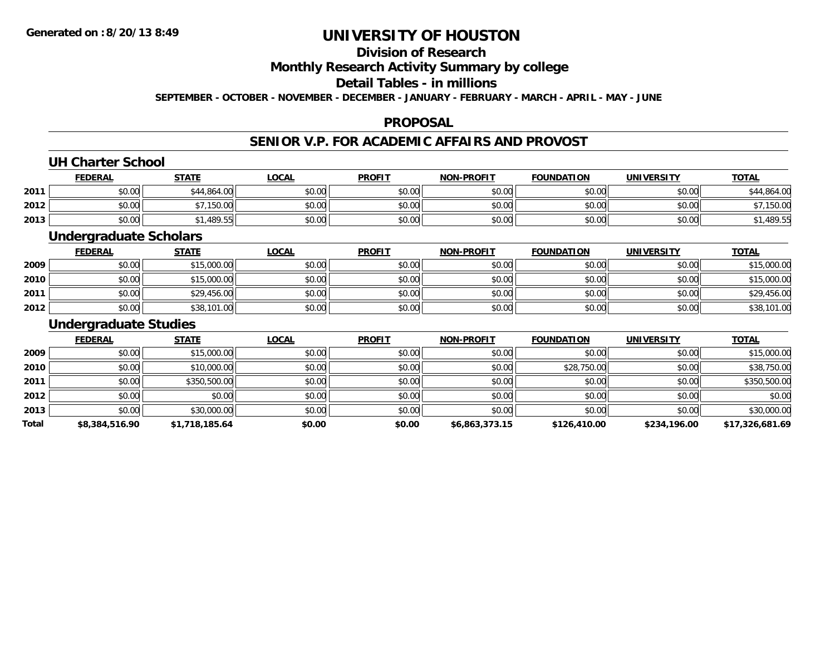## **Division of Research**

### **Monthly Research Activity Summary by college**

### **Detail Tables - in millions**

**SEPTEMBER - OCTOBER - NOVEMBER - DECEMBER - JANUARY - FEBRUARY - MARCH - APRIL - MAY - JUNE**

### **PROPOSAL**

## **SENIOR V.P. FOR ACADEMIC AFFAIRS AND PROVOST**

### **UH Charter School**

|      | <b>FEDERAL</b> | <b>STATE</b>              | <b>_OCAL</b>   | <b>PROFIT</b>     | <b>NON-PROFIT</b> | <b>FOUNDATION</b>      | <b>UNIVERSITY</b><br>ER JI | <b>TOTAL</b> |
|------|----------------|---------------------------|----------------|-------------------|-------------------|------------------------|----------------------------|--------------|
| 2011 | 0000<br>DU.UU  | 1.864.00                  | ልስ ሰሰ<br>DU.UU | \$0.00            | \$0.00            | mn n¢<br>JU.UU         | \$0.00                     | 1.864.00     |
| 2012 | \$0.00         | \$7.150.00<br>$\cdots$ uu | \$0.00         | ≮∩ ∩∩<br>. ب∪ل ⊎ب | \$0.00            | $n \cap \neg$<br>DU.UU | \$0.00                     | 150.00       |
| 2013 | \$0.00         | 1,489.55                  | \$0.00         | \$0.00            | \$0.00            | \$0.00                 | \$0.00                     | \$1,489.55   |

### **Undergraduate Scholars**

|      | <b>FEDERAL</b> | <u>STATE</u> | <u>LOCAL</u> | <b>PROFIT</b> | <b>NON-PROFIT</b> | <b>FOUNDATION</b> | <b>UNIVERSITY</b> | <b>TOTAL</b> |
|------|----------------|--------------|--------------|---------------|-------------------|-------------------|-------------------|--------------|
| 2009 | \$0.00         | \$15,000.00  | \$0.00       | \$0.00        | \$0.00            | \$0.00            | \$0.00            | \$15,000.00  |
| 2010 | \$0.00         | \$15,000.00  | \$0.00       | \$0.00        | \$0.00            | \$0.00            | \$0.00            | \$15,000.00  |
| 2011 | \$0.00         | \$29,456.00  | \$0.00       | \$0.00        | \$0.00            | \$0.00            | \$0.00            | \$29,456.00  |
| 2012 | \$0.00         | \$38,101.00  | \$0.00       | \$0.00        | \$0.00            | \$0.00            | \$0.00            | \$38,101.00  |

### **Undergraduate Studies**

|       | <b>FEDERAL</b> | <b>STATE</b>   | <b>LOCAL</b> | <b>PROFIT</b> | <b>NON-PROFIT</b> | <b>FOUNDATION</b> | <b>UNIVERSITY</b> | <b>TOTAL</b>    |
|-------|----------------|----------------|--------------|---------------|-------------------|-------------------|-------------------|-----------------|
| 2009  | \$0.00         | \$15,000.00    | \$0.00       | \$0.00        | \$0.00            | \$0.00            | \$0.00            | \$15,000.00     |
| 2010  | \$0.00         | \$10,000.00    | \$0.00       | \$0.00        | \$0.00            | \$28,750.00       | \$0.00            | \$38,750.00     |
| 2011  | \$0.00         | \$350,500.00   | \$0.00       | \$0.00        | \$0.00            | \$0.00            | \$0.00            | \$350,500.00    |
| 2012  | \$0.00         | \$0.00         | \$0.00       | \$0.00        | \$0.00            | \$0.00            | \$0.00            | \$0.00          |
| 2013  | \$0.00         | \$30,000.00    | \$0.00       | \$0.00        | \$0.00            | \$0.00            | \$0.00            | \$30,000.00     |
| Total | \$8,384,516.90 | \$1,718,185.64 | \$0.00       | \$0.00        | \$6,863,373.15    | \$126,410.00      | \$234,196.00      | \$17,326,681.69 |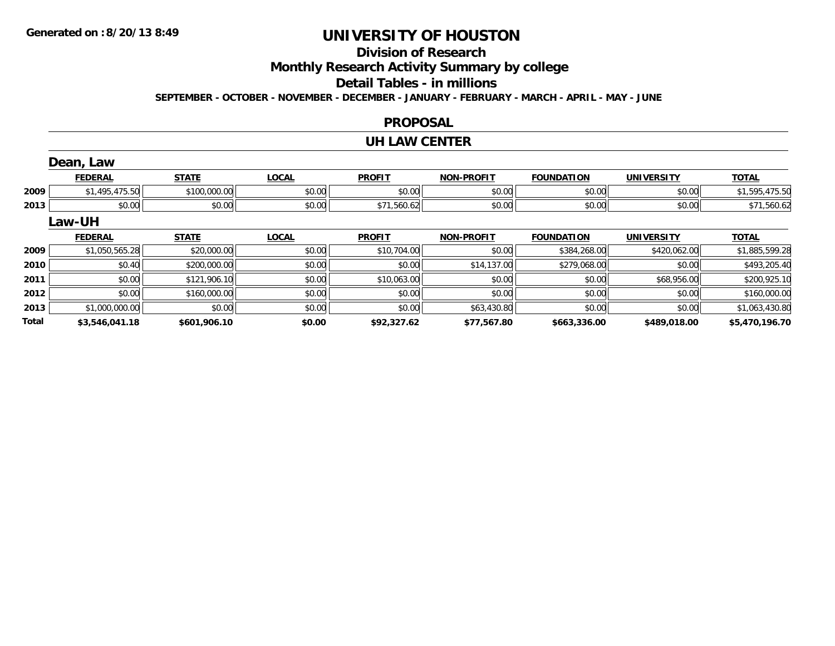# **Division of Research**

**Monthly Research Activity Summary by college**

#### **Detail Tables - in millions**

**SEPTEMBER - OCTOBER - NOVEMBER - DECEMBER - JANUARY - FEBRUARY - MARCH - APRIL - MAY - JUNE**

### **PROPOSAL**

#### **UH LAW CENTER**

|       | Dean, Law      |              |              |               |                   |                   |                   |                |
|-------|----------------|--------------|--------------|---------------|-------------------|-------------------|-------------------|----------------|
|       | <b>FEDERAL</b> | <b>STATE</b> | <b>LOCAL</b> | <b>PROFIT</b> | <b>NON-PROFIT</b> | <b>FOUNDATION</b> | <b>UNIVERSITY</b> | <b>TOTAL</b>   |
| 2009  | \$1,495,475.50 | \$100,000.00 | \$0.00       | \$0.00        | \$0.00            | \$0.00            | \$0.00            | \$1,595,475.50 |
| 2013  | \$0.00         | \$0.00       | \$0.00       | \$71,560.62   | \$0.00            | \$0.00            | \$0.00            | \$71,560.62    |
|       | Law-UH         |              |              |               |                   |                   |                   |                |
|       | <b>FEDERAL</b> | <b>STATE</b> | <b>LOCAL</b> | <b>PROFIT</b> | <b>NON-PROFIT</b> | <b>FOUNDATION</b> | <b>UNIVERSITY</b> | <b>TOTAL</b>   |
| 2009  | \$1,050,565.28 | \$20,000.00  | \$0.00       | \$10,704.00   | \$0.00            | \$384,268.00      | \$420,062.00      | \$1,885,599.28 |
| 2010  | \$0.40         | \$200,000.00 | \$0.00       | \$0.00        | \$14,137.00       | \$279,068.00      | \$0.00            | \$493,205.40   |
| 2011  | \$0.00         | \$121,906.10 | \$0.00       | \$10,063.00   | \$0.00            | \$0.00            | \$68,956.00       | \$200,925.10   |
| 2012  | \$0.00         | \$160,000.00 | \$0.00       | \$0.00        | \$0.00            | \$0.00            | \$0.00            | \$160,000.00   |
| 2013  | \$1,000,000.00 | \$0.00       | \$0.00       | \$0.00        | \$63,430.80       | \$0.00            | \$0.00            | \$1,063,430.80 |
| Total | \$3.546.041.18 | \$601.906.10 | \$0.00       | \$92,327.62   | \$77.567.80       | \$663.336.00      | \$489,018,00      | \$5,470,196.70 |

**\$3,546,041.18 \$601,906.10 \$0.00 \$92,327.62 \$77,567.80 \$663,336.00 \$489,018.00 \$5,470,196.70**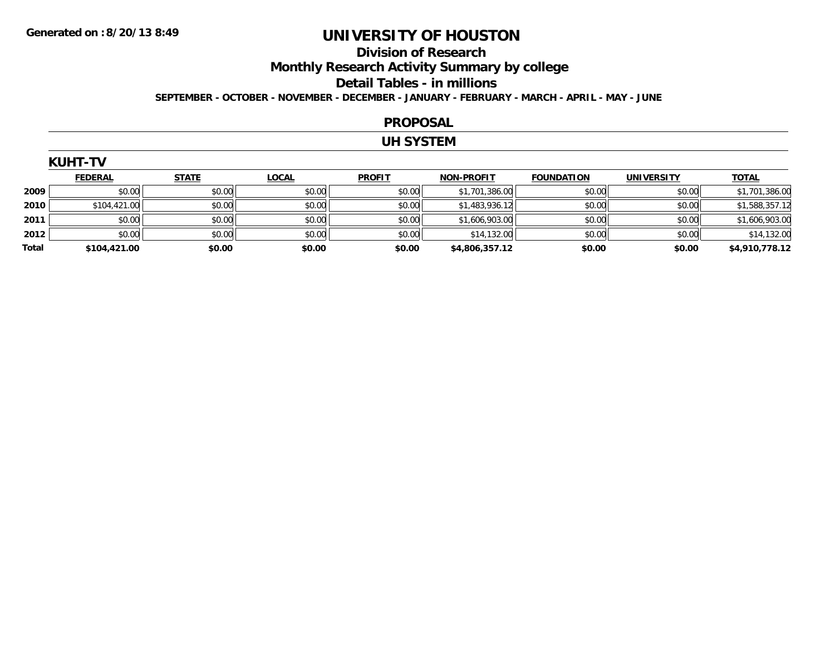# **Division of Research**

**Monthly Research Activity Summary by college**

#### **Detail Tables - in millions**

**SEPTEMBER - OCTOBER - NOVEMBER - DECEMBER - JANUARY - FEBRUARY - MARCH - APRIL - MAY - JUNE**

#### **PROPOSAL**

### **UH SYSTEM**

|       | <u>FEDERAL</u> | <b>STATE</b> | <u>LOCAL</u> | <b>PROFIT</b> | <b>NON-PROFIT</b> | <b>FOUNDATION</b> | <b>UNIVERSITY</b> | <b>TOTAL</b>   |
|-------|----------------|--------------|--------------|---------------|-------------------|-------------------|-------------------|----------------|
| 2009  | \$0.00         | \$0.00       | \$0.00       | \$0.00        | \$1,701,386.00    | \$0.00            | \$0.00            | \$1,701,386.00 |
| 2010  | \$104,421.00   | \$0.00       | \$0.00       | \$0.00        | \$1,483,936.12    | \$0.00            | \$0.00            | \$1,588,357.12 |
| 2011  | \$0.00         | \$0.00       | \$0.00       | \$0.00        | \$1,606,903.00    | \$0.00            | \$0.00            | \$1,606,903.00 |
| 2012  | \$0.00         | \$0.00       | \$0.00       | \$0.00        | \$14,132.00       | \$0.00            | \$0.00            | \$14,132.00    |
| Total | \$104,421.00   | \$0.00       | \$0.00       | \$0.00        | \$4,806,357.12    | \$0.00            | \$0.00            | \$4,910,778.12 |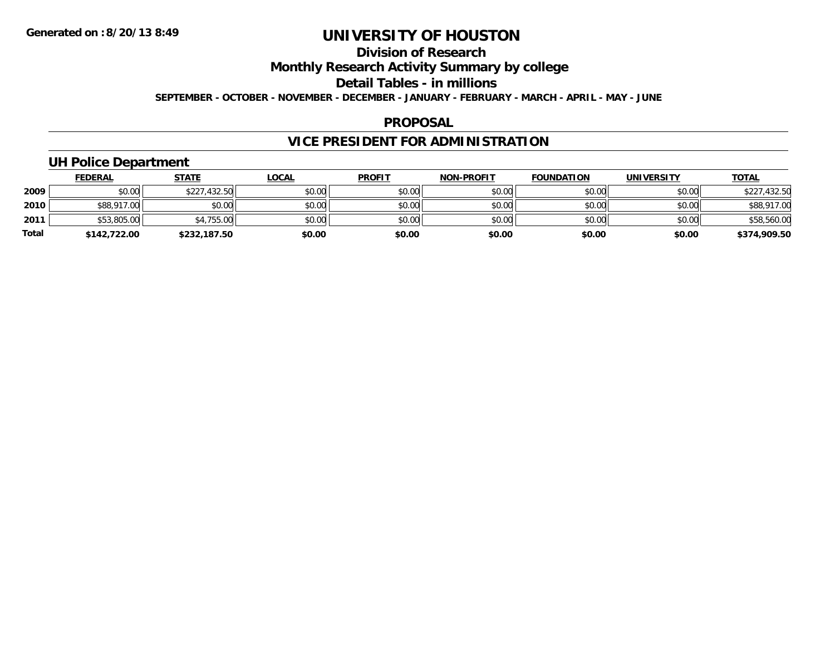# **Division of Research**

**Monthly Research Activity Summary by college**

**Detail Tables - in millions**

**SEPTEMBER - OCTOBER - NOVEMBER - DECEMBER - JANUARY - FEBRUARY - MARCH - APRIL - MAY - JUNE**

### **PROPOSAL**

# **VICE PRESIDENT FOR ADMINISTRATION**

### **UH Police Department**

|              | <b>FEDERAL</b> | <b>STATE</b> | <u>LOCAL</u> | <b>PROFIT</b> | <b>NON-PROFIT</b> | <b>FOUNDATION</b> | <b>UNIVERSITY</b> | <b>TOTAL</b> |
|--------------|----------------|--------------|--------------|---------------|-------------------|-------------------|-------------------|--------------|
| 2009         | \$0.00         | \$227,432.50 | \$0.00       | \$0.00        | \$0.00            | \$0.00            | \$0.00            | \$227,432.50 |
| 2010         | \$88,917.00    | \$0.00       | \$0.00       | \$0.00        | \$0.00            | \$0.00            | \$0.00            | \$88,917.00  |
| 2011         | \$53,805.00    | \$4,755.00   | \$0.00       | \$0.00        | \$0.00            | \$0.00            | \$0.00            | \$58,560.00  |
| <b>Total</b> | \$142,722.00   | \$232,187.50 | \$0.00       | \$0.00        | \$0.00            | \$0.00            | \$0.00            | \$374,909.50 |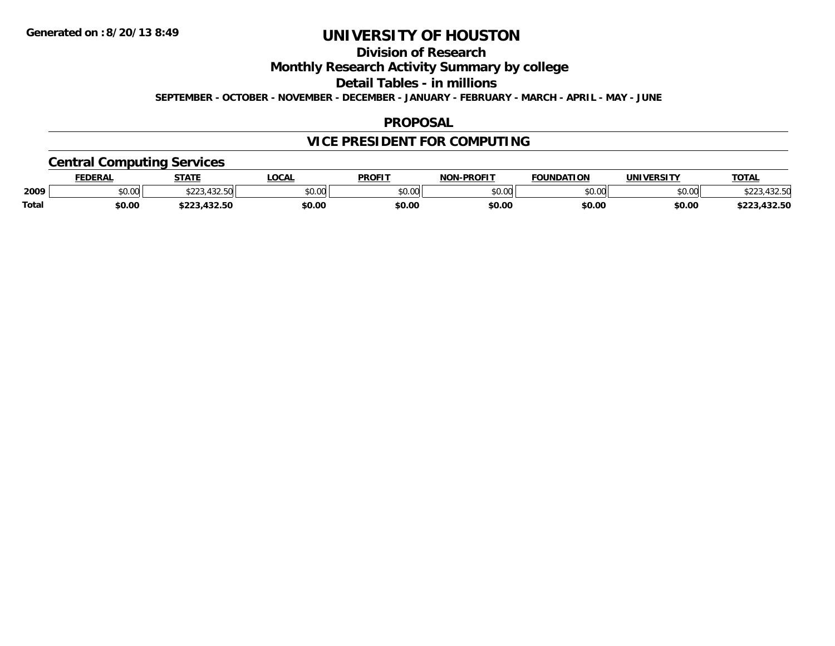## **Division of Research**

**Monthly Research Activity Summary by college**

**Detail Tables - in millions**

**SEPTEMBER - OCTOBER - NOVEMBER - DECEMBER - JANUARY - FEBRUARY - MARCH - APRIL - MAY - JUNE**

### **PROPOSAL**

# **VICE PRESIDENT FOR COMPUTING**

### **Central Computing Services**

|       | <b>FEDERAL</b> | <b>STATE</b>                  | <b>LOCAL</b> | <b>PROFIT</b> | <b>I-PROFIT</b><br><b>NON</b> | <b>FOUNDATION</b> | UNIVERSITY | <b>TOTAL</b>             |
|-------|----------------|-------------------------------|--------------|---------------|-------------------------------|-------------------|------------|--------------------------|
| 2009  | \$0.00         | 122 E<br>$A \cap R$           | \$0.00       | 0000<br>JU.UU | \$0.00                        | \$0.00            | \$0.00     | 122 F<br>, JZ.JM         |
| Total | \$0.00         | $\sim$<br>$\cdots$<br>.432.30 | \$0.00       | \$0.00        | \$0.00                        | \$0.00            | \$0.00     | $\sim$<br>ホワワク<br>132.JL |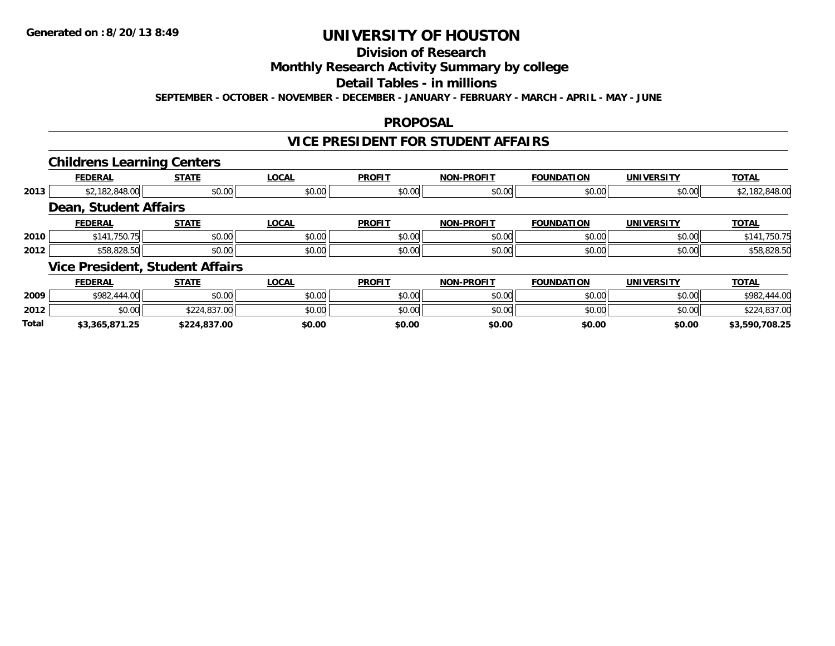# **Division of Research**

### **Monthly Research Activity Summary by college**

#### **Detail Tables - in millions**

**SEPTEMBER - OCTOBER - NOVEMBER - DECEMBER - JANUARY - FEBRUARY - MARCH - APRIL - MAY - JUNE**

### **PROPOSAL**

### **VICE PRESIDENT FOR STUDENT AFFAIRS**

### **Childrens Learning Centers**

|      |                              | . .                                    |              |               |                   |                   |                   |                |
|------|------------------------------|----------------------------------------|--------------|---------------|-------------------|-------------------|-------------------|----------------|
|      | <b>FEDERAL</b>               | <b>STATE</b>                           | <b>LOCAL</b> | <b>PROFIT</b> | <b>NON-PROFIT</b> | <b>FOUNDATION</b> | <b>UNIVERSITY</b> | <b>TOTAL</b>   |
| 2013 | \$2,182,848.00               | \$0.00                                 | \$0.00       | \$0.00        | \$0.00            | \$0.00            | \$0.00            | \$2,182,848.00 |
|      | <b>Dean, Student Affairs</b> |                                        |              |               |                   |                   |                   |                |
|      | <b>FEDERAL</b>               | <b>STATE</b>                           | <b>LOCAL</b> | <b>PROFIT</b> | <b>NON-PROFIT</b> | <b>FOUNDATION</b> | <b>UNIVERSITY</b> | <b>TOTAL</b>   |
| 2010 | \$141,750.75                 | \$0.00                                 | \$0.00       | \$0.00        | \$0.00            | \$0.00            | \$0.00            | \$141,750.75   |
| 2012 | \$58,828.50                  | \$0.00                                 | \$0.00       | \$0.00        | \$0.00            | \$0.00            | \$0.00            | \$58,828.50    |
|      |                              | <b>Vice President, Student Affairs</b> |              |               |                   |                   |                   |                |
|      | <b>FEDERAL</b>               | <b>STATE</b>                           | <b>LOCAL</b> | <b>PROFIT</b> | <b>NON-PROFIT</b> | <b>FOUNDATION</b> | <b>UNIVERSITY</b> | <b>TOTAL</b>   |

|              | .              | "                                                                                               | $-000$ | .      | .      | יישורות שט | ———————————— |                    |
|--------------|----------------|-------------------------------------------------------------------------------------------------|--------|--------|--------|------------|--------------|--------------------|
| 2009         | \$982,444.00   | \$0.00                                                                                          | \$0.00 | \$0.00 | \$0.00 | \$0.00     | \$0.00       | \$982,<br>144.00   |
| 2012         | \$0.00         | $\begin{array}{c} \uparrow \\ \uparrow \\ \downarrow \\ \downarrow \end{array}$<br>\$224,837.00 | \$0.00 | \$0.00 | \$0.00 | \$0.00     | \$0.00       | .0270c<br>1,837.UU |
| <b>Total</b> | \$3,365,871.25 | \$224,837.00                                                                                    | \$0.00 | \$0.00 | \$0.00 | \$0.00     | \$0.00       | \$3,590,708.25     |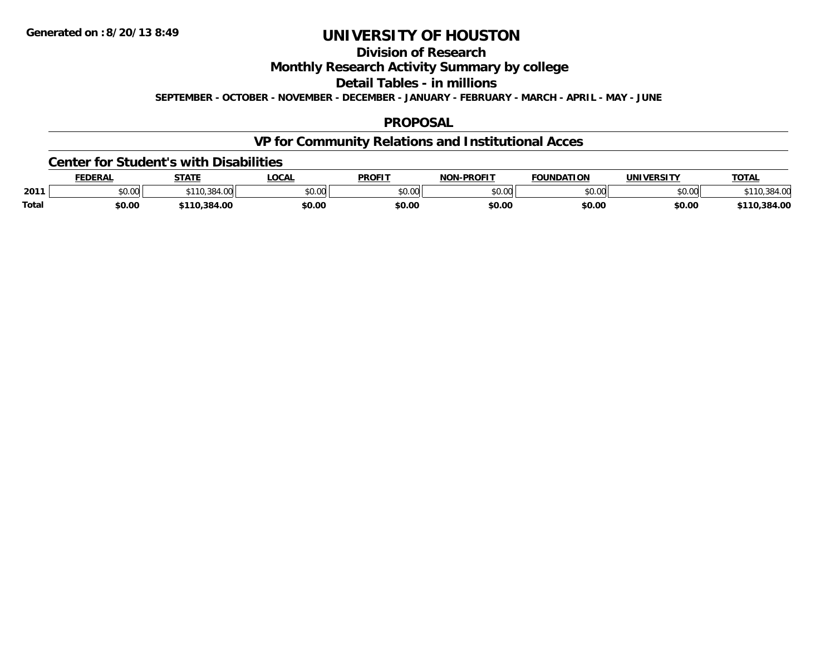## **Division of Research**

**Monthly Research Activity Summary by college**

**Detail Tables - in millions**

**SEPTEMBER - OCTOBER - NOVEMBER - DECEMBER - JANUARY - FEBRUARY - MARCH - APRIL - MAY - JUNE**

### **PROPOSAL**

## **VP for Community Relations and Institutional Acces**

#### **Center for Student's with Disabilities**

|       | FEDERAI | C T A T T  | .OCA                | <b>PROFIT</b>            | -PROFIT<br>ארות | <b>FOUNDATION</b> | IINIVEDSITV    | <b>TATA</b><br>⊓OIAL |
|-------|---------|------------|---------------------|--------------------------|-----------------|-------------------|----------------|----------------------|
| 2011  | \$0.00  | 104.VV     | $\sim$ 00<br>DU.UUI | $n \cap \Omega$<br>DU.UU | nn nn<br>JU.UU  | JU.UU             | nn nn<br>DU.UG |                      |
| Total | \$0.00  | 110,384.00 | \$0.00              | \$0.00                   | \$0.00          | \$0.00            | \$0.00         | \$110,384.00         |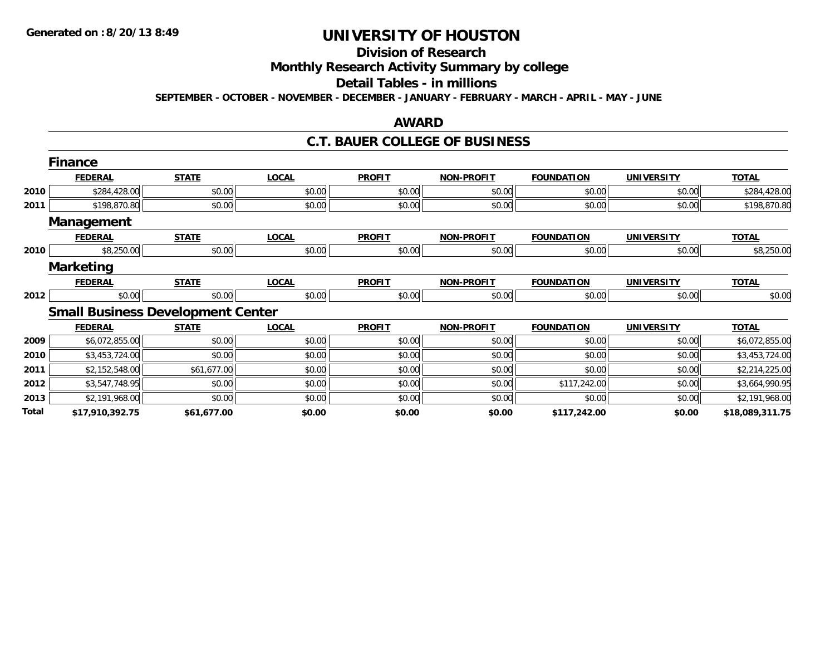# **Division of Research**

**Monthly Research Activity Summary by college**

#### **Detail Tables - in millions**

**SEPTEMBER - OCTOBER - NOVEMBER - DECEMBER - JANUARY - FEBRUARY - MARCH - APRIL - MAY - JUNE**

### **AWARD**

### **C.T. BAUER COLLEGE OF BUSINESS**

|       | <b>Finance</b>    |                                          |              |               |                   |                   |                   |                 |
|-------|-------------------|------------------------------------------|--------------|---------------|-------------------|-------------------|-------------------|-----------------|
|       | <b>FEDERAL</b>    | <b>STATE</b>                             | <b>LOCAL</b> | <b>PROFIT</b> | <b>NON-PROFIT</b> | <b>FOUNDATION</b> | <b>UNIVERSITY</b> | <b>TOTAL</b>    |
| 2010  | \$284,428.00      | \$0.00                                   | \$0.00       | \$0.00        | \$0.00            | \$0.00            | \$0.00            | \$284,428.00    |
| 2011  | \$198,870.80      | \$0.00                                   | \$0.00       | \$0.00        | \$0.00            | \$0.00            | \$0.00            | \$198,870.80    |
|       | <b>Management</b> |                                          |              |               |                   |                   |                   |                 |
|       | <b>FEDERAL</b>    | <b>STATE</b>                             | <b>LOCAL</b> | <b>PROFIT</b> | <b>NON-PROFIT</b> | <b>FOUNDATION</b> | <b>UNIVERSITY</b> | <b>TOTAL</b>    |
| 2010  | \$8,250.00        | \$0.00                                   | \$0.00       | \$0.00        | \$0.00            | \$0.00            | \$0.00            | \$8,250.00      |
|       | <b>Marketing</b>  |                                          |              |               |                   |                   |                   |                 |
|       | <b>FEDERAL</b>    | <b>STATE</b>                             | <b>LOCAL</b> | <b>PROFIT</b> | <b>NON-PROFIT</b> | <b>FOUNDATION</b> | <b>UNIVERSITY</b> | <b>TOTAL</b>    |
| 2012  | \$0.00            | \$0.00                                   | \$0.00       | \$0.00        | \$0.00            | \$0.00            | \$0.00            | \$0.00          |
|       |                   | <b>Small Business Development Center</b> |              |               |                   |                   |                   |                 |
|       | <b>FEDERAL</b>    | <b>STATE</b>                             | <b>LOCAL</b> | <b>PROFIT</b> | <b>NON-PROFIT</b> | <b>FOUNDATION</b> | <b>UNIVERSITY</b> | <b>TOTAL</b>    |
| 2009  | \$6,072,855.00    | \$0.00                                   | \$0.00       | \$0.00        | \$0.00            | \$0.00            | \$0.00            | \$6,072,855.00  |
| 2010  | \$3,453,724.00    | \$0.00                                   | \$0.00       | \$0.00        | \$0.00            | \$0.00            | \$0.00            | \$3,453,724.00  |
| 2011  | \$2,152,548.00    | \$61,677.00                              | \$0.00       | \$0.00        | \$0.00            | \$0.00            | \$0.00            | \$2,214,225.00  |
| 2012  | \$3,547,748.95    | \$0.00                                   | \$0.00       | \$0.00        | \$0.00            | \$117,242.00      | \$0.00            | \$3,664,990.95  |
| 2013  | \$2,191,968.00    | \$0.00                                   | \$0.00       | \$0.00        | \$0.00            | \$0.00            | \$0.00            | \$2,191,968.00  |
| Total | \$17,910,392.75   | \$61,677.00                              | \$0.00       | \$0.00        | \$0.00            | \$117,242.00      | \$0.00            | \$18,089,311.75 |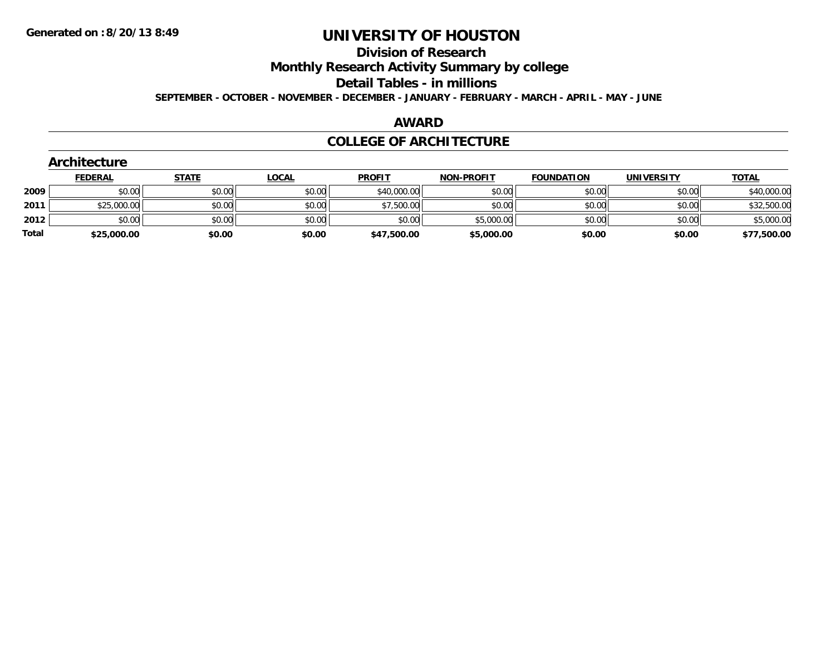#### **Division of Research**

**Monthly Research Activity Summary by college**

**Detail Tables - in millions**

**SEPTEMBER - OCTOBER - NOVEMBER - DECEMBER - JANUARY - FEBRUARY - MARCH - APRIL - MAY - JUNE**

### **AWARD**

### **COLLEGE OF ARCHITECTURE**

| <b>Architecture</b> |              |                                                |                            |                   |                                          |                   |              |
|---------------------|--------------|------------------------------------------------|----------------------------|-------------------|------------------------------------------|-------------------|--------------|
| <b>FEDERAL</b>      | <b>STATE</b> | <u>LOCAL</u>                                   | <b>PROFIT</b>              | <b>NON-PROFIT</b> | <b>FOUNDATION</b>                        | <b>UNIVERSITY</b> | <b>TOTAL</b> |
|                     |              |                                                |                            | \$0.00            | \$0.00                                   | \$0.00            | \$40,000.00  |
|                     |              |                                                |                            | \$0.00            | \$0.00                                   | \$0.00            | \$32,500.00  |
|                     |              | \$0.00                                         | \$0.00                     |                   | \$0.00                                   | \$0.00            | \$5,000.00   |
|                     | \$0.00       | \$0.00                                         |                            | \$5,000.00        | \$0.00                                   | \$0.00            | \$77,500.00  |
|                     |              | \$0.00<br>\$25,000.00<br>\$0.00<br>\$25,000.00 | \$0.00<br>\$0.00<br>\$0.00 | \$0.00<br>\$0.00  | \$40,000.00<br>\$7,500.00<br>\$47,500.00 | \$5,000.00        |              |

## **Architecture**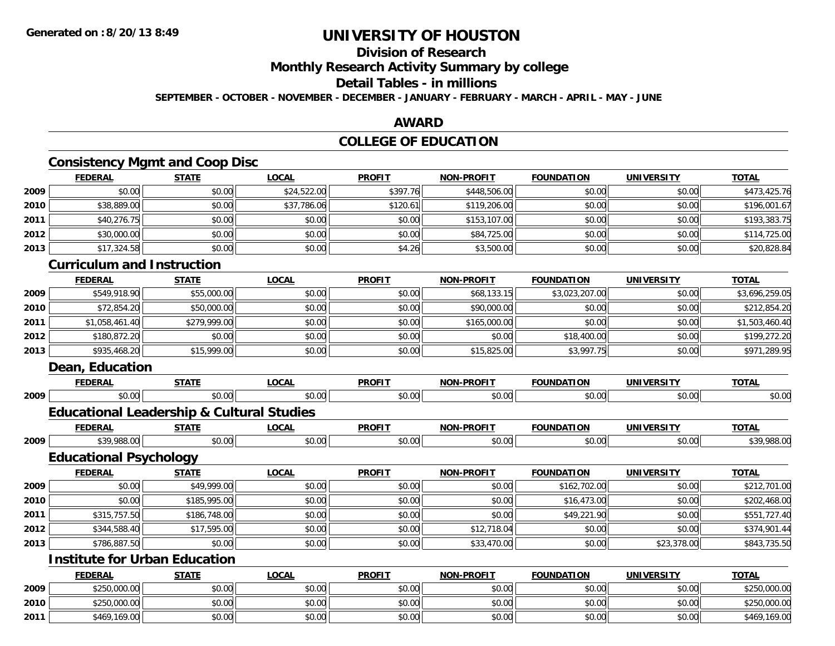# **Division of Research**

**Monthly Research Activity Summary by college**

## **Detail Tables - in millions**

**SEPTEMBER - OCTOBER - NOVEMBER - DECEMBER - JANUARY - FEBRUARY - MARCH - APRIL - MAY - JUNE**

## **AWARD**

## **COLLEGE OF EDUCATION**

## **Consistency Mgmt and Coop Disc**

|      | <b>FEDERAL</b> | <b>STATE</b> | <b>LOCAL</b> | <b>PROFIT</b> | <b>NON-PROFIT</b> | <b>FOUNDATION</b> | <b>UNIVERSITY</b> | <b>TOTAL</b> |
|------|----------------|--------------|--------------|---------------|-------------------|-------------------|-------------------|--------------|
| 2009 | \$0.00         | \$0.00       | \$24,522.00  | \$397.76      | \$448,506.00      | \$0.00            | \$0.00            | \$473,425.76 |
| 2010 | \$38,889.00    | \$0.00       | \$37,786.06  | \$120.61      | \$119,206.00      | \$0.00            | \$0.00            | \$196,001.67 |
| 2011 | \$40,276.75    | \$0.00       | \$0.00       | \$0.00        | \$153,107.00      | \$0.00            | \$0.00            | \$193,383.75 |
| 2012 | \$30,000.00    | \$0.00       | \$0.00       | \$0.00        | \$84,725.00       | \$0.00            | \$0.00            | \$114,725.00 |
| 2013 | \$17,324.58    | \$0.00       | \$0.00       | \$4.26        | \$3,500.00        | \$0.00            | \$0.00            | \$20,828.84  |

#### **Curriculum and Instruction**

|      | <b>FEDERAL</b> | <u>STATE</u> | <b>LOCAL</b> | <b>PROFIT</b> | <b>NON-PROFIT</b> | <b>FOUNDATION</b> | <b>UNIVERSITY</b> | <b>TOTAL</b>   |
|------|----------------|--------------|--------------|---------------|-------------------|-------------------|-------------------|----------------|
| 2009 | \$549,918.90   | \$55,000.00  | \$0.00       | \$0.00        | \$68,133.15       | \$3,023,207.00    | \$0.00            | \$3,696,259.05 |
| 2010 | \$72,854.20    | \$50,000.00  | \$0.00       | \$0.00        | \$90,000.00       | \$0.00            | \$0.00            | \$212,854.20   |
| 2011 | \$1,058,461.40 | \$279,999.00 | \$0.00       | \$0.00        | \$165,000.00      | \$0.00            | \$0.00            | \$1,503,460.40 |
| 2012 | \$180,872.20   | \$0.00       | \$0.00       | \$0.00        | \$0.00            | \$18,400.00       | \$0.00            | \$199,272.20   |
| 2013 | \$935,468.20   | \$15,999.00  | \$0.00       | \$0.00        | \$15,825.00       | \$3,997.75        | \$0.00            | \$971,289.95   |

## **Dean, Education**

**2010**

**2011**

|      | <b>FEDERAL</b>                                       | <b>STATE</b> | <b>LOCAL</b> | <b>PROFIT</b> | <b>NON-PROFIT</b> | <b>FOUNDATION</b> | <b>UNIVERSITY</b> | <b>TOTAL</b> |
|------|------------------------------------------------------|--------------|--------------|---------------|-------------------|-------------------|-------------------|--------------|
| 2009 | \$0.00                                               | \$0.00       | \$0.00       | \$0.00        | \$0.00            | \$0.00            | \$0.00            | \$0.00       |
|      | <b>Educational Leadership &amp; Cultural Studies</b> |              |              |               |                   |                   |                   |              |
|      | <b>FEDERAL</b>                                       | <b>STATE</b> | <b>LOCAL</b> | <b>PROFIT</b> | <b>NON-PROFIT</b> | <b>FOUNDATION</b> | <b>UNIVERSITY</b> | <b>TOTAL</b> |
| 2009 | \$39,988.00                                          | \$0.00       | \$0.00       | \$0.00        | \$0.00            | \$0.00            | \$0.00            | \$39,988.00  |
|      | <b>Educational Psychology</b>                        |              |              |               |                   |                   |                   |              |
|      | <b>FEDERAL</b>                                       | <b>STATE</b> | <b>LOCAL</b> | <b>PROFIT</b> | <b>NON-PROFIT</b> | <b>FOUNDATION</b> | <b>UNIVERSITY</b> | <b>TOTAL</b> |
| 2009 | \$0.00                                               | \$49,999.00  | \$0.00       | \$0.00        | \$0.00            | \$162,702.00      | \$0.00            | \$212,701.00 |
| 2010 | \$0.00                                               | \$185,995.00 | \$0.00       | \$0.00        | \$0.00            | \$16,473.00       | \$0.00            | \$202,468.00 |
| 2011 | \$315,757.50                                         | \$186,748.00 | \$0.00       | \$0.00        | \$0.00            | \$49,221.90       | \$0.00            | \$551,727.40 |
| 2012 | \$344,588.40                                         | \$17,595.00  | \$0.00       | \$0.00        | \$12,718.04       | \$0.00            | \$0.00            | \$374,901.44 |
| 2013 | \$786,887.50                                         | \$0.00       | \$0.00       | \$0.00        | \$33,470.00       | \$0.00            | \$23,378.00       | \$843,735.50 |
|      | <b>Institute for Urban Education</b>                 |              |              |               |                   |                   |                   |              |
|      | <b>FEDERAL</b>                                       | <b>STATE</b> | <b>LOCAL</b> | <b>PROFIT</b> | <b>NON-PROFIT</b> | <b>FOUNDATION</b> | <b>UNIVERSITY</b> | <b>TOTAL</b> |
| 2009 | \$250,000.00                                         | \$0.00       | \$0.00       | \$0.00        | \$0.00            | \$0.00            | \$0.00            | \$250,000.00 |

0 \$250,000.00 \$0.00 \$0.00 \$0.00 \$0.00 \$0.00 \$0.00 \$0.00 \$0.00 \$0.00 \$0.00 \$0.00 \$0.00 \$0.00 \$250,000.00

1 \$469,169.00 \$0.00 \$0.00 \$0.00 \$0.00 \$0.00 \$0.00 \$0.00 \$0.00 \$0.00 \$0.00 \$0.00 \$0.00 \$0.00 \$469,169.00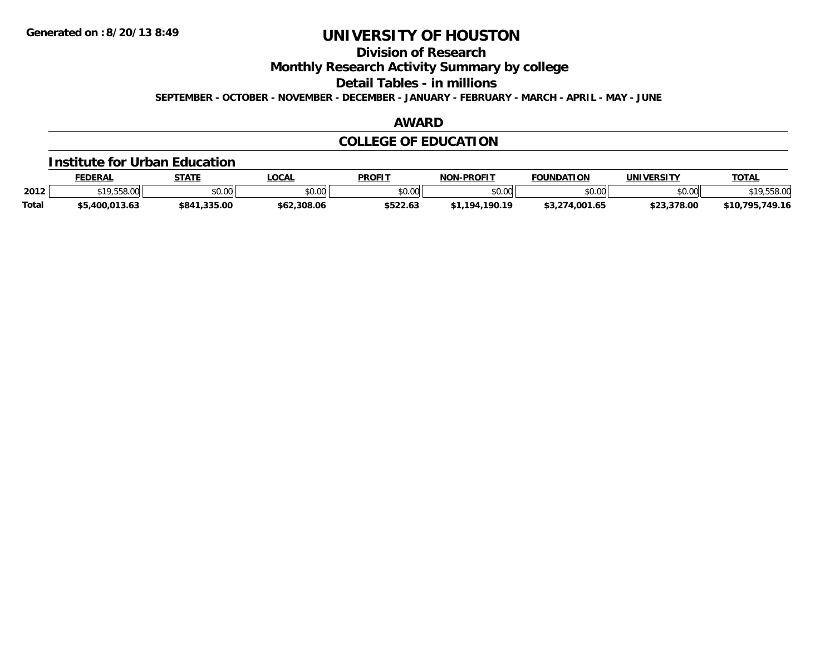**Division of Research**

**Monthly Research Activity Summary by college**

**Detail Tables - in millions**

**SEPTEMBER - OCTOBER - NOVEMBER - DECEMBER - JANUARY - FEBRUARY - MARCH - APRIL - MAY - JUNE**

## **AWARD**

# **COLLEGE OF EDUCATION**

#### **Institute for Urban Education**

|              | <b>FEDERAL</b>            | <b>STATE</b>   | <b>OCAL</b> | <b>PROFIT</b> | <b>NON-PROFIT</b>  | <b>FOUNDATION</b> | <b>UNIVERSITY</b> | <b>TOTAL</b>                  |
|--------------|---------------------------|----------------|-------------|---------------|--------------------|-------------------|-------------------|-------------------------------|
| 2012         | <b>C<sub>10</sub></b> EEO | \$0.00         | JU.UU       | \$0.00        | ልስ ሀህ<br>pu.uu     | \$0.00            | \$0.00            | ഹ<br>0 r 1<br>$$ 00.00        |
| <b>Total</b> | \$5,400,013.63            | ,335.00<br>84' | \$62,308.06 | \$522.63      | .190.19<br>$+1104$ | 1.65∪س.           | \$23,378.00       | 749.16<br><b>705</b><br>\$10. |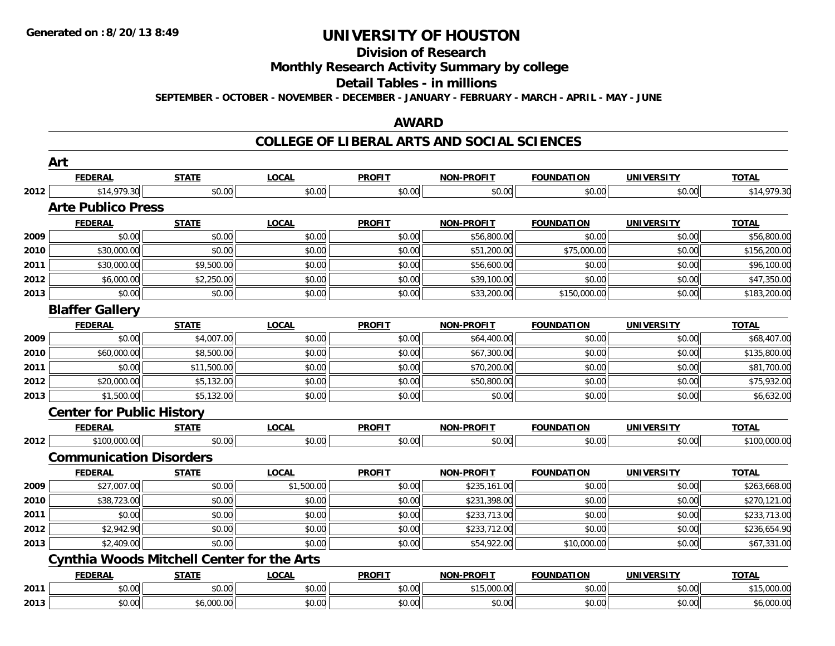# **Division of Research**

**Monthly Research Activity Summary by college**

#### **Detail Tables - in millions**

**SEPTEMBER - OCTOBER - NOVEMBER - DECEMBER - JANUARY - FEBRUARY - MARCH - APRIL - MAY - JUNE**

### **AWARD**

### **COLLEGE OF LIBERAL ARTS AND SOCIAL SCIENCES**

|      | Art                              |                                                   |              |               |                   |                   |                   |              |
|------|----------------------------------|---------------------------------------------------|--------------|---------------|-------------------|-------------------|-------------------|--------------|
|      | <b>FEDERAL</b>                   | <b>STATE</b>                                      | <b>LOCAL</b> | <b>PROFIT</b> | NON-PROFIT        | <b>FOUNDATION</b> | <b>UNIVERSITY</b> | <b>TOTAL</b> |
| 2012 | \$14,979.30                      | \$0.00                                            | \$0.00       | \$0.00        | \$0.00            | \$0.00            | \$0.00            | \$14,979.30  |
|      | <b>Arte Publico Press</b>        |                                                   |              |               |                   |                   |                   |              |
|      | <b>FEDERAL</b>                   | <b>STATE</b>                                      | <b>LOCAL</b> | <b>PROFIT</b> | NON-PROFIT        | <b>FOUNDATION</b> | <b>UNIVERSITY</b> | <b>TOTAL</b> |
| 2009 | \$0.00                           | \$0.00                                            | \$0.00       | \$0.00        | \$56,800.00       | \$0.00            | \$0.00            | \$56,800.00  |
| 2010 | \$30,000.00                      | \$0.00                                            | \$0.00       | \$0.00        | \$51,200.00       | \$75,000.00       | \$0.00            | \$156,200.00 |
| 2011 | \$30,000.00                      | \$9,500.00                                        | \$0.00       | \$0.00        | \$56,600.00       | \$0.00            | \$0.00            | \$96,100.00  |
| 2012 | \$6,000.00                       | \$2,250.00                                        | \$0.00       | \$0.00        | \$39,100.00       | \$0.00            | \$0.00            | \$47,350.00  |
| 2013 | \$0.00                           | \$0.00                                            | \$0.00       | \$0.00        | \$33,200.00       | \$150,000.00      | \$0.00            | \$183,200.00 |
|      | <b>Blaffer Gallery</b>           |                                                   |              |               |                   |                   |                   |              |
|      | <b>FEDERAL</b>                   | <b>STATE</b>                                      | <b>LOCAL</b> | <b>PROFIT</b> | <b>NON-PROFIT</b> | <b>FOUNDATION</b> | <b>UNIVERSITY</b> | <b>TOTAL</b> |
| 2009 | \$0.00                           | \$4,007.00                                        | \$0.00       | \$0.00        | \$64,400.00       | \$0.00            | \$0.00            | \$68,407.00  |
| 2010 | \$60,000.00                      | \$8,500.00                                        | \$0.00       | \$0.00        | \$67,300.00       | \$0.00            | \$0.00            | \$135,800.00 |
| 2011 | \$0.00                           | \$11,500.00                                       | \$0.00       | \$0.00        | \$70,200.00       | \$0.00            | \$0.00            | \$81,700.00  |
| 2012 | \$20,000.00                      | \$5,132.00                                        | \$0.00       | \$0.00        | \$50,800.00       | \$0.00            | \$0.00            | \$75,932.00  |
| 2013 | \$1,500.00                       | \$5,132.00                                        | \$0.00       | \$0.00        | \$0.00            | \$0.00            | \$0.00            | \$6,632.00   |
|      | <b>Center for Public History</b> |                                                   |              |               |                   |                   |                   |              |
|      | <b>FEDERAL</b>                   | <b>STATE</b>                                      | <b>LOCAL</b> | <b>PROFIT</b> | <b>NON-PROFIT</b> | <b>FOUNDATION</b> | <b>UNIVERSITY</b> | <b>TOTAL</b> |
| 2012 | \$100,000.00                     | \$0.00                                            | \$0.00       | \$0.00        | \$0.00            | \$0.00            | \$0.00            | \$100,000.00 |
|      | <b>Communication Disorders</b>   |                                                   |              |               |                   |                   |                   |              |
|      | <b>FEDERAL</b>                   | <b>STATE</b>                                      | <b>LOCAL</b> | <b>PROFIT</b> | <b>NON-PROFIT</b> | <b>FOUNDATION</b> | <b>UNIVERSITY</b> | <b>TOTAL</b> |
| 2009 | \$27,007.00                      | \$0.00                                            | \$1,500.00   | \$0.00        | \$235,161.00      | \$0.00            | \$0.00            | \$263,668.00 |
| 2010 | \$38,723.00                      | \$0.00                                            | \$0.00       | \$0.00        | \$231,398.00      | \$0.00            | \$0.00            | \$270,121.00 |
| 2011 | \$0.00                           | \$0.00                                            | \$0.00       | \$0.00        | \$233,713.00      | \$0.00            | \$0.00            | \$233,713.00 |
| 2012 | \$2,942.90                       | \$0.00                                            | \$0.00       | \$0.00        | \$233,712.00      | \$0.00            | \$0.00            | \$236,654.90 |
| 2013 | \$2,409.00                       | \$0.00                                            | \$0.00       | \$0.00        | \$54,922.00       | \$10,000.00       | \$0.00            | \$67,331.00  |
|      |                                  | <b>Cynthia Woods Mitchell Center for the Arts</b> |              |               |                   |                   |                   |              |
|      | <b>FEDERAL</b>                   | <b>STATE</b>                                      | <b>LOCAL</b> | <b>PROFIT</b> | <b>NON-PROFIT</b> | <b>FOUNDATION</b> | <b>UNIVERSITY</b> | <b>TOTAL</b> |
| 2011 | \$0.00                           | \$0.00                                            | \$0.00       | \$0.00        | \$15,000.00       | \$0.00            | \$0.00            | \$15,000.00  |
| 2013 | \$0.00                           | \$6,000.00                                        | \$0.00       | \$0.00        | \$0.00            | \$0.00            | \$0.00            | \$6,000.00   |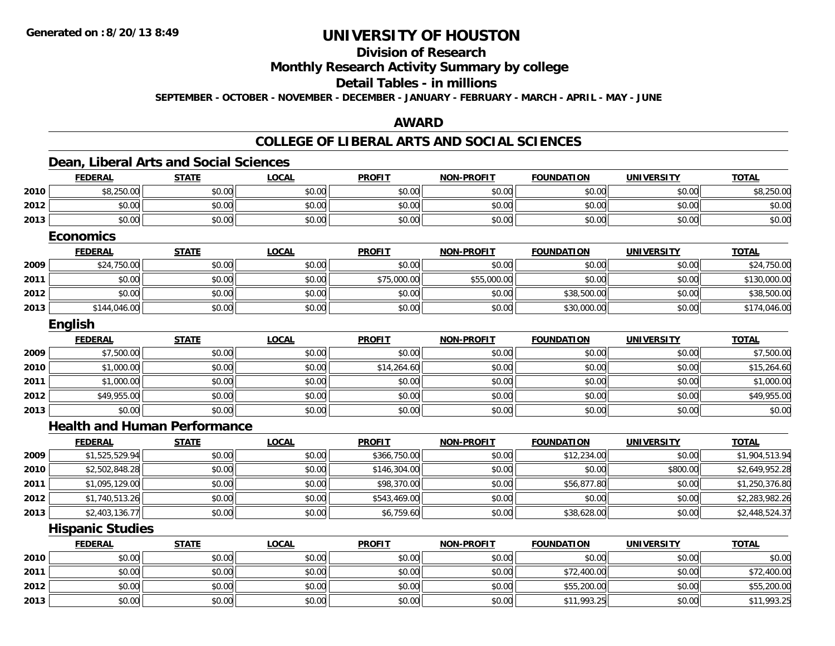## **Division of Research**

### **Monthly Research Activity Summary by college**

### **Detail Tables - in millions**

**SEPTEMBER - OCTOBER - NOVEMBER - DECEMBER - JANUARY - FEBRUARY - MARCH - APRIL - MAY - JUNE**

### **AWARD**

### **COLLEGE OF LIBERAL ARTS AND SOCIAL SCIENCES**

#### **Dean, Liberal Arts and Social Sciences FEDERAL STATE LOCAL PROFIT NON-PROFIT FOUNDATION UNIVERSITY TOTALTOTAL 2010** $\textsf{0} \parallel \textsf{0} \parallel \textsf{0} \parallel \textsf{0} \parallel \textsf{0} \parallel \textsf{0} \parallel \textsf{0} \parallel \textsf{0} \parallel \textsf{0} \parallel \textsf{0} \parallel \textsf{0} \parallel \textsf{0} \parallel \textsf{0} \parallel \textsf{0} \parallel \textsf{0} \parallel \textsf{0} \parallel \textsf{0} \parallel \textsf{0} \parallel \textsf{0} \parallel \textsf{0} \parallel \textsf{0} \parallel \textsf{0} \parallel \textsf{0} \parallel \textsf{0} \parallel \textsf{0} \parallel \textsf{0} \parallel \textsf{0} \parallel \textsf{$ **2012**2 | \$0.00 \$0.00 \$0.00 \$0.00 \$0.00 \$0.00 \$0.00 \$0.00 \$0.00 \$0.00 \$0.00 \$0.00 \$0.00 \$0.00 \$0.00 \$0.00 \$0.00 \$0.0 **2013** $\textbf{3} \quad \textbf{\textcolor{blue}{\textbf{50.00}}} \quad \textbf{\textcolor{blue}{\textbf{50.00}}} \quad \textbf{\textcolor{blue}{\textbf{50.00}}} \quad \textbf{\textcolor{blue}{\textbf{50.00}}} \quad \textbf{\textcolor{blue}{\textbf{50.00}}} \quad \textbf{\textcolor{blue}{\textbf{50.00}}} \quad \textbf{\textcolor{blue}{\textbf{50.00}}} \quad \textbf{\textcolor{blue}{\textbf{50.00}}} \quad \textbf{\textcolor{blue}{\textbf{50.00}}} \quad \textbf{\textcolor{blue}{\textbf{50.00}}} \quad \text$ **EconomicsFEDERAL STATE LOCAL PROFIT NON-PROFIT FOUNDATION UNIVERSITY TOTALTOTAL 2009**9│ \$24,750.00│ \$0.00│ \$0.00│ \$0.00│ \$0.00│ \$0.00│ \$24,750.00 **2011** \$0.00 \$0.00 \$0.00 \$75,000.00 \$55,000.00 \$0.00 \$0.00 \$130,000.00 **2012**2 | \$0.00 | \$0.00 | \$0.00 | \$0.00 | \$38,500.00 | \$0.00 | \$38,500.00 | \$38,500.00 | \$38,500.00 | \$38,500.00 | \$38,500.0 **2013** \$144,046.00 \$0.00 \$0.00 \$0.00 \$0.00 \$30,000.00 \$0.00 \$174,046.00 **English FEDERAL STATE LOCAL PROFIT NON-PROFIT FOUNDATION UNIVERSITY TOTAL2009** \$7,500.00 \$0.00 \$0.00 \$0.00 \$0.00 \$0.00 \$0.00 \$7,500.00 **2010** $\textsf{0} \parallel \textsf{0} \parallel \textsf{0} \parallel \textsf{0} \parallel \textsf{0} \parallel \textsf{0} \parallel \textsf{0} \parallel \textsf{0} \parallel \textsf{0} \parallel \textsf{0} \parallel \textsf{0} \parallel \textsf{0} \parallel \textsf{0} \parallel \textsf{0} \parallel \textsf{0} \parallel \textsf{0} \parallel \textsf{0} \parallel \textsf{0} \parallel \textsf{0} \parallel \textsf{0} \parallel \textsf{0} \parallel \textsf{0} \parallel \textsf{0} \parallel \textsf{0} \parallel \textsf{0} \parallel \textsf{0} \parallel \textsf{0} \parallel \textsf{$ **2011**1 \$1,000.00 \$0.00 \$0.00 \$0.00 \$0.00 \$0.00 \$1,000.00 **2012**2 \$49,955.00 \$0.00 \$0.00 \$0.00 \$0.00 \$0.00 \$0.00 \$0.00 \$0.00 \$0.00 \$0.00 \$0.00 \$0.00 \$0.00 \$49,955.00 **2013** \$0.00 \$0.00 \$0.00 \$0.00 \$0.00 \$0.00 \$0.00 \$0.00 **Health and Human PerformanceFEDERAL STATE LOCAL PROFIT NON-PROFIT FOUNDATION UNIVERSITY TOTALTOTAL 20099** \$1,525,529.94 \$0.00 \$0.00 \$0.00 \$0.00 \$0.00 \$366,750.00 \$0.00 \$0.00 \$12,234.00 \$0.00 \$0.00 \$1,904,513.94 **2010** \$2,502,848.28 \$0.00 \$0.00 \$146,304.00 \$0.00 \$0.00 \$800.00 \$2,649,952.28 **2011**.51,095,129.00|| \$0.00|| \$0.00|| \$98,370.00|| \$0.00|| \$56,877.80|| \$0.00|| \$1,250,376.80 **2012** \$1,740,513.26 \$0.00 \$0.00 \$543,469.00 \$0.00 \$0.00 \$0.00 \$2,283,982.26 **2013** \$2,403,136.77 \$0.00 \$0.00 \$6,759.60 \$0.00 \$38,628.00 \$0.00 \$2,448,524.37 **Hispanic Studies FEDERAL STATE LOCAL PROFIT NON-PROFIT FOUNDATION UNIVERSITY TOTAL**

|      | <b>FEDERAL</b> | <u>SIAIL</u> | <u>LUUAL</u> | <b>PRUFII</b> | <b>NUN-PRUFII</b> | <b>FUUNDATIUN</b> | UNIVERSITY | <u>IUIAL</u> |
|------|----------------|--------------|--------------|---------------|-------------------|-------------------|------------|--------------|
| 2010 | \$0.00         | \$0.00       | \$0.00       | \$0.00        | \$0.00            | \$0.00            | \$0.00     | \$0.00       |
| 2011 | \$0.00         | \$0.00       | \$0.00       | \$0.00        | \$0.00            | \$72,400.00       | \$0.00     | \$72,400.00  |
| 2012 | \$0.00         | \$0.00       | \$0.00       | \$0.00        | \$0.00            | \$55,200.00       | \$0.00     | \$55,200.00  |
| 2013 | \$0.00         | \$0.00       | \$0.00       | \$0.00        | \$0.00            | \$11,993.25       | \$0.00     | \$11,993.25  |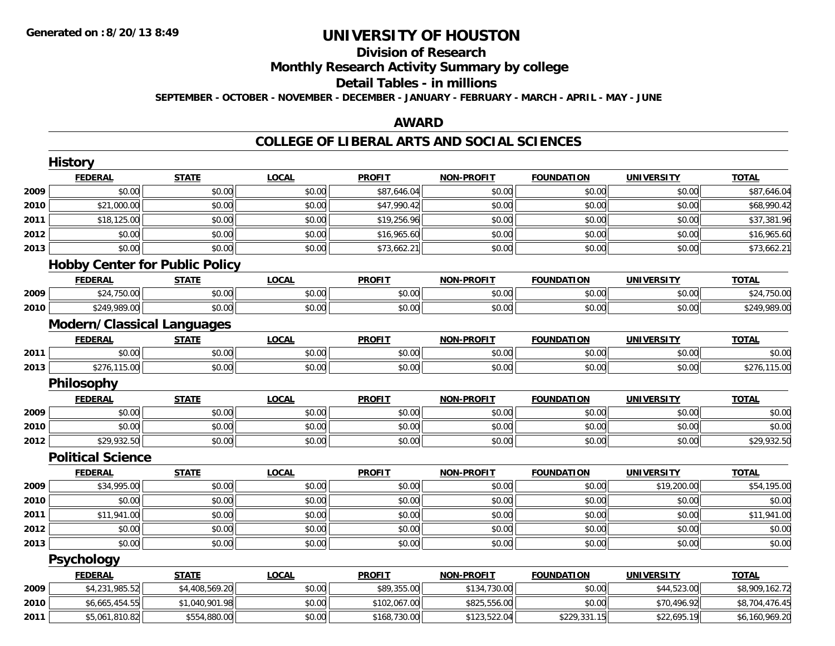# **Division of Research**

**Monthly Research Activity Summary by college**

#### **Detail Tables - in millions**

**SEPTEMBER - OCTOBER - NOVEMBER - DECEMBER - JANUARY - FEBRUARY - MARCH - APRIL - MAY - JUNE**

## **AWARD**

### **COLLEGE OF LIBERAL ARTS AND SOCIAL SCIENCES**

|      | <b>History</b>                        |                |              |               |                   |                   |                   |                |
|------|---------------------------------------|----------------|--------------|---------------|-------------------|-------------------|-------------------|----------------|
|      | <b>FEDERAL</b>                        | <b>STATE</b>   | <b>LOCAL</b> | <b>PROFIT</b> | <b>NON-PROFIT</b> | <b>FOUNDATION</b> | <b>UNIVERSITY</b> | <b>TOTAL</b>   |
| 2009 | \$0.00                                | \$0.00         | \$0.00       | \$87,646.04   | \$0.00            | \$0.00            | \$0.00            | \$87,646.04    |
| 2010 | \$21,000.00                           | \$0.00         | \$0.00       | \$47,990.42   | \$0.00            | \$0.00            | \$0.00            | \$68,990.42    |
| 2011 | \$18,125.00                           | \$0.00         | \$0.00       | \$19,256.96   | \$0.00            | \$0.00            | \$0.00            | \$37,381.96    |
| 2012 | \$0.00                                | \$0.00         | \$0.00       | \$16,965.60   | \$0.00            | \$0.00            | \$0.00            | \$16,965.60    |
| 2013 | \$0.00                                | \$0.00         | \$0.00       | \$73,662.21   | \$0.00            | \$0.00            | \$0.00            | \$73,662.21    |
|      | <b>Hobby Center for Public Policy</b> |                |              |               |                   |                   |                   |                |
|      | <b>FEDERAL</b>                        | <b>STATE</b>   | LOCAL        | <b>PROFIT</b> | <b>NON-PROFIT</b> | <b>FOUNDATION</b> | <b>UNIVERSITY</b> | <b>TOTAL</b>   |
| 2009 | \$24,750.00                           | \$0.00         | \$0.00       | \$0.00        | \$0.00            | \$0.00            | \$0.00            | \$24,750.00    |
| 2010 | \$249,989.00                          | \$0.00         | \$0.00       | \$0.00        | \$0.00            | \$0.00            | \$0.00            | \$249,989.00   |
|      | <b>Modern/Classical Languages</b>     |                |              |               |                   |                   |                   |                |
|      | <b>FEDERAL</b>                        | <b>STATE</b>   | <b>LOCAL</b> | <b>PROFIT</b> | <b>NON-PROFIT</b> | <b>FOUNDATION</b> | <b>UNIVERSITY</b> | <b>TOTAL</b>   |
| 2011 | \$0.00                                | \$0.00         | \$0.00       | \$0.00        | \$0.00            | \$0.00            | \$0.00            | \$0.00         |
| 2013 | \$276,115.00                          | \$0.00         | \$0.00       | \$0.00        | \$0.00            | \$0.00            | \$0.00            | \$276,115.00   |
|      | Philosophy                            |                |              |               |                   |                   |                   |                |
|      | <b>FEDERAL</b>                        | <b>STATE</b>   | <b>LOCAL</b> | <b>PROFIT</b> | <b>NON-PROFIT</b> | <b>FOUNDATION</b> | <b>UNIVERSITY</b> | <b>TOTAL</b>   |
| 2009 | \$0.00                                | \$0.00         | \$0.00       | \$0.00        | \$0.00            | \$0.00            | \$0.00            | \$0.00         |
| 2010 | \$0.00                                | \$0.00         | \$0.00       | \$0.00        | \$0.00            | \$0.00            | \$0.00            | \$0.00         |
| 2012 | \$29,932.50                           | \$0.00         | \$0.00       | \$0.00        | \$0.00            | \$0.00            | \$0.00            | \$29,932.50    |
|      | <b>Political Science</b>              |                |              |               |                   |                   |                   |                |
|      | <b>FEDERAL</b>                        | <b>STATE</b>   | <b>LOCAL</b> | <b>PROFIT</b> | <b>NON-PROFIT</b> | <b>FOUNDATION</b> | <b>UNIVERSITY</b> | <b>TOTAL</b>   |
| 2009 | \$34,995.00                           | \$0.00         | \$0.00       | \$0.00        | \$0.00            | \$0.00            | \$19,200.00       | \$54,195.00    |
| 2010 | \$0.00                                | \$0.00         | \$0.00       | \$0.00        | \$0.00            | \$0.00            | \$0.00            | \$0.00         |
| 2011 | \$11,941.00                           | \$0.00         | \$0.00       | \$0.00        | \$0.00            | \$0.00            | \$0.00            | \$11,941.00    |
| 2012 | \$0.00                                | \$0.00         | \$0.00       | \$0.00        | \$0.00            | \$0.00            | \$0.00            | \$0.00         |
| 2013 | \$0.00                                | \$0.00         | \$0.00       | \$0.00        | \$0.00            | \$0.00            | \$0.00            | \$0.00         |
|      | <b>Psychology</b>                     |                |              |               |                   |                   |                   |                |
|      | <b>FEDERAL</b>                        | <b>STATE</b>   | <b>LOCAL</b> | <b>PROFIT</b> | <b>NON-PROFIT</b> | <b>FOUNDATION</b> | <b>UNIVERSITY</b> | <b>TOTAL</b>   |
| 2009 | \$4,231,985.52                        | \$4,408,569.20 | \$0.00       | \$89,355.00   | \$134,730.00      | \$0.00            | \$44,523.00       | \$8,909,162.72 |
| 2010 | \$6,665,454.55                        | \$1,040,901.98 | \$0.00       | \$102,067.00  | \$825,556.00      | \$0.00            | \$70,496.92       | \$8,704,476.45 |
| 2011 | \$5,061,810.82                        | \$554,880.00   | \$0.00       | \$168,730.00  | \$123,522.04      | \$229,331.15      | \$22,695.19       | \$6,160,969.20 |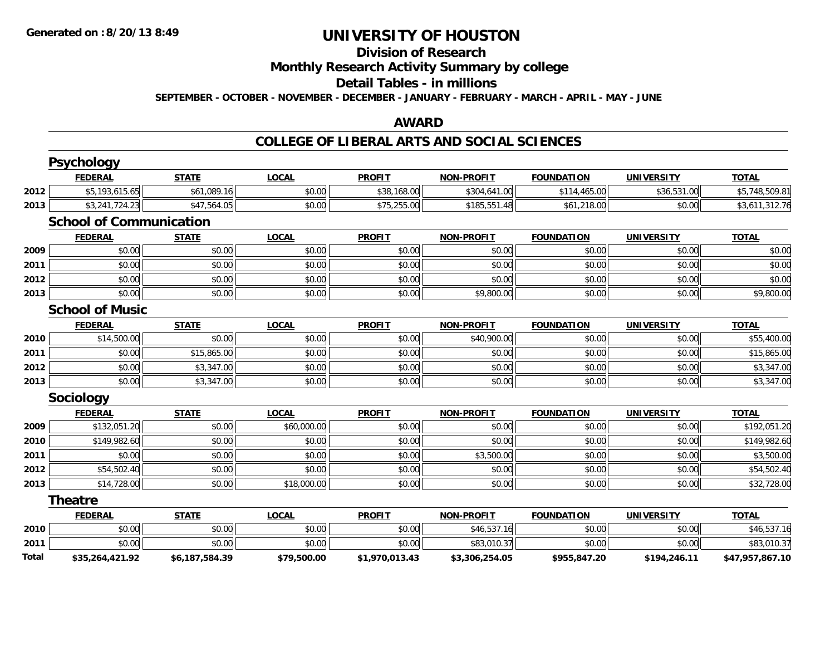#### **Division of Research**

**Monthly Research Activity Summary by college**

#### **Detail Tables - in millions**

**SEPTEMBER - OCTOBER - NOVEMBER - DECEMBER - JANUARY - FEBRUARY - MARCH - APRIL - MAY - JUNE**

## **AWARD**

### **COLLEGE OF LIBERAL ARTS AND SOCIAL SCIENCES**

|       | <b>Psychology</b>              |                |              |                |                   |                   |                   |                 |
|-------|--------------------------------|----------------|--------------|----------------|-------------------|-------------------|-------------------|-----------------|
|       | <b>FEDERAL</b>                 | <b>STATE</b>   | <b>LOCAL</b> | <b>PROFIT</b>  | <b>NON-PROFIT</b> | <b>FOUNDATION</b> | <b>UNIVERSITY</b> | <b>TOTAL</b>    |
| 2012  | \$5,193,615.65                 | \$61,089.16    | \$0.00       | \$38,168.00    | \$304,641.00      | \$114,465.00      | \$36,531.00       | \$5,748,509.81  |
| 2013  | \$3,241,724.23                 | \$47,564.05    | \$0.00       | \$75,255.00    | \$185,551.48      | \$61,218.00       | \$0.00            | \$3,611,312.76  |
|       | <b>School of Communication</b> |                |              |                |                   |                   |                   |                 |
|       | <b>FEDERAL</b>                 | <b>STATE</b>   | <b>LOCAL</b> | <b>PROFIT</b>  | <b>NON-PROFIT</b> | <b>FOUNDATION</b> | <b>UNIVERSITY</b> | <b>TOTAL</b>    |
| 2009  | \$0.00                         | \$0.00         | \$0.00       | \$0.00         | \$0.00            | \$0.00            | \$0.00            | \$0.00          |
| 2011  | \$0.00                         | \$0.00         | \$0.00       | \$0.00         | \$0.00            | \$0.00            | \$0.00            | \$0.00          |
| 2012  | \$0.00                         | \$0.00         | \$0.00       | \$0.00         | \$0.00            | \$0.00            | \$0.00            | \$0.00          |
| 2013  | \$0.00                         | \$0.00         | \$0.00       | \$0.00         | \$9,800.00        | \$0.00            | \$0.00            | \$9,800.00      |
|       | <b>School of Music</b>         |                |              |                |                   |                   |                   |                 |
|       | <b>FEDERAL</b>                 | <b>STATE</b>   | <b>LOCAL</b> | <b>PROFIT</b>  | <b>NON-PROFIT</b> | <b>FOUNDATION</b> | <b>UNIVERSITY</b> | <b>TOTAL</b>    |
| 2010  | \$14,500.00                    | \$0.00         | \$0.00       | \$0.00         | \$40,900.00       | \$0.00            | \$0.00            | \$55,400.00     |
| 2011  | \$0.00                         | \$15,865.00    | \$0.00       | \$0.00         | \$0.00            | \$0.00            | \$0.00            | \$15,865.00     |
| 2012  | \$0.00                         | \$3,347.00     | \$0.00       | \$0.00         | \$0.00            | \$0.00            | \$0.00            | \$3,347.00      |
| 2013  | \$0.00                         | \$3,347.00     | \$0.00       | \$0.00         | \$0.00            | \$0.00            | \$0.00            | \$3,347.00      |
|       | Sociology                      |                |              |                |                   |                   |                   |                 |
|       | <b>FEDERAL</b>                 | <b>STATE</b>   | <b>LOCAL</b> | <b>PROFIT</b>  | <b>NON-PROFIT</b> | <b>FOUNDATION</b> | <b>UNIVERSITY</b> | <b>TOTAL</b>    |
| 2009  | \$132,051.20                   | \$0.00         | \$60,000.00  | \$0.00         | \$0.00            | \$0.00            | \$0.00            | \$192,051.20    |
| 2010  | \$149,982.60                   | \$0.00         | \$0.00       | \$0.00         | \$0.00            | \$0.00            | \$0.00            | \$149,982.60    |
| 2011  | \$0.00                         | \$0.00         | \$0.00       | \$0.00         | \$3,500.00        | \$0.00            | \$0.00            | \$3,500.00      |
| 2012  | \$54,502.40                    | \$0.00         | \$0.00       | \$0.00         | \$0.00            | \$0.00            | \$0.00            | \$54,502.40     |
| 2013  | \$14,728.00                    | \$0.00         | \$18,000.00  | \$0.00         | \$0.00            | \$0.00            | \$0.00            | \$32,728.00     |
|       | <b>Theatre</b>                 |                |              |                |                   |                   |                   |                 |
|       | <b>FEDERAL</b>                 | <b>STATE</b>   | <b>LOCAL</b> | <b>PROFIT</b>  | <b>NON-PROFIT</b> | <b>FOUNDATION</b> | <b>UNIVERSITY</b> | <b>TOTAL</b>    |
| 2010  | \$0.00                         | \$0.00         | \$0.00       | \$0.00         | \$46,537.16       | \$0.00            | \$0.00            | \$46,537.16     |
| 2011  | \$0.00                         | \$0.00         | \$0.00       | \$0.00         | \$83,010.37       | \$0.00            | \$0.00            | \$83,010.37     |
| Total | \$35,264,421.92                | \$6,187,584.39 | \$79,500.00  | \$1,970,013.43 | \$3,306,254.05    | \$955,847.20      | \$194,246.11      | \$47,957,867.10 |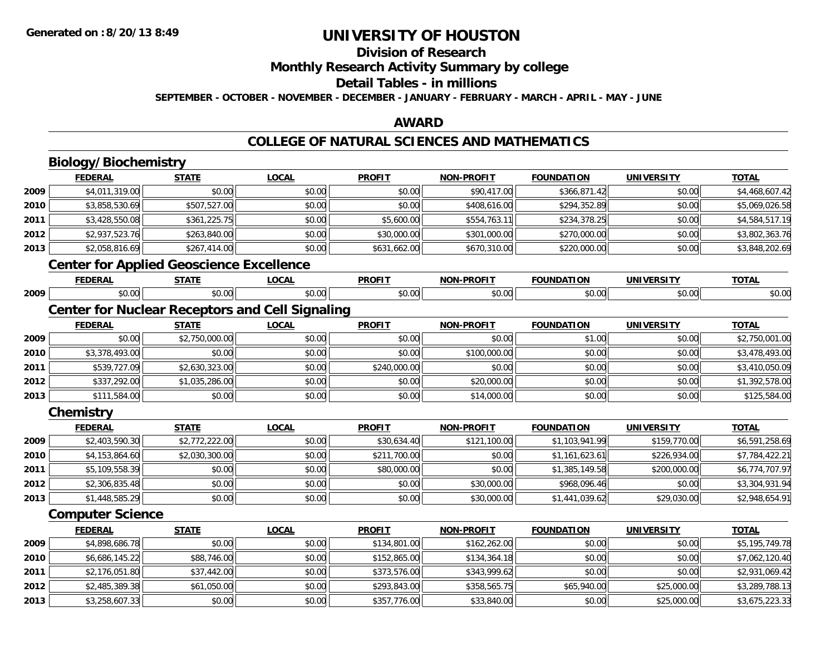**2013**

# **UNIVERSITY OF HOUSTON**

# **Division of Research**

**Monthly Research Activity Summary by college**

#### **Detail Tables - in millions**

**SEPTEMBER - OCTOBER - NOVEMBER - DECEMBER - JANUARY - FEBRUARY - MARCH - APRIL - MAY - JUNE**

## **AWARD**

### **COLLEGE OF NATURAL SCIENCES AND MATHEMATICS**

|      | <b>Biology/Biochemistry</b>                     |                |                                                        |               |                   |                   |                   |                |
|------|-------------------------------------------------|----------------|--------------------------------------------------------|---------------|-------------------|-------------------|-------------------|----------------|
|      | <b>FEDERAL</b>                                  | <b>STATE</b>   | <b>LOCAL</b>                                           | <b>PROFIT</b> | <b>NON-PROFIT</b> | <b>FOUNDATION</b> | <b>UNIVERSITY</b> | <b>TOTAL</b>   |
| 2009 | \$4,011,319.00                                  | \$0.00         | \$0.00                                                 | \$0.00        | \$90,417.00       | \$366,871.42      | \$0.00            | \$4,468,607.42 |
| 2010 | \$3,858,530.69                                  | \$507,527.00   | \$0.00                                                 | \$0.00        | \$408,616.00      | \$294,352.89      | \$0.00            | \$5,069,026.58 |
| 2011 | \$3,428,550.08                                  | \$361,225.75   | \$0.00                                                 | \$5,600.00    | \$554,763.11      | \$234,378.25      | \$0.00            | \$4,584,517.19 |
| 2012 | \$2,937,523.76                                  | \$263,840.00   | \$0.00                                                 | \$30,000.00   | \$301,000.00      | \$270,000.00      | \$0.00            | \$3,802,363.76 |
| 2013 | \$2,058,816.69                                  | \$267,414.00   | \$0.00                                                 | \$631,662.00  | \$670,310.00      | \$220,000.00      | \$0.00            | \$3,848,202.69 |
|      | <b>Center for Applied Geoscience Excellence</b> |                |                                                        |               |                   |                   |                   |                |
|      | <b>FEDERAL</b>                                  | <b>STATE</b>   | <b>LOCAL</b>                                           | <b>PROFIT</b> | <b>NON-PROFIT</b> | <b>FOUNDATION</b> | <b>UNIVERSITY</b> | <b>TOTAL</b>   |
| 2009 | \$0.00                                          | \$0.00         | \$0.00                                                 | \$0.00        | \$0.00            | \$0.00            | \$0.00            | \$0.00         |
|      |                                                 |                | <b>Center for Nuclear Receptors and Cell Signaling</b> |               |                   |                   |                   |                |
|      | <b>FEDERAL</b>                                  | <b>STATE</b>   | <b>LOCAL</b>                                           | <b>PROFIT</b> | <b>NON-PROFIT</b> | <b>FOUNDATION</b> | <b>UNIVERSITY</b> | <b>TOTAL</b>   |
| 2009 | \$0.00                                          | \$2,750,000.00 | \$0.00                                                 | \$0.00        | \$0.00            | \$1.00            | \$0.00            | \$2,750,001.00 |
| 2010 | \$3,378,493.00                                  | \$0.00         | \$0.00                                                 | \$0.00        | \$100,000.00      | \$0.00            | \$0.00            | \$3,478,493.00 |
| 2011 | \$539,727.09                                    | \$2,630,323.00 | \$0.00                                                 | \$240,000.00  | \$0.00            | \$0.00            | \$0.00            | \$3,410,050.09 |
| 2012 | \$337,292.00                                    | \$1,035,286.00 | \$0.00                                                 | \$0.00        | \$20,000.00       | \$0.00            | \$0.00            | \$1,392,578.00 |
| 2013 | \$111,584.00                                    | \$0.00         | \$0.00                                                 | \$0.00        | \$14,000.00       | \$0.00            | \$0.00            | \$125,584.00   |
|      | Chemistry                                       |                |                                                        |               |                   |                   |                   |                |
|      | <b>FEDERAL</b>                                  | <b>STATE</b>   | <b>LOCAL</b>                                           | <b>PROFIT</b> | <b>NON-PROFIT</b> | <b>FOUNDATION</b> | <b>UNIVERSITY</b> | <b>TOTAL</b>   |
| 2009 | \$2,403,590.30                                  | \$2,772,222.00 | \$0.00                                                 | \$30,634.40   | \$121,100.00      | \$1,103,941.99    | \$159,770.00      | \$6,591,258.69 |
| 2010 | \$4,153,864.60                                  | \$2,030,300.00 | \$0.00                                                 | \$211,700.00  | \$0.00            | \$1,161,623.61    | \$226,934.00      | \$7,784,422.21 |
| 2011 | \$5,109,558.39                                  | \$0.00         | \$0.00                                                 | \$80,000.00   | \$0.00            | \$1,385,149.58    | \$200,000.00      | \$6,774,707.97 |
| 2012 | \$2,306,835.48                                  | \$0.00         | \$0.00                                                 | \$0.00        | \$30,000.00       | \$968,096.46      | \$0.00            | \$3,304,931.94 |
| 2013 | \$1,448,585.29                                  | \$0.00         | \$0.00                                                 | \$0.00        | \$30,000.00       | \$1,441,039.62    | \$29,030.00       | \$2,948,654.91 |
|      | <b>Computer Science</b>                         |                |                                                        |               |                   |                   |                   |                |
|      | <b>FEDERAL</b>                                  | <b>STATE</b>   | <b>LOCAL</b>                                           | <b>PROFIT</b> | <b>NON-PROFIT</b> | <b>FOUNDATION</b> | <b>UNIVERSITY</b> | <b>TOTAL</b>   |
| 2009 | \$4,898,686.78                                  | \$0.00         | \$0.00                                                 | \$134,801.00  | \$162,262.00      | \$0.00            | \$0.00            | \$5,195,749.78 |
| 2010 | \$6,686,145.22                                  | \$88,746.00    | \$0.00                                                 | \$152,865.00  | \$134,364.18      | \$0.00            | \$0.00            | \$7,062,120.40 |
| 2011 | \$2,176,051.80                                  | \$37,442.00    | \$0.00                                                 | \$373,576.00  | \$343,999.62      | \$0.00            | \$0.00            | \$2,931,069.42 |
| 2012 | \$2,485,389.38                                  | \$61,050.00    | \$0.00                                                 | \$293,843.00  | \$358,565.75      | \$65,940.00       | \$25,000.00       | \$3,289,788.13 |

\$3,258,607.33 \$0.00 \$0.00 \$357,776.00 \$33,840.00 \$0.00 \$25,000.00 \$3,675,223.33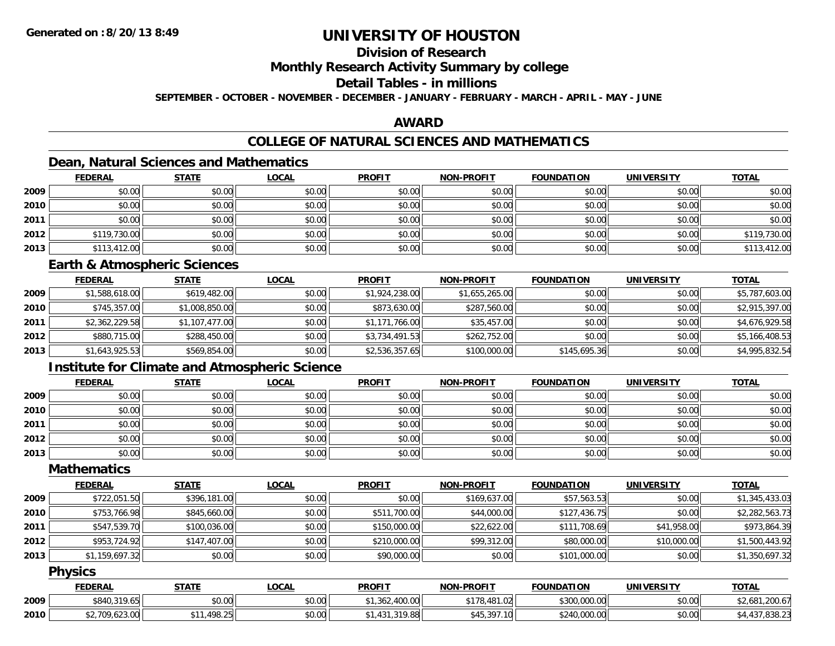# **Division of Research**

### **Monthly Research Activity Summary by college**

## **Detail Tables - in millions**

**SEPTEMBER - OCTOBER - NOVEMBER - DECEMBER - JANUARY - FEBRUARY - MARCH - APRIL - MAY - JUNE**

## **AWARD**

# **COLLEGE OF NATURAL SCIENCES AND MATHEMATICS**

# **Dean, Natural Sciences and Mathematics**

|      | <b>FEDERAL</b> | <b>STATE</b> | <u>LOCAL</u> | <b>PROFIT</b> | <b>NON-PROFIT</b> | <b>FOUNDATION</b> | <b>UNIVERSITY</b> | <b>TOTAL</b> |
|------|----------------|--------------|--------------|---------------|-------------------|-------------------|-------------------|--------------|
| 2009 | \$0.00         | \$0.00       | \$0.00       | \$0.00        | \$0.00            | \$0.00            | \$0.00            | \$0.00       |
| 2010 | \$0.00         | \$0.00       | \$0.00       | \$0.00        | \$0.00            | \$0.00            | \$0.00            | \$0.00       |
| 2011 | \$0.00         | \$0.00       | \$0.00       | \$0.00        | \$0.00            | \$0.00            | \$0.00            | \$0.00       |
| 2012 | \$119,730.00   | \$0.00       | \$0.00       | \$0.00        | \$0.00            | \$0.00            | \$0.00            | \$119,730.00 |
| 2013 | \$113,412.00   | \$0.00       | \$0.00       | \$0.00        | \$0.00            | \$0.00            | \$0.00            | \$113,412.00 |

### **Earth & Atmospheric Sciences**

|      | <b>FEDERAL</b> | <b>STATE</b>   | <b>LOCAL</b> | <b>PROFIT</b>  | <b>NON-PROFIT</b> | <b>FOUNDATION</b> | <b>UNIVERSITY</b> | <b>TOTAL</b>   |
|------|----------------|----------------|--------------|----------------|-------------------|-------------------|-------------------|----------------|
| 2009 | \$1,588,618.00 | \$619,482.00   | \$0.00       | \$1,924,238.00 | \$1,655,265.00    | \$0.00            | \$0.00            | \$5,787,603.00 |
| 2010 | \$745,357.00   | \$1,008,850.00 | \$0.00       | \$873,630.00   | \$287,560.00      | \$0.00            | \$0.00            | \$2,915,397.00 |
| 2011 | \$2,362,229.58 | \$1,107,477.00 | \$0.00       | \$1,171,766.00 | \$35,457.00       | \$0.00            | \$0.00            | \$4,676,929.58 |
| 2012 | \$880,715.00   | \$288,450.00   | \$0.00       | \$3,734,491.53 | \$262,752.00      | \$0.00            | \$0.00            | \$5,166,408.53 |
| 2013 | \$1,643,925.53 | \$569,854.00   | \$0.00       | \$2,536,357.65 | \$100,000.00      | \$145,695.36      | \$0.00            | \$4,995,832.54 |

## **Institute for Climate and Atmospheric Science**

|      | <b>FEDERAL</b> | <b>STATE</b> | <b>LOCAL</b> | <b>PROFIT</b> | <b>NON-PROFIT</b> | <b>FOUNDATION</b> | <b>UNIVERSITY</b> | <b>TOTAL</b> |
|------|----------------|--------------|--------------|---------------|-------------------|-------------------|-------------------|--------------|
| 2009 | \$0.00         | \$0.00       | \$0.00       | \$0.00        | \$0.00            | \$0.00            | \$0.00            | \$0.00       |
| 2010 | \$0.00         | \$0.00       | \$0.00       | \$0.00        | \$0.00            | \$0.00            | \$0.00            | \$0.00       |
| 2011 | \$0.00         | \$0.00       | \$0.00       | \$0.00        | \$0.00            | \$0.00            | \$0.00            | \$0.00       |
| 2012 | \$0.00         | \$0.00       | \$0.00       | \$0.00        | \$0.00            | \$0.00            | \$0.00            | \$0.00       |
| 2013 | \$0.00         | \$0.00       | \$0.00       | \$0.00        | \$0.00            | \$0.00            | \$0.00            | \$0.00       |

## **Mathematics**

|      | <b>FEDERAL</b> | <b>STATE</b> | <u>LOCAL</u> | <b>PROFIT</b> | <b>NON-PROFIT</b> | <b>FOUNDATION</b> | <b>UNIVERSITY</b> | <b>TOTAL</b>   |
|------|----------------|--------------|--------------|---------------|-------------------|-------------------|-------------------|----------------|
| 2009 | \$722,051.50   | \$396,181.00 | \$0.00       | \$0.00        | \$169,637.00      | \$57,563.53       | \$0.00            | \$1,345,433.03 |
| 2010 | \$753,766.98   | \$845,660.00 | \$0.00       | \$511,700.00  | \$44,000.00       | \$127,436.75      | \$0.00            | \$2,282,563.73 |
| 2011 | \$547,539.70   | \$100,036.00 | \$0.00       | \$150,000.00  | \$22,622.00       | \$111,708.69      | \$41,958.00       | \$973,864.39   |
| 2012 | \$953,724.92   | \$147,407.00 | \$0.00       | \$210,000.00  | \$99,312.00       | \$80,000.00       | \$10,000.00       | \$1,500,443.92 |
| 2013 | \$1,159,697.32 | \$0.00       | \$0.00       | \$90,000.00   | \$0.00            | \$101,000.00      | \$0.00            | \$1,350,697.32 |

### **Physics**

|      | <b>FEDERAL</b>                         | <b>STATE</b>                      | .OCAL  | <b>PROFIT</b>               | <b>NON-PROFIT</b>                        | <b>FOUNDATION</b> | UNIV   | <b>TOTAL</b>             |
|------|----------------------------------------|-----------------------------------|--------|-----------------------------|------------------------------------------|-------------------|--------|--------------------------|
| 2009 | \$840,319.<br>1.OC                     | \$0.00                            | \$0.00 | $\sim$<br>$\sim$<br>700.001 | .481<br><b>¢170</b><br>$\sim$<br>.UZI    | ,000.00<br>\$300  | \$0.00 | ,200.67<br>\$2,681       |
| 2010 | $\sqrt{2}$<br>$\sim$<br>700<br>02.J.VU | . 498.25<br><b>A</b> 1 .<br>70.ZJ | \$0.00 | .319.88                     | <b>COS 715</b><br>$\sim$<br>١U<br>345.3Y | 000.00.<br>0.000  | \$0.00 | .000 <sub>1</sub><br>−…… |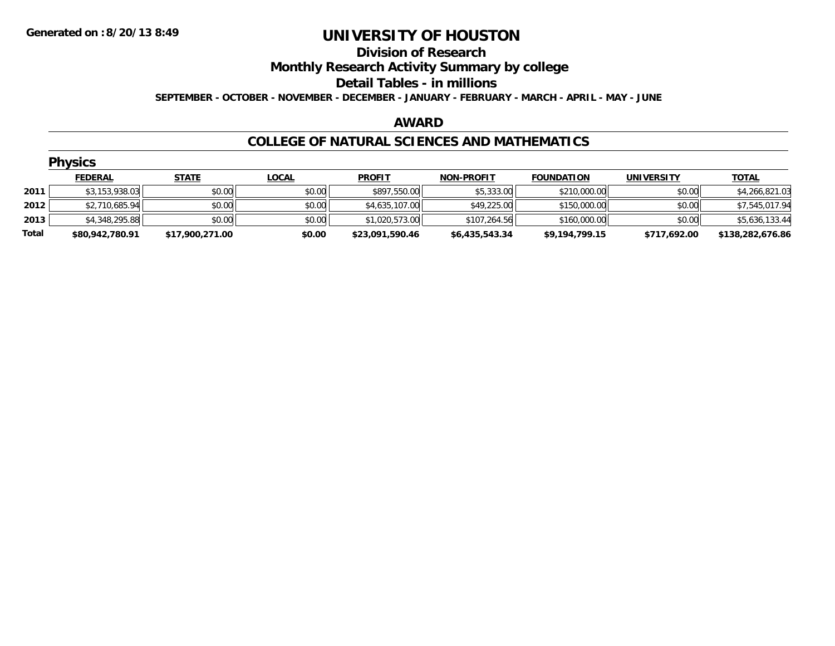# **Division of Research**

# **Monthly Research Activity Summary by college**

#### **Detail Tables - in millions**

**SEPTEMBER - OCTOBER - NOVEMBER - DECEMBER - JANUARY - FEBRUARY - MARCH - APRIL - MAY - JUNE**

### **AWARD**

### **COLLEGE OF NATURAL SCIENCES AND MATHEMATICS**

|       | <b>Physics</b>  |                 |              |                 |                   |                   |                   |                  |  |  |  |  |
|-------|-----------------|-----------------|--------------|-----------------|-------------------|-------------------|-------------------|------------------|--|--|--|--|
|       | <b>FEDERAL</b>  | <b>STATE</b>    | <u>LOCAL</u> | <b>PROFIT</b>   | <b>NON-PROFIT</b> | <b>FOUNDATION</b> | <b>UNIVERSITY</b> | <b>TOTAL</b>     |  |  |  |  |
| 2011  | \$3,153,938.03  | \$0.00          | \$0.00       | \$897,550.00    | \$5,333.00        | \$210,000.00      | \$0.00            | \$4,266,821.03   |  |  |  |  |
| 2012  | \$2,710,685.94  | \$0.00          | \$0.00       | \$4,635,107.00  | \$49,225.00       | \$150,000.00      | \$0.00            | \$7,545,017.94   |  |  |  |  |
| 2013  | \$4,348,295.88  | \$0.00          | \$0.00       | \$1,020,573.00  | \$107,264.56      | \$160,000.00      | \$0.00            | \$5,636,133.44   |  |  |  |  |
| Total | \$80,942,780.91 | \$17,900,271.00 | \$0.00       | \$23,091,590.46 | \$6,435,543.34    | \$9,194,799.15    | \$717,692.00      | \$138,282,676.86 |  |  |  |  |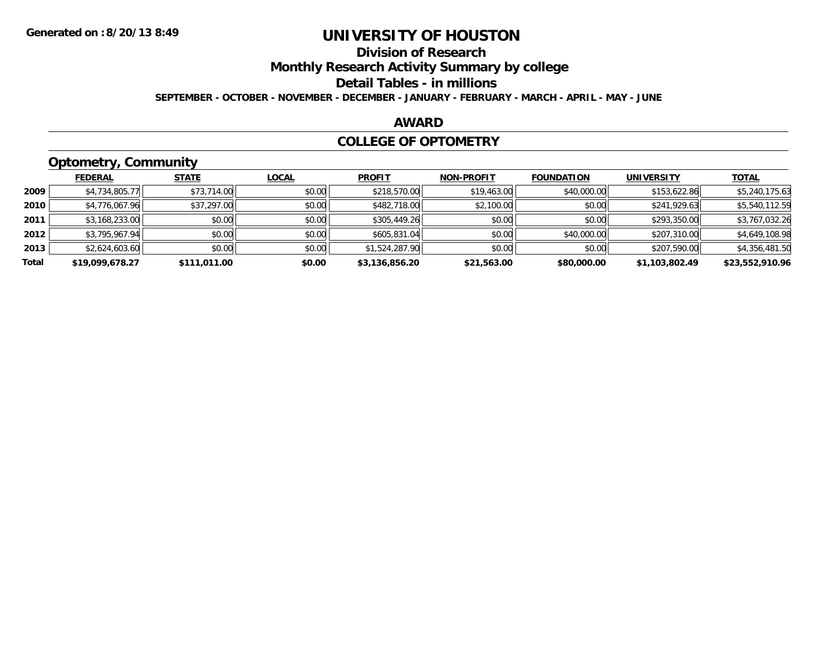# **Division of Research**

**Monthly Research Activity Summary by college**

#### **Detail Tables - in millions**

**SEPTEMBER - OCTOBER - NOVEMBER - DECEMBER - JANUARY - FEBRUARY - MARCH - APRIL - MAY - JUNE**

## **AWARD**

### **COLLEGE OF OPTOMETRY**

# **Optometry, Community**

|       | .               |              |              |                |                   |                   |                   |                 |
|-------|-----------------|--------------|--------------|----------------|-------------------|-------------------|-------------------|-----------------|
|       | <b>FEDERAL</b>  | <b>STATE</b> | <b>LOCAL</b> | <b>PROFIT</b>  | <b>NON-PROFIT</b> | <b>FOUNDATION</b> | <b>UNIVERSITY</b> | <u>TOTAL</u>    |
| 2009  | \$4,734,805.77  | \$73,714.00  | \$0.00       | \$218,570.00   | \$19,463.00       | \$40,000.00       | \$153,622.86      | \$5,240,175.63  |
| 2010  | \$4,776,067.96  | \$37,297.00  | \$0.00       | \$482,718,00   | \$2,100.00        | \$0.00            | \$241,929.63      | \$5,540,112.59  |
| 2011  | \$3,168,233.00  | \$0.00       | \$0.00       | \$305,449.26   | \$0.00            | \$0.00            | \$293,350.00      | \$3,767,032.26  |
| 2012  | \$3,795,967.94  | \$0.00       | \$0.00       | \$605,831.04   | \$0.00            | \$40,000.00       | \$207,310.00      | \$4,649,108.98  |
| 2013  | \$2,624,603.60  | \$0.00       | \$0.00       | \$1,524,287.90 | \$0.00            | \$0.00            | \$207,590.00      | \$4,356,481.50  |
| Total | \$19,099,678.27 | \$111,011.00 | \$0.00       | \$3,136,856.20 | \$21,563.00       | \$80,000.00       | \$1,103,802.49    | \$23,552,910.96 |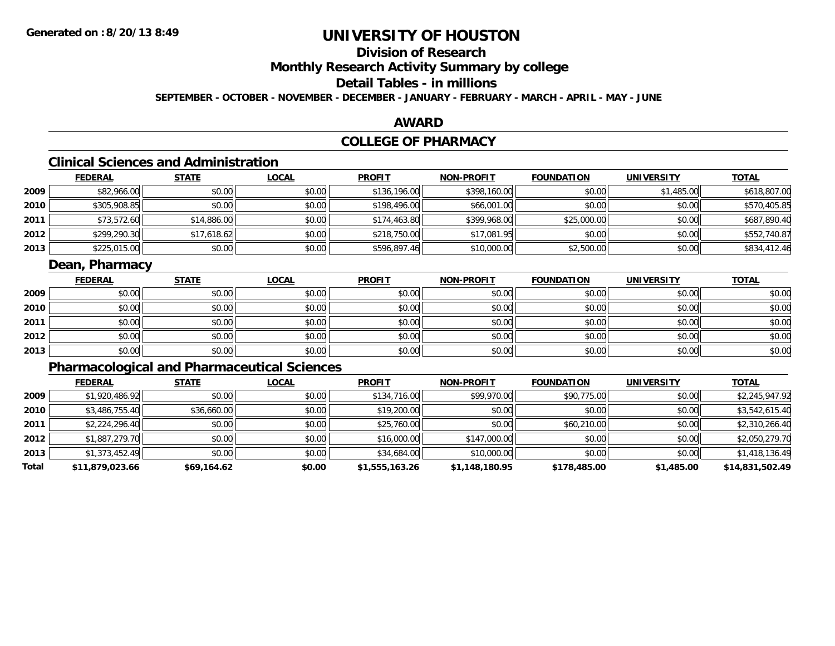# **Division of Research**

**Monthly Research Activity Summary by college**

# **Detail Tables - in millions**

**SEPTEMBER - OCTOBER - NOVEMBER - DECEMBER - JANUARY - FEBRUARY - MARCH - APRIL - MAY - JUNE**

## **AWARD**

# **COLLEGE OF PHARMACY**

# **Clinical Sciences and Administration**

|      | <b>FEDERAL</b> | <b>STATE</b> | <b>LOCAL</b> | <b>PROFIT</b> | <b>NON-PROFIT</b> | <b>FOUNDATION</b> | <b>UNIVERSITY</b> | <u>TOTAL</u> |
|------|----------------|--------------|--------------|---------------|-------------------|-------------------|-------------------|--------------|
| 2009 | \$82,966.00    | \$0.00       | \$0.00       | \$136,196.00  | \$398,160.00      | \$0.00            | \$1,485.00        | \$618,807.00 |
| 2010 | \$305,908.85   | \$0.00       | \$0.00       | \$198,496.00  | \$66,001.00       | \$0.00            | \$0.00            | \$570,405.85 |
| 2011 | \$73,572.60    | \$14,886.00  | \$0.00       | \$174,463.80  | \$399,968.00      | \$25,000.00       | \$0.00            | \$687,890.40 |
| 2012 | \$299,290.30   | \$17,618.62  | \$0.00       | \$218,750.00  | \$17,081.95       | \$0.00            | \$0.00            | \$552,740.87 |
| 2013 | \$225,015.00   | \$0.00       | \$0.00       | \$596,897.46  | \$10,000.00       | \$2,500.00        | \$0.00            | \$834,412.46 |

## **Dean, Pharmacy**

|      | <u>FEDERAL</u> | <u>STATE</u> | <u>LOCAL</u> | <b>PROFIT</b> | <b>NON-PROFIT</b> | <b>FOUNDATION</b> | <b>UNIVERSITY</b> | <b>TOTAL</b> |
|------|----------------|--------------|--------------|---------------|-------------------|-------------------|-------------------|--------------|
| 2009 | \$0.00         | \$0.00       | \$0.00       | \$0.00        | \$0.00            | \$0.00            | \$0.00            | \$0.00       |
| 2010 | \$0.00         | \$0.00       | \$0.00       | \$0.00        | \$0.00            | \$0.00            | \$0.00            | \$0.00       |
| 2011 | \$0.00         | \$0.00       | \$0.00       | \$0.00        | \$0.00            | \$0.00            | \$0.00            | \$0.00       |
| 2012 | \$0.00         | \$0.00       | \$0.00       | \$0.00        | \$0.00            | \$0.00            | \$0.00            | \$0.00       |
| 2013 | \$0.00         | \$0.00       | \$0.00       | \$0.00        | \$0.00            | \$0.00            | \$0.00            | \$0.00       |

# **Pharmacological and Pharmaceutical Sciences**

|       | <b>FEDERAL</b>  | <b>STATE</b> | <b>LOCAL</b> | <b>PROFIT</b>  | <b>NON-PROFIT</b> | <b>FOUNDATION</b> | <b>UNIVERSITY</b> | <u>TOTAL</u>    |
|-------|-----------------|--------------|--------------|----------------|-------------------|-------------------|-------------------|-----------------|
| 2009  | \$1,920,486.92  | \$0.00       | \$0.00       | \$134,716.00   | \$99,970.00       | \$90,775.00       | \$0.00            | \$2,245,947.92  |
| 2010  | \$3,486,755.40  | \$36,660.00  | \$0.00       | \$19,200.00    | \$0.00            | \$0.00            | \$0.00            | \$3,542,615.40  |
| 2011  | \$2,224,296.40  | \$0.00       | \$0.00       | \$25,760.00    | \$0.00            | \$60,210.00       | \$0.00            | \$2,310,266.40  |
| 2012  | \$1,887,279.70  | \$0.00       | \$0.00       | \$16,000.00    | \$147,000.00      | \$0.00            | \$0.00            | \$2,050,279.70  |
| 2013  | \$1,373,452.49  | \$0.00       | \$0.00       | \$34,684.00    | \$10,000.00       | \$0.00            | \$0.00            | \$1,418,136.49  |
| Total | \$11,879,023.66 | \$69,164.62  | \$0.00       | \$1,555,163.26 | \$1,148,180.95    | \$178,485.00      | \$1,485.00        | \$14,831,502.49 |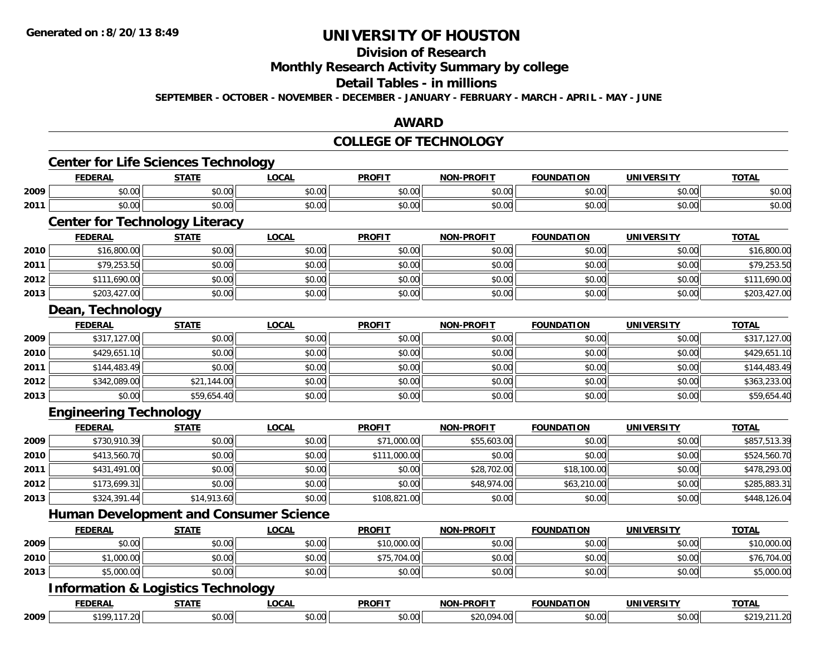#### **Division of Research**

**Monthly Research Activity Summary by college**

#### **Detail Tables - in millions**

**SEPTEMBER - OCTOBER - NOVEMBER - DECEMBER - JANUARY - FEBRUARY - MARCH - APRIL - MAY - JUNE**

## **AWARD**

### **COLLEGE OF TECHNOLOGY**

|      | <b>Center for Life Sciences Technology</b>    |              |              |               |                   |                   |                   |              |
|------|-----------------------------------------------|--------------|--------------|---------------|-------------------|-------------------|-------------------|--------------|
|      | <b>FEDERAL</b>                                | <b>STATE</b> | <b>LOCAL</b> | <b>PROFIT</b> | <b>NON-PROFIT</b> | <b>FOUNDATION</b> | <b>UNIVERSITY</b> | <b>TOTAL</b> |
| 2009 | \$0.00                                        | \$0.00       | \$0.00       | \$0.00        | \$0.00            | \$0.00            | \$0.00            | \$0.00       |
| 2011 | \$0.00                                        | \$0.00       | \$0.00       | \$0.00        | \$0.00            | \$0.00            | \$0.00            | \$0.00       |
|      | <b>Center for Technology Literacy</b>         |              |              |               |                   |                   |                   |              |
|      | <b>FEDERAL</b>                                | <b>STATE</b> | <b>LOCAL</b> | <b>PROFIT</b> | <b>NON-PROFIT</b> | <b>FOUNDATION</b> | <b>UNIVERSITY</b> | <b>TOTAL</b> |
| 2010 | \$16,800.00                                   | \$0.00       | \$0.00       | \$0.00        | \$0.00            | \$0.00            | \$0.00            | \$16,800.00  |
| 2011 | \$79,253.50                                   | \$0.00       | \$0.00       | \$0.00        | \$0.00            | \$0.00            | \$0.00            | \$79,253.50  |
| 2012 | \$111,690.00                                  | \$0.00       | \$0.00       | \$0.00        | \$0.00            | \$0.00            | \$0.00            | \$111,690.00 |
| 2013 | \$203,427.00                                  | \$0.00       | \$0.00       | \$0.00        | \$0.00            | \$0.00            | \$0.00            | \$203,427.00 |
|      | Dean, Technology                              |              |              |               |                   |                   |                   |              |
|      | <b>FEDERAL</b>                                | <b>STATE</b> | <b>LOCAL</b> | <b>PROFIT</b> | <b>NON-PROFIT</b> | <b>FOUNDATION</b> | <b>UNIVERSITY</b> | <b>TOTAL</b> |
| 2009 | \$317,127.00                                  | \$0.00       | \$0.00       | \$0.00        | \$0.00            | \$0.00            | \$0.00            | \$317,127.00 |
| 2010 | \$429,651.10                                  | \$0.00       | \$0.00       | \$0.00        | \$0.00            | \$0.00            | \$0.00            | \$429,651.10 |
| 2011 | \$144,483.49                                  | \$0.00       | \$0.00       | \$0.00        | \$0.00            | \$0.00            | \$0.00            | \$144,483.49 |
| 2012 | \$342,089.00                                  | \$21,144.00  | \$0.00       | \$0.00        | \$0.00            | \$0.00            | \$0.00            | \$363,233.00 |
| 2013 | \$0.00                                        | \$59,654.40  | \$0.00       | \$0.00        | \$0.00            | \$0.00            | \$0.00            | \$59,654.40  |
|      | <b>Engineering Technology</b>                 |              |              |               |                   |                   |                   |              |
|      | <b>FEDERAL</b>                                | <b>STATE</b> | <b>LOCAL</b> | <b>PROFIT</b> | <b>NON-PROFIT</b> | <b>FOUNDATION</b> | <b>UNIVERSITY</b> | <b>TOTAL</b> |
| 2009 | \$730,910.39                                  | \$0.00       | \$0.00       | \$71,000.00   | \$55,603.00       | \$0.00            | \$0.00            | \$857,513.39 |
| 2010 | \$413,560.70                                  | \$0.00       | \$0.00       | \$111,000.00  | \$0.00            | \$0.00            | \$0.00            | \$524,560.70 |
| 2011 | \$431,491.00                                  | \$0.00       | \$0.00       | \$0.00        | \$28,702.00       | \$18,100.00       | \$0.00            | \$478,293.00 |
| 2012 | \$173,699.31                                  | \$0.00       | \$0.00       | \$0.00        | \$48,974.00       | \$63,210.00       | \$0.00            | \$285,883.31 |
| 2013 | \$324,391.44                                  | \$14,913.60  | \$0.00       | \$108,821.00  | \$0.00            | \$0.00            | \$0.00            | \$448,126.04 |
|      | <b>Human Development and Consumer Science</b> |              |              |               |                   |                   |                   |              |
|      | <b>FEDERAL</b>                                | <b>STATE</b> | <b>LOCAL</b> | <b>PROFIT</b> | <b>NON-PROFIT</b> | <b>FOUNDATION</b> | <b>UNIVERSITY</b> | <b>TOTAL</b> |
| 2009 | \$0.00                                        | \$0.00       | \$0.00       | \$10,000.00   | \$0.00            | \$0.00            | \$0.00            | \$10,000.00  |
| 2010 | \$1,000.00                                    | \$0.00       | \$0.00       | \$75,704.00   | \$0.00            | \$0.00            | \$0.00            | \$76,704.00  |
| 2013 | \$5,000.00                                    | \$0.00       | \$0.00       | \$0.00        | \$0.00            | \$0.00            | \$0.00            | \$5,000.00   |
|      | <b>Information &amp; Logistics Technology</b> |              |              |               |                   |                   |                   |              |
|      | <b>FEDERAL</b>                                | <b>STATE</b> | <b>LOCAL</b> | <b>PROFIT</b> | <b>NON-PROFIT</b> | <b>FOUNDATION</b> | <b>UNIVERSITY</b> | <b>TOTAL</b> |
| 2009 | \$199,117.20                                  | \$0.00       | \$0.00       | \$0.00        | \$20,094.00       | \$0.00            | \$0.00            | \$219,211.20 |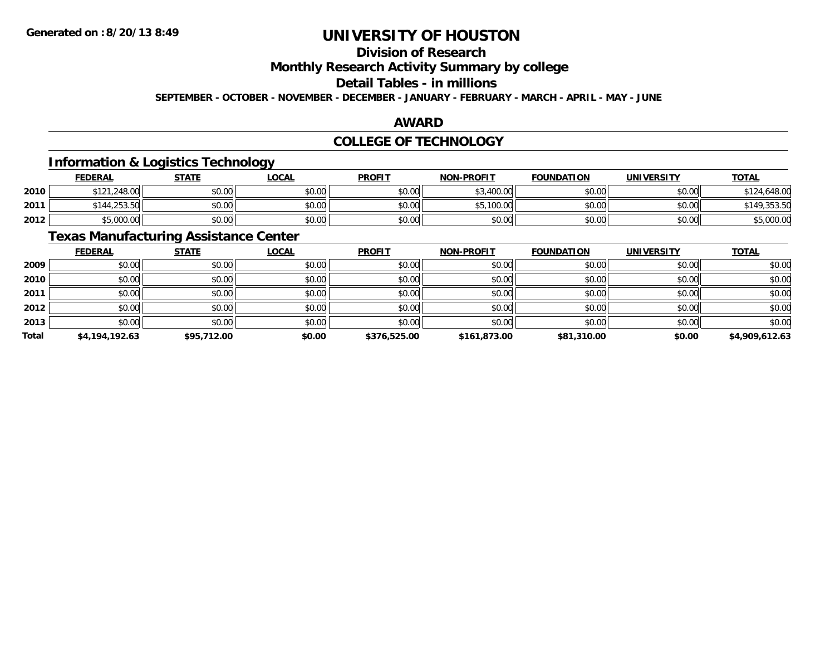# **Division of Research**

**Monthly Research Activity Summary by college**

# **Detail Tables - in millions**

**SEPTEMBER - OCTOBER - NOVEMBER - DECEMBER - JANUARY - FEBRUARY - MARCH - APRIL - MAY - JUNE**

## **AWARD**

## **COLLEGE OF TECHNOLOGY**

## **Information & Logistics Technology**

|      | <u>FEDERAL</u> | <b>STATE</b> | <b>_OCAL</b>             | <b>PROFIT</b> | <b>NON-PROFIT</b> | <b>FOUNDATION</b> | UNIVERSITY | <b>TOTAL</b>        |
|------|----------------|--------------|--------------------------|---------------|-------------------|-------------------|------------|---------------------|
| 2010 | \$121,248.00   | \$0.00       | $\circ$ $\circ$<br>DU.UU | \$0.00        | 400.00<br>ሖ       | \$0.00            | \$0.00     | 0.648.00<br>$^{24}$ |
| 2011 | \$144,253.50   | \$0.00       | \$0.00                   | \$0.00        | .100.00<br>ΨF.    | \$0.00            | \$0.00     |                     |
| 2012 | \$5,000.00     | \$0.00       | \$0.00                   | \$0.00        | \$0.00            | \$0.00            | \$0.00     | \$5,000.00          |

## **Texas Manufacturing Assistance Center**

|       | <b>FEDERAL</b> | <b>STATE</b> | <b>LOCAL</b> | <b>PROFIT</b> | <b>NON-PROFIT</b> | <b>FOUNDATION</b> | <b>UNIVERSITY</b> | <b>TOTAL</b>   |
|-------|----------------|--------------|--------------|---------------|-------------------|-------------------|-------------------|----------------|
| 2009  | \$0.00         | \$0.00       | \$0.00       | \$0.00        | \$0.00            | \$0.00            | \$0.00            | \$0.00         |
| 2010  | \$0.00         | \$0.00       | \$0.00       | \$0.00        | \$0.00            | \$0.00            | \$0.00            | \$0.00         |
| 2011  | \$0.00         | \$0.00       | \$0.00       | \$0.00        | \$0.00            | \$0.00            | \$0.00            | \$0.00         |
| 2012  | \$0.00         | \$0.00       | \$0.00       | \$0.00        | \$0.00            | \$0.00            | \$0.00            | \$0.00         |
| 2013  | \$0.00         | \$0.00       | \$0.00       | \$0.00        | \$0.00            | \$0.00            | \$0.00            | \$0.00         |
| Total | \$4,194,192.63 | \$95,712.00  | \$0.00       | \$376,525.00  | \$161,873.00      | \$81,310.00       | \$0.00            | \$4,909,612.63 |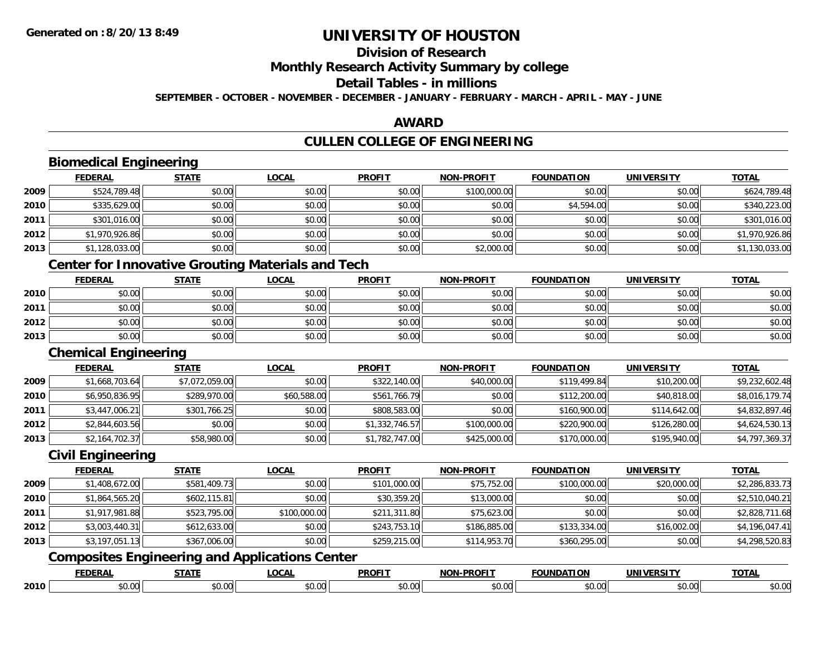# **Division of Research**

**Monthly Research Activity Summary by college**

#### **Detail Tables - in millions**

**SEPTEMBER - OCTOBER - NOVEMBER - DECEMBER - JANUARY - FEBRUARY - MARCH - APRIL - MAY - JUNE**

## **AWARD**

# **CULLEN COLLEGE OF ENGINEERING**

|      | <b>Biomedical Engineering</b>                            |                |              |                |                   |                   |                   |                |
|------|----------------------------------------------------------|----------------|--------------|----------------|-------------------|-------------------|-------------------|----------------|
|      | <b>FEDERAL</b>                                           | <b>STATE</b>   | <b>LOCAL</b> | <b>PROFIT</b>  | <b>NON-PROFIT</b> | <b>FOUNDATION</b> | <b>UNIVERSITY</b> | <b>TOTAL</b>   |
| 2009 | \$524,789.48                                             | \$0.00         | \$0.00       | \$0.00         | \$100,000.00      | \$0.00            | \$0.00            | \$624,789.48   |
| 2010 | \$335,629.00                                             | \$0.00         | \$0.00       | \$0.00         | \$0.00            | \$4,594.00        | \$0.00            | \$340,223.00   |
| 2011 | \$301,016.00                                             | \$0.00         | \$0.00       | \$0.00         | \$0.00            | \$0.00            | \$0.00            | \$301,016.00   |
| 2012 | \$1,970,926.86                                           | \$0.00         | \$0.00       | \$0.00         | \$0.00            | \$0.00            | \$0.00            | \$1,970,926.86 |
| 2013 | \$1,128,033.00                                           | \$0.00         | \$0.00       | \$0.00         | \$2,000.00        | \$0.00            | \$0.00            | \$1,130,033.00 |
|      | <b>Center for Innovative Grouting Materials and Tech</b> |                |              |                |                   |                   |                   |                |
|      | <b>FEDERAL</b>                                           | <b>STATE</b>   | <b>LOCAL</b> | <b>PROFIT</b>  | <b>NON-PROFIT</b> | <b>FOUNDATION</b> | <b>UNIVERSITY</b> | <b>TOTAL</b>   |
| 2010 | \$0.00                                                   | \$0.00         | \$0.00       | \$0.00         | \$0.00            | \$0.00            | \$0.00            | \$0.00         |
| 2011 | \$0.00                                                   | \$0.00         | \$0.00       | \$0.00         | \$0.00            | \$0.00            | \$0.00            | \$0.00         |
| 2012 | \$0.00                                                   | \$0.00         | \$0.00       | \$0.00         | \$0.00            | \$0.00            | \$0.00            | \$0.00         |
| 2013 | \$0.00                                                   | \$0.00         | \$0.00       | \$0.00         | \$0.00            | \$0.00            | \$0.00            | \$0.00         |
|      | <b>Chemical Engineering</b>                              |                |              |                |                   |                   |                   |                |
|      | <b>FEDERAL</b>                                           | <b>STATE</b>   | <b>LOCAL</b> | <b>PROFIT</b>  | <b>NON-PROFIT</b> | <b>FOUNDATION</b> | <b>UNIVERSITY</b> | <b>TOTAL</b>   |
| 2009 | \$1,668,703.64                                           | \$7,072,059.00 | \$0.00       | \$322,140.00   | \$40,000.00       | \$119,499.84      | \$10,200.00       | \$9,232,602.48 |
| 2010 | \$6,950,836.95                                           | \$289,970.00   | \$60,588.00  | \$561,766.79   | \$0.00            | \$112,200.00      | \$40,818.00       | \$8,016,179.74 |
| 2011 | \$3,447,006.21                                           | \$301,766.25   | \$0.00       | \$808,583.00   | \$0.00            | \$160,900.00      | \$114,642.00      | \$4,832,897.46 |
| 2012 | \$2,844,603.56                                           | \$0.00         | \$0.00       | \$1,332,746.57 | \$100,000.00      | \$220,900.00      | \$126,280.00      | \$4,624,530.13 |
| 2013 | \$2,164,702.37                                           | \$58,980.00    | \$0.00       | \$1,782,747.00 | \$425,000.00      | \$170,000.00      | \$195,940.00      | \$4,797,369.37 |
|      | <b>Civil Engineering</b>                                 |                |              |                |                   |                   |                   |                |
|      | <b>FEDERAL</b>                                           | <b>STATE</b>   | <b>LOCAL</b> | <b>PROFIT</b>  | <b>NON-PROFIT</b> | <b>FOUNDATION</b> | <b>UNIVERSITY</b> | <b>TOTAL</b>   |
| 2009 | \$1,408,672.00                                           | \$581,409.73   | \$0.00       | \$101,000.00   | \$75,752.00       | \$100,000.00      | \$20,000.00       | \$2,286,833.73 |
| 2010 | \$1,864,565.20                                           | \$602,115.81   | \$0.00       | \$30,359.20    | \$13,000.00       | \$0.00            | \$0.00            | \$2,510,040.21 |
| 2011 | \$1,917,981.88                                           | \$523,795.00   | \$100,000.00 | \$211,311.80   | \$75,623.00       | \$0.00            | \$0.00            | \$2,828,711.68 |
| 2012 | \$3,003,440.31                                           | \$612,633.00   | \$0.00       | \$243,753.10   | \$186,885.00      | \$133,334.00      | \$16,002.00       | \$4,196,047.41 |
| 2013 | \$3,197,051.13                                           | \$367,006.00   | \$0.00       | \$259,215.00   | \$114,953.70      | \$360,295.00      | \$0.00            | \$4,298,520.83 |
|      | <b>Composites Engineering and Applications Center</b>    |                |              |                |                   |                   |                   |                |
|      | <b>FEDERAL</b>                                           | <b>STATE</b>   | <b>LOCAL</b> | <b>PROFIT</b>  | NON-PROFIT        | <b>FOUNDATION</b> | <b>UNIVERSITY</b> | <b>TOTAL</b>   |
| 2010 | \$0.00                                                   | \$0.00         | \$0.00       | \$0.00         | \$0.00            | \$0.00            | \$0.00            | \$0.00         |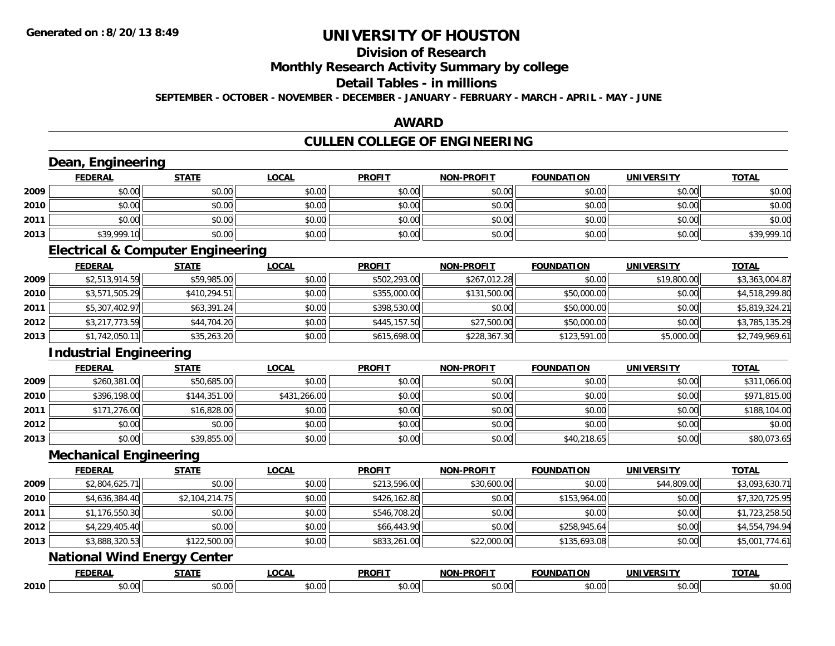#### **Division of Research**

**Monthly Research Activity Summary by college**

#### **Detail Tables - in millions**

**SEPTEMBER - OCTOBER - NOVEMBER - DECEMBER - JANUARY - FEBRUARY - MARCH - APRIL - MAY - JUNE**

## **AWARD**

# **CULLEN COLLEGE OF ENGINEERING**

| <b>FEDERAL</b> | <b>STATE</b>   | <b>LOCAL</b>                                                                                                              | <b>PROFIT</b>                                | <b>NON-PROFIT</b> | <b>FOUNDATION</b> | <b>UNIVERSITY</b> | <b>TOTAL</b>   |
|----------------|----------------|---------------------------------------------------------------------------------------------------------------------------|----------------------------------------------|-------------------|-------------------|-------------------|----------------|
| \$0.00         | \$0.00         | \$0.00                                                                                                                    | \$0.00                                       | \$0.00            | \$0.00            | \$0.00            | \$0.00         |
| \$0.00         | \$0.00         | \$0.00                                                                                                                    | \$0.00                                       | \$0.00            | \$0.00            | \$0.00            | \$0.00         |
| \$0.00         | \$0.00         | \$0.00                                                                                                                    | \$0.00                                       | \$0.00            | \$0.00            | \$0.00            | \$0.00         |
| \$39,999.10    | \$0.00         | \$0.00                                                                                                                    | \$0.00                                       | \$0.00            | \$0.00            | \$0.00            | \$39,999.10    |
|                |                |                                                                                                                           |                                              |                   |                   |                   |                |
| <b>FEDERAL</b> | <b>STATE</b>   | <b>LOCAL</b>                                                                                                              | <b>PROFIT</b>                                | <b>NON-PROFIT</b> | <b>FOUNDATION</b> | <b>UNIVERSITY</b> | <b>TOTAL</b>   |
| \$2,513,914.59 | \$59,985.00    | \$0.00                                                                                                                    | \$502,293.00                                 | \$267,012.28      | \$0.00            | \$19,800.00       | \$3,363,004.87 |
| \$3,571,505.29 | \$410,294.51   | \$0.00                                                                                                                    | \$355,000.00                                 | \$131,500.00      | \$50,000.00       | \$0.00            | \$4,518,299.80 |
| \$5,307,402.97 | \$63,391.24    | \$0.00                                                                                                                    | \$398,530.00                                 | \$0.00            | \$50,000.00       | \$0.00            | \$5,819,324.21 |
| \$3,217,773.59 | \$44,704.20    | \$0.00                                                                                                                    | \$445,157.50                                 | \$27,500.00       | \$50,000.00       | \$0.00            | \$3,785,135.29 |
| \$1,742,050.11 | \$35,263.20    | \$0.00                                                                                                                    | \$615,698.00                                 | \$228,367.30      | \$123,591.00      | \$5,000.00        | \$2,749,969.61 |
|                |                |                                                                                                                           |                                              |                   |                   |                   |                |
| <b>FEDERAL</b> | <b>STATE</b>   | LOCAL                                                                                                                     | <b>PROFIT</b>                                | <b>NON-PROFIT</b> | <b>FOUNDATION</b> | <b>UNIVERSITY</b> | <b>TOTAL</b>   |
| \$260,381.00   | \$50,685.00    | \$0.00                                                                                                                    | \$0.00                                       | \$0.00            | \$0.00            | \$0.00            | \$311,066.00   |
| \$396,198.00   | \$144,351.00   | \$431,266.00                                                                                                              | \$0.00                                       | \$0.00            | \$0.00            | \$0.00            | \$971,815.00   |
| \$171,276.00   | \$16,828.00    | \$0.00                                                                                                                    | \$0.00                                       | \$0.00            | \$0.00            | \$0.00            | \$188,104.00   |
| \$0.00         | \$0.00         | \$0.00                                                                                                                    | \$0.00                                       | \$0.00            | \$0.00            | \$0.00            | \$0.00         |
| \$0.00         | \$39,855.00    | \$0.00                                                                                                                    | \$0.00                                       | \$0.00            | \$40,218.65       | \$0.00            | \$80,073.65    |
|                |                |                                                                                                                           |                                              |                   |                   |                   |                |
| <b>FEDERAL</b> | STATE          | <b>LOCAL</b>                                                                                                              | <b>PROFIT</b>                                | <b>NON-PROFIT</b> | <b>FOUNDATION</b> | <b>UNIVERSITY</b> | <b>TOTAL</b>   |
| \$2,804,625.71 | \$0.00         | \$0.00                                                                                                                    | \$213,596.00                                 | \$30,600.00       | \$0.00            | \$44,809.00       | \$3,093,630.71 |
| \$4,636,384.40 | \$2,104,214.75 | \$0.00                                                                                                                    | \$426,162.80                                 | \$0.00            | \$153,964.00      | \$0.00            | \$7,320,725.95 |
| \$1,176,550.30 | \$0.00         | \$0.00                                                                                                                    | \$546,708.20                                 | \$0.00            | \$0.00            | \$0.00            | \$1,723,258.50 |
| \$4,229,405.40 | \$0.00         | \$0.00                                                                                                                    | \$66,443.90                                  | \$0.00            | \$258,945.64      | \$0.00            | \$4,554,794.94 |
| \$3,888,320.53 | \$122,500.00   | \$0.00                                                                                                                    | \$833,261.00                                 | \$22,000.00       | \$135,693.08      | \$0.00            | \$5,001,774.61 |
|                |                |                                                                                                                           |                                              |                   |                   |                   |                |
| <b>FEDERAL</b> | <b>STATE</b>   | <b>LOCAL</b>                                                                                                              | <b>PROFIT</b>                                | <b>NON-PROFIT</b> | <b>FOUNDATION</b> | <b>UNIVERSITY</b> | <b>TOTAL</b>   |
| \$0.00         | \$0.00         | \$0.00                                                                                                                    | \$0.00                                       | \$0.00            | \$0.00            | \$0.00            | \$0.00         |
|                |                | Dean, Engineering<br><b>Industrial Engineering</b><br><b>Mechanical Engineering</b><br><b>National Wind Energy Center</b> | <b>Electrical &amp; Computer Engineering</b> |                   |                   |                   |                |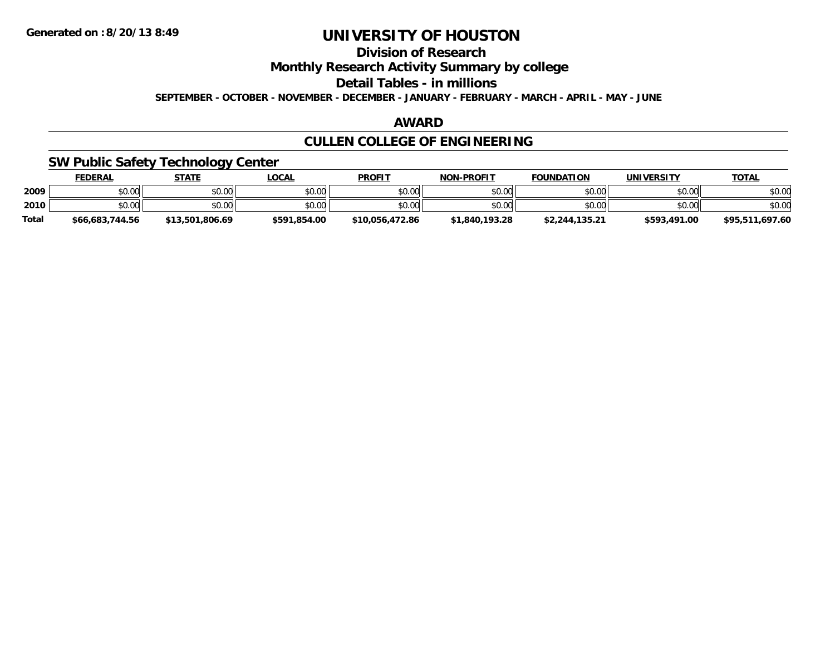# **Division of Research**

**Monthly Research Activity Summary by college**

**Detail Tables - in millions**

**SEPTEMBER - OCTOBER - NOVEMBER - DECEMBER - JANUARY - FEBRUARY - MARCH - APRIL - MAY - JUNE**

## **AWARD**

# **CULLEN COLLEGE OF ENGINEERING**

## **SW Public Safety Technology Center**

|              | <b>FEDERAL</b>  | <b>STATE</b>    | <u>LOCAL</u> | <b>PROFIT</b>   | <b>NON-PROFIT</b> | <b>FOUNDATION</b> | UNIVERSITY   | <b>TOTAL</b>    |
|--------------|-----------------|-----------------|--------------|-----------------|-------------------|-------------------|--------------|-----------------|
| 2009         | \$0.00          | \$0.00          | \$0.00       | \$0.00          | \$0.00            | \$0.00            | \$0.00       | \$0.00          |
| 2010         | \$0.00          | \$0.00          | \$0.00       | \$0.00          | \$0.00            | \$0.00            | \$0.00       | \$0.00          |
| <b>Total</b> | \$66,683,744.56 | \$13,501,806.69 | \$591,854.00 | \$10,056,472.86 | \$1,840,193.28    | \$2,244,135.21    | \$593,491.00 | \$95,511,697.60 |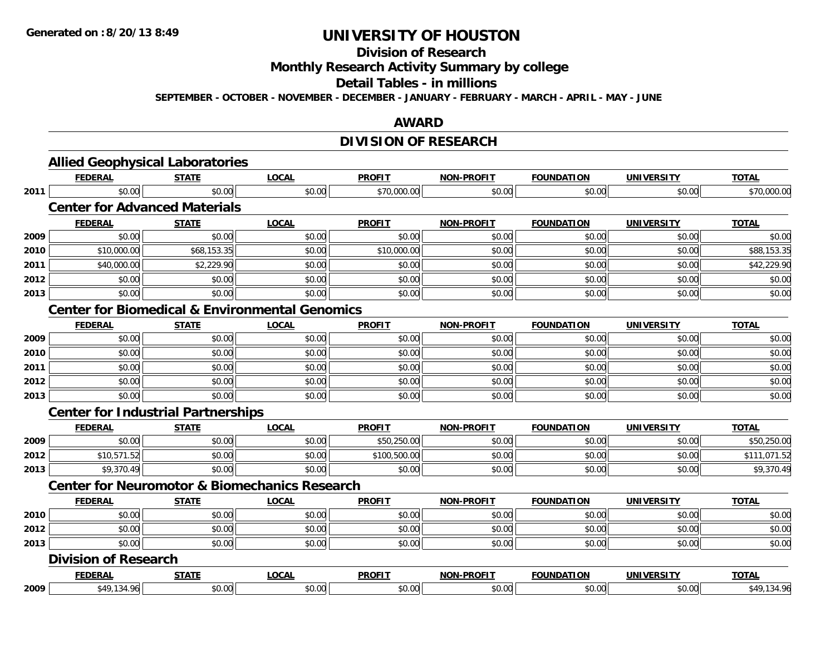#### **Division of Research**

**Monthly Research Activity Summary by college**

#### **Detail Tables - in millions**

**SEPTEMBER - OCTOBER - NOVEMBER - DECEMBER - JANUARY - FEBRUARY - MARCH - APRIL - MAY - JUNE**

## **AWARD**

# **DIVISION OF RESEARCH**

|      | <b>FEDERAL</b>                                            | <b>STATE</b> | <b>LOCAL</b> | <b>PROFIT</b> | <b>NON-PROFIT</b> | <b>FOUNDATION</b> | <b>UNIVERSITY</b> | <b>TOTAL</b> |
|------|-----------------------------------------------------------|--------------|--------------|---------------|-------------------|-------------------|-------------------|--------------|
| 2011 | \$0.00                                                    | \$0.00       | \$0.00       | \$70,000.00   | \$0.00            | \$0.00            | \$0.00            | \$70,000.00  |
|      | <b>Center for Advanced Materials</b>                      |              |              |               |                   |                   |                   |              |
|      | <b>FEDERAL</b>                                            | <b>STATE</b> | <b>LOCAL</b> | <b>PROFIT</b> | <b>NON-PROFIT</b> | <b>FOUNDATION</b> | <b>UNIVERSITY</b> | <b>TOTAL</b> |
| 2009 | \$0.00                                                    | \$0.00       | \$0.00       | \$0.00        | \$0.00            | \$0.00            | \$0.00            | \$0.00       |
| 2010 | \$10,000.00                                               | \$68,153.35  | \$0.00       | \$10,000.00   | \$0.00            | \$0.00            | \$0.00            | \$88,153.35  |
| 2011 | \$40,000.00                                               | \$2,229.90   | \$0.00       | \$0.00        | \$0.00            | \$0.00            | \$0.00            | \$42,229.90  |
| 2012 | \$0.00                                                    | \$0.00       | \$0.00       | \$0.00        | \$0.00            | \$0.00            | \$0.00            | \$0.00       |
| 2013 | \$0.00                                                    | \$0.00       | \$0.00       | \$0.00        | \$0.00            | \$0.00            | \$0.00            | \$0.00       |
|      | <b>Center for Biomedical &amp; Environmental Genomics</b> |              |              |               |                   |                   |                   |              |
|      | <b>FEDERAL</b>                                            | <b>STATE</b> | <b>LOCAL</b> | <b>PROFIT</b> | <b>NON-PROFIT</b> | <b>FOUNDATION</b> | <b>UNIVERSITY</b> | <b>TOTAL</b> |
| 2009 | \$0.00                                                    | \$0.00       | \$0.00       | \$0.00        | \$0.00            | \$0.00            | \$0.00            | \$0.00       |
| 2010 | \$0.00                                                    | \$0.00       | \$0.00       | \$0.00        | \$0.00            | \$0.00            | \$0.00            | \$0.00       |
| 2011 | \$0.00                                                    | \$0.00       | \$0.00       | \$0.00        | \$0.00            | \$0.00            | \$0.00            | \$0.00       |
| 2012 | \$0.00                                                    | \$0.00       | \$0.00       | \$0.00        | \$0.00            | \$0.00            | \$0.00            | \$0.00       |
| 2013 | \$0.00                                                    | \$0.00       | \$0.00       | \$0.00        | \$0.00            | \$0.00            | \$0.00            | \$0.00       |
|      | <b>Center for Industrial Partnerships</b>                 |              |              |               |                   |                   |                   |              |
|      | <b>FEDERAL</b>                                            | <b>STATE</b> | <b>LOCAL</b> | <b>PROFIT</b> | <b>NON-PROFIT</b> | <b>FOUNDATION</b> | <b>UNIVERSITY</b> | <b>TOTAL</b> |
| 2009 | \$0.00                                                    | \$0.00       | \$0.00       | \$50,250.00   | \$0.00            | \$0.00            | \$0.00            | \$50,250.00  |
| 2012 | \$10,571.52                                               | \$0.00       | \$0.00       | \$100,500.00  | \$0.00            | \$0.00            | \$0.00            | \$111,071.52 |
| 2013 | \$9,370.49                                                | \$0.00       | \$0.00       | \$0.00        | \$0.00            | \$0.00            | \$0.00            | \$9,370.49   |
|      | <b>Center for Neuromotor &amp; Biomechanics Research</b>  |              |              |               |                   |                   |                   |              |
|      | <b>FEDERAL</b>                                            | <b>STATE</b> | <b>LOCAL</b> | <b>PROFIT</b> | NON-PROFIT        | <b>FOUNDATION</b> | <b>UNIVERSITY</b> | <b>TOTAL</b> |
| 2010 | \$0.00                                                    | \$0.00       | \$0.00       | \$0.00        | \$0.00            | \$0.00            | \$0.00            | \$0.00       |
| 2012 | \$0.00                                                    | \$0.00       | \$0.00       | \$0.00        | \$0.00            | \$0.00            | \$0.00            | \$0.00       |
| 2013 | \$0.00                                                    | \$0.00       | \$0.00       | \$0.00        | \$0.00            | \$0.00            | \$0.00            | \$0.00       |
|      | <b>Division of Research</b>                               |              |              |               |                   |                   |                   |              |
|      | <b>FEDERAL</b>                                            | <b>STATE</b> | <b>LOCAL</b> | <b>PROFIT</b> | <b>NON-PROFIT</b> | <b>FOUNDATION</b> | <b>UNIVERSITY</b> | <b>TOTAL</b> |
| 2009 | \$49,134.96                                               | \$0.00       | \$0.00       | \$0.00        | \$0.00            | \$0.00            | \$0.00            | \$49,134.96  |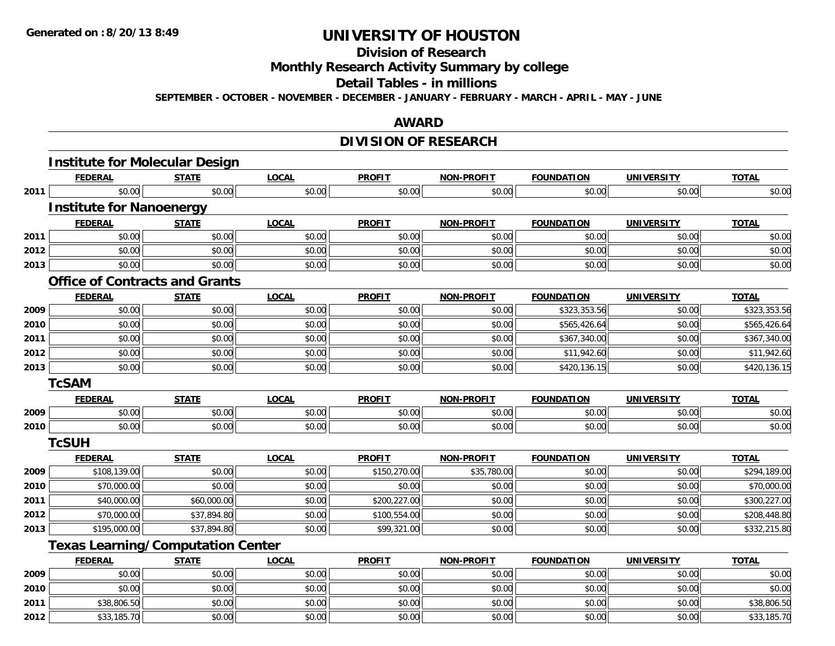# **Division of Research**

**Monthly Research Activity Summary by college**

#### **Detail Tables - in millions**

**SEPTEMBER - OCTOBER - NOVEMBER - DECEMBER - JANUARY - FEBRUARY - MARCH - APRIL - MAY - JUNE**

## **AWARD**

## **DIVISION OF RESEARCH**

|      | <b>Institute for Molecular Design</b>    |              |              |               |                   |                   |                   |              |
|------|------------------------------------------|--------------|--------------|---------------|-------------------|-------------------|-------------------|--------------|
|      | <b>FEDERAL</b>                           | <b>STATE</b> | <b>LOCAL</b> | <b>PROFIT</b> | <b>NON-PROFIT</b> | <b>FOUNDATION</b> | <b>UNIVERSITY</b> | <b>TOTAL</b> |
| 2011 | \$0.00                                   | \$0.00       | \$0.00       | \$0.00        | \$0.00            | \$0.00            | \$0.00            | \$0.00       |
|      | <b>Institute for Nanoenergy</b>          |              |              |               |                   |                   |                   |              |
|      | <b>FEDERAL</b>                           | <b>STATE</b> | <b>LOCAL</b> | <b>PROFIT</b> | <b>NON-PROFIT</b> | <b>FOUNDATION</b> | <b>UNIVERSITY</b> | <b>TOTAL</b> |
| 2011 | \$0.00                                   | \$0.00       | \$0.00       | \$0.00        | \$0.00            | \$0.00            | \$0.00            | \$0.00       |
| 2012 | \$0.00                                   | \$0.00       | \$0.00       | \$0.00        | \$0.00            | \$0.00            | \$0.00            | \$0.00       |
| 2013 | \$0.00                                   | \$0.00       | \$0.00       | \$0.00        | \$0.00            | \$0.00            | \$0.00            | \$0.00       |
|      | <b>Office of Contracts and Grants</b>    |              |              |               |                   |                   |                   |              |
|      | <b>FEDERAL</b>                           | <b>STATE</b> | <b>LOCAL</b> | <b>PROFIT</b> | <b>NON-PROFIT</b> | <b>FOUNDATION</b> | <b>UNIVERSITY</b> | <b>TOTAL</b> |
| 2009 | \$0.00                                   | \$0.00       | \$0.00       | \$0.00        | \$0.00            | \$323,353.56      | \$0.00            | \$323,353.56 |
| 2010 | \$0.00                                   | \$0.00       | \$0.00       | \$0.00        | \$0.00            | \$565,426.64      | \$0.00            | \$565,426.64 |
| 2011 | \$0.00                                   | \$0.00       | \$0.00       | \$0.00        | \$0.00            | \$367,340.00      | \$0.00            | \$367,340.00 |
| 2012 | \$0.00                                   | \$0.00       | \$0.00       | \$0.00        | \$0.00            | \$11,942.60       | \$0.00            | \$11,942.60  |
| 2013 | \$0.00                                   | \$0.00       | \$0.00       | \$0.00        | \$0.00            | \$420,136.15      | \$0.00            | \$420,136.15 |
|      | <b>TcSAM</b>                             |              |              |               |                   |                   |                   |              |
|      | <b>FEDERAL</b>                           | <b>STATE</b> | <b>LOCAL</b> | <b>PROFIT</b> | <b>NON-PROFIT</b> | <b>FOUNDATION</b> | <b>UNIVERSITY</b> | <b>TOTAL</b> |
| 2009 | \$0.00                                   | \$0.00       | \$0.00       | \$0.00        | \$0.00            | \$0.00            | \$0.00            | \$0.00       |
| 2010 | \$0.00                                   | \$0.00       | \$0.00       | \$0.00        | \$0.00            | \$0.00            | \$0.00            | \$0.00       |
|      | <b>TcSUH</b>                             |              |              |               |                   |                   |                   |              |
|      | <b>FEDERAL</b>                           | <b>STATE</b> | <b>LOCAL</b> | <b>PROFIT</b> | <b>NON-PROFIT</b> | <b>FOUNDATION</b> | <b>UNIVERSITY</b> | <b>TOTAL</b> |
| 2009 | \$108,139.00                             | \$0.00       | \$0.00       | \$150,270.00  | \$35,780.00       | \$0.00            | \$0.00            | \$294,189.00 |
| 2010 | \$70,000.00                              | \$0.00       | \$0.00       | \$0.00        | \$0.00            | \$0.00            | \$0.00            | \$70,000.00  |
| 2011 | \$40,000.00                              | \$60,000.00  | \$0.00       | \$200,227.00  | \$0.00            | \$0.00            | \$0.00            | \$300,227.00 |
| 2012 | \$70,000.00                              | \$37,894.80  | \$0.00       | \$100,554.00  | \$0.00            | \$0.00            | \$0.00            | \$208,448.80 |
| 2013 | \$195,000.00                             | \$37,894.80  | \$0.00       | \$99,321.00   | \$0.00            | \$0.00            | \$0.00            | \$332,215.80 |
|      | <b>Texas Learning/Computation Center</b> |              |              |               |                   |                   |                   |              |
|      | <b>FEDERAL</b>                           | <b>STATE</b> | <b>LOCAL</b> | <b>PROFIT</b> | <b>NON-PROFIT</b> | <b>FOUNDATION</b> | <b>UNIVERSITY</b> | <b>TOTAL</b> |
| 2009 | \$0.00                                   | \$0.00       | \$0.00       | \$0.00        | \$0.00            | \$0.00            | \$0.00            | \$0.00       |
| 2010 | \$0.00                                   | \$0.00       | \$0.00       | \$0.00        | \$0.00            | \$0.00            | \$0.00            | \$0.00       |
| 2011 | \$38,806.50                              | \$0.00       | \$0.00       | \$0.00        | \$0.00            | \$0.00            | \$0.00            | \$38,806.50  |
| 2012 | \$33,185.70                              | \$0.00       | \$0.00       | \$0.00        | \$0.00            | \$0.00            | \$0.00            | \$33,185.70  |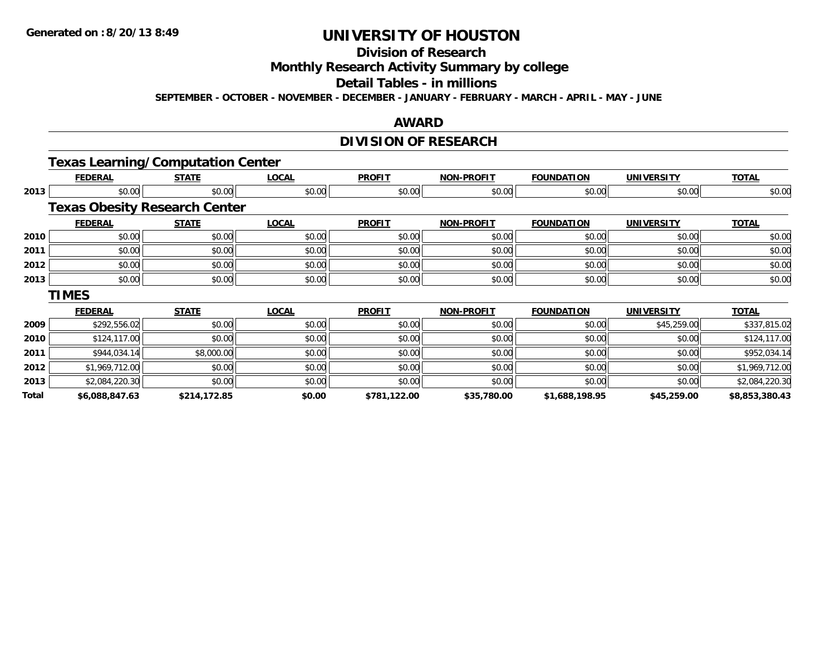# **Division of Research**

**Monthly Research Activity Summary by college**

#### **Detail Tables - in millions**

**SEPTEMBER - OCTOBER - NOVEMBER - DECEMBER - JANUARY - FEBRUARY - MARCH - APRIL - MAY - JUNE**

#### **AWARD**

# **DIVISION OF RESEARCH**

# **Texas Learning/Computation Center**

|       | <b>FEDERAL</b> | <b>STATE</b>                         | <b>LOCAL</b> | <b>PROFIT</b> | <b>NON-PROFIT</b> | <b>FOUNDATION</b> | <b>UNIVERSITY</b> | <b>TOTAL</b>   |  |  |  |
|-------|----------------|--------------------------------------|--------------|---------------|-------------------|-------------------|-------------------|----------------|--|--|--|
| 2013  | \$0.00         | \$0.00                               | \$0.00       | \$0.00        | \$0.00            | \$0.00            | \$0.00            | \$0.00         |  |  |  |
|       |                | <b>Texas Obesity Research Center</b> |              |               |                   |                   |                   |                |  |  |  |
|       | <b>FEDERAL</b> | <b>STATE</b>                         | <b>LOCAL</b> | <b>PROFIT</b> | <b>NON-PROFIT</b> | <b>FOUNDATION</b> | <b>UNIVERSITY</b> | <b>TOTAL</b>   |  |  |  |
| 2010  | \$0.00         | \$0.00                               | \$0.00       | \$0.00        | \$0.00            | \$0.00            | \$0.00            | \$0.00         |  |  |  |
| 2011  | \$0.00         | \$0.00                               | \$0.00       | \$0.00        | \$0.00            | \$0.00            | \$0.00            | \$0.00         |  |  |  |
| 2012  | \$0.00         | \$0.00                               | \$0.00       | \$0.00        | \$0.00            | \$0.00            | \$0.00            | \$0.00         |  |  |  |
| 2013  | \$0.00         | \$0.00                               | \$0.00       | \$0.00        | \$0.00            | \$0.00            | \$0.00            | \$0.00         |  |  |  |
|       | <b>TIMES</b>   |                                      |              |               |                   |                   |                   |                |  |  |  |
|       | <b>FEDERAL</b> | <b>STATE</b>                         | <b>LOCAL</b> | <b>PROFIT</b> | <b>NON-PROFIT</b> | <b>FOUNDATION</b> | <b>UNIVERSITY</b> | <b>TOTAL</b>   |  |  |  |
| 2009  | \$292,556.02   | \$0.00                               | \$0.00       | \$0.00        | \$0.00            | \$0.00            | \$45,259.00       | \$337,815.02   |  |  |  |
| 2010  | \$124,117.00   | \$0.00                               | \$0.00       | \$0.00        | \$0.00            | \$0.00            | \$0.00            | \$124,117.00   |  |  |  |
| 2011  | \$944,034.14   | \$8,000.00                           | \$0.00       | \$0.00        | \$0.00            | \$0.00            | \$0.00            | \$952,034.14   |  |  |  |
| 2012  | \$1,969,712.00 | \$0.00                               | \$0.00       | \$0.00        | \$0.00            | \$0.00            | \$0.00            | \$1,969,712.00 |  |  |  |
| 2013  | \$2,084,220.30 | \$0.00                               | \$0.00       | \$0.00        | \$0.00            | \$0.00            | \$0.00            | \$2,084,220.30 |  |  |  |
| Total | \$6,088,847.63 | \$214,172.85                         | \$0.00       | \$781,122.00  | \$35,780.00       | \$1,688,198.95    | \$45,259.00       | \$8,853,380.43 |  |  |  |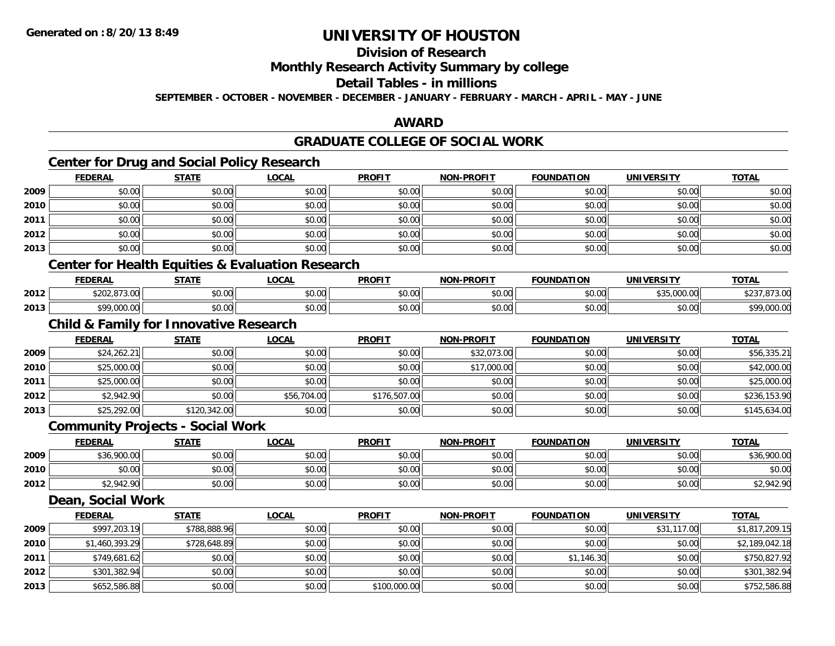# **Division of Research**

## **Monthly Research Activity Summary by college**

# **Detail Tables - in millions**

**SEPTEMBER - OCTOBER - NOVEMBER - DECEMBER - JANUARY - FEBRUARY - MARCH - APRIL - MAY - JUNE**

## **AWARD**

# **GRADUATE COLLEGE OF SOCIAL WORK**

# **Center for Drug and Social Policy Research**

|      | <b>FEDERAL</b>        | <b>STATE</b> | <u>LOCAL</u>                  | <b>PROFIT</b> | <b>NON-PROFIT</b> | <b>FOUNDATION</b> | <b>UNIVERSITY</b> | <b>TOTAL</b> |
|------|-----------------------|--------------|-------------------------------|---------------|-------------------|-------------------|-------------------|--------------|
| 2009 | \$0.00                | \$0.00       | \$0.00                        | \$0.00        | \$0.00            | \$0.00            | \$0.00            | \$0.00       |
| 2010 | \$0.00                | \$0.00       | \$0.00                        | \$0.00        | \$0.00            | \$0.00            | \$0.00            | \$0.00       |
| 2011 | \$0.00                | \$0.00       | \$0.00                        | \$0.00        | \$0.00            | \$0.00            | \$0.00            | \$0.00       |
| 2012 | \$0.00                | \$0.00       | \$0.00                        | \$0.00        | \$0.00            | \$0.00            | \$0.00            | \$0.00       |
| 2013 | \$0.00                | \$0.00       | \$0.00                        | \$0.00        | \$0.00            | \$0.00            | \$0.00            | \$0.00       |
|      | .<br>$\sim$<br>$\sim$ | .<br>- -     | .<br>$\overline{\phantom{a}}$ |               |                   |                   |                   |              |

#### **Center for Health Equities & Evaluation Research**

|      | EENEDA<br>:DERAL                            | <b>CTATE</b><br>$\cdots$ | <b>OCAL</b> | <b>PROFIT</b> | <b>-PROFIT</b><br>NON                        | <b>FOUNDATION</b>      | IINIVEDSIT          | <b>TOTA</b>              |
|------|---------------------------------------------|--------------------------|-------------|---------------|----------------------------------------------|------------------------|---------------------|--------------------------|
| 2012 | 0.72.22<br>$\cdots$                         | 0000<br>JU.UU            | \$0.00      | \$0.00        | $\triangle$ $\triangle$ $\triangle$<br>pu.uu | $\sim$ 00<br>JU.UU     | $+ -$<br>00000<br>. | .                        |
| 2013 | 0.0000<br>$\cdot$ . $\cup$ $\cup$ . $\cdot$ | 0000<br>pu.uu            | \$0.00      | \$0.00        | ልስ ስስ<br>pu.uu                               | $\sim$ $\sim$<br>JU.UU | $\sim$ 00<br>JU.UU  | t O.O<br>$\sim$<br>uuu.u |

## **Child & Family for Innovative Research**

|      | <b>FEDERAL</b> | <b>STATE</b> | <u>LOCAL</u> | <b>PROFIT</b> | <b>NON-PROFIT</b> | <b>FOUNDATION</b> | <b>UNIVERSITY</b> | <b>TOTAL</b> |
|------|----------------|--------------|--------------|---------------|-------------------|-------------------|-------------------|--------------|
| 2009 | \$24,262.21    | \$0.00       | \$0.00       | \$0.00        | \$32,073.00       | \$0.00            | \$0.00            | \$56,335.21  |
| 2010 | \$25,000.00    | \$0.00       | \$0.00       | \$0.00        | \$17,000.00       | \$0.00            | \$0.00            | \$42,000.00  |
| 2011 | \$25,000.00    | \$0.00       | \$0.00       | \$0.00        | \$0.00            | \$0.00            | \$0.00            | \$25,000.00  |
| 2012 | \$2,942.90     | \$0.00       | \$56,704.00  | \$176,507.00  | \$0.00            | \$0.00            | \$0.00            | \$236,153.90 |
| 2013 | \$25,292.00    | \$120,342.00 | \$0.00       | \$0.00        | \$0.00            | \$0.00            | \$0.00            | \$145,634.00 |

### **Community Projects - Social Work**

|      | <b>FEDERAL</b> | <b>STATE</b> | <u>LOCAL</u> | <b>PROFIT</b> | <b>NON-PROFIT</b> | <b>FOUNDATION</b> | <b>UNIVERSITY</b> | <b>TOTAL</b> |
|------|----------------|--------------|--------------|---------------|-------------------|-------------------|-------------------|--------------|
| 2009 | \$36,900.00    | \$0.00       | \$0.00       | \$0.00        | \$0.00            | \$0.00            | \$0.00            | \$36,900.00  |
| 2010 | \$0.00         | \$0.00       | \$0.00       | \$0.00        | \$0.00            | \$0.00            | \$0.00            | \$0.00       |
| 2012 | \$2,942.90     | \$0.00       | \$0.00       | \$0.00        | \$0.00            | \$0.00            | \$0.00            | \$2,942.90   |

## **Dean, Social Work**

|      | <b>FEDERAL</b> | <u>STATE</u> | <u>LOCAL</u> | <b>PROFIT</b> | <b>NON-PROFIT</b> | <b>FOUNDATION</b> | <b>UNIVERSITY</b> | <b>TOTAL</b>   |
|------|----------------|--------------|--------------|---------------|-------------------|-------------------|-------------------|----------------|
| 2009 | \$997,203.19   | \$788,888.96 | \$0.00       | \$0.00        | \$0.00            | \$0.00            | \$31,117.00       | \$1,817,209.15 |
| 2010 | \$1,460,393.29 | \$728,648.89 | \$0.00       | \$0.00        | \$0.00            | \$0.00            | \$0.00            | \$2,189,042.18 |
| 2011 | \$749,681.62   | \$0.00       | \$0.00       | \$0.00        | \$0.00            | \$1,146.30        | \$0.00            | \$750,827.92   |
| 2012 | \$301,382.94   | \$0.00       | \$0.00       | \$0.00        | \$0.00            | \$0.00            | \$0.00            | \$301,382.94   |
| 2013 | \$652,586.88   | \$0.00       | \$0.00       | \$100,000.00  | \$0.00            | \$0.00            | \$0.00            | \$752,586.88   |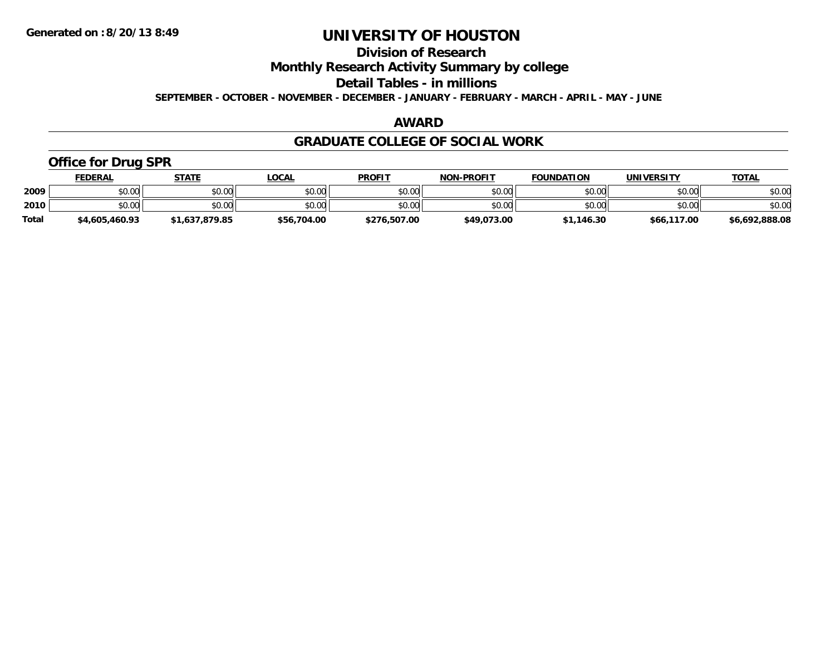# **Division of Research**

**Monthly Research Activity Summary by college**

**Detail Tables - in millions**

**SEPTEMBER - OCTOBER - NOVEMBER - DECEMBER - JANUARY - FEBRUARY - MARCH - APRIL - MAY - JUNE**

## **AWARD**

### **GRADUATE COLLEGE OF SOCIAL WORK**

# **Office for Drug SPR**

|              | <u>FEDERAL</u> | STATE          | .OCAL       | <b>PROFIT</b> | <b>NON-PROFIT</b> | <b>FOUNDATION</b> | <b>UNIVERSITY</b> | <b>TOTAL</b>   |
|--------------|----------------|----------------|-------------|---------------|-------------------|-------------------|-------------------|----------------|
| 2009         | \$0.00         | \$0.00         | \$0.00      | \$0.00        | \$0.00            | \$0.00            | \$0.00            | \$0.00         |
| 2010         | \$0.00         | \$0.00         | \$0.00      | \$0.00        | \$0.00            | \$0.00            | \$0.00            | \$0.00         |
| <b>Total</b> | \$4,605,460.93 | \$1,637,879.85 | \$56,704.00 | \$276,507.00  | \$49,073.00       | \$1,146.30        | \$66,117.00       | \$6,692,888.08 |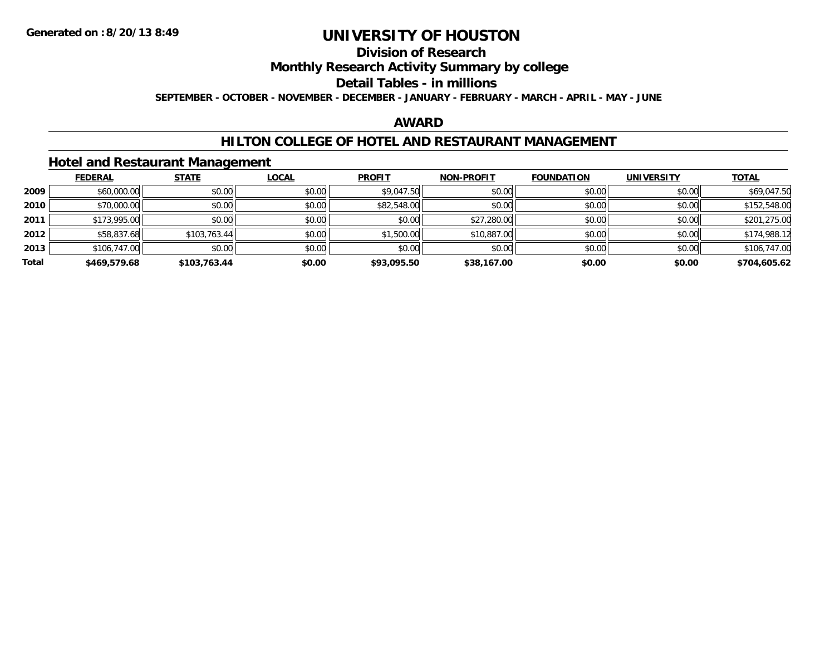# **Division of Research**

## **Monthly Research Activity Summary by college**

#### **Detail Tables - in millions**

**SEPTEMBER - OCTOBER - NOVEMBER - DECEMBER - JANUARY - FEBRUARY - MARCH - APRIL - MAY - JUNE**

## **AWARD**

### **HILTON COLLEGE OF HOTEL AND RESTAURANT MANAGEMENT**

### **Hotel and Restaurant Management**

|       | <b>FEDERAL</b> | <b>STATE</b> | <u>LOCAL</u> | <b>PROFIT</b> | <b>NON-PROFIT</b> | <b>FOUNDATION</b> | <b>UNIVERSITY</b> | <b>TOTAL</b> |
|-------|----------------|--------------|--------------|---------------|-------------------|-------------------|-------------------|--------------|
| 2009  | \$60,000.00    | \$0.00       | \$0.00       | \$9,047.50    | \$0.00            | \$0.00            | \$0.00            | \$69,047.50  |
| 2010  | \$70,000.00    | \$0.00       | \$0.00       | \$82,548.00   | \$0.00            | \$0.00            | \$0.00            | \$152,548.00 |
| 2011  | \$173,995.00   | \$0.00       | \$0.00       | \$0.00        | \$27,280.00       | \$0.00            | \$0.00            | \$201,275.00 |
| 2012  | \$58,837.68    | \$103,763.44 | \$0.00       | \$1,500.00    | \$10,887.00       | \$0.00            | \$0.00            | \$174,988.12 |
| 2013  | \$106,747.00   | \$0.00       | \$0.00       | \$0.00        | \$0.00            | \$0.00            | \$0.00            | \$106,747.00 |
| Total | \$469,579.68   | \$103,763.44 | \$0.00       | \$93,095.50   | \$38,167.00       | \$0.00            | \$0.00            | \$704,605.62 |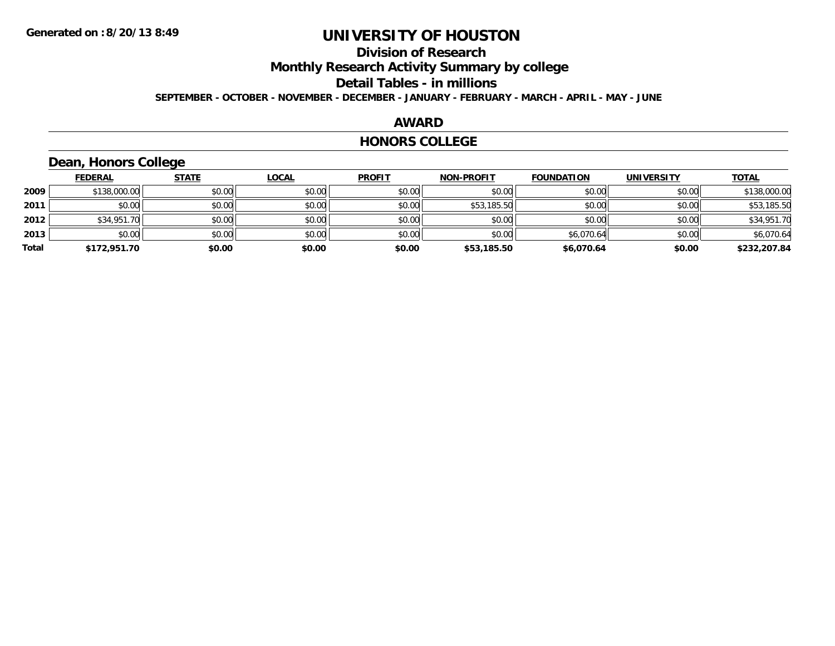# **Division of Research**

**Monthly Research Activity Summary by college**

#### **Detail Tables - in millions**

**SEPTEMBER - OCTOBER - NOVEMBER - DECEMBER - JANUARY - FEBRUARY - MARCH - APRIL - MAY - JUNE**

#### **AWARD**

#### **HONORS COLLEGE**

# **Dean, Honors College**

|       | <b>FEDERAL</b> | <b>STATE</b> | <u>LOCAL</u> | <b>PROFIT</b> | <b>NON-PROFIT</b> | <b>FOUNDATION</b> | <b>UNIVERSITY</b> | <b>TOTAL</b> |
|-------|----------------|--------------|--------------|---------------|-------------------|-------------------|-------------------|--------------|
| 2009  | \$138,000.00   | \$0.00       | \$0.00       | \$0.00        | \$0.00            | \$0.00            | \$0.00            | \$138,000.00 |
| 2011  | \$0.00         | \$0.00       | \$0.00       | \$0.00        | \$53,185.50       | \$0.00            | \$0.00            | \$53,185.50  |
| 2012  | \$34,951.70    | \$0.00       | \$0.00       | \$0.00        | \$0.00            | \$0.00            | \$0.00            | \$34,951.70  |
| 2013  | \$0.00         | \$0.00       | \$0.00       | \$0.00        | \$0.00            | \$6,070.64        | \$0.00            | \$6,070.64   |
| Total | \$172,951.70   | \$0.00       | \$0.00       | \$0.00        | \$53,185.50       | \$6.070.64        | \$0.00            | \$232,207.84 |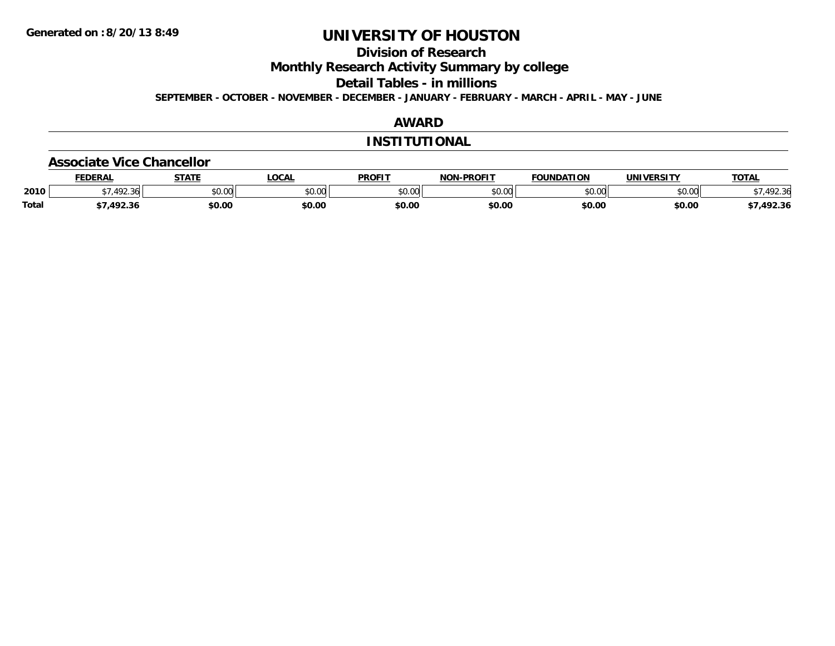**Division of Research**

**Monthly Research Activity Summary by college**

**Detail Tables - in millions**

**SEPTEMBER - OCTOBER - NOVEMBER - DECEMBER - JANUARY - FEBRUARY - MARCH - APRIL - MAY - JUNE**

## **AWARD**

### **INSTITUTIONAL**

#### **Associate Vice Chancellor**

|              | <b>FEDERA</b>            | <b>STATE</b>  | .OCAL  | <b>PROFIT</b>           | -PROFIT<br>NON | <b>UNDATION</b> |               | <b>TOTAL</b>                 |
|--------------|--------------------------|---------------|--------|-------------------------|----------------|-----------------|---------------|------------------------------|
| 2010         | $\sqrt{2}$<br>۔ مال کے ر | 0000<br>DU.UU | \$0.00 | 0 <sup>n</sup><br>JU.UL | 0000<br>JU.UL  | 0000<br>JU.UU   | 0000<br>vv.vv | $\mathcal{L}$<br>יי<br>92.3t |
| <b>Total</b> | י ההו<br>2.3۱            | \$0.00        | \$0.00 | \$0.00                  | \$0.00         | \$0.00          | \$0.00        | 492.36.                      |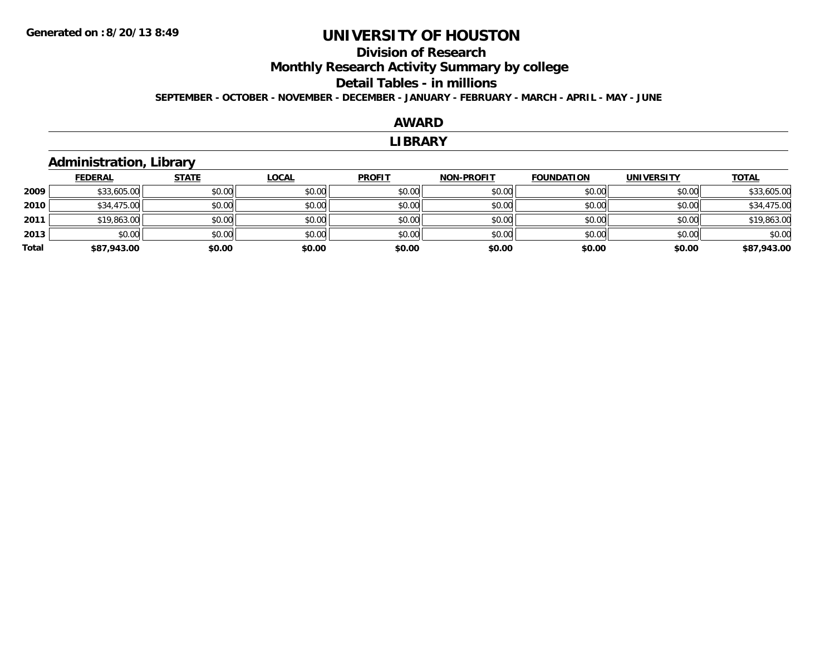## **Division of ResearchMonthly Research Activity Summary by college Detail Tables - in millions SEPTEMBER - OCTOBER - NOVEMBER - DECEMBER - JANUARY - FEBRUARY - MARCH - APRIL - MAY - JUNE**

## **AWARD**

#### **LIBRARY**

## **Administration, Library**

|       | <b>FEDERAL</b> | <b>STATE</b> | <u>LOCAL</u> | <b>PROFIT</b> | <b>NON-PROFIT</b> | <b>FOUNDATION</b> | <b>UNIVERSITY</b> | <b>TOTAL</b> |
|-------|----------------|--------------|--------------|---------------|-------------------|-------------------|-------------------|--------------|
| 2009  | \$33,605.00    | \$0.00       | \$0.00       | \$0.00        | \$0.00            | \$0.00            | \$0.00            | \$33,605.00  |
| 2010  | \$34,475.00    | \$0.00       | \$0.00       | \$0.00        | \$0.00            | \$0.00            | \$0.00            | \$34,475.00  |
| 2011  | \$19,863.00    | \$0.00       | \$0.00       | \$0.00        | \$0.00            | \$0.00            | \$0.00            | \$19,863.00  |
| 2013  | \$0.00         | \$0.00       | \$0.00       | \$0.00        | \$0.00            | \$0.00            | \$0.00            | \$0.00       |
| Total | \$87,943.00    | \$0.00       | \$0.00       | \$0.00        | \$0.00            | \$0.00            | \$0.00            | \$87,943.00  |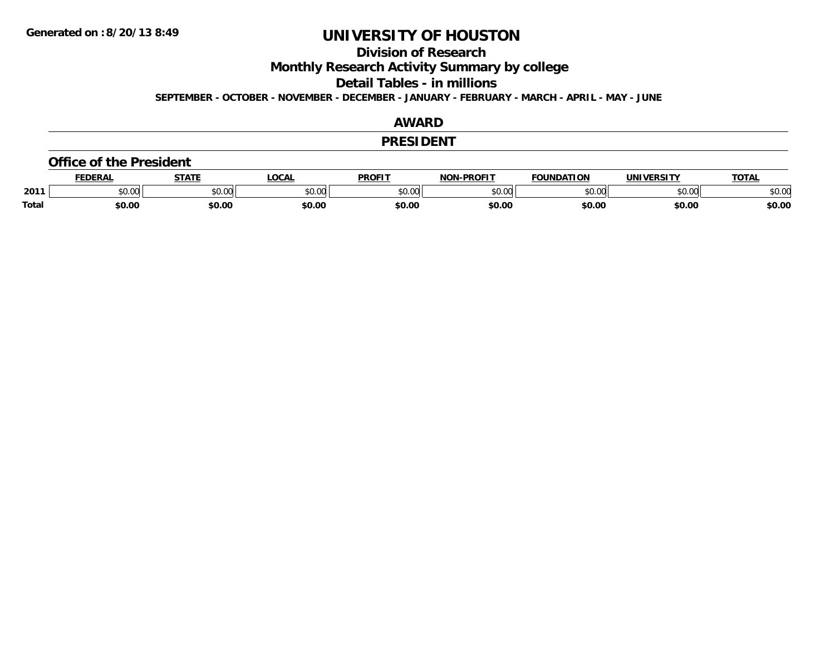**Division of Research**

**Monthly Research Activity Summary by college**

**Detail Tables - in millions**

**SEPTEMBER - OCTOBER - NOVEMBER - DECEMBER - JANUARY - FEBRUARY - MARCH - APRIL - MAY - JUNE**

## **AWARD**

#### **PRESIDENT**

#### **Office of the President**

|              | <b>DERAI</b> | <b>STATE</b> | <b>OCAL</b> | <b>PROFIT</b>  | <b>DDOEIT</b><br>NIAR | <b>FOUNDATION</b> | <b>UNIVERSITY</b> | <b>TAT</b>    |
|--------------|--------------|--------------|-------------|----------------|-----------------------|-------------------|-------------------|---------------|
| 2011         | 0.00٪        | JU.UU        | \$0.00      | ტი იი<br>JU.UU | $\sim$ 00<br>וטטוע    | nn nn<br>JU.UU    | to ool<br>DU.UU   | 0000<br>JU.UU |
| <b>Total</b> | 60.00        | \$0.00       | \$0.00      | \$0.00         | \$0.00                | \$0.00            | \$0.00            | \$0.00        |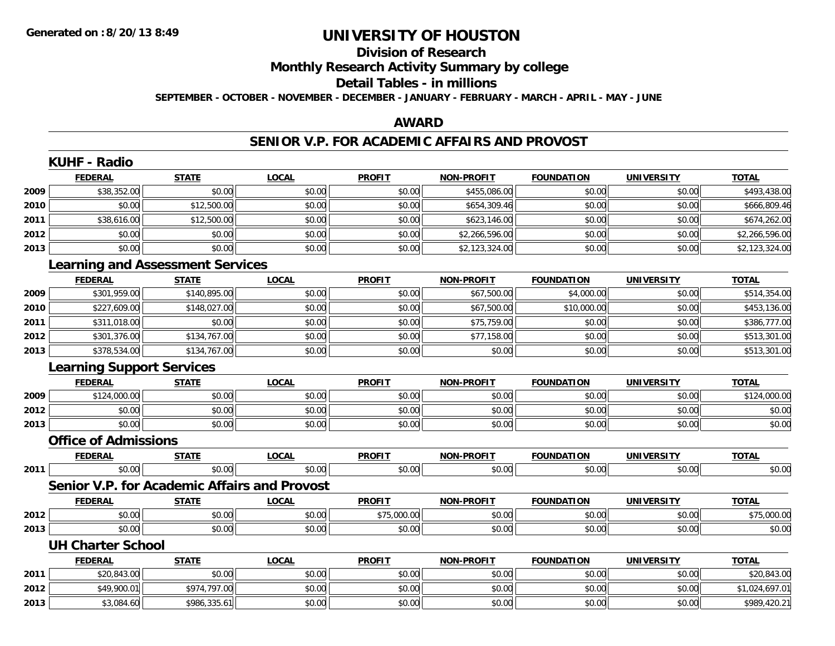# **Division of Research**

**Monthly Research Activity Summary by college**

#### **Detail Tables - in millions**

**SEPTEMBER - OCTOBER - NOVEMBER - DECEMBER - JANUARY - FEBRUARY - MARCH - APRIL - MAY - JUNE**

## **AWARD**

### **SENIOR V.P. FOR ACADEMIC AFFAIRS AND PROVOST**

|      | <b>KUHF - Radio</b>                     |              |                                              |               |                   |                   |                   |                |
|------|-----------------------------------------|--------------|----------------------------------------------|---------------|-------------------|-------------------|-------------------|----------------|
|      | <b>FEDERAL</b>                          | <b>STATE</b> | <b>LOCAL</b>                                 | <b>PROFIT</b> | NON-PROFIT        | <b>FOUNDATION</b> | <b>UNIVERSITY</b> | <b>TOTAL</b>   |
| 2009 | \$38,352.00                             | \$0.00       | \$0.00                                       | \$0.00        | \$455,086.00      | \$0.00            | \$0.00            | \$493,438.00   |
| 2010 | \$0.00                                  | \$12,500.00  | \$0.00                                       | \$0.00        | \$654,309.46      | \$0.00            | \$0.00            | \$666,809.46   |
| 2011 | \$38,616.00                             | \$12,500.00  | \$0.00                                       | \$0.00        | \$623,146.00      | \$0.00            | \$0.00            | \$674,262.00   |
| 2012 | \$0.00                                  | \$0.00       | \$0.00                                       | \$0.00        | \$2,266,596.00    | \$0.00            | \$0.00            | \$2,266,596.00 |
| 2013 | \$0.00                                  | \$0.00       | \$0.00                                       | \$0.00        | \$2,123,324.00    | \$0.00            | \$0.00            | \$2,123,324.00 |
|      | <b>Learning and Assessment Services</b> |              |                                              |               |                   |                   |                   |                |
|      | <b>FEDERAL</b>                          | <b>STATE</b> | <b>LOCAL</b>                                 | <b>PROFIT</b> | <b>NON-PROFIT</b> | <b>FOUNDATION</b> | <b>UNIVERSITY</b> | <b>TOTAL</b>   |
| 2009 | \$301,959.00                            | \$140,895.00 | \$0.00                                       | \$0.00        | \$67,500.00       | \$4,000.00        | \$0.00            | \$514,354.00   |
| 2010 | \$227,609.00                            | \$148,027.00 | \$0.00                                       | \$0.00        | \$67,500.00       | \$10,000.00       | \$0.00            | \$453,136.00   |
| 2011 | \$311,018.00                            | \$0.00       | \$0.00                                       | \$0.00        | \$75,759.00       | \$0.00            | \$0.00            | \$386,777.00   |
| 2012 | \$301,376.00                            | \$134,767.00 | \$0.00                                       | \$0.00        | \$77,158.00       | \$0.00            | \$0.00            | \$513,301.00   |
| 2013 | \$378,534.00                            | \$134,767.00 | \$0.00                                       | \$0.00        | \$0.00            | \$0.00            | \$0.00            | \$513,301.00   |
|      | <b>Learning Support Services</b>        |              |                                              |               |                   |                   |                   |                |
|      | <b>FEDERAL</b>                          | <b>STATE</b> | <b>LOCAL</b>                                 | <b>PROFIT</b> | <b>NON-PROFIT</b> | <b>FOUNDATION</b> | <b>UNIVERSITY</b> | <b>TOTAL</b>   |
| 2009 | \$124,000.00                            | \$0.00       | \$0.00                                       | \$0.00        | \$0.00            | \$0.00            | \$0.00            | \$124,000.00   |
| 2012 | \$0.00                                  | \$0.00       | \$0.00                                       | \$0.00        | \$0.00            | \$0.00            | \$0.00            | \$0.00         |
| 2013 | \$0.00                                  | \$0.00       | \$0.00                                       | \$0.00        | \$0.00            | \$0.00            | \$0.00            | \$0.00         |
|      | <b>Office of Admissions</b>             |              |                                              |               |                   |                   |                   |                |
|      | <b>FEDERAL</b>                          | <b>STATE</b> | <b>LOCAL</b>                                 | <b>PROFIT</b> | <b>NON-PROFIT</b> | <b>FOUNDATION</b> | <b>UNIVERSITY</b> | <b>TOTAL</b>   |
| 2011 | \$0.00                                  | \$0.00       | \$0.00                                       | \$0.00        | \$0.00            | \$0.00            | \$0.00            | \$0.00         |
|      |                                         |              | Senior V.P. for Academic Affairs and Provost |               |                   |                   |                   |                |
|      | <b>FEDERAL</b>                          | <b>STATE</b> | <b>LOCAL</b>                                 | <b>PROFIT</b> | <b>NON-PROFIT</b> | <b>FOUNDATION</b> | <b>UNIVERSITY</b> | <b>TOTAL</b>   |
| 2012 | \$0.00                                  | \$0.00       | \$0.00                                       | \$75,000.00   | \$0.00            | \$0.00            | \$0.00            | \$75,000.00    |
| 2013 | \$0.00                                  | \$0.00       | \$0.00                                       | \$0.00        | \$0.00            | \$0.00            | \$0.00            | \$0.00         |
|      | <b>UH Charter School</b>                |              |                                              |               |                   |                   |                   |                |
|      | <b>FEDERAL</b>                          | <b>STATE</b> | <b>LOCAL</b>                                 | <b>PROFIT</b> | <b>NON-PROFIT</b> | <b>FOUNDATION</b> | <b>UNIVERSITY</b> | <b>TOTAL</b>   |
| 2011 | \$20,843.00                             | \$0.00       | \$0.00                                       | \$0.00        | \$0.00            | \$0.00            | \$0.00            | \$20,843.00    |
| 2012 | \$49,900.01                             | \$974,797.00 | \$0.00                                       | \$0.00        | \$0.00            | \$0.00            | \$0.00            | \$1,024,697.01 |
| 2013 | \$3,084.60                              | \$986,335.61 | \$0.00                                       | \$0.00        | \$0.00            | \$0.00            | \$0.00            | \$989,420.21   |
|      |                                         |              |                                              |               |                   |                   |                   |                |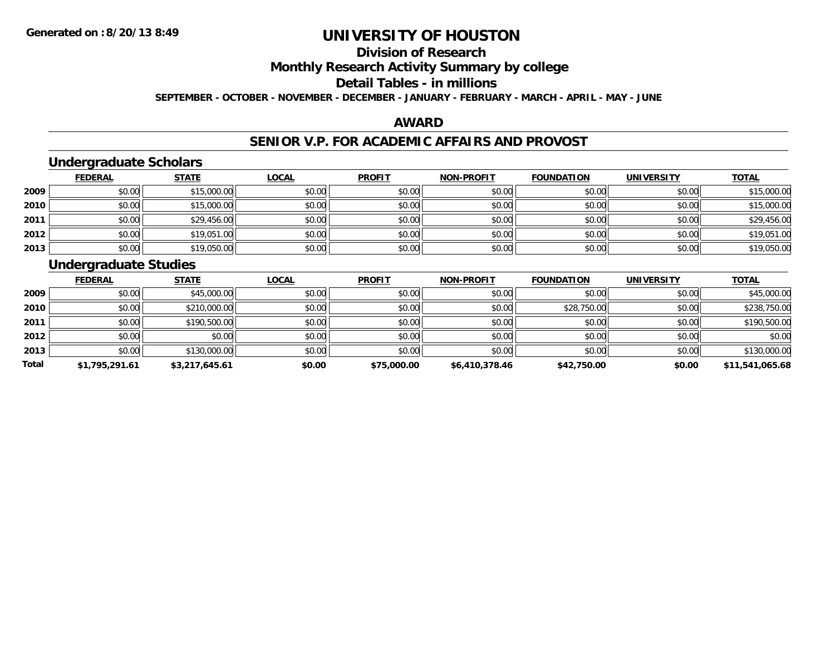# **Division of Research**

**Monthly Research Activity Summary by college**

#### **Detail Tables - in millions**

**SEPTEMBER - OCTOBER - NOVEMBER - DECEMBER - JANUARY - FEBRUARY - MARCH - APRIL - MAY - JUNE**

## **AWARD**

### **SENIOR V.P. FOR ACADEMIC AFFAIRS AND PROVOST**

## **Undergraduate Scholars**

|      | <b>FEDERAL</b> | <u>STATE</u> | <u>LOCAL</u> | <b>PROFIT</b> | <b>NON-PROFIT</b> | <b>FOUNDATION</b> | <b>UNIVERSITY</b> | <b>TOTAL</b> |
|------|----------------|--------------|--------------|---------------|-------------------|-------------------|-------------------|--------------|
| 2009 | \$0.00         | \$15,000.00  | \$0.00       | \$0.00        | \$0.00            | \$0.00            | \$0.00            | \$15,000.00  |
| 2010 | \$0.00         | \$15,000.00  | \$0.00       | \$0.00        | \$0.00            | \$0.00            | \$0.00            | \$15,000.00  |
| 2011 | \$0.00         | \$29,456.00  | \$0.00       | \$0.00        | \$0.00            | \$0.00            | \$0.00            | \$29,456.00  |
| 2012 | \$0.00         | \$19,051.00  | \$0.00       | \$0.00        | \$0.00            | \$0.00            | \$0.00            | \$19,051.00  |
| 2013 | \$0.00         | \$19,050.00  | \$0.00       | \$0.00        | \$0.00            | \$0.00            | \$0.00            | \$19,050.00  |

## **Undergraduate Studies**

|       | <b>FEDERAL</b> | <b>STATE</b>   | <b>LOCAL</b> | <b>PROFIT</b> | <b>NON-PROFIT</b> | <b>FOUNDATION</b> | <b>UNIVERSITY</b> | <b>TOTAL</b>    |
|-------|----------------|----------------|--------------|---------------|-------------------|-------------------|-------------------|-----------------|
| 2009  | \$0.00         | \$45,000.00    | \$0.00       | \$0.00        | \$0.00            | \$0.00            | \$0.00            | \$45,000.00     |
| 2010  | \$0.00         | \$210,000.00   | \$0.00       | \$0.00        | \$0.00            | \$28,750.00       | \$0.00            | \$238,750.00    |
| 2011  | \$0.00         | \$190,500.00   | \$0.00       | \$0.00        | \$0.00            | \$0.00            | \$0.00            | \$190,500.00    |
| 2012  | \$0.00         | \$0.00         | \$0.00       | \$0.00        | \$0.00            | \$0.00            | \$0.00            | \$0.00          |
| 2013  | \$0.00         | \$130,000.00   | \$0.00       | \$0.00        | \$0.00            | \$0.00            | \$0.00            | \$130,000.00    |
| Total | \$1,795,291.61 | \$3,217,645.61 | \$0.00       | \$75,000.00   | \$6,410,378.46    | \$42,750.00       | \$0.00            | \$11,541,065.68 |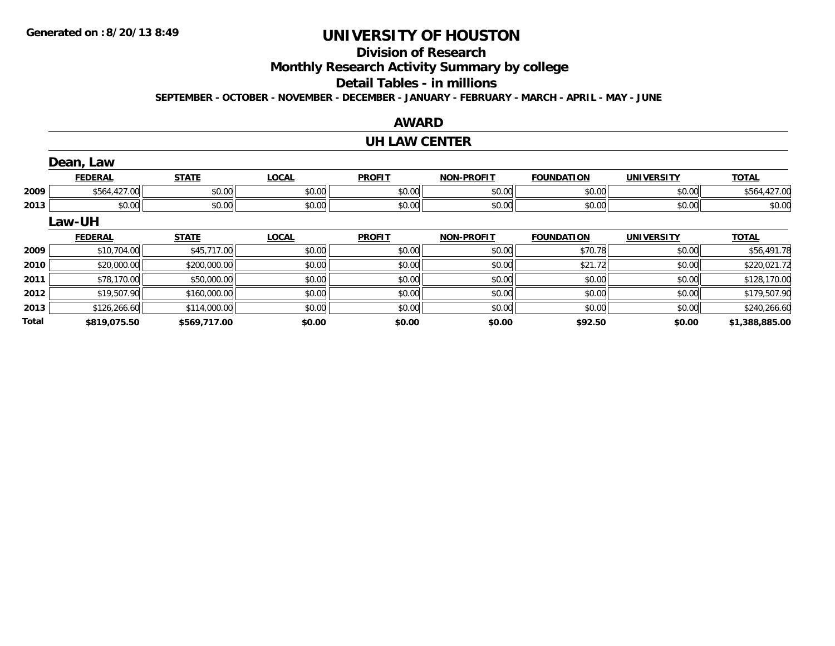**Total**

# **UNIVERSITY OF HOUSTON**

# **Division of Research**

**Monthly Research Activity Summary by college**

#### **Detail Tables - in millions**

**SEPTEMBER - OCTOBER - NOVEMBER - DECEMBER - JANUARY - FEBRUARY - MARCH - APRIL - MAY - JUNE**

## **AWARD**

#### **UH LAW CENTER**

|      | Dean, Law      |              |              |               |                   |                   |                   |              |
|------|----------------|--------------|--------------|---------------|-------------------|-------------------|-------------------|--------------|
|      | <b>FEDERAL</b> | <b>STATE</b> | <b>LOCAL</b> | <b>PROFIT</b> | <b>NON-PROFIT</b> | <b>FOUNDATION</b> | <b>UNIVERSITY</b> | <b>TOTAL</b> |
| 2009 | \$564,427.00   | \$0.00       | \$0.00       | \$0.00        | \$0.00            | \$0.00            | \$0.00            | \$564,427.00 |
| 2013 | \$0.00         | \$0.00       | \$0.00       | \$0.00        | \$0.00            | \$0.00            | \$0.00            | \$0.00       |
|      | Law-UH         |              |              |               |                   |                   |                   |              |
|      | <b>FEDERAL</b> | <b>STATE</b> | <b>LOCAL</b> | <b>PROFIT</b> | <b>NON-PROFIT</b> | <b>FOUNDATION</b> | <b>UNIVERSITY</b> | <b>TOTAL</b> |
| 2009 | \$10,704.00    | \$45,717.00  | \$0.00       | \$0.00        | \$0.00            | \$70.78           | \$0.00            | \$56,491.78  |
| 2010 | \$20,000.00    | \$200,000.00 | \$0.00       | \$0.00        | \$0.00            | \$21.72           | \$0.00            | \$220,021.72 |
| 2011 | \$78,170.00    | \$50,000.00  | \$0.00       | \$0.00        | \$0.00            | \$0.00            | \$0.00            | \$128,170.00 |
| 2012 | \$19,507.90    | \$160,000.00 | \$0.00       | \$0.00        | \$0.00            | \$0.00            | \$0.00            | \$179,507.90 |
| 2013 | \$126,266.60   | \$114,000.00 | \$0.00       | \$0.00        | \$0.00            | \$0.00            | \$0.00            | \$240,266.60 |

**\$819,075.50 \$569,717.00 \$0.00 \$0.00 \$0.00 \$92.50 \$0.00 \$1,388,885.00**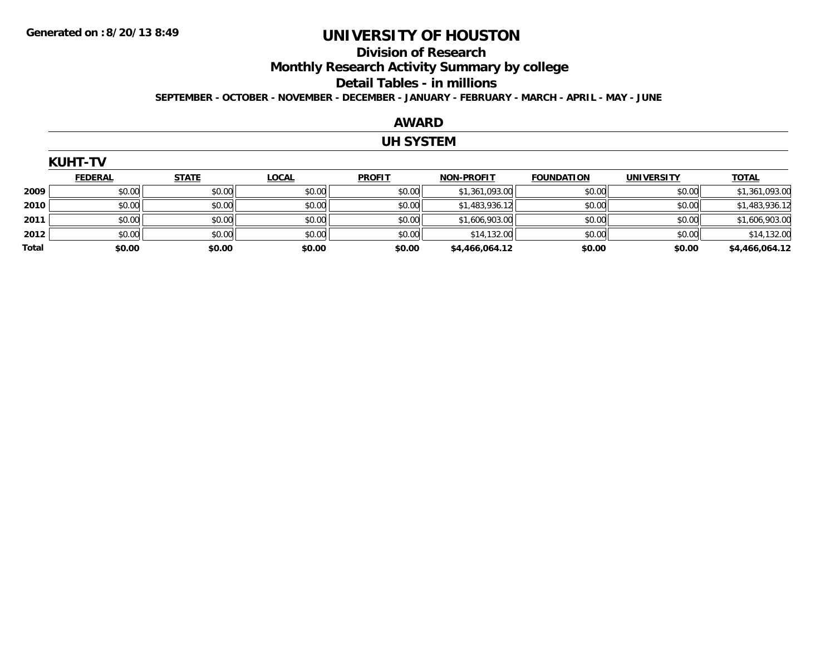# **Division of Research**

**Monthly Research Activity Summary by college**

#### **Detail Tables - in millions**

**SEPTEMBER - OCTOBER - NOVEMBER - DECEMBER - JANUARY - FEBRUARY - MARCH - APRIL - MAY - JUNE**

## **AWARD**

## **UH SYSTEM**

|       | <b>KUHT-TV</b> |              |              |               |                   |                   |                   |                |  |  |  |
|-------|----------------|--------------|--------------|---------------|-------------------|-------------------|-------------------|----------------|--|--|--|
|       | <b>FEDERAL</b> | <b>STATE</b> | <b>LOCAL</b> | <b>PROFIT</b> | <b>NON-PROFIT</b> | <b>FOUNDATION</b> | <b>UNIVERSITY</b> | <b>TOTAL</b>   |  |  |  |
| 2009  | \$0.00         | \$0.00       | \$0.00       | \$0.00        | \$1,361,093.00    | \$0.00            | \$0.00            | \$1,361,093.00 |  |  |  |
| 2010  | \$0.00         | \$0.00       | \$0.00       | \$0.00        | \$1,483,936.12    | \$0.00            | \$0.00            | \$1,483,936.12 |  |  |  |
| 2011  | \$0.00         | \$0.00       | \$0.00       | \$0.00        | \$1,606,903.00    | \$0.00            | \$0.00            | \$1,606,903.00 |  |  |  |
| 2012  | \$0.00         | \$0.00       | \$0.00       | \$0.00        | \$14,132.00       | \$0.00            | \$0.00            | \$14,132.00    |  |  |  |
| Total | \$0.00         | \$0.00       | \$0.00       | \$0.00        | \$4,466,064.12    | \$0.00            | \$0.00            | \$4,466,064.12 |  |  |  |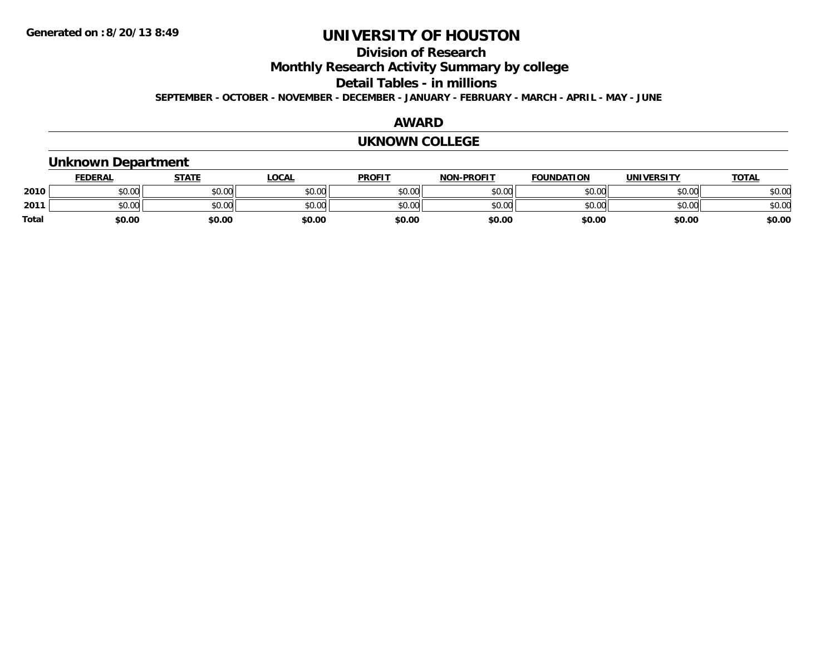# **Division of Research**

**Monthly Research Activity Summary by college**

**Detail Tables - in millions**

**SEPTEMBER - OCTOBER - NOVEMBER - DECEMBER - JANUARY - FEBRUARY - MARCH - APRIL - MAY - JUNE**

## **AWARD**

#### **UKNOWN COLLEGE**

## **Unknown Department**

|              | <b>FEDERAL</b> | STATE  | <u>LOCAL</u> | <b>PROFIT</b> | <b>NON-PROFIT</b> | <b>FOUNDATION</b> | <b>UNIVERSITY</b> | <b>TOTAL</b> |
|--------------|----------------|--------|--------------|---------------|-------------------|-------------------|-------------------|--------------|
| 2010         | \$0.00         | \$0.00 | \$0.00       | \$0.00        | \$0.00            | \$0.00            | \$0.00            | \$0.00       |
| 2011         | \$0.00         | \$0.00 | \$0.00       | \$0.00        | \$0.00            | \$0.00            | \$0.00            | \$0.00       |
| <b>Total</b> | \$0.00         | \$0.00 | \$0.00       | \$0.00        | \$0.00            | \$0.00            | \$0.00            | \$0.00       |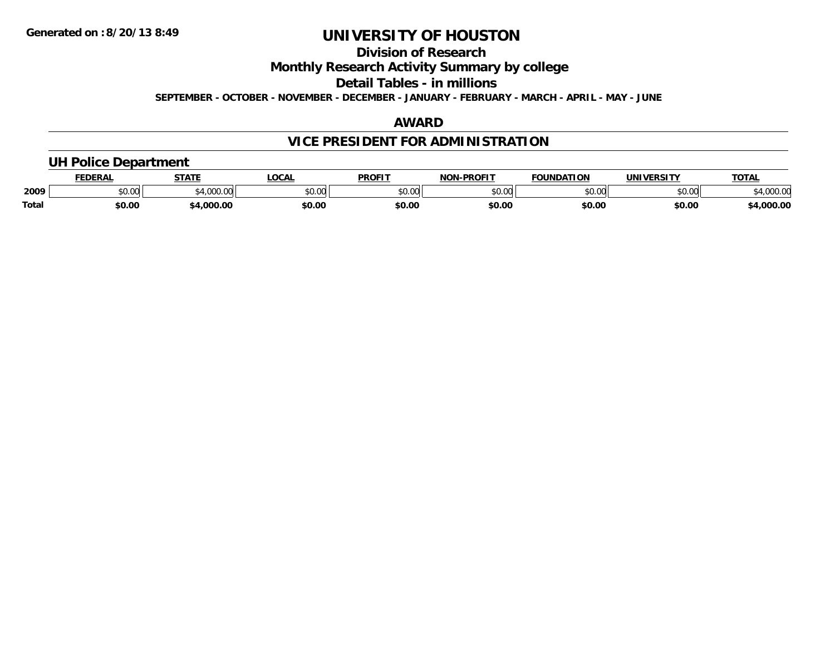# **Division of Research**

**Monthly Research Activity Summary by college**

**Detail Tables - in millions**

**SEPTEMBER - OCTOBER - NOVEMBER - DECEMBER - JANUARY - FEBRUARY - MARCH - APRIL - MAY - JUNE**

## **AWARD**

# **VICE PRESIDENT FOR ADMINISTRATION**

## **UH Police Department**

|              | <b>FEDERAL</b> | <b>STATE</b>   | LOCAL         | <b>PROFIT</b> | -PROFIT<br>וחרות                 | <b>FOUNDATION</b> | UNIVERSITY | TOTA.       |
|--------------|----------------|----------------|---------------|---------------|----------------------------------|-------------------|------------|-------------|
| 2009         | 0.00<br>vv.vv  | 1.000<br>uuu.u | 0000<br>PU.UU | 0000<br>PO.OO | $\circ$ $\circ$ $\circ$<br>pu.uu | \$0.00            | \$0.00     | 94,000.00   |
| <b>Total</b> | \$0.00         | .000.00        | \$0.00        | \$0.00        | \$0.00                           | \$0.00            | \$0.00     | $+0.000.00$ |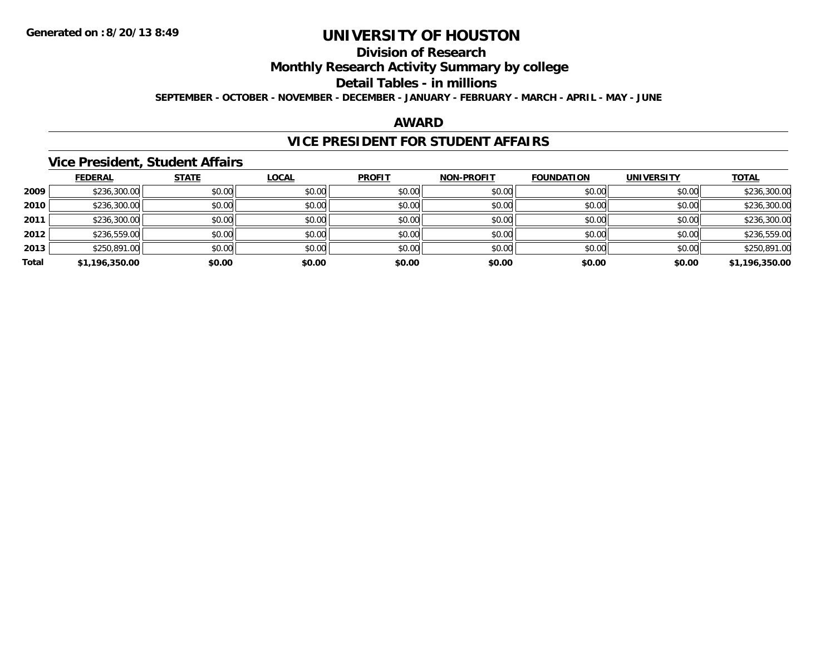# **Division of Research**

**Monthly Research Activity Summary by college**

#### **Detail Tables - in millions**

**SEPTEMBER - OCTOBER - NOVEMBER - DECEMBER - JANUARY - FEBRUARY - MARCH - APRIL - MAY - JUNE**

## **AWARD**

## **VICE PRESIDENT FOR STUDENT AFFAIRS**

### **Vice President, Student Affairs**

|       | <b>FEDERAL</b> | <b>STATE</b> | <b>LOCAL</b> | <b>PROFIT</b> | <b>NON-PROFIT</b> | <b>FOUNDATION</b> | <b>UNIVERSITY</b> | <b>TOTAL</b>   |
|-------|----------------|--------------|--------------|---------------|-------------------|-------------------|-------------------|----------------|
| 2009  | \$236,300.00   | \$0.00       | \$0.00       | \$0.00        | \$0.00            | \$0.00            | \$0.00            | \$236,300.00   |
| 2010  | \$236,300.00   | \$0.00       | \$0.00       | \$0.00        | \$0.00            | \$0.00            | \$0.00            | \$236,300.00   |
| 2011  | \$236,300.00   | \$0.00       | \$0.00       | \$0.00        | \$0.00            | \$0.00            | \$0.00            | \$236,300.00   |
| 2012  | \$236,559.00   | \$0.00       | \$0.00       | \$0.00        | \$0.00            | \$0.00            | \$0.00            | \$236,559.00   |
| 2013  | \$250,891.00   | \$0.00       | \$0.00       | \$0.00        | \$0.00            | \$0.00            | \$0.00            | \$250,891.00   |
| Total | \$1,196,350.00 | \$0.00       | \$0.00       | \$0.00        | \$0.00            | \$0.00            | \$0.00            | \$1,196,350.00 |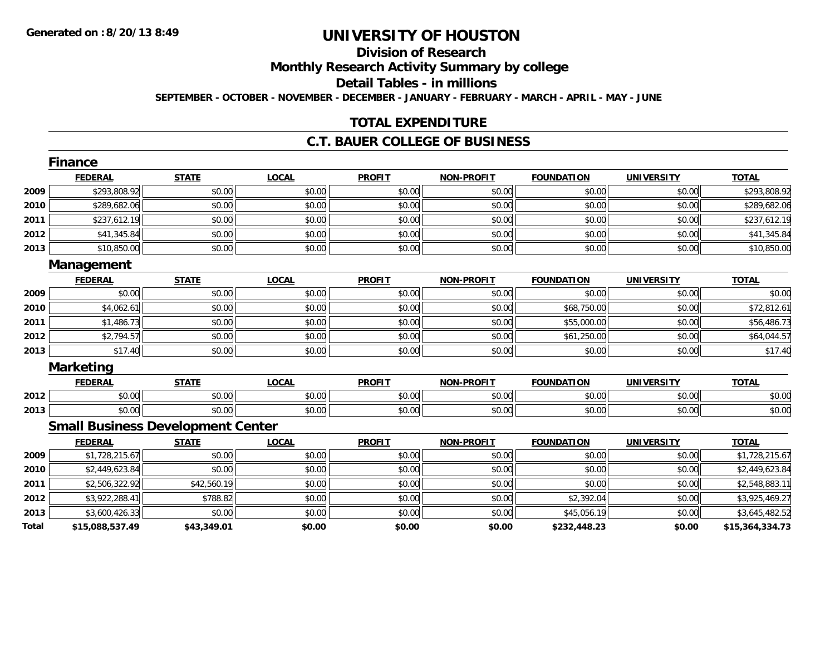# **Division of Research**

**Monthly Research Activity Summary by college**

**Detail Tables - in millions**

**SEPTEMBER - OCTOBER - NOVEMBER - DECEMBER - JANUARY - FEBRUARY - MARCH - APRIL - MAY - JUNE**

# **TOTAL EXPENDITURE**

## **C.T. BAUER COLLEGE OF BUSINESS**

|       | Finance                                  |              |              |               |                   |                   |                   |                 |
|-------|------------------------------------------|--------------|--------------|---------------|-------------------|-------------------|-------------------|-----------------|
|       | <b>FEDERAL</b>                           | <b>STATE</b> | <b>LOCAL</b> | <b>PROFIT</b> | <b>NON-PROFIT</b> | <b>FOUNDATION</b> | <b>UNIVERSITY</b> | <b>TOTAL</b>    |
| 2009  | \$293,808.92                             | \$0.00       | \$0.00       | \$0.00        | \$0.00            | \$0.00            | \$0.00            | \$293,808.92    |
| 2010  | \$289,682.06                             | \$0.00       | \$0.00       | \$0.00        | \$0.00            | \$0.00            | \$0.00            | \$289,682.06    |
| 2011  | \$237,612.19                             | \$0.00       | \$0.00       | \$0.00        | \$0.00            | \$0.00            | \$0.00            | \$237,612.19    |
| 2012  | \$41,345.84                              | \$0.00       | \$0.00       | \$0.00        | \$0.00            | \$0.00            | \$0.00            | \$41,345.84     |
| 2013  | \$10,850.00                              | \$0.00       | \$0.00       | \$0.00        | \$0.00            | \$0.00            | \$0.00            | \$10,850.00     |
|       | Management                               |              |              |               |                   |                   |                   |                 |
|       | <b>FEDERAL</b>                           | <b>STATE</b> | <b>LOCAL</b> | <b>PROFIT</b> | <b>NON-PROFIT</b> | <b>FOUNDATION</b> | <b>UNIVERSITY</b> | <b>TOTAL</b>    |
| 2009  | \$0.00                                   | \$0.00       | \$0.00       | \$0.00        | \$0.00            | \$0.00            | \$0.00            | \$0.00          |
| 2010  | \$4,062.61                               | \$0.00       | \$0.00       | \$0.00        | \$0.00            | \$68,750.00       | \$0.00            | \$72,812.61     |
| 2011  | \$1,486.73                               | \$0.00       | \$0.00       | \$0.00        | \$0.00            | \$55,000.00       | \$0.00            | \$56,486.73     |
| 2012  | \$2,794.57                               | \$0.00       | \$0.00       | \$0.00        | \$0.00            | \$61,250.00       | \$0.00            | \$64,044.57     |
| 2013  | \$17.40                                  | \$0.00       | \$0.00       | \$0.00        | \$0.00            | \$0.00            | \$0.00            | \$17.40         |
|       | <b>Marketing</b>                         |              |              |               |                   |                   |                   |                 |
|       | <b>FEDERAL</b>                           | <b>STATE</b> | <b>LOCAL</b> | <b>PROFIT</b> | <b>NON-PROFIT</b> | <b>FOUNDATION</b> | <b>UNIVERSITY</b> | <b>TOTAL</b>    |
| 2012  | \$0.00                                   | \$0.00       | \$0.00       | \$0.00        | \$0.00            | \$0.00            | \$0.00            | \$0.00          |
| 2013  | \$0.00                                   | \$0.00       | \$0.00       | \$0.00        | \$0.00            | \$0.00            | \$0.00            | \$0.00          |
|       | <b>Small Business Development Center</b> |              |              |               |                   |                   |                   |                 |
|       | <b>FEDERAL</b>                           | <b>STATE</b> | <b>LOCAL</b> | <b>PROFIT</b> | <b>NON-PROFIT</b> | <b>FOUNDATION</b> | <b>UNIVERSITY</b> | <b>TOTAL</b>    |
| 2009  | \$1,728,215.67                           | \$0.00       | \$0.00       | \$0.00        | \$0.00            | \$0.00            | \$0.00            | \$1,728,215.67  |
| 2010  | \$2,449,623.84                           | \$0.00       | \$0.00       | \$0.00        | \$0.00            | \$0.00            | \$0.00            | \$2,449,623.84  |
| 2011  | \$2,506,322.92                           | \$42,560.19  | \$0.00       | \$0.00        | \$0.00            | \$0.00            | \$0.00            | \$2,548,883.11  |
| 2012  | \$3,922,288.41                           | \$788.82     | \$0.00       | \$0.00        | \$0.00            | \$2,392.04        | \$0.00            | \$3,925,469.27  |
| 2013  | \$3,600,426.33                           | \$0.00       | \$0.00       | \$0.00        | \$0.00            | \$45,056.19       | \$0.00            | \$3,645,482.52  |
| Total | \$15,088,537.49                          | \$43,349.01  | \$0.00       | \$0.00        | \$0.00            | \$232,448.23      | \$0.00            | \$15,364,334.73 |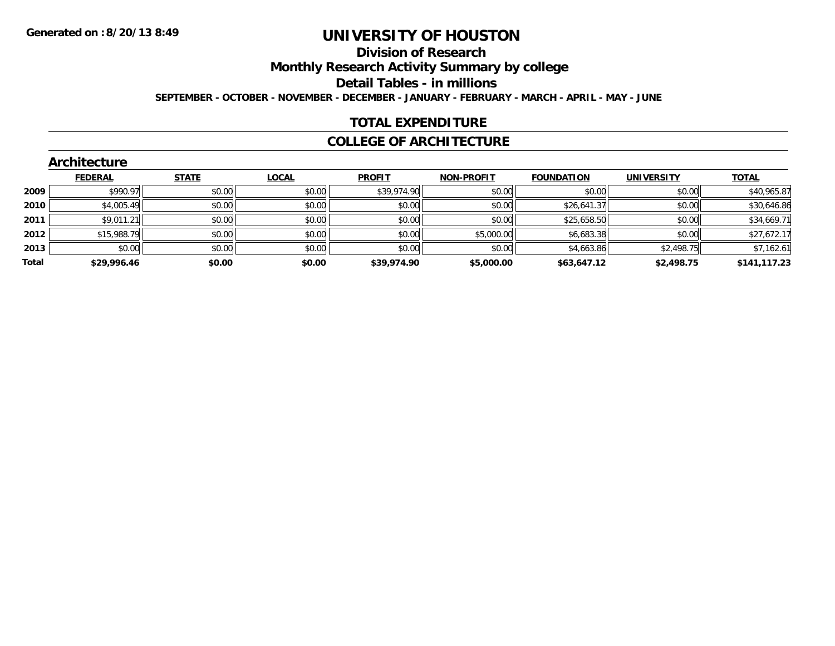# **Division of Research**

**Monthly Research Activity Summary by college**

**Detail Tables - in millions**

**SEPTEMBER - OCTOBER - NOVEMBER - DECEMBER - JANUARY - FEBRUARY - MARCH - APRIL - MAY - JUNE**

## **TOTAL EXPENDITURE**

### **COLLEGE OF ARCHITECTURE**

|       | <b>Architecture</b> |              |        |               |                   |                   |                   |              |
|-------|---------------------|--------------|--------|---------------|-------------------|-------------------|-------------------|--------------|
|       | <b>FEDERAL</b>      | <b>STATE</b> | LOCAL  | <b>PROFIT</b> | <b>NON-PROFIT</b> | <b>FOUNDATION</b> | <b>UNIVERSITY</b> | <b>TOTAL</b> |
| 2009  | \$990.97            | \$0.00       | \$0.00 | \$39,974.90   | \$0.00            | \$0.00            | \$0.00            | \$40,965.87  |
| 2010  | \$4,005.49          | \$0.00       | \$0.00 | \$0.00        | \$0.00            | \$26,641.37       | \$0.00            | \$30,646.86  |
| 2011  | \$9,011.21          | \$0.00       | \$0.00 | \$0.00        | \$0.00            | \$25,658.50       | \$0.00            | \$34,669.71  |
| 2012  | \$15,988.79         | \$0.00       | \$0.00 | \$0.00        | \$5,000.00        | \$6,683.38        | \$0.00            | \$27,672.17  |
| 2013  | \$0.00              | \$0.00       | \$0.00 | \$0.00        | \$0.00            | \$4,663.86        | \$2,498.75        | \$7,162.61   |
| Total | \$29,996.46         | \$0.00       | \$0.00 | \$39,974.90   | \$5,000.00        | \$63,647.12       | \$2,498.75        | \$141,117.23 |
|       |                     |              |        |               |                   |                   |                   |              |

#### **Architecture**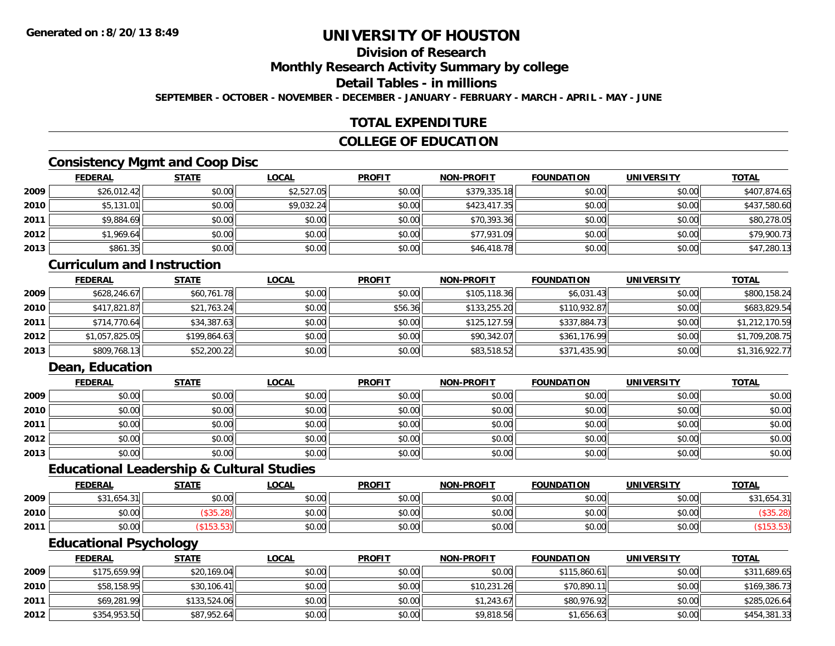# **Division of Research**

**Monthly Research Activity Summary by college**

#### **Detail Tables - in millions**

**SEPTEMBER - OCTOBER - NOVEMBER - DECEMBER - JANUARY - FEBRUARY - MARCH - APRIL - MAY - JUNE**

## **TOTAL EXPENDITURE**

## **COLLEGE OF EDUCATION**

## **Consistency Mgmt and Coop Disc**

|      | <b>FEDERAL</b> | <b>STATE</b> | <u>LOCAL</u> | <b>PROFIT</b> | <b>NON-PROFIT</b> | <b>FOUNDATION</b> | <b>UNIVERSITY</b> | <b>TOTAL</b> |
|------|----------------|--------------|--------------|---------------|-------------------|-------------------|-------------------|--------------|
| 2009 | \$26,012.42    | \$0.00       | \$2,527.05   | \$0.00        | \$379,335.18      | \$0.00            | \$0.00            | \$407,874.65 |
| 2010 | \$5,131.01     | \$0.00       | \$9,032.24   | \$0.00        | \$423,417.35      | \$0.00            | \$0.00            | \$437,580.60 |
| 2011 | \$9,884.69     | \$0.00       | \$0.00       | \$0.00        | \$70,393.36       | \$0.00            | \$0.00            | \$80,278.05  |
| 2012 | \$1,969.64     | \$0.00       | \$0.00       | \$0.00        | \$77,931.09       | \$0.00            | \$0.00            | \$79,900.73  |
| 2013 | \$861.35       | \$0.00       | \$0.00       | \$0.00        | \$46,418.78       | \$0.00            | \$0.00            | \$47,280.13  |

## **Curriculum and Instruction**

|      | <b>FEDERAL</b> | <u>STATE</u> | <u>LOCAL</u> | <b>PROFIT</b> | <b>NON-PROFIT</b> | <b>FOUNDATION</b> | UNIVERSITY | <b>TOTAL</b>   |
|------|----------------|--------------|--------------|---------------|-------------------|-------------------|------------|----------------|
| 2009 | \$628,246.67   | \$60,761.78  | \$0.00       | \$0.00        | \$105,118.36      | \$6,031.43        | \$0.00     | \$800,158.24   |
| 2010 | \$417,821.87   | \$21,763.24  | \$0.00       | \$56.36       | \$133,255,20      | \$110,932.87      | \$0.00     | \$683,829.54   |
| 2011 | \$714,770.64   | \$34,387.63  | \$0.00       | \$0.00        | \$125,127.59      | \$337,884.73      | \$0.00     | \$1,212,170.59 |
| 2012 | \$1,057,825.05 | \$199,864.63 | \$0.00       | \$0.00        | \$90,342.07       | \$361,176.99      | \$0.00     | \$1,709,208.75 |
| 2013 | \$809,768.13   | \$52,200.22  | \$0.00       | \$0.00        | \$83,518.52       | \$371,435.90      | \$0.00     | \$1,316,922.77 |

# **Dean, Education**

|      | <b>FEDERAL</b> | <b>STATE</b> | <b>LOCAL</b> | <b>PROFIT</b> | <b>NON-PROFIT</b> | <b>FOUNDATION</b> | <b>UNIVERSITY</b> | <b>TOTAL</b> |
|------|----------------|--------------|--------------|---------------|-------------------|-------------------|-------------------|--------------|
| 2009 | \$0.00         | \$0.00       | \$0.00       | \$0.00        | \$0.00            | \$0.00            | \$0.00            | \$0.00       |
| 2010 | \$0.00         | \$0.00       | \$0.00       | \$0.00        | \$0.00            | \$0.00            | \$0.00            | \$0.00       |
| 2011 | \$0.00         | \$0.00       | \$0.00       | \$0.00        | \$0.00            | \$0.00            | \$0.00            | \$0.00       |
| 2012 | \$0.00         | \$0.00       | \$0.00       | \$0.00        | \$0.00            | \$0.00            | \$0.00            | \$0.00       |
| 2013 | \$0.00         | \$0.00       | \$0.00       | \$0.00        | \$0.00            | \$0.00            | \$0.00            | \$0.00       |

## **Educational Leadership & Cultural Studies**

|      | <b>FEDERAL</b>                | <b>STATE</b> | <b>LOCAL</b> | <b>PROFIT</b> | <b>NON-PROFIT</b> | <b>FOUNDATION</b> | <b>UNIVERSITY</b> | <u>TOTAL</u> |
|------|-------------------------------|--------------|--------------|---------------|-------------------|-------------------|-------------------|--------------|
| 2009 | .654.3<br><b>¢ つ 1</b><br>C-C | \$0.00       | \$0.00       | \$0.00        | \$0.00            | \$0.00            | \$0.00            | \$31,654.31  |
| 2010 | $*$ $\cap$ $\cap$<br>JU.UU    |              | \$0.00       | \$0.00        | \$0.00            | \$0.00            | \$0.00            |              |
| 2011 | $*$ $\cap$ $\cap$<br>DU.UU    |              | \$0.00       | \$0.00        | \$0.00            | \$0.00            | \$0.00            |              |

# **Educational Psychology**

|      | <b>FEDERAL</b> | <u>STATE</u> | <u>LOCAL</u> | <b>PROFIT</b> | <b>NON-PROFIT</b> | <b>FOUNDATION</b> | UNIVERSITY | <b>TOTAL</b> |
|------|----------------|--------------|--------------|---------------|-------------------|-------------------|------------|--------------|
| 2009 | \$175,659.99   | \$20,169.04  | \$0.00       | \$0.00        | \$0.00            | \$115,860.61      | \$0.00     | \$311,689.65 |
| 2010 | \$58,158.95    | \$30,106.41  | \$0.00       | \$0.00        | \$10,231.26       | \$70,890.11       | \$0.00     | \$169,386.73 |
| 2011 | \$69,281.99    | \$133,524.06 | \$0.00       | \$0.00        | \$1,243.67        | \$80,976.92       | \$0.00     | \$285,026.64 |
| 2012 | \$354,953.50   | \$87,952.64  | \$0.00       | \$0.00        | \$9,818.56        | \$1,656.63        | \$0.00     | \$454,381.33 |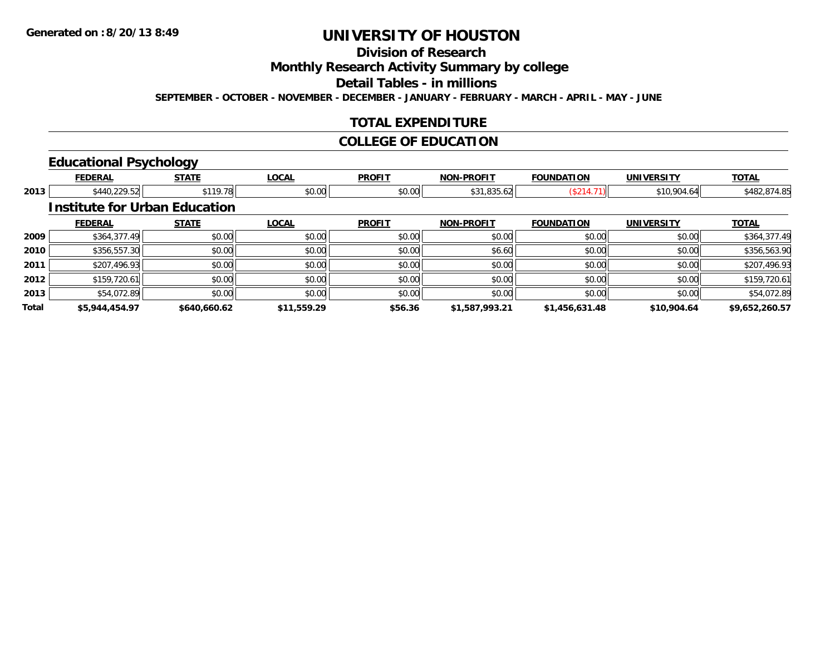# **Division of Research**

**Monthly Research Activity Summary by college**

**Detail Tables - in millions**

**SEPTEMBER - OCTOBER - NOVEMBER - DECEMBER - JANUARY - FEBRUARY - MARCH - APRIL - MAY - JUNE**

## **TOTAL EXPENDITURE**

## **COLLEGE OF EDUCATION**

## **Educational Psychology**

|       | <b>FEDERAL</b>                       | <b>STATE</b> | <b>LOCAL</b> | <b>PROFIT</b> | <b>NON-PROFIT</b> | <b>FOUNDATION</b> | <b>UNIVERSITY</b> | <b>TOTAL</b>   |
|-------|--------------------------------------|--------------|--------------|---------------|-------------------|-------------------|-------------------|----------------|
| 2013  | \$440,229.52                         | \$119.78     | \$0.00       | \$0.00        | \$31,835.62       | (\$214.71)        | \$10,904.64       | \$482,874.85   |
|       | <b>Institute for Urban Education</b> |              |              |               |                   |                   |                   |                |
|       | <b>FEDERAL</b>                       | <b>STATE</b> | <b>LOCAL</b> | <b>PROFIT</b> | <b>NON-PROFIT</b> | <b>FOUNDATION</b> | <b>UNIVERSITY</b> | <b>TOTAL</b>   |
| 2009  | \$364,377.49                         | \$0.00       | \$0.00       | \$0.00        | \$0.00            | \$0.00            | \$0.00            | \$364,377.49   |
| 2010  | \$356,557.30                         | \$0.00       | \$0.00       | \$0.00        | \$6.60            | \$0.00            | \$0.00            | \$356,563.90   |
| 2011  | \$207,496.93                         | \$0.00       | \$0.00       | \$0.00        | \$0.00            | \$0.00            | \$0.00            | \$207,496.93   |
| 2012  | \$159,720.61                         | \$0.00       | \$0.00       | \$0.00        | \$0.00            | \$0.00            | \$0.00            | \$159,720.61   |
| 2013  | \$54,072.89                          | \$0.00       | \$0.00       | \$0.00        | \$0.00            | \$0.00            | \$0.00            | \$54,072.89    |
| Total | \$5,944,454.97                       | \$640,660.62 | \$11,559.29  | \$56.36       | \$1,587,993.21    | \$1,456,631.48    | \$10,904.64       | \$9,652,260.57 |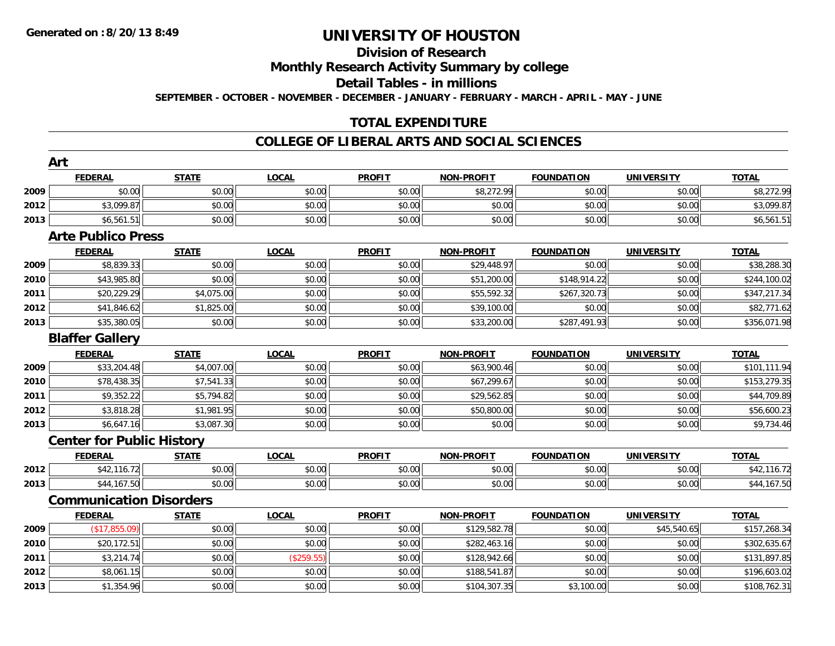## **Division of Research**

**Monthly Research Activity Summary by college**

**Detail Tables - in millions**

**SEPTEMBER - OCTOBER - NOVEMBER - DECEMBER - JANUARY - FEBRUARY - MARCH - APRIL - MAY - JUNE**

## **TOTAL EXPENDITURE**

#### **COLLEGE OF LIBERAL ARTS AND SOCIAL SCIENCES**

|      | Art                              |              |              |               |                   |                   |                   |              |
|------|----------------------------------|--------------|--------------|---------------|-------------------|-------------------|-------------------|--------------|
|      | <b>FEDERAL</b>                   | <b>STATE</b> | <b>LOCAL</b> | <b>PROFIT</b> | <b>NON-PROFIT</b> | <b>FOUNDATION</b> | <b>UNIVERSITY</b> | <b>TOTAL</b> |
| 2009 | \$0.00                           | \$0.00       | \$0.00       | \$0.00        | \$8,272.99        | \$0.00            | \$0.00            | \$8,272.99   |
| 2012 | \$3,099.87                       | \$0.00       | \$0.00       | \$0.00        | \$0.00            | \$0.00            | \$0.00            | \$3,099.87   |
| 2013 | \$6,561.51                       | \$0.00       | \$0.00       | \$0.00        | \$0.00            | \$0.00            | \$0.00            | \$6,561.51   |
|      | <b>Arte Publico Press</b>        |              |              |               |                   |                   |                   |              |
|      | <b>FEDERAL</b>                   | <b>STATE</b> | <b>LOCAL</b> | <b>PROFIT</b> | <b>NON-PROFIT</b> | <b>FOUNDATION</b> | <b>UNIVERSITY</b> | <b>TOTAL</b> |
| 2009 | \$8,839.33                       | \$0.00       | \$0.00       | \$0.00        | \$29,448.97       | \$0.00            | \$0.00            | \$38,288.30  |
| 2010 | \$43,985.80                      | \$0.00       | \$0.00       | \$0.00        | \$51,200.00       | \$148,914.22      | \$0.00            | \$244,100.02 |
| 2011 | \$20,229.29                      | \$4,075.00   | \$0.00       | \$0.00        | \$55,592.32       | \$267,320.73      | \$0.00            | \$347,217.34 |
| 2012 | \$41,846.62                      | \$1,825.00   | \$0.00       | \$0.00        | \$39,100.00       | \$0.00            | \$0.00            | \$82,771.62  |
| 2013 | \$35,380.05                      | \$0.00       | \$0.00       | \$0.00        | \$33,200.00       | \$287,491.93      | \$0.00            | \$356,071.98 |
|      | <b>Blaffer Gallery</b>           |              |              |               |                   |                   |                   |              |
|      | <b>FEDERAL</b>                   | <b>STATE</b> | <b>LOCAL</b> | <b>PROFIT</b> | <b>NON-PROFIT</b> | <b>FOUNDATION</b> | <b>UNIVERSITY</b> | <b>TOTAL</b> |
| 2009 | \$33,204.48                      | \$4,007.00   | \$0.00       | \$0.00        | \$63,900.46       | \$0.00            | \$0.00            | \$101,111.94 |
| 2010 | \$78,438.35                      | \$7,541.33   | \$0.00       | \$0.00        | \$67,299.67       | \$0.00            | \$0.00            | \$153,279.35 |
| 2011 | \$9,352.22                       | \$5,794.82   | \$0.00       | \$0.00        | \$29,562.85       | \$0.00            | \$0.00            | \$44,709.89  |
| 2012 | \$3,818.28                       | \$1,981.95   | \$0.00       | \$0.00        | \$50,800.00       | \$0.00            | \$0.00            | \$56,600.23  |
| 2013 | \$6,647.16                       | \$3,087.30   | \$0.00       | \$0.00        | \$0.00            | \$0.00            | \$0.00            | \$9,734.46   |
|      | <b>Center for Public History</b> |              |              |               |                   |                   |                   |              |
|      | <b>FEDERAL</b>                   | <b>STATE</b> | <b>LOCAL</b> | <b>PROFIT</b> | <b>NON-PROFIT</b> | <b>FOUNDATION</b> | <b>UNIVERSITY</b> | <b>TOTAL</b> |
| 2012 | \$42,116.72                      | \$0.00       | \$0.00       | \$0.00        | \$0.00            | \$0.00            | \$0.00            | \$42,116.72  |
| 2013 | \$44,167.50                      | \$0.00       | \$0.00       | \$0.00        | \$0.00            | \$0.00            | \$0.00            | \$44,167.50  |
|      | <b>Communication Disorders</b>   |              |              |               |                   |                   |                   |              |
|      | <b>FEDERAL</b>                   | <b>STATE</b> | <b>LOCAL</b> | <b>PROFIT</b> | <b>NON-PROFIT</b> | <b>FOUNDATION</b> | <b>UNIVERSITY</b> | <b>TOTAL</b> |
| 2009 | (\$17.855.09)                    | \$0.00       | \$0.00       | \$0.00        | \$129,582.78      | \$0.00            | \$45,540.65       | \$157,268.34 |
| 2010 | \$20,172.51                      | \$0.00       | \$0.00       | \$0.00        | \$282,463.16      | \$0.00            | \$0.00            | \$302,635.67 |
| 2011 | \$3,214.74                       | \$0.00       | (\$259.55)   | \$0.00        | \$128,942.66      | \$0.00            | \$0.00            | \$131,897.85 |
| 2012 | \$8,061.15                       | \$0.00       | \$0.00       | \$0.00        | \$188,541.87      | \$0.00            | \$0.00            | \$196,603.02 |
| 2013 | \$1,354.96                       | \$0.00       | \$0.00       | \$0.00        | \$104,307.35      | \$3,100.00        | \$0.00            | \$108,762.31 |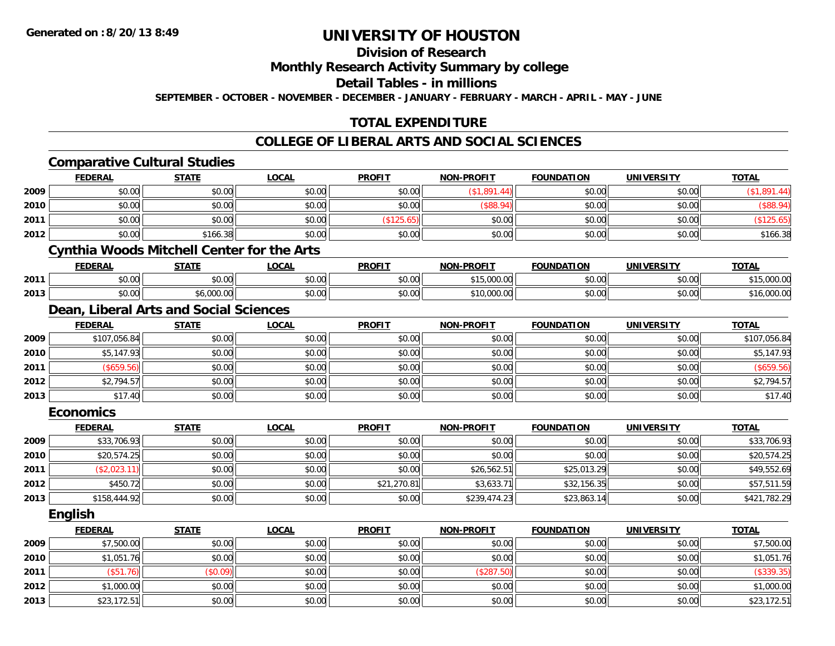# **Division of Research**

**Monthly Research Activity Summary by college**

**Detail Tables - in millions**

**SEPTEMBER - OCTOBER - NOVEMBER - DECEMBER - JANUARY - FEBRUARY - MARCH - APRIL - MAY - JUNE**

## **TOTAL EXPENDITURE**

#### **COLLEGE OF LIBERAL ARTS AND SOCIAL SCIENCES**

|      | <b>Comparative Cultural Studies</b> |                                                   |              |               |                   |                   |                   |              |
|------|-------------------------------------|---------------------------------------------------|--------------|---------------|-------------------|-------------------|-------------------|--------------|
|      | <b>FEDERAL</b>                      | <b>STATE</b>                                      | <b>LOCAL</b> | <b>PROFIT</b> | <b>NON-PROFIT</b> | <b>FOUNDATION</b> | <b>UNIVERSITY</b> | <b>TOTAL</b> |
| 2009 | \$0.00                              | \$0.00                                            | \$0.00       | \$0.00        | (\$1,891.44)      | \$0.00            | \$0.00            | (\$1,891.44) |
| 2010 | \$0.00                              | \$0.00                                            | \$0.00       | \$0.00        | $($ \$88.94)      | \$0.00            | \$0.00            | (\$88.94)    |
| 2011 | \$0.00                              | \$0.00                                            | \$0.00       | (\$125.65)    | \$0.00            | \$0.00            | \$0.00            | (\$125.65)   |
| 2012 | \$0.00                              | \$166.38                                          | \$0.00       | \$0.00        | \$0.00            | \$0.00            | \$0.00            | \$166.38     |
|      |                                     | <b>Cynthia Woods Mitchell Center for the Arts</b> |              |               |                   |                   |                   |              |
|      | <b>FEDERAL</b>                      | <b>STATE</b>                                      | <b>LOCAL</b> | <b>PROFIT</b> | <b>NON-PROFIT</b> | <b>FOUNDATION</b> | <b>UNIVERSITY</b> | <b>TOTAL</b> |
| 2011 | \$0.00                              | \$0.00                                            | \$0.00       | \$0.00        | \$15,000.00       | \$0.00            | \$0.00            | \$15,000.00  |
| 2013 | \$0.00                              | \$6,000.00                                        | \$0.00       | \$0.00        | \$10,000.00       | \$0.00            | \$0.00            | \$16,000.00  |
|      |                                     | Dean, Liberal Arts and Social Sciences            |              |               |                   |                   |                   |              |
|      | <b>FEDERAL</b>                      | <b>STATE</b>                                      | <b>LOCAL</b> | <b>PROFIT</b> | <b>NON-PROFIT</b> | <b>FOUNDATION</b> | <b>UNIVERSITY</b> | <b>TOTAL</b> |
| 2009 | \$107,056.84                        | \$0.00                                            | \$0.00       | \$0.00        | \$0.00            | \$0.00            | \$0.00            | \$107,056.84 |
| 2010 | \$5,147.93                          | \$0.00                                            | \$0.00       | \$0.00        | \$0.00            | \$0.00            | \$0.00            | \$5,147.93   |
| 2011 | (\$659.56)                          | \$0.00                                            | \$0.00       | \$0.00        | \$0.00            | \$0.00            | \$0.00            | (\$659.56)   |
| 2012 | \$2,794.57                          | \$0.00                                            | \$0.00       | \$0.00        | \$0.00            | \$0.00            | \$0.00            | \$2,794.57   |
| 2013 | \$17.40                             | \$0.00                                            | \$0.00       | \$0.00        | \$0.00            | \$0.00            | \$0.00            | \$17.40      |
|      | <b>Economics</b>                    |                                                   |              |               |                   |                   |                   |              |
|      | <b>FEDERAL</b>                      | <b>STATE</b>                                      | <b>LOCAL</b> | <b>PROFIT</b> | <b>NON-PROFIT</b> | <b>FOUNDATION</b> | <b>UNIVERSITY</b> | <b>TOTAL</b> |
| 2009 | \$33,706.93                         | \$0.00                                            | \$0.00       | \$0.00        | \$0.00            | \$0.00            | \$0.00            | \$33,706.93  |
| 2010 | \$20,574.25                         | \$0.00                                            | \$0.00       | \$0.00        | \$0.00            | \$0.00            | \$0.00            | \$20,574.25  |
| 2011 | (\$2,023.11)                        | \$0.00                                            | \$0.00       | \$0.00        | \$26,562.51       | \$25,013.29       | \$0.00            | \$49,552.69  |
| 2012 | \$450.72                            | \$0.00                                            | \$0.00       | \$21,270.81   | \$3,633.71        | \$32,156.35       | \$0.00            | \$57,511.59  |
| 2013 | \$158,444.92                        | \$0.00                                            | \$0.00       | \$0.00        | \$239,474.23      | \$23,863.14       | \$0.00            | \$421,782.29 |
|      | <b>English</b>                      |                                                   |              |               |                   |                   |                   |              |
|      | <b>FEDERAL</b>                      | <b>STATE</b>                                      | <b>LOCAL</b> | <b>PROFIT</b> | <b>NON-PROFIT</b> | <b>FOUNDATION</b> | <b>UNIVERSITY</b> | <b>TOTAL</b> |
| 2009 | \$7,500.00                          | \$0.00                                            | \$0.00       | \$0.00        | \$0.00            | \$0.00            | \$0.00            | \$7,500.00   |
| 2010 | \$1,051.76                          | \$0.00                                            | \$0.00       | \$0.00        | \$0.00            | \$0.00            | \$0.00            | \$1,051.76   |
| 2011 | (\$51.76)                           | (\$0.09)                                          | \$0.00       | \$0.00        | (\$287.50)        | \$0.00            | \$0.00            | (\$339.35)   |
| 2012 | \$1,000.00                          | \$0.00                                            | \$0.00       | \$0.00        | \$0.00            | \$0.00            | \$0.00            | \$1,000.00   |
| 2013 | \$23,172.51                         | \$0.00                                            | \$0.00       | \$0.00        | \$0.00            | \$0.00            | \$0.00            | \$23,172.51  |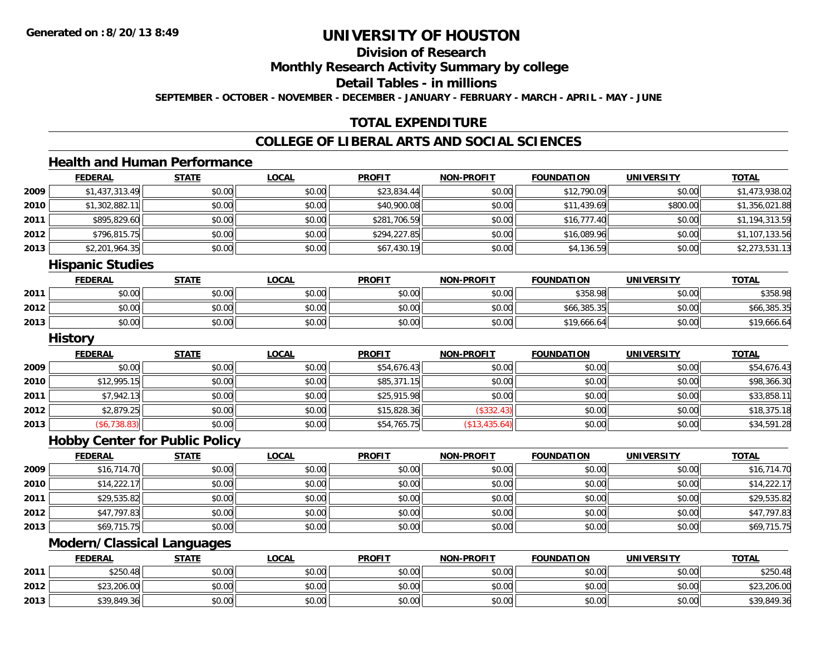## **Division of Research**

**Monthly Research Activity Summary by college**

**Detail Tables - in millions**

**SEPTEMBER - OCTOBER - NOVEMBER - DECEMBER - JANUARY - FEBRUARY - MARCH - APRIL - MAY - JUNE**

## **TOTAL EXPENDITURE**

## **COLLEGE OF LIBERAL ARTS AND SOCIAL SCIENCES**

## **Health and Human Performance**

|      | <b>FEDERAL</b> | <b>STATE</b> | <b>LOCAL</b> | <b>PROFIT</b> | <b>NON-PROFIT</b> | <b>FOUNDATION</b> | <b>UNIVERSITY</b> | <u>TOTAL</u>   |
|------|----------------|--------------|--------------|---------------|-------------------|-------------------|-------------------|----------------|
| 2009 | \$1,437,313.49 | \$0.00       | \$0.00       | \$23,834.44   | \$0.00            | \$12,790.09       | \$0.00            | \$1,473,938.02 |
| 2010 | \$1,302,882.1  | \$0.00       | \$0.00       | \$40,900.08   | \$0.00            | \$11,439.69       | \$800.00          | \$1,356,021.88 |
| 2011 | \$895,829.60   | \$0.00       | \$0.00       | \$281,706.59  | \$0.00            | \$16,777.40       | \$0.00            | \$1,194,313.59 |
| 2012 | \$796,815.75   | \$0.00       | \$0.00       | \$294,227.85  | \$0.00            | \$16,089.96       | \$0.00            | \$1,107,133.56 |
| 2013 | \$2,201,964.35 | \$0.00       | \$0.00       | \$67,430.19   | \$0.00            | \$4,136.59        | \$0.00            | \$2,273,531.13 |
|      | .<br>.         |              |              |               |                   |                   |                   |                |

#### **Hispanic Studies**

|      | <b>FEDERAL</b> | <b>STATE</b> | <b>LOCAL</b> | <b>PROFIT</b> | <b>NON-PROFIT</b> | <b>FOUNDATION</b> | UNIVERSITY | <b>TOTAL</b> |
|------|----------------|--------------|--------------|---------------|-------------------|-------------------|------------|--------------|
| 2011 | \$0.00         | \$0.00       | \$0.00       | \$0.00        | \$0.00            | \$358.98          | \$0.00     | \$358.98     |
| 2012 | \$0.00         | \$0.00       | \$0.00       | \$0.00        | \$0.00            | \$66,385.35       | \$0.00     | \$66,385.35  |
| 2013 | \$0.00         | \$0.00       | \$0.00       | \$0.00        | \$0.00            | \$19,666.64       | \$0.00     | \$19,666.64  |

#### **History**

|      | <b>FEDERAL</b>      | <u>STATE</u> | <u>LOCAL</u> | <b>PROFIT</b> | <b>NON-PROFIT</b> | <b>FOUNDATION</b> | <b>UNIVERSITY</b> | <b>TOTAL</b> |
|------|---------------------|--------------|--------------|---------------|-------------------|-------------------|-------------------|--------------|
| 2009 | \$0.00              | \$0.00       | \$0.00       | \$54,676.43   | \$0.00            | \$0.00            | \$0.00            | \$54,676.43  |
| 2010 | \$12,995.15         | \$0.00       | \$0.00       | \$85,371.15   | \$0.00            | \$0.00            | \$0.00            | \$98,366.30  |
| 2011 | \$7,942.13          | \$0.00       | \$0.00       | \$25,915.98   | \$0.00            | \$0.00            | \$0.00            | \$33,858.11  |
| 2012 | \$2,879.25          | \$0.00       | \$0.00       | \$15,828.36   | (\$332.43)        | \$0.00            | \$0.00            | \$18,375.18  |
| 2013 | $($ \$6,738.83) $ $ | \$0.00       | \$0.00       | \$54,765.75   | (\$13,435.64)     | \$0.00            | \$0.00            | \$34,591.28  |

#### **Hobby Center for Public Policy**

|      | <b>FEDERAL</b> | <b>STATE</b> | <b>LOCAL</b> | <b>PROFIT</b> | NON-PROFIT | <b>FOUNDATION</b> | <b>UNIVERSITY</b> | <b>TOTAL</b> |
|------|----------------|--------------|--------------|---------------|------------|-------------------|-------------------|--------------|
| 2009 | \$16,714.70    | \$0.00       | \$0.00       | \$0.00        | \$0.00     | \$0.00            | \$0.00            | \$16,714.70  |
| 2010 | \$14,222.17    | \$0.00       | \$0.00       | \$0.00        | \$0.00     | \$0.00            | \$0.00            | \$14,222.17  |
| 2011 | \$29,535.82    | \$0.00       | \$0.00       | \$0.00        | \$0.00     | \$0.00            | \$0.00            | \$29,535.82  |
| 2012 | \$47,797.83    | \$0.00       | \$0.00       | \$0.00        | \$0.00     | \$0.00            | \$0.00            | \$47,797.83  |
| 2013 | \$69,715.75    | \$0.00       | \$0.00       | \$0.00        | \$0.00     | \$0.00            | \$0.00            | \$69,715.75  |

<u> 1980 - Johann Barbara, martxa alemaniar amerikan basar da da a shekara 1980 - Andrew Maria Barbara, mash</u>

## **Modern/Classical Languages**

|      | <b>FEDERAL</b> | <b>STATE</b> | <b>LOCAL</b>  | <b>PROFIT</b> | <b>NON-PROFIT</b> | <b>FOUNDATION</b> | UNIVERSITY | <b>TOTAL</b> |
|------|----------------|--------------|---------------|---------------|-------------------|-------------------|------------|--------------|
| 2011 | \$250.48       | \$0.00       | 0.00<br>ง∪.∪บ | \$0.00        | \$0.00            | \$0.00            | \$0.00     | \$250.48     |
| 2012 | \$23,206.00    | \$0.00       | \$0.00        | \$0.00        | \$0.00            | \$0.00            | \$0.00     | \$23,206.00  |
| 2013 | \$39,849.36    | \$0.00       | \$0.00        | \$0.00        | \$0.00            | \$0.00            | \$0.00     | \$39,849.36  |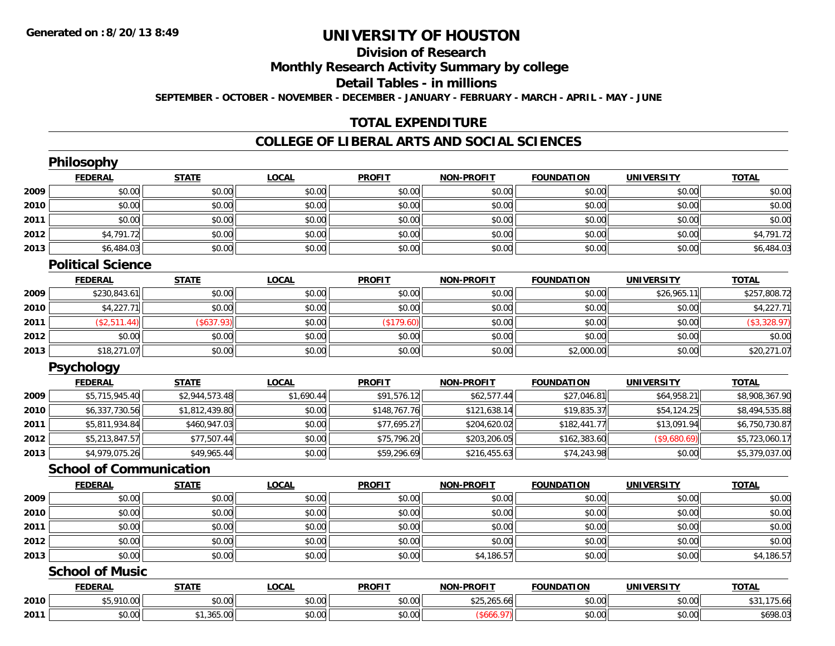## **Division of Research**

## **Monthly Research Activity Summary by college**

#### **Detail Tables - in millions**

**SEPTEMBER - OCTOBER - NOVEMBER - DECEMBER - JANUARY - FEBRUARY - MARCH - APRIL - MAY - JUNE**

## **TOTAL EXPENDITURE**

### **COLLEGE OF LIBERAL ARTS AND SOCIAL SCIENCES**

|      | Philosophy                     |                |              |               |                   |                   |                   |                |
|------|--------------------------------|----------------|--------------|---------------|-------------------|-------------------|-------------------|----------------|
|      | <b>FEDERAL</b>                 | <b>STATE</b>   | <b>LOCAL</b> | <b>PROFIT</b> | <b>NON-PROFIT</b> | <b>FOUNDATION</b> | <b>UNIVERSITY</b> | <b>TOTAL</b>   |
| 2009 | \$0.00                         | \$0.00         | \$0.00       | \$0.00        | \$0.00            | \$0.00            | \$0.00            | \$0.00         |
| 2010 | \$0.00                         | \$0.00         | \$0.00       | \$0.00        | \$0.00            | \$0.00            | \$0.00            | \$0.00         |
| 2011 | \$0.00                         | \$0.00         | \$0.00       | \$0.00        | \$0.00            | \$0.00            | \$0.00            | \$0.00         |
| 2012 | \$4,791.72                     | \$0.00         | \$0.00       | \$0.00        | \$0.00            | \$0.00            | \$0.00            | \$4,791.72     |
| 2013 | \$6,484.03                     | \$0.00         | \$0.00       | \$0.00        | \$0.00            | \$0.00            | \$0.00            | \$6,484.03     |
|      | <b>Political Science</b>       |                |              |               |                   |                   |                   |                |
|      | <b>FEDERAL</b>                 | <b>STATE</b>   | <b>LOCAL</b> | <b>PROFIT</b> | <b>NON-PROFIT</b> | <b>FOUNDATION</b> | <b>UNIVERSITY</b> | <b>TOTAL</b>   |
| 2009 | \$230,843.61                   | \$0.00         | \$0.00       | \$0.00        | \$0.00            | \$0.00            | \$26,965.11       | \$257,808.72   |
| 2010 | \$4,227.71                     | \$0.00         | \$0.00       | \$0.00        | \$0.00            | \$0.00            | \$0.00            | \$4,227.71     |
| 2011 | (\$2,511.44)                   | (\$637.93)     | \$0.00       | (\$179.60)    | \$0.00            | \$0.00            | \$0.00            | (\$3,328.97)   |
| 2012 | \$0.00                         | \$0.00         | \$0.00       | \$0.00        | \$0.00            | \$0.00            | \$0.00            | \$0.00         |
| 2013 | \$18,271.07                    | \$0.00         | \$0.00       | \$0.00        | \$0.00            | \$2,000.00        | \$0.00            | \$20,271.07    |
|      | Psychology                     |                |              |               |                   |                   |                   |                |
|      | <b>FEDERAL</b>                 | <b>STATE</b>   | <b>LOCAL</b> | <b>PROFIT</b> | <b>NON-PROFIT</b> | <b>FOUNDATION</b> | <b>UNIVERSITY</b> | <b>TOTAL</b>   |
| 2009 | \$5,715,945.40                 | \$2,944,573.48 | \$1,690.44   | \$91,576.12   | \$62,577.44       | \$27,046.81       | \$64,958.21       | \$8,908,367.90 |
| 2010 | \$6,337,730.56                 | \$1,812,439.80 | \$0.00       | \$148,767.76  | \$121,638.14      | \$19,835.37       | \$54,124.25       | \$8,494,535.88 |
| 2011 | \$5,811,934.84                 | \$460,947.03   | \$0.00       | \$77,695.27   | \$204,620.02      | \$182,441.77      | \$13,091.94       | \$6,750,730.87 |
| 2012 | \$5,213,847.57                 | \$77,507.44    | \$0.00       | \$75,796.20   | \$203,206.05      | \$162,383.60      | (\$9,680.69)      | \$5,723,060.17 |
| 2013 | \$4,979,075.26                 | \$49,965.44    | \$0.00       | \$59,296.69   | \$216,455.63      | \$74,243.98       | \$0.00            | \$5,379,037.00 |
|      | <b>School of Communication</b> |                |              |               |                   |                   |                   |                |
|      | <b>FEDERAL</b>                 | <b>STATE</b>   | <b>LOCAL</b> | <b>PROFIT</b> | <b>NON-PROFIT</b> | <b>FOUNDATION</b> | <b>UNIVERSITY</b> | <b>TOTAL</b>   |
| 2009 | \$0.00                         | \$0.00         | \$0.00       | \$0.00        | \$0.00            | \$0.00            | \$0.00            | \$0.00         |
| 2010 | \$0.00                         | \$0.00         | \$0.00       | \$0.00        | \$0.00            | \$0.00            | \$0.00            | \$0.00         |
| 2011 | \$0.00                         | \$0.00         | \$0.00       | \$0.00        | \$0.00            | \$0.00            | \$0.00            | \$0.00         |
| 2012 | \$0.00                         | \$0.00         | \$0.00       | \$0.00        | \$0.00            | \$0.00            | \$0.00            | \$0.00         |
| 2013 | \$0.00                         | \$0.00         | \$0.00       | \$0.00        | \$4,186.57        | \$0.00            | \$0.00            | \$4,186.57     |
|      | <b>School of Music</b>         |                |              |               |                   |                   |                   |                |
|      | <b>FEDERAL</b>                 | <b>STATE</b>   | <b>LOCAL</b> | <b>PROFIT</b> | <b>NON-PROFIT</b> | <b>FOUNDATION</b> | <b>UNIVERSITY</b> | <b>TOTAL</b>   |
| 2010 | \$5,910.00                     | \$0.00         | \$0.00       | \$0.00        | \$25,265.66       | \$0.00            | \$0.00            | \$31,175.66    |
| 2011 | \$0.00                         | \$1,365.00     | \$0.00       | \$0.00        | (\$666.97)        | \$0.00            | \$0.00            | \$698.03       |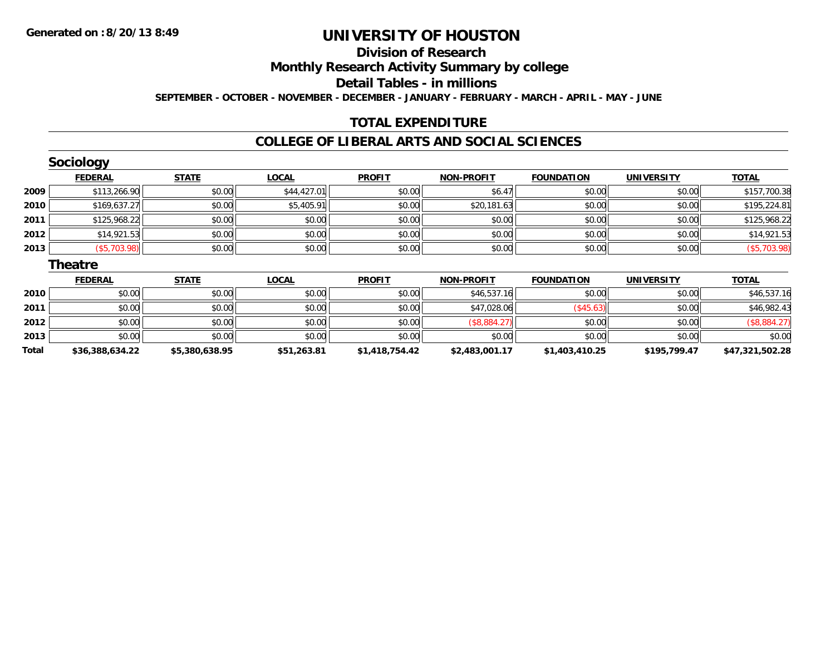**Total**

# **UNIVERSITY OF HOUSTON**

## **Division of Research**

**Monthly Research Activity Summary by college**

**Detail Tables - in millions**

**SEPTEMBER - OCTOBER - NOVEMBER - DECEMBER - JANUARY - FEBRUARY - MARCH - APRIL - MAY - JUNE**

## **TOTAL EXPENDITURE**

### **COLLEGE OF LIBERAL ARTS AND SOCIAL SCIENCES**

|      | <b>Sociology</b> |              |              |               |                   |                   |                   |              |
|------|------------------|--------------|--------------|---------------|-------------------|-------------------|-------------------|--------------|
|      | <b>FEDERAL</b>   | <b>STATE</b> | <b>LOCAL</b> | <b>PROFIT</b> | <b>NON-PROFIT</b> | <b>FOUNDATION</b> | <b>UNIVERSITY</b> | <b>TOTAL</b> |
| 2009 | \$113,266.90     | \$0.00       | \$44,427.01  | \$0.00        | \$6.47            | \$0.00            | \$0.00            | \$157,700.38 |
| 2010 | \$169,637.27     | \$0.00       | \$5,405.91   | \$0.00        | \$20,181.63       | \$0.00            | \$0.00            | \$195,224.81 |
| 2011 | \$125,968.22     | \$0.00       | \$0.00       | \$0.00        | \$0.00            | \$0.00            | \$0.00            | \$125,968.22 |
| 2012 | \$14,921.53      | \$0.00       | \$0.00       | \$0.00        | \$0.00            | \$0.00            | \$0.00            | \$14,921.53  |
| 2013 | (\$5,703.98)     | \$0.00       | \$0.00       | \$0.00        | \$0.00            | \$0.00            | \$0.00            | (\$5,703.98) |
|      | <b>Theatre</b>   |              |              |               |                   |                   |                   |              |
|      | <b>FEDERAL</b>   | <b>STATE</b> | <b>LOCAL</b> | <b>PROFIT</b> | <b>NON-PROFIT</b> | <b>FOUNDATION</b> | <b>UNIVERSITY</b> | <b>TOTAL</b> |
| 2010 | \$0.00           | \$0.00       | \$0.00       | \$0.00        | \$46,537.16       | \$0.00            | \$0.00            | \$46,537.16  |
| 2011 | \$0.00           | \$0.00       | \$0.00       | \$0.00        | \$47,028.06       | $(*45.63)$        | \$0.00            | \$46,982.43  |
| 2012 | \$0.00           | \$0.00       | \$0.00       | \$0.00        | (\$8,884.27)      | \$0.00            | \$0.00            | (\$8,884.27) |
| 2013 | \$0.00           | \$0.00       | \$0.00       | \$0.00        | \$0.00            | \$0.00            | \$0.00            | \$0.00       |

**\$36,388,634.22 \$5,380,638.95 \$51,263.81 \$1,418,754.42 \$2,483,001.17 \$1,403,410.25 \$195,799.47 \$47,321,502.28**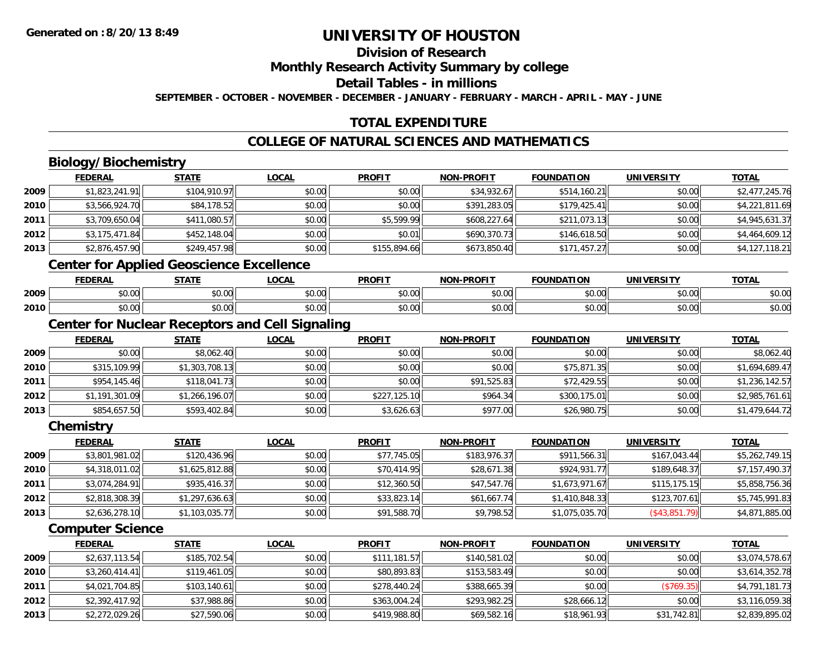## **Division of Research**

**Monthly Research Activity Summary by college**

**Detail Tables - in millions**

**SEPTEMBER - OCTOBER - NOVEMBER - DECEMBER - JANUARY - FEBRUARY - MARCH - APRIL - MAY - JUNE**

## **TOTAL EXPENDITURE**

## **COLLEGE OF NATURAL SCIENCES AND MATHEMATICS**

## **Biology/Biochemistry**

|      | <b>FEDERAL</b> | <b>STATE</b>                             | <b>LOCAL</b> | <b>PROFIT</b> | <b>NON-PROFIT</b> | <b>FOUNDATION</b> | <b>UNIVERSITY</b> | <b>TOTAL</b>   |
|------|----------------|------------------------------------------|--------------|---------------|-------------------|-------------------|-------------------|----------------|
| 2009 | \$1,823,241.91 | \$104,910.97                             | \$0.00       | \$0.00        | \$34,932.67       | \$514,160.21      | \$0.00            | \$2,477,245.76 |
| 2010 | \$3,566,924.70 | \$84,178.52                              | \$0.00       | \$0.00        | \$391,283.05      | \$179,425.41      | \$0.00            | \$4,221,811.69 |
| 2011 | \$3,709,650.04 | \$411,080.57                             | \$0.00       | \$5,599.99    | \$608,227.64      | \$211,073.13      | \$0.00            | \$4,945,631.37 |
| 2012 | \$3,175,471.84 | \$452,148.04                             | \$0.00       | \$0.01        | \$690,370.73      | \$146,618.50      | \$0.00            | \$4,464,609.12 |
| 2013 | \$2,876,457.90 | \$249,457.98                             | \$0.00       | \$155,894.66  | \$673,850.40      | \$171,457.27      | \$0.00            | \$4,127,118.21 |
|      |                | Contar far Annlied Consolares Fusellanes |              |               |                   |                   |                   |                |

#### **Center for Applied Geoscience Excellence**

|      | EENEDAI<br>ERA  | <b>STATE</b>  | 00 <sub>n</sub><br>uum | <b>PROFIT</b> | <b>DDOCIT</b><br>81 A B | ີ∩UNDA ∟<br>.      | <b>INIE</b>            | <b>TOTA</b>            |
|------|-----------------|---------------|------------------------|---------------|-------------------------|--------------------|------------------------|------------------------|
| 2009 | $\sim$<br>₽U.UU | 0000<br>pu.uu | 40.00                  | 0000<br>vv.vv | 0000<br>JU.UUL          | $\sim$ 00<br>₽U.UU | $\sim$ $\sim$<br>vv.vv | $\sim$ $\sim$<br>ง∪.∪บ |
| 2010 | 0.00<br>DU.UU   | 0000<br>DU.UU | $\sim$ $\sim$<br>vu.vu | 0000<br>JU.UU | \$0.00                  | $\sim$<br>טט.טע    | $\sim$ $\sim$<br>vu.vu | $\sim$<br>ง∪.∪บ        |

## **Center for Nuclear Receptors and Cell Signaling**

|      | <b>FEDERAL</b> | <b>STATE</b>   | <u>LOCAL</u> | <b>PROFIT</b> | <b>NON-PROFIT</b> | <b>FOUNDATION</b> | <b>UNIVERSITY</b> | <b>TOTAL</b>   |
|------|----------------|----------------|--------------|---------------|-------------------|-------------------|-------------------|----------------|
| 2009 | \$0.00         | \$8,062.40     | \$0.00       | \$0.00        | \$0.00            | \$0.00            | \$0.00            | \$8,062.40     |
| 2010 | \$315,109.99   | \$1,303,708.13 | \$0.00       | \$0.00        | \$0.00            | \$75,871.35       | \$0.00            | \$1,694,689.47 |
| 2011 | \$954,145.46   | \$118,041.73   | \$0.00       | \$0.00        | \$91,525.83       | \$72,429.55       | \$0.00            | \$1,236,142.57 |
| 2012 | \$1,191,301.09 | \$1,266,196.07 | \$0.00       | \$227,125.10  | \$964.34          | \$300,175.01      | \$0.00            | \$2,985,761.61 |
| 2013 | \$854,657.50   | \$593,402.84   | \$0.00       | \$3,626.63    | \$977.00          | \$26,980.75       | \$0.00            | \$1,479,644.72 |

#### **Chemistry**

|      | <b>FEDERAL</b> | <u>STATE</u>   | <b>LOCAL</b> | <b>PROFIT</b> | <b>NON-PROFIT</b> | <b>FOUNDATION</b> | <b>UNIVERSITY</b> | <u>TOTAL</u>   |
|------|----------------|----------------|--------------|---------------|-------------------|-------------------|-------------------|----------------|
| 2009 | \$3,801,981.02 | \$120,436.96   | \$0.00       | \$77,745.05   | \$183,976.37      | \$911,566.31      | \$167,043.44      | \$5,262,749.15 |
| 2010 | \$4,318,011.02 | \$1,625,812.88 | \$0.00       | \$70,414.95   | \$28,671.38       | \$924,931.77      | \$189,648.37      | \$7,157,490.37 |
| 2011 | \$3,074,284.91 | \$935,416.37   | \$0.00       | \$12,360.50   | \$47,547.76       | \$1,673,971.67    | \$115, 175.15     | \$5,858,756.36 |
| 2012 | \$2,818,308.39 | \$1,297,636.63 | \$0.00       | \$33,823.14   | \$61,667.74       | \$1,410,848.33    | \$123,707.61      | \$5,745,991.83 |
| 2013 | \$2,636,278.10 | \$1,103,035.77 | \$0.00       | \$91,588.70   | \$9,798.52        | \$1,075,035.70    | (\$43,851.79)     | \$4,871,885.00 |

## **Computer Science**

|      | <b>FEDERAL</b> | <b>STATE</b> | <b>LOCAL</b> | <b>PROFIT</b> | <b>NON-PROFIT</b> | <b>FOUNDATION</b> | <b>UNIVERSITY</b> | <b>TOTAL</b>   |
|------|----------------|--------------|--------------|---------------|-------------------|-------------------|-------------------|----------------|
| 2009 | \$2,637,113.54 | \$185,702.54 | \$0.00       | \$111,181.57  | \$140,581.02      | \$0.00            | \$0.00            | \$3,074,578.67 |
| 2010 | \$3,260,414.41 | \$119,461.05 | \$0.00       | \$80,893.83   | \$153,583,49      | \$0.00            | \$0.00            | \$3,614,352.78 |
| 2011 | \$4,021,704.85 | \$103,140.61 | \$0.00       | \$278,440.24  | \$388,665.39      | \$0.00            | (\$769.35)        | \$4,791,181.73 |
| 2012 | \$2,392,417.92 | \$37,988.86  | \$0.00       | \$363,004.24  | \$293,982.25      | \$28,666.12       | \$0.00            | \$3,116,059.38 |
| 2013 | \$2,272,029.26 | \$27,590.06  | \$0.00       | \$419,988.80  | \$69,582.16       | \$18,961.93       | \$31,742.81       | \$2,839,895.02 |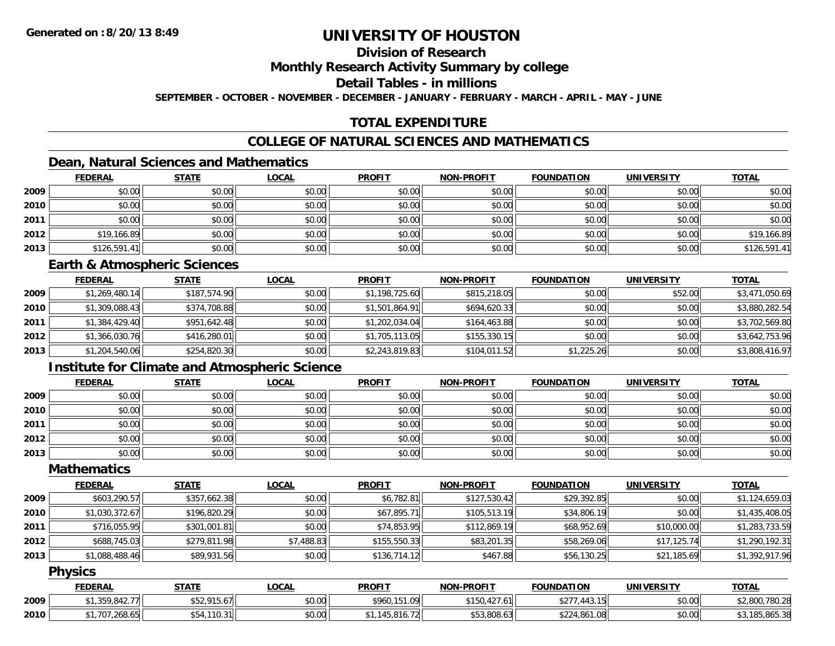## **Division of Research**

#### **Monthly Research Activity Summary by college**

#### **Detail Tables - in millions**

**SEPTEMBER - OCTOBER - NOVEMBER - DECEMBER - JANUARY - FEBRUARY - MARCH - APRIL - MAY - JUNE**

## **TOTAL EXPENDITURE**

## **COLLEGE OF NATURAL SCIENCES AND MATHEMATICS**

## **Dean, Natural Sciences and Mathematics**

|      | <b>FEDERAL</b> | <b>STATE</b> | <u>LOCAL</u> | <b>PROFIT</b> | <b>NON-PROFIT</b> | <b>FOUNDATION</b> | <b>UNIVERSITY</b> | <b>TOTAL</b> |
|------|----------------|--------------|--------------|---------------|-------------------|-------------------|-------------------|--------------|
| 2009 | \$0.00         | \$0.00       | \$0.00       | \$0.00        | \$0.00            | \$0.00            | \$0.00            | \$0.00       |
| 2010 | \$0.00         | \$0.00       | \$0.00       | \$0.00        | \$0.00            | \$0.00            | \$0.00            | \$0.00       |
| 2011 | \$0.00         | \$0.00       | \$0.00       | \$0.00        | \$0.00            | \$0.00            | \$0.00            | \$0.00       |
| 2012 | \$19,166.89    | \$0.00       | \$0.00       | \$0.00        | \$0.00            | \$0.00            | \$0.00            | \$19,166.89  |
| 2013 | \$126,591.41   | \$0.00       | \$0.00       | \$0.00        | \$0.00            | \$0.00            | \$0.00            | \$126,591.41 |

#### **Earth & Atmospheric Sciences**

|      | <b>FEDERAL</b> | <b>STATE</b> | <b>LOCAL</b> | <b>PROFIT</b>  | <b>NON-PROFIT</b> | <b>FOUNDATION</b> | <b>UNIVERSITY</b> | <b>TOTAL</b>   |
|------|----------------|--------------|--------------|----------------|-------------------|-------------------|-------------------|----------------|
| 2009 | \$1,269,480.14 | \$187,574.90 | \$0.00       | \$1,198,725.60 | \$815,218.05      | \$0.00            | \$52.00           | \$3,471,050.69 |
| 2010 | \$1,309,088.43 | \$374,708.88 | \$0.00       | \$1,501,864.91 | \$694,620.33      | \$0.00            | \$0.00            | \$3,880,282.54 |
| 2011 | \$1,384,429.40 | \$951,642.48 | \$0.00       | \$1,202,034.04 | \$164,463.88      | \$0.00            | \$0.00            | \$3,702,569.80 |
| 2012 | \$1,366,030.76 | \$416,280.01 | \$0.00       | \$1,705,113.05 | \$155,330.15      | \$0.00            | \$0.00            | \$3,642,753.96 |
| 2013 | \$1,204,540.06 | \$254,820.30 | \$0.00       | \$2,243,819.83 | \$104,011.52      | \$1,225.26        | \$0.00            | \$3,808,416.97 |

## **Institute for Climate and Atmospheric Science**

|      | <b>FEDERAL</b> | <b>STATE</b> | <b>LOCAL</b> | <b>PROFIT</b> | <b>NON-PROFIT</b> | <b>FOUNDATION</b> | <b>UNIVERSITY</b> | <b>TOTAL</b> |
|------|----------------|--------------|--------------|---------------|-------------------|-------------------|-------------------|--------------|
| 2009 | \$0.00         | \$0.00       | \$0.00       | \$0.00        | \$0.00            | \$0.00            | \$0.00            | \$0.00       |
| 2010 | \$0.00         | \$0.00       | \$0.00       | \$0.00        | \$0.00            | \$0.00            | \$0.00            | \$0.00       |
| 2011 | \$0.00         | \$0.00       | \$0.00       | \$0.00        | \$0.00            | \$0.00            | \$0.00            | \$0.00       |
| 2012 | \$0.00         | \$0.00       | \$0.00       | \$0.00        | \$0.00            | \$0.00            | \$0.00            | \$0.00       |
| 2013 | \$0.00         | \$0.00       | \$0.00       | \$0.00        | \$0.00            | \$0.00            | \$0.00            | \$0.00       |

### **Mathematics**

|      | <b>FEDERAL</b> | <b>STATE</b> | <u>LOCAL</u> | <b>PROFIT</b> | <b>NON-PROFIT</b> | <b>FOUNDATION</b> | <b>UNIVERSITY</b> | <b>TOTAL</b>   |
|------|----------------|--------------|--------------|---------------|-------------------|-------------------|-------------------|----------------|
| 2009 | \$603,290.57   | \$357,662.38 | \$0.00       | \$6,782.81    | \$127,530.42      | \$29,392.85       | \$0.00            | \$1,124,659.03 |
| 2010 | \$1,030,372.67 | \$196,820.29 | \$0.00       | \$67,895.71   | \$105,513.19      | \$34,806.19       | \$0.00            | \$1,435,408.05 |
| 2011 | \$716,055.95   | \$301,001.81 | \$0.00       | \$74,853.95   | \$112,869.19      | \$68,952.69       | \$10,000.00       | \$1,283,733.59 |
| 2012 | \$688,745.03   | \$279,811.98 | \$7,488.83   | \$155,550.33  | \$83,201.35       | \$58,269.06       | \$17,125.74       | \$1,290,192.31 |
| 2013 | \$1,088,488.46 | \$89,931.56  | \$0.00       | \$136,714.12  | \$467.88          | \$56,130.25       | \$21,185.69       | \$1,392,917.96 |

### **Physics**

|      | <b>FEDERAL</b>                               | <b>STATE</b>                 | <b>_OCAL</b> | <b>PROFIT</b>                           | <b>NON-PROFIT</b>               | <b>FOUNDATION</b>                                  | <b>UNIVERSITY</b> | <b>TOTAL</b>              |
|------|----------------------------------------------|------------------------------|--------------|-----------------------------------------|---------------------------------|----------------------------------------------------|-------------------|---------------------------|
| 2009 | $\sim$ 0.42.77 $\sim$<br>$\uparrow$<br>، 64. | 015L<br>$.13.6$ /II<br>، ے ب | \$0.00       | \$960,151.09                            | $\sim$<br>.6 II<br>150,<br>.42. | $A \cap T$<br>1 1 2 1 5 1<br>. 445.<br>PZ 1<br>1 J | \$0.00            | ,780.28<br>റററ<br>$-2000$ |
| 2010 | .707.268.65<br>. .∠∪o.b5⊟                    | 110.31                       | \$0.00       | $\sim$<br>$\neg$<br>. A 5.<br>45.810.72 | \$53,808.63                     | \$224,861.08                                       | \$0.00            | 85.865.38                 |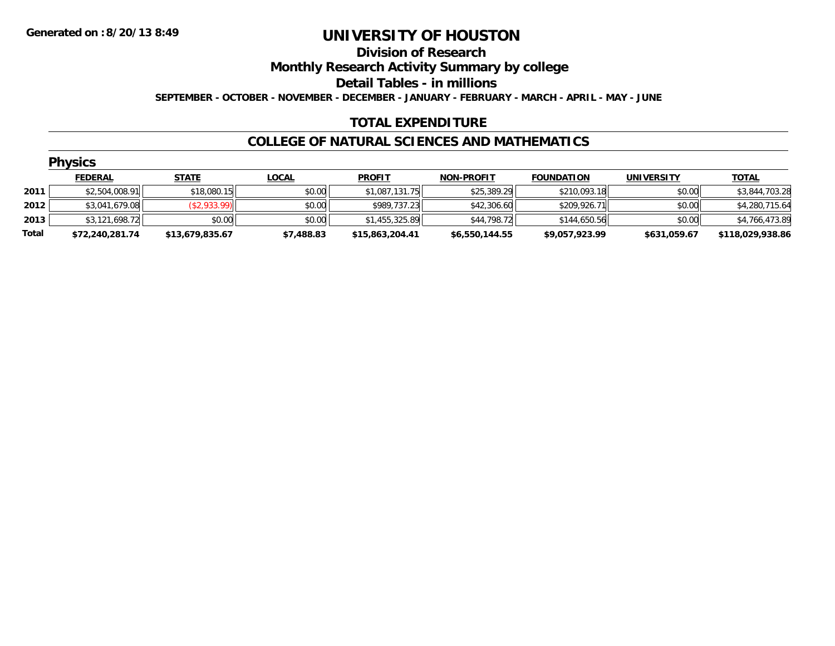#### **Division of Research**

**Monthly Research Activity Summary by college**

**Detail Tables - in millions**

**SEPTEMBER - OCTOBER - NOVEMBER - DECEMBER - JANUARY - FEBRUARY - MARCH - APRIL - MAY - JUNE**

### **TOTAL EXPENDITURE**

#### **COLLEGE OF NATURAL SCIENCES AND MATHEMATICS**

|       | <b>Physics</b>  |                 |              |                 |                   |                   |                   |                  |  |  |  |  |
|-------|-----------------|-----------------|--------------|-----------------|-------------------|-------------------|-------------------|------------------|--|--|--|--|
|       | <b>FEDERAL</b>  | <b>STATE</b>    | <u>LOCAL</u> | <b>PROFIT</b>   | <b>NON-PROFIT</b> | <b>FOUNDATION</b> | <b>UNIVERSITY</b> | <b>TOTAL</b>     |  |  |  |  |
| 2011  | \$2,504,008.91  | \$18,080.15     | \$0.00       | \$1,087,131.75  | \$25,389.29       | \$210,093.18      | \$0.00            | \$3,844,703.28   |  |  |  |  |
| 2012  | \$3,041,679.08  | (\$2,933.99)    | \$0.00       | \$989,737.23    | \$42,306.60       | \$209,926.71      | \$0.00            | \$4,280,715.64   |  |  |  |  |
| 2013  | \$3,121,698.72  | \$0.00          | \$0.00       | \$1,455,325.89  | \$44,798.72       | \$144,650.56      | \$0.00            | \$4,766,473.89   |  |  |  |  |
| Total | \$72,240,281.74 | \$13,679,835.67 | \$7,488.83   | \$15,863,204.41 | \$6,550,144.55    | \$9,057,923.99    | \$631,059.67      | \$118,029,938.86 |  |  |  |  |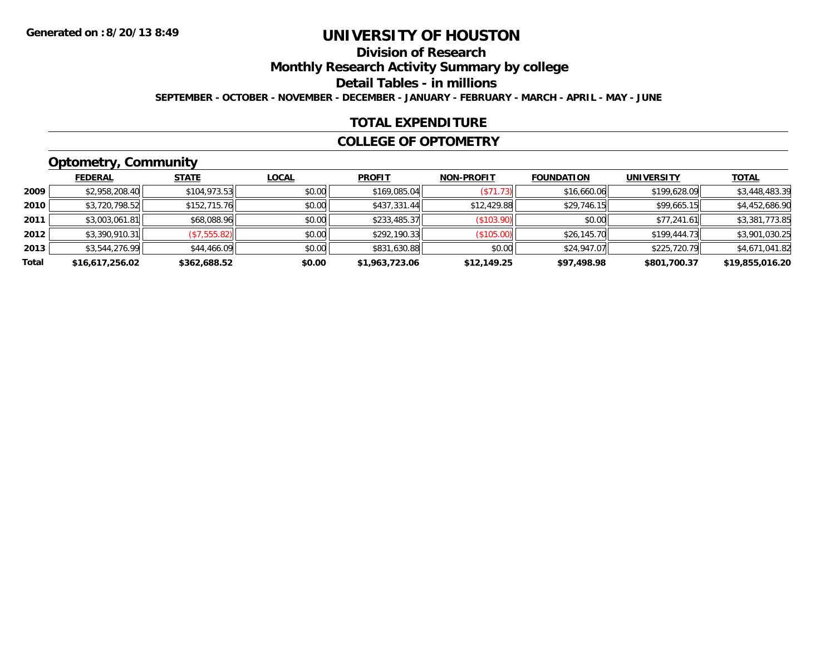## **Division of Research**

**Monthly Research Activity Summary by college**

**Detail Tables - in millions**

**SEPTEMBER - OCTOBER - NOVEMBER - DECEMBER - JANUARY - FEBRUARY - MARCH - APRIL - MAY - JUNE**

### **TOTAL EXPENDITURE**

#### **COLLEGE OF OPTOMETRY**

## **Optometry, Community**

|       | ___             |              |              |                |                   |                   |                   |                 |
|-------|-----------------|--------------|--------------|----------------|-------------------|-------------------|-------------------|-----------------|
|       | <b>FEDERAL</b>  | <b>STATE</b> | <u>LOCAL</u> | <b>PROFIT</b>  | <b>NON-PROFIT</b> | <b>FOUNDATION</b> | <b>UNIVERSITY</b> | <b>TOTAL</b>    |
| 2009  | \$2,958,208.40  | \$104,973.53 | \$0.00       | \$169,085.04   | (S71.73)          | \$16,660.06       | \$199,628.09      | \$3,448,483.39  |
| 2010  | \$3,720,798.52  | \$152,715.76 | \$0.00       | \$437,331.44   | \$12,429.88       | \$29,746.15       | \$99,665.15       | \$4,452,686.90  |
| 2011  | \$3,003,061.81  | \$68,088.96  | \$0.00       | \$233,485.37   | (\$103.90)        | \$0.00            | \$77,241.61       | \$3,381,773.85  |
| 2012  | \$3,390,910.31  | (\$7,555.82) | \$0.00       | \$292,190.33   | (\$105.00)        | \$26,145.70       | \$199,444.73      | \$3,901,030.25  |
| 2013  | \$3,544,276.99  | \$44,466.09  | \$0.00       | \$831,630.88   | \$0.00            | \$24,947.07       | \$225,720.79      | \$4,671,041.82  |
| Total | \$16,617,256.02 | \$362,688.52 | \$0.00       | \$1,963,723.06 | \$12,149.25       | \$97,498.98       | \$801,700.37      | \$19,855,016.20 |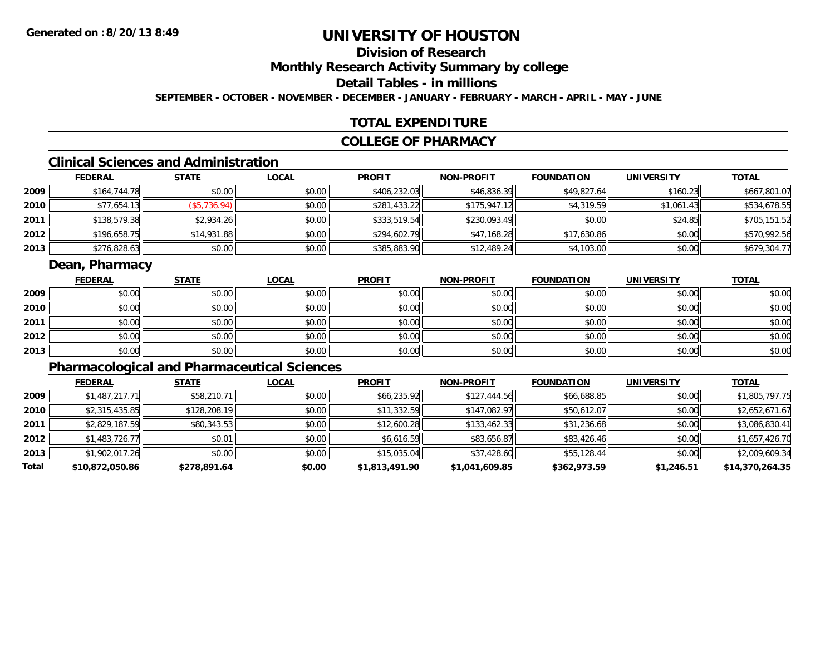## **Division of Research**

**Monthly Research Activity Summary by college**

## **Detail Tables - in millions**

**SEPTEMBER - OCTOBER - NOVEMBER - DECEMBER - JANUARY - FEBRUARY - MARCH - APRIL - MAY - JUNE**

## **TOTAL EXPENDITURE**

### **COLLEGE OF PHARMACY**

## **Clinical Sciences and Administration**

|      | <b>FEDERAL</b> | <b>STATE</b> | <u>LOCAL</u> | <b>PROFIT</b> | <b>NON-PROFIT</b> | <b>FOUNDATION</b> | <b>UNIVERSITY</b> | <u>TOTAL</u> |
|------|----------------|--------------|--------------|---------------|-------------------|-------------------|-------------------|--------------|
| 2009 | \$164,744.78   | \$0.00       | \$0.00       | \$406,232.03  | \$46,836.39       | \$49,827.64       | \$160.23          | \$667,801.07 |
| 2010 | \$77,654.13    | (\$5,736.94) | \$0.00       | \$281,433.22  | \$175,947.12      | \$4,319.59        | \$1,061.43        | \$534,678.55 |
| 2011 | \$138,579.38   | \$2,934.26   | \$0.00       | \$333,519.54  | \$230,093.49      | \$0.00            | \$24.85           | \$705,151.52 |
| 2012 | \$196,658.75   | \$14,931.88  | \$0.00       | \$294,602.79  | \$47,168.28       | \$17,630.86       | \$0.00            | \$570,992.56 |
| 2013 | \$276,828.63   | \$0.00       | \$0.00       | \$385,883.90  | \$12,489.24       | \$4,103.00        | \$0.00            | \$679,304.77 |

## **Dean, Pharmacy**

|      | <u>FEDERAL</u> | <b>STATE</b> | <b>LOCAL</b> | <b>PROFIT</b> | <b>NON-PROFIT</b> | <b>FOUNDATION</b> | <b>UNIVERSITY</b> | <u>TOTAL</u> |
|------|----------------|--------------|--------------|---------------|-------------------|-------------------|-------------------|--------------|
| 2009 | \$0.00         | \$0.00       | \$0.00       | \$0.00        | \$0.00            | \$0.00            | \$0.00            | \$0.00       |
| 2010 | \$0.00         | \$0.00       | \$0.00       | \$0.00        | \$0.00            | \$0.00            | \$0.00            | \$0.00       |
| 2011 | \$0.00         | \$0.00       | \$0.00       | \$0.00        | \$0.00            | \$0.00            | \$0.00            | \$0.00       |
| 2012 | \$0.00         | \$0.00       | \$0.00       | \$0.00        | \$0.00            | \$0.00            | \$0.00            | \$0.00       |
| 2013 | \$0.00         | \$0.00       | \$0.00       | \$0.00        | \$0.00            | \$0.00            | \$0.00            | \$0.00       |

## **Pharmacological and Pharmaceutical Sciences**

|       | <b>FEDERAL</b>  | <b>STATE</b> | <b>LOCAL</b> | <b>PROFIT</b>  | <b>NON-PROFIT</b> | <b>FOUNDATION</b> | <b>UNIVERSITY</b> | <b>TOTAL</b>    |
|-------|-----------------|--------------|--------------|----------------|-------------------|-------------------|-------------------|-----------------|
| 2009  | \$1,487,217.71  | \$58,210.71  | \$0.00       | \$66,235.92    | \$127,444.56      | \$66,688.85       | \$0.00            | \$1,805,797.75  |
| 2010  | \$2,315,435.85  | \$128,208.19 | \$0.00       | \$11,332.59    | \$147,082.97      | \$50,612.07       | \$0.00            | \$2,652,671.67  |
| 2011  | \$2,829,187.59  | \$80,343.53  | \$0.00       | \$12,600.28    | \$133,462.33      | \$31,236.68       | \$0.00            | \$3,086,830.41  |
| 2012  | \$1,483,726.77  | \$0.01       | \$0.00       | \$6,616.59     | \$83,656.87       | \$83,426.46       | \$0.00            | \$1,657,426.70  |
| 2013  | \$1,902,017.26  | \$0.00       | \$0.00       | \$15,035.04    | \$37,428.60       | \$55,128.44       | \$0.00            | \$2,009,609.34  |
| Total | \$10,872,050.86 | \$278,891.64 | \$0.00       | \$1,813,491.90 | \$1,041,609.85    | \$362,973.59      | \$1,246.51        | \$14,370,264.35 |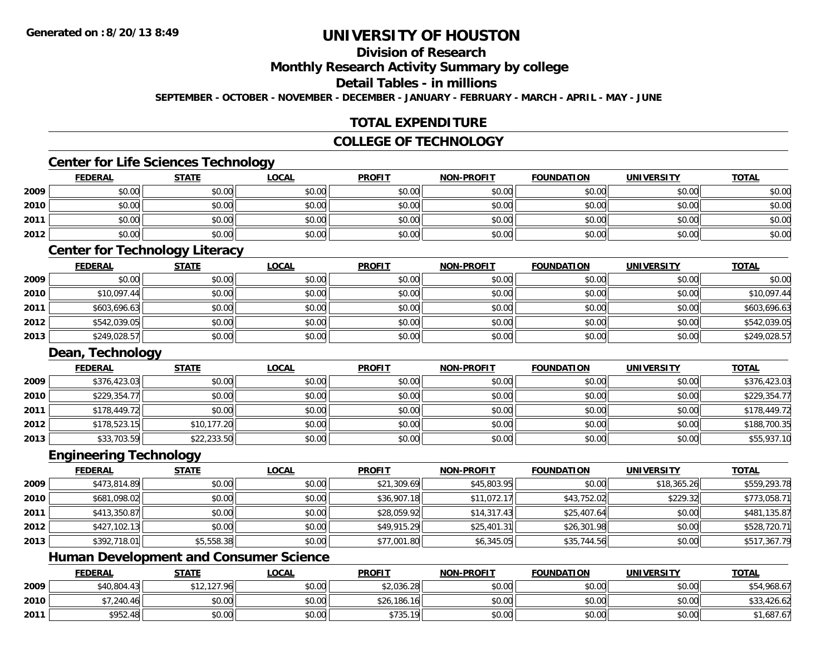## **Division of Research**

**Monthly Research Activity Summary by college**

#### **Detail Tables - in millions**

**SEPTEMBER - OCTOBER - NOVEMBER - DECEMBER - JANUARY - FEBRUARY - MARCH - APRIL - MAY - JUNE**

## **TOTAL EXPENDITURE**

## **COLLEGE OF TECHNOLOGY**

### **Center for Life Sciences Technology**

|      | <b>FEDERAL</b> | <b>STATE</b> | <u>LOCAL</u> | <b>PROFIT</b> | <b>NON-PROFIT</b> | <b>FOUNDATION</b> | <b>UNIVERSITY</b> | <b>TOTAL</b> |
|------|----------------|--------------|--------------|---------------|-------------------|-------------------|-------------------|--------------|
| 2009 | \$0.00         | \$0.00       | \$0.00       | \$0.00        | \$0.00            | \$0.00            | \$0.00            | \$0.00       |
| 2010 | \$0.00         | \$0.00       | \$0.00       | \$0.00        | \$0.00            | \$0.00            | \$0.00            | \$0.00       |
| 2011 | \$0.00         | \$0.00       | \$0.00       | \$0.00        | \$0.00            | \$0.00            | \$0.00            | \$0.00       |
| 2012 | \$0.00         | \$0.00       | \$0.00       | \$0.00        | \$0.00            | \$0.00            | \$0.00            | \$0.00       |

## **Center for Technology Literacy**

|      | <u>FEDERAL</u> | <u>STATE</u> | <u>LOCAL</u> | <b>PROFIT</b> | <b>NON-PROFIT</b> | <b>FOUNDATION</b> | <b>UNIVERSITY</b> | <b>TOTAL</b> |
|------|----------------|--------------|--------------|---------------|-------------------|-------------------|-------------------|--------------|
| 2009 | \$0.00         | \$0.00       | \$0.00       | \$0.00        | \$0.00            | \$0.00            | \$0.00            | \$0.00       |
| 2010 | \$10,097.44    | \$0.00       | \$0.00       | \$0.00        | \$0.00            | \$0.00            | \$0.00            | \$10,097.44  |
| 2011 | \$603,696.63   | \$0.00       | \$0.00       | \$0.00        | \$0.00            | \$0.00            | \$0.00            | \$603,696.63 |
| 2012 | \$542,039.05   | \$0.00       | \$0.00       | \$0.00        | \$0.00            | \$0.00            | \$0.00            | \$542,039.05 |
| 2013 | \$249,028.57   | \$0.00       | \$0.00       | \$0.00        | \$0.00            | \$0.00            | \$0.00            | \$249,028.57 |

## **Dean, Technology**

|      | <b>FEDERAL</b> | <b>STATE</b> | <u>LOCAL</u> | <b>PROFIT</b> | <b>NON-PROFIT</b> | <b>FOUNDATION</b> | <b>UNIVERSITY</b> | <b>TOTAL</b> |
|------|----------------|--------------|--------------|---------------|-------------------|-------------------|-------------------|--------------|
| 2009 | \$376,423.03   | \$0.00       | \$0.00       | \$0.00        | \$0.00            | \$0.00            | \$0.00            | \$376,423.03 |
| 2010 | \$229,354.77   | \$0.00       | \$0.00       | \$0.00        | \$0.00            | \$0.00            | \$0.00            | \$229,354.77 |
| 2011 | \$178,449.72   | \$0.00       | \$0.00       | \$0.00        | \$0.00            | \$0.00            | \$0.00            | \$178,449.72 |
| 2012 | \$178,523.15   | \$10,177.20  | \$0.00       | \$0.00        | \$0.00            | \$0.00            | \$0.00            | \$188,700.35 |
| 2013 | \$33,703.59    | \$22,233.50  | \$0.00       | \$0.00        | \$0.00            | \$0.00            | \$0.00            | \$55,937.10  |

#### **Engineering Technology**

|      | <b>FEDERAL</b> | <b>STATE</b> | <u>LOCAL</u> | <b>PROFIT</b> | <b>NON-PROFIT</b> | <b>FOUNDATION</b> | <b>UNIVERSITY</b> | <b>TOTAL</b> |
|------|----------------|--------------|--------------|---------------|-------------------|-------------------|-------------------|--------------|
| 2009 | \$473,814.89   | \$0.00       | \$0.00       | \$21,309.69   | \$45,803.95       | \$0.00            | \$18,365.26       | \$559,293.78 |
| 2010 | \$681,098.02   | \$0.00       | \$0.00       | \$36,907.18   | \$11,072.17       | \$43,752.02       | \$229.32          | \$773,058.71 |
| 2011 | \$413,350.87   | \$0.00       | \$0.00       | \$28,059.92   | \$14,317.43       | \$25,407.64       | \$0.00            | \$481,135.87 |
| 2012 | \$427,102.13   | \$0.00       | \$0.00       | \$49,915.29   | \$25,401.31       | \$26,301.98       | \$0.00            | \$528,720.71 |
| 2013 | \$392,718.01   | \$5,558.38   | \$0.00       | \$77,001.80   | \$6,345.05        | \$35,744.56       | \$0.00            | \$517,367.79 |

## **Human Development and Consumer Science**

|      | <b>FEDERAL</b> | <b>STATE</b>                 | <b>LOCAL</b> | <b>PROFIT</b> | <b>NON-PROFIT</b> | <b>FOUNDATION</b> | <b>UNIVERSITY</b> | <b>TOTAL</b> |
|------|----------------|------------------------------|--------------|---------------|-------------------|-------------------|-------------------|--------------|
| 2009 | \$40,804.43    | ا∣12,127.96<br>$\sim$ $\sim$ | \$0.00       | \$2,036.28    | \$0.00            | \$0.00            | \$0.00            | \$54,968.67  |
| 2010 | \$7,240.46     | \$0.00                       | \$0.00       | \$26,186.16   | \$0.00            | \$0.00            | \$0.00            | \$33,426.62  |
| 2011 | \$952.48       | \$0.00                       | \$0.00       | \$735.19      | \$0.00            | \$0.00            | \$0.00            | 1,687.67ء    |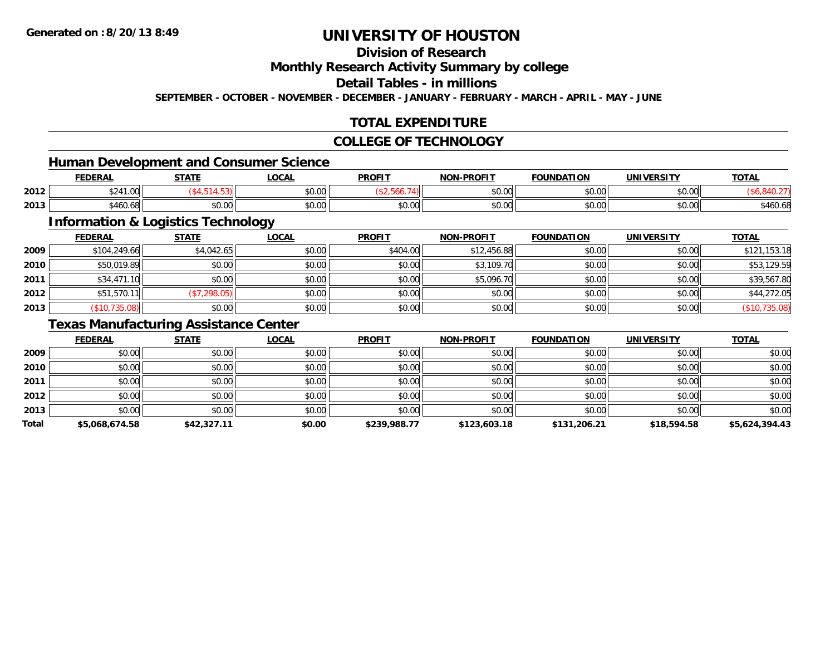## **Division of Research**

### **Monthly Research Activity Summary by college**

## **Detail Tables - in millions**

**SEPTEMBER - OCTOBER - NOVEMBER - DECEMBER - JANUARY - FEBRUARY - MARCH - APRIL - MAY - JUNE**

## **TOTAL EXPENDITURE**

#### **COLLEGE OF TECHNOLOGY**

## **Human Development and Consumer Science**

|      | EENEDA<br>LI\ <i>r</i> | <b>CTATE</b>   | <b>OCAL</b>   | <b>PROFIT</b> | -PROFIT<br>NON- | <b>FOUNDATION</b>        | UNIVERSITY           | <b>TOTAL</b> |
|------|------------------------|----------------|---------------|---------------|-----------------|--------------------------|----------------------|--------------|
| 2012 | 324<br>$\sqrt{2}$      |                | 0.00<br>JU.UU |               | 0000<br>vv.vv   | $n \cap \Omega$<br>וט.טי | 0000<br><b>JU.UU</b> |              |
| 2013 | <br>$\sim$<br>460.68   | ሶስ ሰሰ<br>JU.UU | 0.00<br>JU.UU | JU.UU         | 0000<br>JU.UU   | $n \cap \Omega$<br>JU.UU | \$0.00               | \$460.68     |

<u> 1989 - Johann Stoff, deutscher Stoffen und der Stoffen und der Stoffen und der Stoffen und der Stoffen und de</u>

## **Information & Logistics Technology**

|      | <b>FEDERAL</b> | <b>STATE</b> | <b>LOCAL</b> | <b>PROFIT</b> | <b>NON-PROFIT</b> | <b>FOUNDATION</b> | <b>UNIVERSITY</b> | <b>TOTAL</b>  |
|------|----------------|--------------|--------------|---------------|-------------------|-------------------|-------------------|---------------|
| 2009 | \$104,249.66   | \$4,042.65   | \$0.00       | \$404.00      | \$12,456.88       | \$0.00            | \$0.00            | \$121,153.18  |
| 2010 | \$50,019.89    | \$0.00       | \$0.00       | \$0.00        | \$3,109.70        | \$0.00            | \$0.00            | \$53,129.59   |
| 2011 | \$34,471.10    | \$0.00       | \$0.00       | \$0.00        | \$5,096.70        | \$0.00            | \$0.00            | \$39,567.80   |
| 2012 | \$51,570.11    | (\$7,298.05) | \$0.00       | \$0.00        | \$0.00            | \$0.00            | \$0.00            | \$44,272.05   |
| 2013 | (\$10,735.08)  | \$0.00       | \$0.00       | \$0.00        | \$0.00            | \$0.00            | \$0.00            | (\$10,735.08) |

## **Texas Manufacturing Assistance Center**

|       | <b>FEDERAL</b> | <b>STATE</b> | LOCAL  | <b>PROFIT</b> | NON-PROFIT   | <b>FOUNDATION</b> | <b>UNIVERSITY</b> | <b>TOTAL</b>   |
|-------|----------------|--------------|--------|---------------|--------------|-------------------|-------------------|----------------|
| 2009  | \$0.00         | \$0.00       | \$0.00 | \$0.00        | \$0.00       | \$0.00            | \$0.00            | \$0.00         |
| 2010  | \$0.00         | \$0.00       | \$0.00 | \$0.00        | \$0.00       | \$0.00            | \$0.00            | \$0.00         |
| 2011  | \$0.00         | \$0.00       | \$0.00 | \$0.00        | \$0.00       | \$0.00            | \$0.00            | \$0.00         |
| 2012  | \$0.00         | \$0.00       | \$0.00 | \$0.00        | \$0.00       | \$0.00            | \$0.00            | \$0.00         |
| 2013  | \$0.00         | \$0.00       | \$0.00 | \$0.00        | \$0.00       | \$0.00            | \$0.00            | \$0.00         |
| Total | \$5,068,674.58 | \$42,327.11  | \$0.00 | \$239,988.77  | \$123,603.18 | \$131,206.21      | \$18,594.58       | \$5,624,394.43 |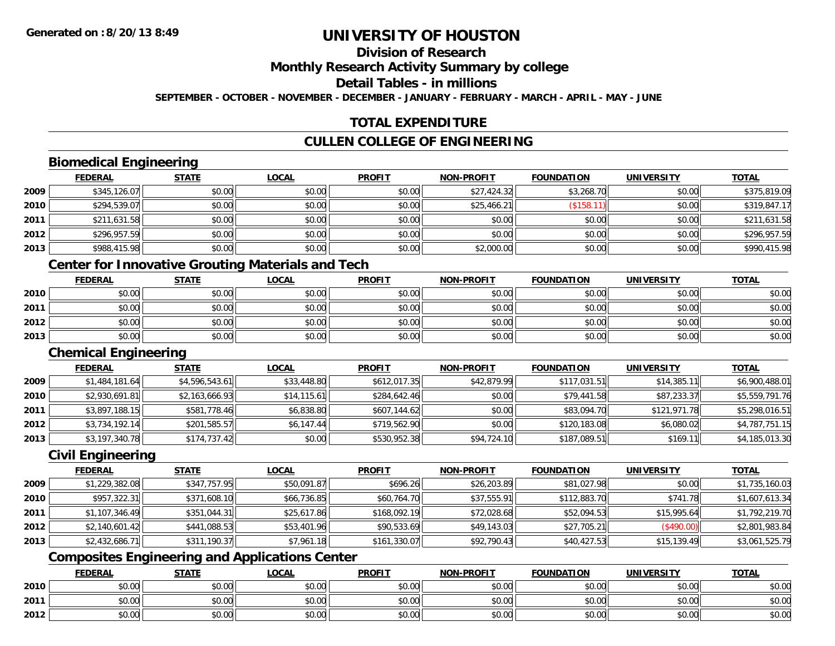## **Division of Research**

**Monthly Research Activity Summary by college**

**Detail Tables - in millions**

**SEPTEMBER - OCTOBER - NOVEMBER - DECEMBER - JANUARY - FEBRUARY - MARCH - APRIL - MAY - JUNE**

## **TOTAL EXPENDITURE**

## **CULLEN COLLEGE OF ENGINEERING**

## **Biomedical Engineering**

|      | <b>FEDERAL</b> | <b>STATE</b> | <b>LOCAL</b> | <b>PROFIT</b> | NON-PROFIT  | <b>FOUNDATION</b> | <b>UNIVERSITY</b> | <b>TOTAL</b> |
|------|----------------|--------------|--------------|---------------|-------------|-------------------|-------------------|--------------|
| 2009 | \$345,126.07   | \$0.00       | \$0.00       | \$0.00        | \$27,424.32 | \$3,268.70        | \$0.00            | \$375,819.09 |
| 2010 | \$294,539.07   | \$0.00       | \$0.00       | \$0.00        | \$25,466.21 | (\$158.1          | \$0.00            | \$319,847.17 |
| 2011 | \$211,631.58   | \$0.00       | \$0.00       | \$0.00        | \$0.00      | \$0.00            | \$0.00            | \$211,631.58 |
| 2012 | \$296,957.59   | \$0.00       | \$0.00       | \$0.00        | \$0.00      | \$0.00            | \$0.00            | \$296,957.59 |
| 2013 | \$988,415.98   | \$0.00       | \$0.00       | \$0.00        | \$2,000.00  | \$0.00            | \$0.00            | \$990,415.98 |

## **Center for Innovative Grouting Materials and Tech**

|      | <u>FEDERAL</u> | <b>STATE</b> | <u>LOCAL</u> | <b>PROFIT</b> | <b>NON-PROFIT</b> | <b>FOUNDATION</b> | <b>UNIVERSITY</b> | <b>TOTAL</b> |
|------|----------------|--------------|--------------|---------------|-------------------|-------------------|-------------------|--------------|
| 2010 | \$0.00         | \$0.00       | \$0.00       | \$0.00        | \$0.00            | \$0.00            | \$0.00            | \$0.00       |
| 2011 | \$0.00         | \$0.00       | \$0.00       | \$0.00        | \$0.00            | \$0.00            | \$0.00            | \$0.00       |
| 2012 | \$0.00         | \$0.00       | \$0.00       | \$0.00        | \$0.00            | \$0.00            | \$0.00            | \$0.00       |
| 2013 | \$0.00         | \$0.00       | \$0.00       | \$0.00        | \$0.00            | \$0.00            | \$0.00            | \$0.00       |

### **Chemical Engineering**

|      | <b>FEDERAL</b> | <b>STATE</b>   | <u>LOCAL</u> | <b>PROFIT</b> | <b>NON-PROFIT</b> | <b>FOUNDATION</b> | UNIVERSITY   | <b>TOTAL</b>   |
|------|----------------|----------------|--------------|---------------|-------------------|-------------------|--------------|----------------|
| 2009 | \$1,484,181.64 | \$4,596,543.61 | \$33,448.80  | \$612,017.35  | \$42,879.99       | \$117,031.51      | \$14,385.11  | \$6,900,488.01 |
| 2010 | \$2,930,691.81 | \$2,163,666.93 | \$14,115.61  | \$284,642.46  | \$0.00            | \$79,441.58       | \$87,233.37  | \$5,559,791.76 |
| 2011 | \$3,897,188.15 | \$581,778.46   | \$6,838.80   | \$607,144.62  | \$0.00            | \$83,094.70       | \$121,971.78 | \$5,298,016.51 |
| 2012 | \$3,734,192.14 | \$201,585.57   | \$6,147.44   | \$719,562.90  | \$0.00            | \$120,183.08      | \$6,080.02   | \$4,787,751.15 |
| 2013 | \$3,197,340.78 | \$174,737.42   | \$0.00       | \$530,952.38  | \$94,724.10       | \$187,089.51      | \$169.11     | \$4,185,013.30 |

## **Civil Engineering**

|      | <b>FEDERAL</b> | <b>STATE</b> | <b>LOCAL</b> | <b>PROFIT</b> | <b>NON-PROFIT</b> | <b>FOUNDATION</b> | <b>UNIVERSITY</b> | <b>TOTAL</b>   |
|------|----------------|--------------|--------------|---------------|-------------------|-------------------|-------------------|----------------|
| 2009 | \$1,229,382.08 | \$347,757.95 | \$50,091.87  | \$696.26      | \$26,203.89       | \$81,027.98       | \$0.00            | \$1,735,160.03 |
| 2010 | \$957,322.31   | \$371,608.10 | \$66,736.85  | \$60,764.70   | \$37,555.91       | \$112,883.70      | \$741.78          | \$1,607,613.34 |
| 2011 | \$1,107,346.49 | \$351,044.31 | \$25,617.86  | \$168,092.19  | \$72,028.68       | \$52,094.53       | \$15,995.64       | \$1,792,219.70 |
| 2012 | \$2,140,601.42 | \$441,088.53 | \$53,401.96  | \$90,533.69   | \$49,143.03       | \$27,705.21       | (\$490.00)        | \$2,801,983.84 |
| 2013 | \$2,432,686.71 | \$311,190.37 | \$7,961.18   | \$161,330.07  | \$92,790.43       | \$40,427.53       | \$15,139.49       | \$3,061,525.79 |

## **Composites Engineering and Applications Center**

|      | <u>FEDERAL</u> | <b>STATE</b> | <u>LOCAL</u> | <b>PROFIT</b> | <b>NON-PROFIT</b> | <b>FOUNDATION</b> | <b>UNIVERSITY</b> | <b>TOTAL</b> |
|------|----------------|--------------|--------------|---------------|-------------------|-------------------|-------------------|--------------|
| 2010 | \$0.00         | \$0.00       | \$0.00       | \$0.00        | \$0.00            | \$0.00            | \$0.00            | \$0.00       |
| 2011 | \$0.00         | \$0.00       | \$0.00       | \$0.00        | \$0.00            | \$0.00            | \$0.00            | \$0.00       |
| 2012 | \$0.00         | \$0.00       | \$0.00       | \$0.00        | \$0.00            | \$0.00            | \$0.00            | \$0.00       |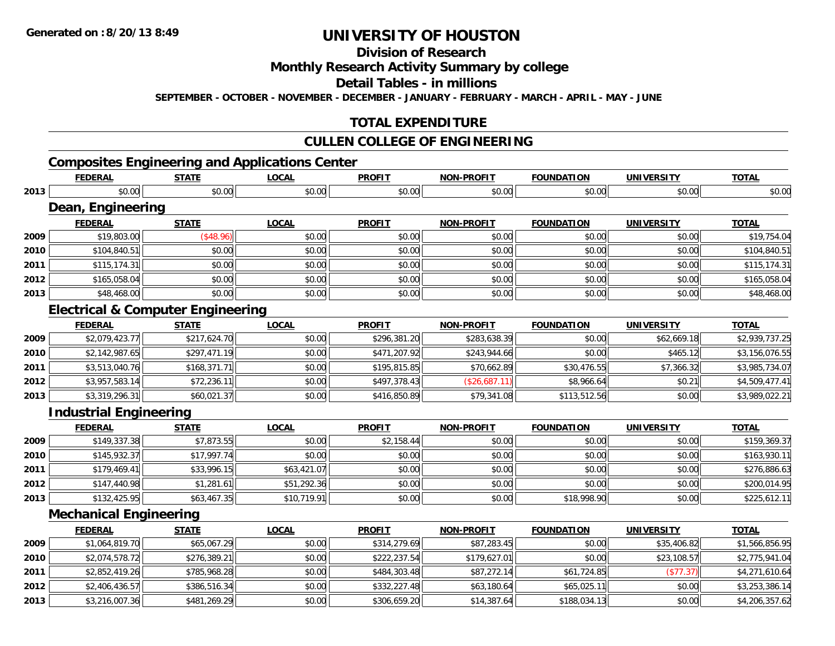## **Division of Research**

## **Monthly Research Activity Summary by college**

#### **Detail Tables - in millions**

**SEPTEMBER - OCTOBER - NOVEMBER - DECEMBER - JANUARY - FEBRUARY - MARCH - APRIL - MAY - JUNE**

## **TOTAL EXPENDITURE**

## **CULLEN COLLEGE OF ENGINEERING**

## **Composites Engineering and Applications Center**

|      | <b>FEDERAL</b>                               | <b>STATE</b> | <b>LOCAL</b> | <b>PROFIT</b> | <b>NON-PROFIT</b> | <b>FOUNDATION</b> | <b>UNIVERSITY</b> | <b>TOTAL</b>   |
|------|----------------------------------------------|--------------|--------------|---------------|-------------------|-------------------|-------------------|----------------|
| 2013 | \$0.00                                       | \$0.00       | \$0.00       | \$0.00        | \$0.00            | \$0.00            | \$0.00            | \$0.00         |
|      | Dean, Engineering                            |              |              |               |                   |                   |                   |                |
|      | <b>FEDERAL</b>                               | <b>STATE</b> | <b>LOCAL</b> | <b>PROFIT</b> | <b>NON-PROFIT</b> | <b>FOUNDATION</b> | <b>UNIVERSITY</b> | <b>TOTAL</b>   |
| 2009 | \$19,803.00                                  | (\$48.96)    | \$0.00       | \$0.00        | \$0.00            | \$0.00            | \$0.00            | \$19,754.04    |
| 2010 | \$104,840.51                                 | \$0.00       | \$0.00       | \$0.00        | \$0.00            | \$0.00            | \$0.00            | \$104,840.51   |
| 2011 | \$115,174.31                                 | \$0.00       | \$0.00       | \$0.00        | \$0.00            | \$0.00            | \$0.00            | \$115,174.31   |
| 2012 | \$165,058.04                                 | \$0.00       | \$0.00       | \$0.00        | \$0.00            | \$0.00            | \$0.00            | \$165,058.04   |
| 2013 | \$48,468.00                                  | \$0.00       | \$0.00       | \$0.00        | \$0.00            | \$0.00            | \$0.00            | \$48,468.00    |
|      | <b>Electrical &amp; Computer Engineering</b> |              |              |               |                   |                   |                   |                |
|      | <b>FEDERAL</b>                               | <b>STATE</b> | <b>LOCAL</b> | <b>PROFIT</b> | <b>NON-PROFIT</b> | <b>FOUNDATION</b> | <b>UNIVERSITY</b> | <b>TOTAL</b>   |
| 2009 | \$2,079,423.77                               | \$217,624.70 | \$0.00       | \$296,381.20  | \$283,638.39      | \$0.00            | \$62,669.18       | \$2,939,737.25 |
| 2010 | \$2,142,987.65                               | \$297,471.19 | \$0.00       | \$471,207.92  | \$243,944.66      | \$0.00            | \$465.12          | \$3,156,076.55 |
| 2011 | \$3,513,040.76                               | \$168,371.71 | \$0.00       | \$195,815.85  | \$70,662.89       | \$30,476.55       | \$7,366.32        | \$3,985,734.07 |
| 2012 | \$3,957,583.14                               | \$72,236.11  | \$0.00       | \$497,378.43  | (\$26,687.11)     | \$8,966.64        | \$0.21            | \$4,509,477.41 |
| 2013 | \$3,319,296.31                               | \$60,021.37  | \$0.00       | \$416,850.89  | \$79,341.08       | \$113,512.56      | \$0.00            | \$3,989,022.21 |
|      | <b>Industrial Engineering</b>                |              |              |               |                   |                   |                   |                |
|      | <b>FEDERAL</b>                               | <b>STATE</b> | <b>LOCAL</b> | <b>PROFIT</b> | <b>NON-PROFIT</b> | <b>FOUNDATION</b> | <b>UNIVERSITY</b> | <b>TOTAL</b>   |
| 2009 | \$149,337.38                                 | \$7,873.55   | \$0.00       | \$2,158.44    | \$0.00            | \$0.00            | \$0.00            | \$159,369.37   |
| 2010 | \$145,932.37                                 | \$17,997.74  | \$0.00       | \$0.00        | \$0.00            | \$0.00            | \$0.00            | \$163,930.11   |
| 2011 | \$179,469.41                                 | \$33,996.15  | \$63,421.07  | \$0.00        | \$0.00            | \$0.00            | \$0.00            | \$276,886.63   |
| 2012 | \$147,440.98                                 | \$1,281.61   | \$51,292.36  | \$0.00        | \$0.00            | \$0.00            | \$0.00            | \$200,014.95   |
| 2013 | \$132,425.95                                 | \$63,467.35  | \$10,719.91  | \$0.00        | \$0.00            | \$18,998.90       | \$0.00            | \$225,612.11   |
|      | <b>Mechanical Engineering</b>                |              |              |               |                   |                   |                   |                |
|      | <b>FEDERAL</b>                               | <b>STATE</b> | <b>LOCAL</b> | <b>PROFIT</b> | <b>NON-PROFIT</b> | <b>FOUNDATION</b> | <b>UNIVERSITY</b> | <b>TOTAL</b>   |
| 2009 | \$1,064,819.70                               | \$65,067.29  | \$0.00       | \$314,279.69  | \$87,283.45       | \$0.00            | \$35,406.82       | \$1,566,856.95 |
| 2010 | \$2,074,578.72                               | \$276,389.21 | \$0.00       | \$222,237.54  | \$179,627.01      | \$0.00            | \$23,108.57       | \$2,775,941.04 |
| 2011 | \$2,852,419.26                               | \$785,968.28 | \$0.00       | \$484,303.48  | \$87,272.14       | \$61,724.85       | (\$77.37)         | \$4,271,610.64 |
| 2012 | \$2,406,436.57                               | \$386,516.34 | \$0.00       | \$332,227.48  | \$63,180.64       | \$65,025.11       | \$0.00            | \$3,253,386.14 |
| 2013 | \$3,216,007.36                               | \$481,269.29 | \$0.00       | \$306,659.20  | \$14,387.64       | \$188,034.13      | \$0.00            | \$4,206,357.62 |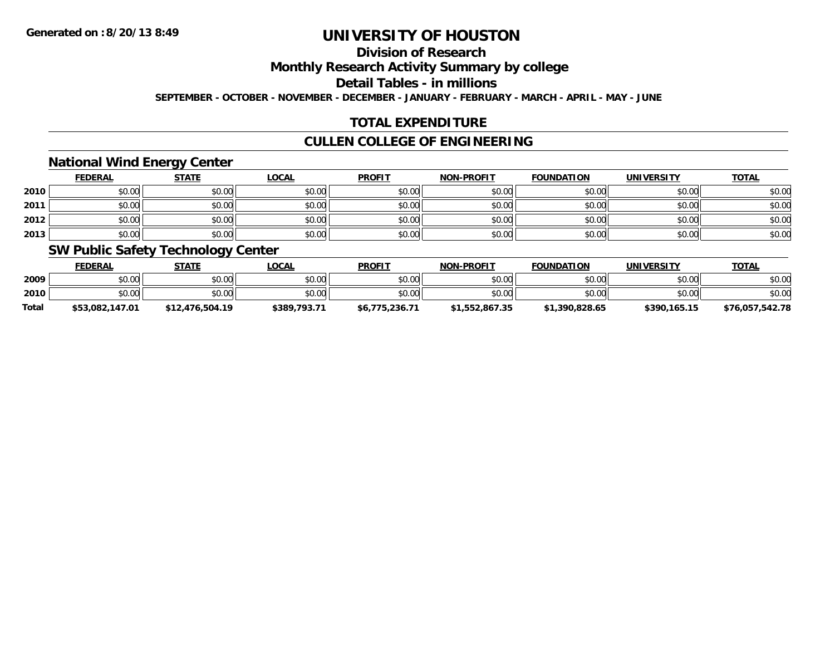## **Division of Research**

**Monthly Research Activity Summary by college**

**Detail Tables - in millions**

**SEPTEMBER - OCTOBER - NOVEMBER - DECEMBER - JANUARY - FEBRUARY - MARCH - APRIL - MAY - JUNE**

## **TOTAL EXPENDITURE**

## **CULLEN COLLEGE OF ENGINEERING**

## **National Wind Energy Center**

|      | <b>FEDERAL</b> | <b>STATE</b> | <u>LOCAL</u> | <b>PROFIT</b> | <b>NON-PROFIT</b> | <b>FOUNDATION</b> | <b>UNIVERSITY</b> | <b>TOTAL</b> |
|------|----------------|--------------|--------------|---------------|-------------------|-------------------|-------------------|--------------|
| 2010 | \$0.00         | \$0.00       | \$0.00       | \$0.00        | \$0.00            | \$0.00            | \$0.00            | \$0.00       |
| 2011 | \$0.00         | \$0.00       | \$0.00       | \$0.00        | \$0.00            | \$0.00            | \$0.00            | \$0.00       |
| 2012 | \$0.00         | \$0.00       | \$0.00       | \$0.00        | \$0.00            | \$0.00            | \$0.00            | \$0.00       |
| 2013 | \$0.00         | \$0.00       | \$0.00       | \$0.00        | \$0.00            | \$0.00            | \$0.00            | \$0.00       |

## **SW Public Safety Technology Center**

|              | <b>FEDERAL</b>  | <u>STATE</u>    | <b>LOCAL</b> | <b>PROFIT</b>  | <b>NON-PROFIT</b> | <b>FOUNDATION</b> | <b>UNIVERSITY</b> | <b>TOTAL</b>    |
|--------------|-----------------|-----------------|--------------|----------------|-------------------|-------------------|-------------------|-----------------|
| 2009         | \$0.00          | \$0.00          | \$0.00       | \$0.00         | \$0.00            | \$0.00            | \$0.00            | \$0.00          |
| 2010         | \$0.00          | \$0.00          | \$0.00       | \$0.00         | \$0.00            | \$0.00            | \$0.00            | \$0.00          |
| <b>Total</b> | \$53.082.147.01 | \$12,476,504.19 | \$389,793.71 | \$6.775.236.71 | \$1,552,867.35    | \$1,390,828.65    | \$390,165.15      | \$76,057,542.78 |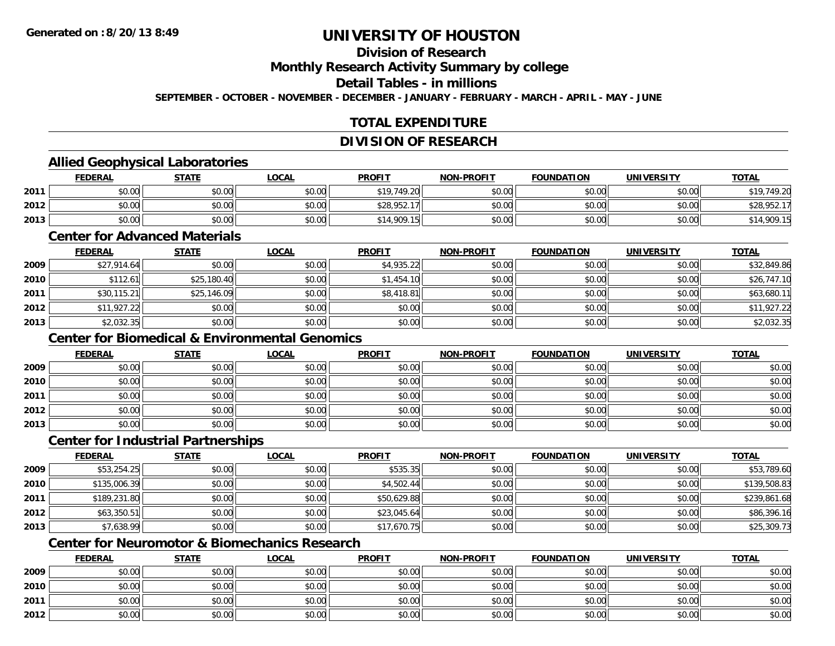## **Division of Research**

**Monthly Research Activity Summary by college**

### **Detail Tables - in millions**

**SEPTEMBER - OCTOBER - NOVEMBER - DECEMBER - JANUARY - FEBRUARY - MARCH - APRIL - MAY - JUNE**

## **TOTAL EXPENDITURE**

#### **DIVISION OF RESEARCH**

## **Allied Geophysical Laboratories**

|      | <b>FEDERAL</b> | <u>STATE</u> | <u>LOCAL</u> | <b>PROFIT</b> | <b>NON-PROFIT</b> | <b>FOUNDATION</b> | <b>UNIVERSITY</b> | <b>TOTAL</b> |
|------|----------------|--------------|--------------|---------------|-------------------|-------------------|-------------------|--------------|
| 2011 | \$0.00         | \$0.00       | \$0.00       | \$19,749.20   | \$0.00            | \$0.00            | \$0.00            | \$19.749.20  |
| 2012 | \$0.00         | \$0.00       | \$0.00       | \$28,952.17   | \$0.00            | \$0.00            | \$0.00            | \$28.952.    |
| 2013 | \$0.00         | \$0.00       | \$0.00       | \$14,909.15   | \$0.00            | \$0.00            | \$0.00            | \$14,909.15  |

#### **Center for Advanced Materials**

|      | <b>FEDERAL</b> | <b>STATE</b> | <b>LOCAL</b> | <b>PROFIT</b> | <b>NON-PROFIT</b> | <b>FOUNDATION</b> | <b>UNIVERSITY</b> | <b>TOTAL</b> |
|------|----------------|--------------|--------------|---------------|-------------------|-------------------|-------------------|--------------|
| 2009 | \$27,914.64    | \$0.00       | \$0.00       | \$4,935.22    | \$0.00            | \$0.00            | \$0.00            | \$32,849.86  |
| 2010 | \$112.61       | \$25,180.40  | \$0.00       | \$1,454.10    | \$0.00            | \$0.00            | \$0.00            | \$26,747.10  |
| 2011 | \$30,115.21    | \$25,146.09  | \$0.00       | \$8,418.81    | \$0.00            | \$0.00            | \$0.00            | \$63,680.11  |
| 2012 | \$11,927.22    | \$0.00       | \$0.00       | \$0.00        | \$0.00            | \$0.00            | \$0.00            | \$11,927.22  |
| 2013 | \$2,032.35     | \$0.00       | \$0.00       | \$0.00        | \$0.00            | \$0.00            | \$0.00            | \$2,032.35   |

## **Center for Biomedical & Environmental Genomics**

|      | <u>FEDERAL</u> | <b>STATE</b> | <u>LOCAL</u> | <b>PROFIT</b> | <b>NON-PROFIT</b> | <b>FOUNDATION</b> | <b>UNIVERSITY</b> | <b>TOTAL</b> |
|------|----------------|--------------|--------------|---------------|-------------------|-------------------|-------------------|--------------|
| 2009 | \$0.00         | \$0.00       | \$0.00       | \$0.00        | \$0.00            | \$0.00            | \$0.00            | \$0.00       |
| 2010 | \$0.00         | \$0.00       | \$0.00       | \$0.00        | \$0.00            | \$0.00            | \$0.00            | \$0.00       |
| 2011 | \$0.00         | \$0.00       | \$0.00       | \$0.00        | \$0.00            | \$0.00            | \$0.00            | \$0.00       |
| 2012 | \$0.00         | \$0.00       | \$0.00       | \$0.00        | \$0.00            | \$0.00            | \$0.00            | \$0.00       |
| 2013 | \$0.00         | \$0.00       | \$0.00       | \$0.00        | \$0.00            | \$0.00            | \$0.00            | \$0.00       |

#### **Center for Industrial Partnerships**

|      | <b>FEDERAL</b> | <u>STATE</u> | <u>LOCAL</u> | <b>PROFIT</b> | <b>NON-PROFIT</b> | <b>FOUNDATION</b> | <b>UNIVERSITY</b> | <b>TOTAL</b> |
|------|----------------|--------------|--------------|---------------|-------------------|-------------------|-------------------|--------------|
| 2009 | \$53,254.25    | \$0.00       | \$0.00       | \$535.35      | \$0.00            | \$0.00            | \$0.00            | \$53,789.60  |
| 2010 | \$135,006.39   | \$0.00       | \$0.00       | \$4,502.44    | \$0.00            | \$0.00            | \$0.00            | \$139,508.83 |
| 2011 | \$189,231.80   | \$0.00       | \$0.00       | \$50,629.88   | \$0.00            | \$0.00            | \$0.00            | \$239,861.68 |
| 2012 | \$63,350.51    | \$0.00       | \$0.00       | \$23,045.64   | \$0.00            | \$0.00            | \$0.00            | \$86,396.16  |
| 2013 | \$7,638.99     | \$0.00       | \$0.00       | \$17,670.75   | \$0.00            | \$0.00            | \$0.00            | \$25,309.73  |

## **Center for Neuromotor & Biomechanics Research**

|      | <b>FEDERAL</b> | <b>STATE</b> | <u>LOCAL</u> | <b>PROFIT</b> | <b>NON-PROFIT</b> | <b>FOUNDATION</b> | <b>UNIVERSITY</b> | <b>TOTAL</b> |
|------|----------------|--------------|--------------|---------------|-------------------|-------------------|-------------------|--------------|
| 2009 | \$0.00         | \$0.00       | \$0.00       | \$0.00        | \$0.00            | \$0.00            | \$0.00            | \$0.00       |
| 2010 | \$0.00         | \$0.00       | \$0.00       | \$0.00        | \$0.00            | \$0.00            | \$0.00            | \$0.00       |
| 2011 | \$0.00         | \$0.00       | \$0.00       | \$0.00        | \$0.00            | \$0.00            | \$0.00            | \$0.00       |
| 2012 | \$0.00         | \$0.00       | \$0.00       | \$0.00        | \$0.00            | \$0.00            | \$0.00            | \$0.00       |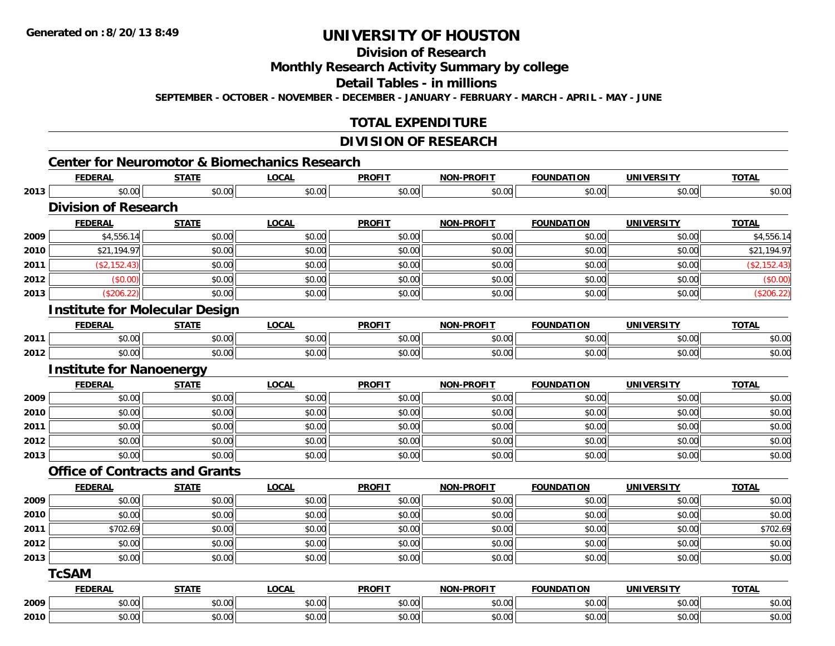# **Division of Research**

**Monthly Research Activity Summary by college**

**Detail Tables - in millions**

**SEPTEMBER - OCTOBER - NOVEMBER - DECEMBER - JANUARY - FEBRUARY - MARCH - APRIL - MAY - JUNE**

## **TOTAL EXPENDITURE**

### **DIVISION OF RESEARCH**

|      |                                 |                                       | <b>Center for Neuromotor &amp; Biomechanics Research</b> |               |                   |                   |                   |              |
|------|---------------------------------|---------------------------------------|----------------------------------------------------------|---------------|-------------------|-------------------|-------------------|--------------|
|      | <b>FEDERAL</b>                  | <b>STATE</b>                          | <b>LOCAL</b>                                             | <b>PROFIT</b> | <b>NON-PROFIT</b> | <b>FOUNDATION</b> | <b>UNIVERSITY</b> | <b>TOTAL</b> |
| 2013 | \$0.00                          | \$0.00                                | \$0.00                                                   | \$0.00        | \$0.00            | \$0.00            | \$0.00            | \$0.00       |
|      | <b>Division of Research</b>     |                                       |                                                          |               |                   |                   |                   |              |
|      | <b>FEDERAL</b>                  | <b>STATE</b>                          | <b>LOCAL</b>                                             | <b>PROFIT</b> | <b>NON-PROFIT</b> | <b>FOUNDATION</b> | <b>UNIVERSITY</b> | <b>TOTAL</b> |
| 2009 | \$4,556.14                      | \$0.00                                | \$0.00                                                   | \$0.00        | \$0.00            | \$0.00            | \$0.00            | \$4,556.14   |
| 2010 | \$21,194.97                     | \$0.00                                | \$0.00                                                   | \$0.00        | \$0.00            | \$0.00            | \$0.00            | \$21,194.97  |
| 2011 | (\$2,152.43)                    | \$0.00                                | \$0.00                                                   | \$0.00        | \$0.00            | \$0.00            | \$0.00            | (\$2,152.43) |
| 2012 | (\$0.00)                        | \$0.00                                | \$0.00                                                   | \$0.00        | \$0.00            | \$0.00            | \$0.00            | (\$0.00)     |
| 2013 | (\$206.22)                      | \$0.00                                | \$0.00                                                   | \$0.00        | \$0.00            | \$0.00            | \$0.00            | (\$206.22)   |
|      |                                 | <b>Institute for Molecular Design</b> |                                                          |               |                   |                   |                   |              |
|      | <b>FEDERAL</b>                  | <b>STATE</b>                          | <b>LOCAL</b>                                             | <b>PROFIT</b> | <b>NON-PROFIT</b> | <b>FOUNDATION</b> | <b>UNIVERSITY</b> | <b>TOTAL</b> |
| 2011 | \$0.00                          | \$0.00                                | \$0.00                                                   | \$0.00        | \$0.00            | \$0.00            | \$0.00            | \$0.00       |
| 2012 | \$0.00                          | \$0.00                                | \$0.00                                                   | \$0.00        | \$0.00            | \$0.00            | \$0.00            | \$0.00       |
|      | <b>Institute for Nanoenergy</b> |                                       |                                                          |               |                   |                   |                   |              |
|      | <b>FEDERAL</b>                  | <b>STATE</b>                          | <b>LOCAL</b>                                             | <b>PROFIT</b> | <b>NON-PROFIT</b> | <b>FOUNDATION</b> | <b>UNIVERSITY</b> | <b>TOTAL</b> |
| 2009 | \$0.00                          | \$0.00                                | \$0.00                                                   | \$0.00        | \$0.00            | \$0.00            | \$0.00            | \$0.00       |
| 2010 | \$0.00                          | \$0.00                                | \$0.00                                                   | \$0.00        | \$0.00            | \$0.00            | \$0.00            | \$0.00       |
| 2011 | \$0.00                          | \$0.00                                | \$0.00                                                   | \$0.00        | \$0.00            | \$0.00            | \$0.00            | \$0.00       |
| 2012 | \$0.00                          | \$0.00                                | \$0.00                                                   | \$0.00        | \$0.00            | \$0.00            | \$0.00            | \$0.00       |
| 2013 | \$0.00                          | \$0.00                                | \$0.00                                                   | \$0.00        | \$0.00            | \$0.00            | \$0.00            | \$0.00       |
|      |                                 | <b>Office of Contracts and Grants</b> |                                                          |               |                   |                   |                   |              |
|      | <b>FEDERAL</b>                  | <b>STATE</b>                          | <b>LOCAL</b>                                             | <b>PROFIT</b> | <b>NON-PROFIT</b> | <b>FOUNDATION</b> | <b>UNIVERSITY</b> | <b>TOTAL</b> |
| 2009 | \$0.00                          | \$0.00                                | \$0.00                                                   | \$0.00        | \$0.00            | \$0.00            | \$0.00            | \$0.00       |
| 2010 | \$0.00                          | \$0.00                                | \$0.00                                                   | \$0.00        | \$0.00            | \$0.00            | \$0.00            | \$0.00       |
| 2011 | \$702.69                        | \$0.00                                | \$0.00                                                   | \$0.00        | \$0.00            | \$0.00            | \$0.00            | \$702.69     |
| 2012 | \$0.00                          | \$0.00                                | \$0.00                                                   | \$0.00        | \$0.00            | \$0.00            | \$0.00            | \$0.00       |
| 2013 | \$0.00                          | \$0.00                                | \$0.00                                                   | \$0.00        | \$0.00            | \$0.00            | \$0.00            | \$0.00       |
|      | <b>TcSAM</b>                    |                                       |                                                          |               |                   |                   |                   |              |
|      | <b>FEDERAL</b>                  | <b>STATE</b>                          | <b>LOCAL</b>                                             | <b>PROFIT</b> | <b>NON-PROFIT</b> | <b>FOUNDATION</b> | <b>UNIVERSITY</b> | <b>TOTAL</b> |
| 2009 | \$0.00                          | \$0.00                                | \$0.00                                                   | \$0.00        | \$0.00            | \$0.00            | \$0.00            | \$0.00       |
| 2010 | \$0.00                          | \$0.00                                | \$0.00                                                   | \$0.00        | \$0.00            | \$0.00            | \$0.00            | \$0.00       |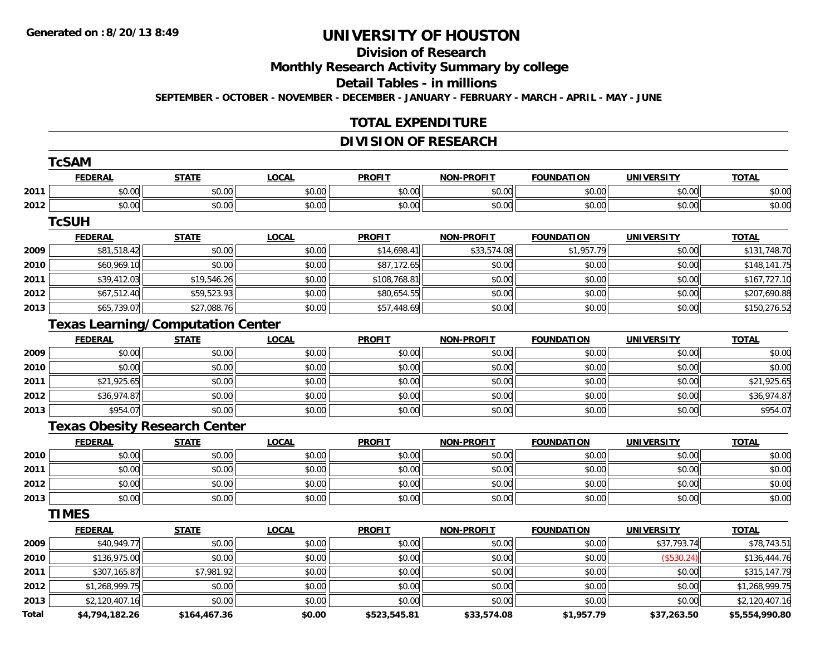**TCS TC** 

# **UNIVERSITY OF HOUSTON**

# **Division of Research**

**Monthly Research Activity Summary by college**

**Detail Tables - in millions**

**SEPTEMBER - OCTOBER - NOVEMBER - DECEMBER - JANUARY - FEBRUARY - MARCH - APRIL - MAY - JUNE**

## **TOTAL EXPENDITURE**

## **DIVISION OF RESEARCH**

|       | TCSAM          |                                          |              |               |                   |                   |                   |                |
|-------|----------------|------------------------------------------|--------------|---------------|-------------------|-------------------|-------------------|----------------|
|       | <b>FEDERAL</b> | <b>STATE</b>                             | <b>LOCAL</b> | <b>PROFIT</b> | <b>NON-PROFIT</b> | <b>FOUNDATION</b> | <b>UNIVERSITY</b> | <b>TOTAL</b>   |
| 2011  | \$0.00         | \$0.00                                   | \$0.00       | \$0.00        | \$0.00            | \$0.00            | \$0.00            | \$0.00         |
| 2012  | \$0.00         | \$0.00                                   | \$0.00       | \$0.00        | \$0.00            | \$0.00            | \$0.00            | \$0.00         |
|       | <b>TcSUH</b>   |                                          |              |               |                   |                   |                   |                |
|       | <b>FEDERAL</b> | <b>STATE</b>                             | <b>LOCAL</b> | <b>PROFIT</b> | <b>NON-PROFIT</b> | <b>FOUNDATION</b> | <b>UNIVERSITY</b> | <b>TOTAL</b>   |
| 2009  | \$81,518.42    | \$0.00                                   | \$0.00       | \$14,698.41   | \$33,574.08       | \$1,957.79        | \$0.00            | \$131,748.70   |
| 2010  | \$60,969.10    | \$0.00                                   | \$0.00       | \$87,172.65   | \$0.00            | \$0.00            | \$0.00            | \$148,141.75   |
| 2011  | \$39,412.03    | \$19,546.26                              | \$0.00       | \$108,768.81  | \$0.00            | \$0.00            | \$0.00            | \$167,727.10   |
| 2012  | \$67,512.40    | \$59,523.93                              | \$0.00       | \$80,654.55   | \$0.00            | \$0.00            | \$0.00            | \$207,690.88   |
| 2013  | \$65,739.07    | \$27,088.76                              | \$0.00       | \$57,448.69   | \$0.00            | \$0.00            | \$0.00            | \$150,276.52   |
|       |                | <b>Texas Learning/Computation Center</b> |              |               |                   |                   |                   |                |
|       | <b>FEDERAL</b> | <b>STATE</b>                             | <b>LOCAL</b> | <b>PROFIT</b> | <b>NON-PROFIT</b> | <b>FOUNDATION</b> | <b>UNIVERSITY</b> | <b>TOTAL</b>   |
| 2009  | \$0.00         | \$0.00                                   | \$0.00       | \$0.00        | \$0.00            | \$0.00            | \$0.00            | \$0.00         |
| 2010  | \$0.00         | \$0.00                                   | \$0.00       | \$0.00        | \$0.00            | \$0.00            | \$0.00            | \$0.00         |
| 2011  | \$21,925.65    | \$0.00                                   | \$0.00       | \$0.00        | \$0.00            | \$0.00            | \$0.00            | \$21,925.65    |
| 2012  | \$36,974.87    | \$0.00                                   | \$0.00       | \$0.00        | \$0.00            | \$0.00            | \$0.00            | \$36,974.87    |
| 2013  | \$954.07       | \$0.00                                   | \$0.00       | \$0.00        | \$0.00            | \$0.00            | \$0.00            | \$954.07       |
|       |                | <b>Texas Obesity Research Center</b>     |              |               |                   |                   |                   |                |
|       | <b>FEDERAL</b> | <b>STATE</b>                             | <b>LOCAL</b> | <b>PROFIT</b> | <b>NON-PROFIT</b> | <b>FOUNDATION</b> | <b>UNIVERSITY</b> | <b>TOTAL</b>   |
| 2010  | \$0.00         | \$0.00                                   | \$0.00       | \$0.00        | \$0.00            | \$0.00            | \$0.00            | \$0.00         |
| 2011  | \$0.00         | \$0.00                                   | \$0.00       | \$0.00        | \$0.00            | \$0.00            | \$0.00            | \$0.00         |
| 2012  | \$0.00         | \$0.00                                   | \$0.00       | \$0.00        | \$0.00            | \$0.00            | \$0.00            | \$0.00         |
| 2013  | \$0.00         | \$0.00                                   | \$0.00       | \$0.00        | \$0.00            | \$0.00            | \$0.00            | \$0.00         |
|       | <b>TIMES</b>   |                                          |              |               |                   |                   |                   |                |
|       | <b>FEDERAL</b> | <b>STATE</b>                             | <b>LOCAL</b> | <b>PROFIT</b> | <b>NON-PROFIT</b> | <b>FOUNDATION</b> | <b>UNIVERSITY</b> | <b>TOTAL</b>   |
| 2009  | \$40,949.77    | \$0.00                                   | \$0.00       | \$0.00        | \$0.00            | \$0.00            | \$37,793.74       | \$78,743.51    |
| 2010  | \$136,975.00   | \$0.00                                   | \$0.00       | \$0.00        | \$0.00            | \$0.00            | (\$530.24)        | \$136,444.76   |
| 2011  | \$307,165.87   | \$7,981.92                               | \$0.00       | \$0.00        | \$0.00            | \$0.00            | \$0.00            | \$315,147.79   |
| 2012  | \$1,268,999.75 | \$0.00                                   | \$0.00       | \$0.00        | \$0.00            | \$0.00            | \$0.00            | \$1,268,999.75 |
| 2013  | \$2,120,407.16 | \$0.00                                   | \$0.00       | \$0.00        | \$0.00            | \$0.00            | \$0.00            | \$2,120,407.16 |
| Total | \$4,794,182.26 | \$164,467.36                             | \$0.00       | \$523,545.81  | \$33,574.08       | \$1,957.79        | \$37,263.50       | \$5,554,990.80 |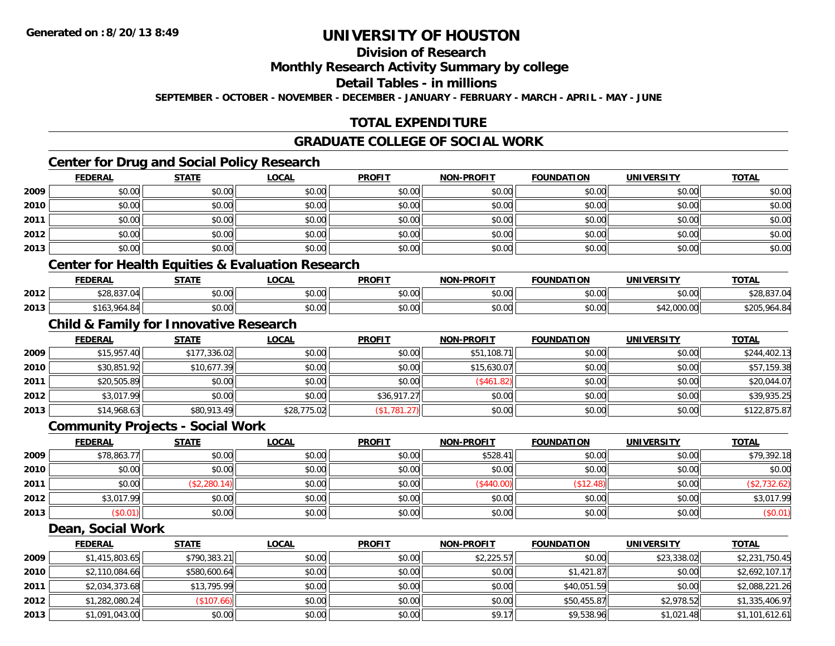## **Division of Research**

### **Monthly Research Activity Summary by college**

#### **Detail Tables - in millions**

**SEPTEMBER - OCTOBER - NOVEMBER - DECEMBER - JANUARY - FEBRUARY - MARCH - APRIL - MAY - JUNE**

## **TOTAL EXPENDITURE**

## **GRADUATE COLLEGE OF SOCIAL WORK**

## **Center for Drug and Social Policy Research**

|      | <b>FEDERAL</b> | <b>STATE</b> | <u>LOCAL</u> | <b>PROFIT</b> | NON-PROFIT | <b>FOUNDATION</b> | <b>UNIVERSITY</b> | <b>TOTAL</b> |
|------|----------------|--------------|--------------|---------------|------------|-------------------|-------------------|--------------|
| 2009 | \$0.00         | \$0.00       | \$0.00       | \$0.00        | \$0.00     | \$0.00            | \$0.00            | \$0.00       |
| 2010 | \$0.00         | \$0.00       | \$0.00       | \$0.00        | \$0.00     | \$0.00            | \$0.00            | \$0.00       |
| 2011 | \$0.00         | \$0.00       | \$0.00       | \$0.00        | \$0.00     | \$0.00            | \$0.00            | \$0.00       |
| 2012 | \$0.00         | \$0.00       | \$0.00       | \$0.00        | \$0.00     | \$0.00            | \$0.00            | \$0.00       |
| 2013 | \$0.00         | \$0.00       | \$0.00       | \$0.00        | \$0.00     | \$0.00            | \$0.00            | \$0.00       |

## **Center for Health Equities & Evaluation Research**

|      | <b>FEDERAL</b>                              | <b>CTATE</b><br>91AL. | <b>OCAL</b> | <b>PROFIT</b> | -PROFIT<br>NON | <b>FOUNDATION</b>  | IINIVEDSITV                                 | <b>TOTAL</b>                          |
|------|---------------------------------------------|-----------------------|-------------|---------------|----------------|--------------------|---------------------------------------------|---------------------------------------|
| 2012 | 0.0000<br>.                                 | 0000<br>vu.vu         | \$0.00      | \$0.00        | 0000<br>pu.uu  | $\sim$ 00<br>JU.UU | 0000<br>JU.UU                               | 837.04<br>ס∠כ                         |
| 2013 | $\sim$ 0.4 $\sim$<br>501 ۱<br>.904<br>.841' | 0000<br>pu.uu         | \$0.00      | \$0.00        | 0000<br>งบ.บบ  | $\sim$ 00<br>DU.UU | 0.0000<br>$\ddot{\phantom{1}}$<br>42,000,00 | 47N<br>$\Lambda$ O $\Lambda$<br>t.O4I |

## **Child & Family for Innovative Research**

|      | <b>FEDERAL</b> | <b>STATE</b> | <b>LOCAL</b> | <b>PROFIT</b> | <b>NON-PROFIT</b> | <b>FOUNDATION</b> | <b>UNIVERSITY</b> | <b>TOTAL</b> |
|------|----------------|--------------|--------------|---------------|-------------------|-------------------|-------------------|--------------|
| 2009 | \$15,957.40    | \$177,336.02 | \$0.00       | \$0.00        | \$51,108.7        | \$0.00            | \$0.00            | \$244,402.13 |
| 2010 | \$30,851.92    | \$10,677.39  | \$0.00       | \$0.00        | \$15,630.07       | \$0.00            | \$0.00            | \$57,159.38  |
| 2011 | \$20,505.89    | \$0.00       | \$0.00       | \$0.00        | (\$461.82)        | \$0.00            | \$0.00            | \$20,044.07  |
| 2012 | \$3,017.99     | \$0.00       | \$0.00       | \$36,917.27   | \$0.00            | \$0.00            | \$0.00            | \$39,935.25  |
| 2013 | \$14,968.63    | \$80,913.49  | \$28,775.02  | (\$1,781.27)  | \$0.00            | \$0.00            | \$0.00            | \$122,875.87 |

### **Community Projects - Social Work**

|      | <b>FEDERAL</b> | <b>STATE</b> | <u>LOCAL</u> | <b>PROFIT</b> | <b>NON-PROFIT</b> | <b>FOUNDATION</b> | <b>UNIVERSITY</b> | <b>TOTAL</b> |
|------|----------------|--------------|--------------|---------------|-------------------|-------------------|-------------------|--------------|
| 2009 | \$78,863.77    | \$0.00       | \$0.00       | \$0.00        | \$528.41          | \$0.00            | \$0.00            | \$79,392.18  |
| 2010 | \$0.00         | \$0.00       | \$0.00       | \$0.00        | \$0.00            | \$0.00            | \$0.00            | \$0.00       |
| 2011 | \$0.00         | (\$2,280.14) | \$0.00       | \$0.00        | (\$440.00"        | \$12.48           | \$0.00            | \$2,732.62   |
| 2012 | \$3,017.99     | \$0.00       | \$0.00       | \$0.00        | \$0.00            | \$0.00            | \$0.00            | \$3,017.99   |
| 2013 | \$0.01         | \$0.00       | \$0.00       | \$0.00        | \$0.00            | \$0.00            | \$0.00            | (\$0.01)     |

#### **Dean, Social Work**

|      | <b>FEDERAL</b> | <b>STATE</b> | <b>LOCAL</b> | <b>PROFIT</b> | <b>NON-PROFIT</b> | <b>FOUNDATION</b> | <b>UNIVERSITY</b> | <b>TOTAL</b>   |
|------|----------------|--------------|--------------|---------------|-------------------|-------------------|-------------------|----------------|
| 2009 | \$1,415,803.65 | \$790,383.21 | \$0.00       | \$0.00        | \$2,225.57        | \$0.00            | \$23,338.02       | \$2,231,750.45 |
| 2010 | \$2,110,084.66 | \$580,600.64 | \$0.00       | \$0.00        | \$0.00            | \$1,421.87        | \$0.00            | \$2,692,107.17 |
| 2011 | \$2,034,373.68 | \$13,795.99  | \$0.00       | \$0.00        | \$0.00            | \$40,051.59       | \$0.00            | \$2,088,221.26 |
| 2012 | \$1,282,080.24 | (\$107.66)   | \$0.00       | \$0.00        | \$0.00            | \$50,455.87       | \$2,978.52        | \$1,335,406.97 |
| 2013 | \$1,091,043.00 | \$0.00       | \$0.00       | \$0.00        | \$9.17            | \$9,538.96        | \$1,021.48        | \$1,101,612.61 |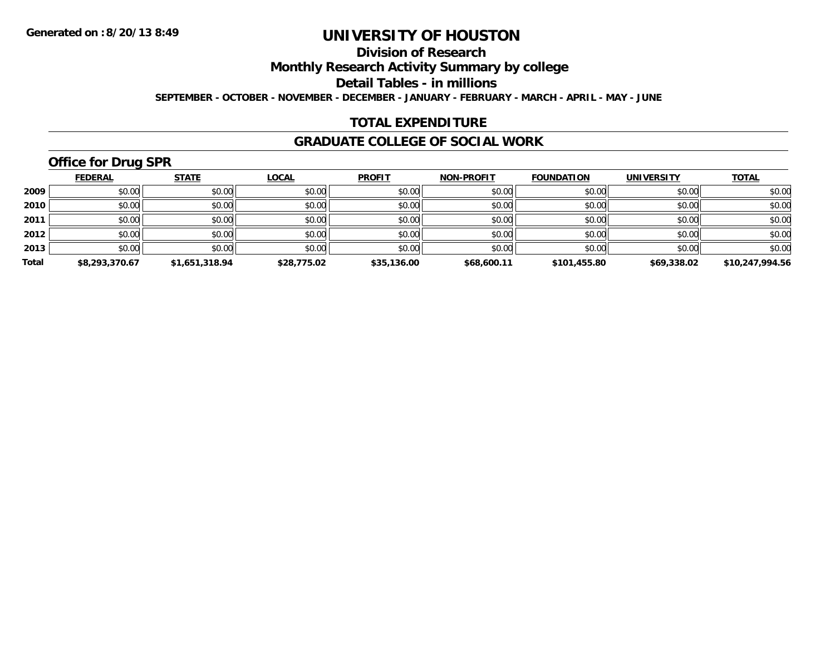## **Division of Research**

**Monthly Research Activity Summary by college**

**Detail Tables - in millions**

**SEPTEMBER - OCTOBER - NOVEMBER - DECEMBER - JANUARY - FEBRUARY - MARCH - APRIL - MAY - JUNE**

## **TOTAL EXPENDITURE**

#### **GRADUATE COLLEGE OF SOCIAL WORK**

## **Office for Drug SPR**

|       | <b>FEDERAL</b> | <b>STATE</b>   | <b>LOCAL</b> | <b>PROFIT</b> | <b>NON-PROFIT</b> | <b>FOUNDATION</b> | <b>UNIVERSITY</b> | <b>TOTAL</b>    |
|-------|----------------|----------------|--------------|---------------|-------------------|-------------------|-------------------|-----------------|
| 2009  | \$0.00         | \$0.00         | \$0.00       | \$0.00        | \$0.00            | \$0.00            | \$0.00            | \$0.00          |
| 2010  | \$0.00         | \$0.00         | \$0.00       | \$0.00        | \$0.00            | \$0.00            | \$0.00            | \$0.00          |
| 2011  | \$0.00         | \$0.00         | \$0.00       | \$0.00        | \$0.00            | \$0.00            | \$0.00            | \$0.00          |
| 2012  | \$0.00         | \$0.00         | \$0.00       | \$0.00        | \$0.00            | \$0.00            | \$0.00            | \$0.00          |
| 2013  | \$0.00         | \$0.00         | \$0.00       | \$0.00        | \$0.00            | \$0.00            | \$0.00            | \$0.00          |
| Total | \$8,293,370.67 | \$1,651,318.94 | \$28,775.02  | \$35,136.00   | \$68,600.11       | \$101,455.80      | \$69,338.02       | \$10,247,994.56 |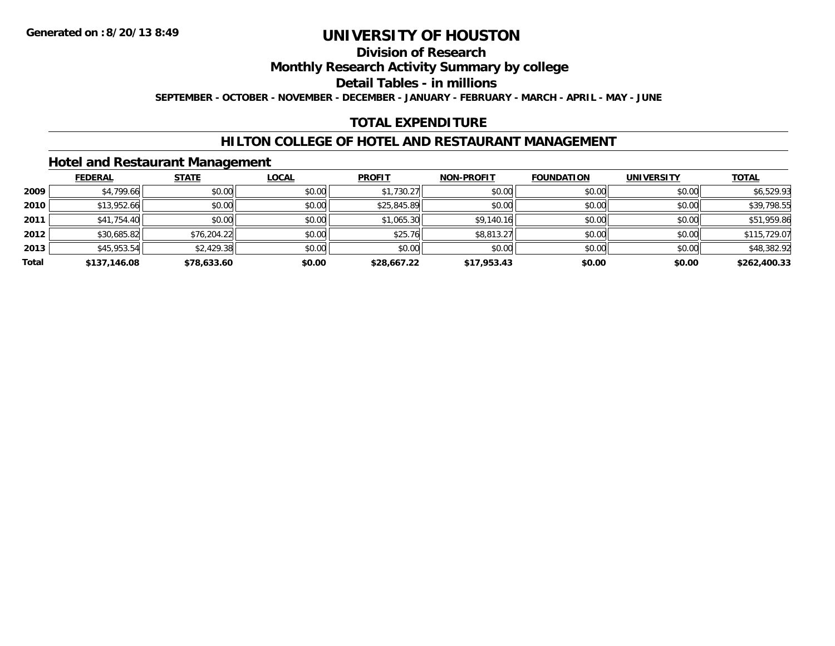## **Division of Research**

**Monthly Research Activity Summary by college**

**Detail Tables - in millions**

**SEPTEMBER - OCTOBER - NOVEMBER - DECEMBER - JANUARY - FEBRUARY - MARCH - APRIL - MAY - JUNE**

## **TOTAL EXPENDITURE**

## **HILTON COLLEGE OF HOTEL AND RESTAURANT MANAGEMENT**

### **Hotel and Restaurant Management**

|       | <b>FEDERAL</b> | <b>STATE</b> | <b>LOCAL</b> | <b>PROFIT</b> | <b>NON-PROFIT</b> | <b>FOUNDATION</b> | <b>UNIVERSITY</b> | <b>TOTAL</b> |
|-------|----------------|--------------|--------------|---------------|-------------------|-------------------|-------------------|--------------|
| 2009  | \$4,799.66     | \$0.00       | \$0.00       | \$1,730.27    | \$0.00            | \$0.00            | \$0.00            | \$6,529.93   |
| 2010  | \$13,952.66    | \$0.00       | \$0.00       | \$25,845.89   | \$0.00            | \$0.00            | \$0.00            | \$39,798.55  |
| 2011  | \$41,754.40    | \$0.00       | \$0.00       | \$1,065.30    | \$9,140.16        | \$0.00            | \$0.00            | \$51,959.86  |
| 2012  | \$30,685.82    | \$76,204.22  | \$0.00       | \$25.76       | \$8,813.27        | \$0.00            | \$0.00            | \$115,729.07 |
| 2013  | \$45,953.54    | \$2,429.38   | \$0.00       | \$0.00        | \$0.00            | \$0.00            | \$0.00            | \$48,382.92  |
| Total | \$137,146.08   | \$78,633.60  | \$0.00       | \$28,667.22   | \$17,953.43       | \$0.00            | \$0.00            | \$262,400.33 |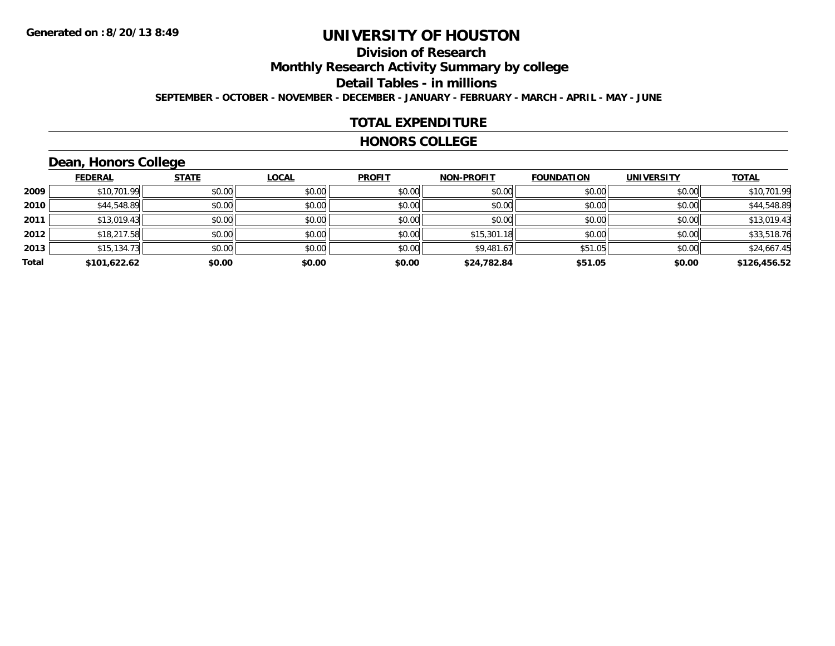## **Division of Research**

**Monthly Research Activity Summary by college**

**Detail Tables - in millions**

**SEPTEMBER - OCTOBER - NOVEMBER - DECEMBER - JANUARY - FEBRUARY - MARCH - APRIL - MAY - JUNE**

### **TOTAL EXPENDITURE**

#### **HONORS COLLEGE**

## **Dean, Honors College**

|       |                | __           |              |               |                   |                   |                   |              |
|-------|----------------|--------------|--------------|---------------|-------------------|-------------------|-------------------|--------------|
|       | <b>FEDERAL</b> | <b>STATE</b> | <b>LOCAL</b> | <b>PROFIT</b> | <b>NON-PROFIT</b> | <b>FOUNDATION</b> | <b>UNIVERSITY</b> | <b>TOTAL</b> |
| 2009  | \$10,701.99    | \$0.00       | \$0.00       | \$0.00        | \$0.00            | \$0.00            | \$0.00            | \$10,701.99  |
| 2010  | \$44,548.89    | \$0.00       | \$0.00       | \$0.00        | \$0.00            | \$0.00            | \$0.00            | \$44,548.89  |
| 2011  | \$13,019.43    | \$0.00       | \$0.00       | \$0.00        | \$0.00            | \$0.00            | \$0.00            | \$13,019.43  |
| 2012  | \$18,217.58    | \$0.00       | \$0.00       | \$0.00        | \$15,301.18       | \$0.00            | \$0.00            | \$33,518.76  |
| 2013  | \$15,134.73    | \$0.00       | \$0.00       | \$0.00        | \$9,481.67        | \$51.05           | \$0.00            | \$24,667.45  |
| Total | \$101,622.62   | \$0.00       | \$0.00       | \$0.00        | \$24,782.84       | \$51.05           | \$0.00            | \$126,456.52 |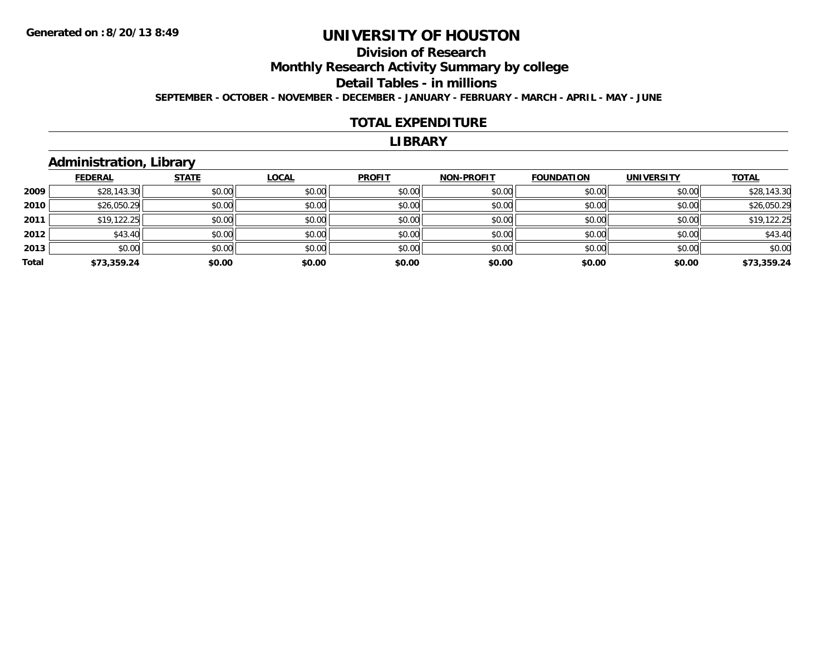## **Division of Research**

**Monthly Research Activity Summary by college**

**Detail Tables - in millions**

**SEPTEMBER - OCTOBER - NOVEMBER - DECEMBER - JANUARY - FEBRUARY - MARCH - APRIL - MAY - JUNE**

#### **TOTAL EXPENDITURE**

#### **LIBRARY**

## **Administration, Library**

|       | <b>FEDERAL</b> | <b>STATE</b> | <b>LOCAL</b> | <b>PROFIT</b> | <b>NON-PROFIT</b> | <b>FOUNDATION</b> | <b>UNIVERSITY</b> | <b>TOTAL</b> |
|-------|----------------|--------------|--------------|---------------|-------------------|-------------------|-------------------|--------------|
| 2009  | \$28,143.30    | \$0.00       | \$0.00       | \$0.00        | \$0.00            | \$0.00            | \$0.00            | \$28,143.30  |
| 2010  | \$26,050.29    | \$0.00       | \$0.00       | \$0.00        | \$0.00            | \$0.00            | \$0.00            | \$26,050.29  |
| 2011  | \$19,122.25    | \$0.00       | \$0.00       | \$0.00        | \$0.00            | \$0.00            | \$0.00            | \$19,122.25  |
| 2012  | \$43.40        | \$0.00       | \$0.00       | \$0.00        | \$0.00            | \$0.00            | \$0.00            | \$43.40      |
| 2013  | \$0.00         | \$0.00       | \$0.00       | \$0.00        | \$0.00            | \$0.00            | \$0.00            | \$0.00       |
| Total | \$73,359.24    | \$0.00       | \$0.00       | \$0.00        | \$0.00            | \$0.00            | \$0.00            | \$73,359.24  |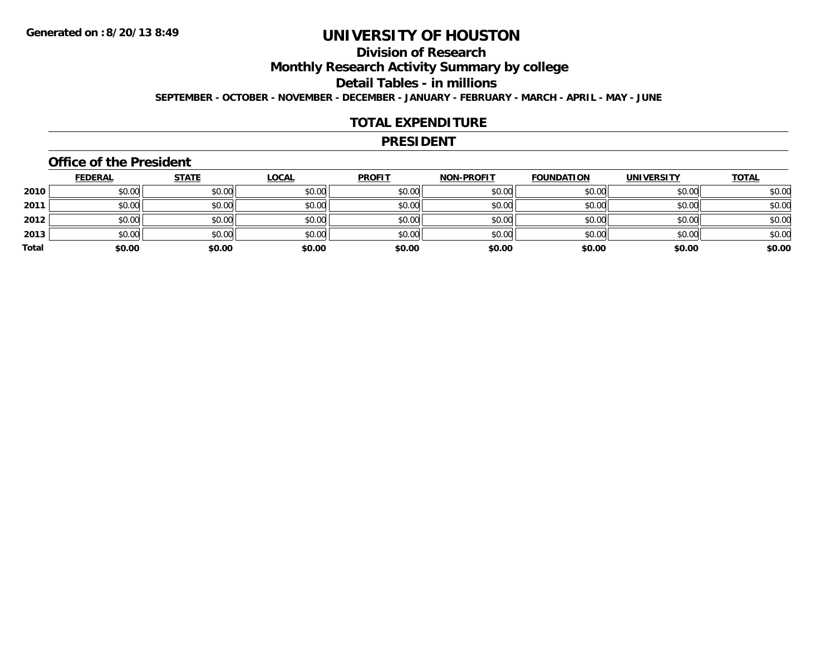## **Division of Research**

**Monthly Research Activity Summary by college**

**Detail Tables - in millions**

**SEPTEMBER - OCTOBER - NOVEMBER - DECEMBER - JANUARY - FEBRUARY - MARCH - APRIL - MAY - JUNE**

### **TOTAL EXPENDITURE**

#### **PRESIDENT**

### **Office of the President**

|       | <b>FEDERAL</b> | <b>STATE</b> | <b>LOCAL</b> | <b>PROFIT</b> | <b>NON-PROFIT</b> | <b>FOUNDATION</b> | <b>UNIVERSITY</b> | <b>TOTAL</b> |
|-------|----------------|--------------|--------------|---------------|-------------------|-------------------|-------------------|--------------|
| 2010  | \$0.00         | \$0.00       | \$0.00       | \$0.00        | \$0.00            | \$0.00            | \$0.00            | \$0.00       |
| 2011  | \$0.00         | \$0.00       | \$0.00       | \$0.00        | \$0.00            | \$0.00            | \$0.00            | \$0.00       |
| 2012  | \$0.00         | \$0.00       | \$0.00       | \$0.00        | \$0.00            | \$0.00            | \$0.00            | \$0.00       |
| 2013  | \$0.00         | \$0.00       | \$0.00       | \$0.00        | \$0.00            | \$0.00            | \$0.00            | \$0.00       |
| Total | \$0.00         | \$0.00       | \$0.00       | \$0.00        | \$0.00            | \$0.00            | \$0.00            | \$0.00       |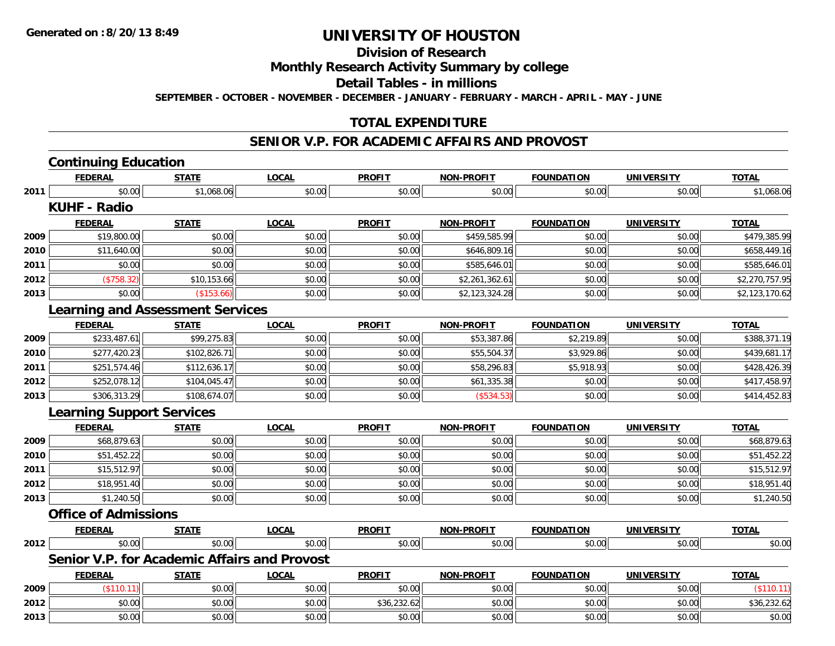**Division of Research**

**Monthly Research Activity Summary by college**

**Detail Tables - in millions**

**SEPTEMBER - OCTOBER - NOVEMBER - DECEMBER - JANUARY - FEBRUARY - MARCH - APRIL - MAY - JUNE**

## **TOTAL EXPENDITURE**

#### **SENIOR V.P. FOR ACADEMIC AFFAIRS AND PROVOST**

|      | <b>Continuing Education</b>                  |              |              |               |                   |                   |                   |                |
|------|----------------------------------------------|--------------|--------------|---------------|-------------------|-------------------|-------------------|----------------|
|      | <b>FEDERAL</b>                               | <b>STATE</b> | <b>LOCAL</b> | <b>PROFIT</b> | NON-PROFIT        | <b>FOUNDATION</b> | <b>UNIVERSITY</b> | <b>TOTAL</b>   |
| 2011 | \$0.00                                       | \$1,068.06   | \$0.00       | \$0.00        | \$0.00            | \$0.00            | \$0.00            | \$1,068.06     |
|      | <b>KUHF - Radio</b>                          |              |              |               |                   |                   |                   |                |
|      | <b>FEDERAL</b>                               | <b>STATE</b> | <b>LOCAL</b> | <b>PROFIT</b> | <b>NON-PROFIT</b> | <b>FOUNDATION</b> | <b>UNIVERSITY</b> | <b>TOTAL</b>   |
| 2009 | \$19,800.00                                  | \$0.00       | \$0.00       | \$0.00        | \$459,585.99      | \$0.00            | \$0.00            | \$479,385.99   |
| 2010 | \$11,640.00                                  | \$0.00       | \$0.00       | \$0.00        | \$646,809.16      | \$0.00            | \$0.00            | \$658,449.16   |
| 2011 | \$0.00                                       | \$0.00       | \$0.00       | \$0.00        | \$585,646.01      | \$0.00            | \$0.00            | \$585,646.01   |
| 2012 | (\$758.32)                                   | \$10,153.66  | \$0.00       | \$0.00        | \$2,261,362.61    | \$0.00            | \$0.00            | \$2,270,757.95 |
| 2013 | \$0.00                                       | (\$153.66)   | \$0.00       | \$0.00        | \$2,123,324.28    | \$0.00            | \$0.00            | \$2,123,170.62 |
|      | <b>Learning and Assessment Services</b>      |              |              |               |                   |                   |                   |                |
|      | <b>FEDERAL</b>                               | <b>STATE</b> | <b>LOCAL</b> | <b>PROFIT</b> | <b>NON-PROFIT</b> | <b>FOUNDATION</b> | <b>UNIVERSITY</b> | <b>TOTAL</b>   |
| 2009 | \$233,487.61                                 | \$99,275.83  | \$0.00       | \$0.00        | \$53,387.86       | \$2,219.89        | \$0.00            | \$388,371.19   |
| 2010 | \$277,420.23                                 | \$102,826.71 | \$0.00       | \$0.00        | \$55,504.37       | \$3,929.86        | \$0.00            | \$439,681.17   |
| 2011 | \$251,574.46                                 | \$112,636.17 | \$0.00       | \$0.00        | \$58,296.83       | \$5,918.93        | \$0.00            | \$428,426.39   |
| 2012 | \$252,078.12                                 | \$104,045.47 | \$0.00       | \$0.00        | \$61,335.38       | \$0.00            | \$0.00            | \$417,458.97   |
| 2013 | \$306,313.29                                 | \$108,674.07 | \$0.00       | \$0.00        | (\$534.53)        | \$0.00            | \$0.00            | \$414,452.83   |
|      | <b>Learning Support Services</b>             |              |              |               |                   |                   |                   |                |
|      | <b>FEDERAL</b>                               | <b>STATE</b> | <b>LOCAL</b> | <b>PROFIT</b> | <b>NON-PROFIT</b> | <b>FOUNDATION</b> | <b>UNIVERSITY</b> | <b>TOTAL</b>   |
| 2009 | \$68,879.63                                  | \$0.00       | \$0.00       | \$0.00        | \$0.00            | \$0.00            | \$0.00            | \$68,879.63    |
| 2010 | \$51,452.22                                  | \$0.00       | \$0.00       | \$0.00        | \$0.00            | \$0.00            | \$0.00            | \$51,452.22    |
| 2011 | \$15,512.97                                  | \$0.00       | \$0.00       | \$0.00        | \$0.00            | \$0.00            | \$0.00            | \$15,512.97    |
| 2012 | \$18,951.40                                  | \$0.00       | \$0.00       | \$0.00        | \$0.00            | \$0.00            | \$0.00            | \$18,951.40    |
| 2013 | \$1,240.50                                   | \$0.00       | \$0.00       | \$0.00        | \$0.00            | \$0.00            | \$0.00            | \$1,240.50     |
|      | <b>Office of Admissions</b>                  |              |              |               |                   |                   |                   |                |
|      | <b>FEDERAL</b>                               | <b>STATE</b> | <b>LOCAL</b> | <b>PROFIT</b> | <b>NON-PROFIT</b> | <b>FOUNDATION</b> | <b>UNIVERSITY</b> | <b>TOTAL</b>   |
| 2012 | \$0.00                                       | \$0.00       | \$0.00       | \$0.00        | \$0.00            | \$0.00            | \$0.00            | \$0.00         |
|      | Senior V.P. for Academic Affairs and Provost |              |              |               |                   |                   |                   |                |
|      | <b>FEDERAL</b>                               | <u>STATE</u> | <b>LOCAL</b> | <b>PROFIT</b> | <b>NON-PROFIT</b> | <b>FOUNDATION</b> | <b>UNIVERSITY</b> | <b>TOTAL</b>   |
| 2009 | (\$110.11)                                   | \$0.00       | \$0.00       | \$0.00        | \$0.00            | \$0.00            | \$0.00            | (\$110.11)     |
| 2012 | \$0.00                                       | \$0.00       | \$0.00       | \$36,232.62   | \$0.00            | \$0.00            | \$0.00            | \$36,232.62    |
| 2013 | \$0.00                                       | \$0.00       | \$0.00       | \$0.00        | \$0.00            | \$0.00            | \$0.00            | \$0.00         |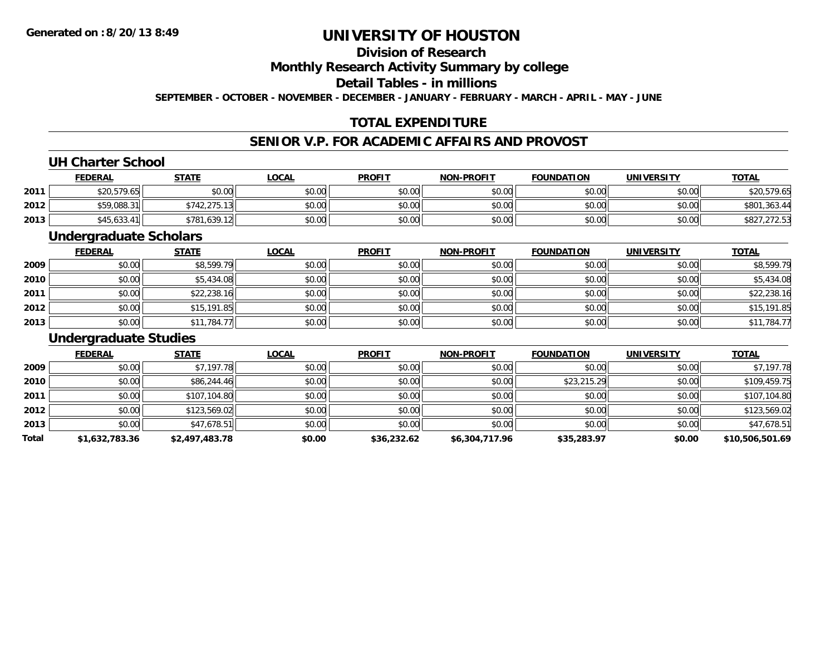## **Division of Research**

## **Monthly Research Activity Summary by college**

### **Detail Tables - in millions**

**SEPTEMBER - OCTOBER - NOVEMBER - DECEMBER - JANUARY - FEBRUARY - MARCH - APRIL - MAY - JUNE**

## **TOTAL EXPENDITURE**

## **SENIOR V.P. FOR ACADEMIC AFFAIRS AND PROVOST**

### **UH Charter School**

|      | <u>FEDERAL</u> | <b>STATE</b>                        | <u>LOCAL</u> | <b>PROFIT</b> | <b>NON-PROFIT</b> | <b>FOUNDATION</b> | <b>UNIVERSITY</b> | <b>TOTAL</b>                   |
|------|----------------|-------------------------------------|--------------|---------------|-------------------|-------------------|-------------------|--------------------------------|
| 2011 | \$20,579.65    | \$0.00                              | \$0.00       | \$0.00        | \$0.00            | \$0.00            | \$0.00            | \$20,579.65                    |
| 2012 | \$59,088.31    | ່າ75.12<br>\$742<br>الرابان الكراكب | \$0.00       | \$0.00        | \$0.00            | \$0.00            | \$0.00            | \$801,363.44                   |
| 2013 | \$45,633.41    | 1,639.12<br>\$781                   | \$0.00       | \$0.00        | \$0.00            | \$0.00            | \$0.00            | 7 070 FO<br>90Z I<br>دن ۲۷۱ ه. |

#### **Undergraduate Scholars**

|      | <u>FEDERAL</u> | <b>STATE</b> | <u>LOCAL</u> | <b>PROFIT</b> | <b>NON-PROFIT</b> | <b>FOUNDATION</b> | <b>UNIVERSITY</b> | <b>TOTAL</b> |
|------|----------------|--------------|--------------|---------------|-------------------|-------------------|-------------------|--------------|
| 2009 | \$0.00         | \$8,599.79   | \$0.00       | \$0.00        | \$0.00            | \$0.00            | \$0.00            | \$8,599.79   |
| 2010 | \$0.00         | \$5,434.08   | \$0.00       | \$0.00        | \$0.00            | \$0.00            | \$0.00            | \$5,434.08   |
| 2011 | \$0.00         | \$22,238.16  | \$0.00       | \$0.00        | \$0.00            | \$0.00            | \$0.00            | \$22,238.16  |
| 2012 | \$0.00         | \$15,191.85  | \$0.00       | \$0.00        | \$0.00            | \$0.00            | \$0.00            | \$15,191.85  |
| 2013 | \$0.00         | \$11,784.77  | \$0.00       | \$0.00        | \$0.00            | \$0.00            | \$0.00            | \$11,784.77  |

#### **Undergraduate Studies**

|       | <b>FEDERAL</b> | <b>STATE</b>   | <b>LOCAL</b> | <b>PROFIT</b> | <b>NON-PROFIT</b> | <b>FOUNDATION</b> | <b>UNIVERSITY</b> | <b>TOTAL</b>    |
|-------|----------------|----------------|--------------|---------------|-------------------|-------------------|-------------------|-----------------|
| 2009  | \$0.00         | \$7,197.78     | \$0.00       | \$0.00        | \$0.00            | \$0.00            | \$0.00            | \$7,197.78      |
| 2010  | \$0.00         | \$86,244.46    | \$0.00       | \$0.00        | \$0.00            | \$23,215.29       | \$0.00            | \$109,459.75    |
| 2011  | \$0.00         | \$107,104.80   | \$0.00       | \$0.00        | \$0.00            | \$0.00            | \$0.00            | \$107,104.80    |
| 2012  | \$0.00         | \$123,569.02   | \$0.00       | \$0.00        | \$0.00            | \$0.00            | \$0.00            | \$123,569.02    |
| 2013  | \$0.00         | \$47,678.51    | \$0.00       | \$0.00        | \$0.00            | \$0.00            | \$0.00            | \$47,678.51     |
| Total | \$1,632,783.36 | \$2,497,483.78 | \$0.00       | \$36,232.62   | \$6,304,717.96    | \$35,283.97       | \$0.00            | \$10,506,501.69 |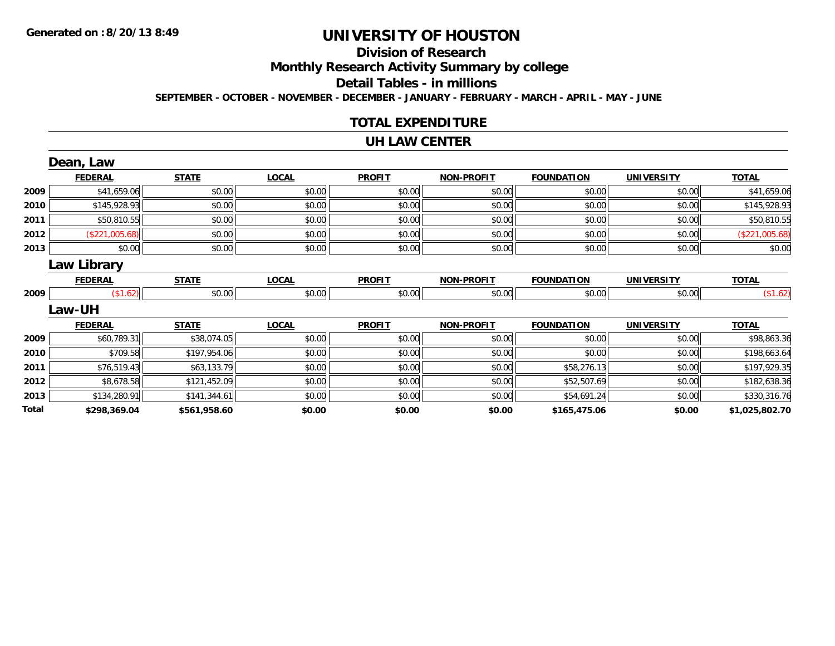# **Division of Research**

**Monthly Research Activity Summary by college**

**Detail Tables - in millions**

**SEPTEMBER - OCTOBER - NOVEMBER - DECEMBER - JANUARY - FEBRUARY - MARCH - APRIL - MAY - JUNE**

## **TOTAL EXPENDITURE**

#### **UH LAW CENTER**

|       | Dean, Law      |              |              |               |                   |                   |                   |                |
|-------|----------------|--------------|--------------|---------------|-------------------|-------------------|-------------------|----------------|
|       | <b>FEDERAL</b> | <b>STATE</b> | <b>LOCAL</b> | <b>PROFIT</b> | <b>NON-PROFIT</b> | <b>FOUNDATION</b> | <b>UNIVERSITY</b> | <b>TOTAL</b>   |
| 2009  | \$41,659.06    | \$0.00       | \$0.00       | \$0.00        | \$0.00            | \$0.00            | \$0.00            | \$41,659.06    |
| 2010  | \$145,928.93   | \$0.00       | \$0.00       | \$0.00        | \$0.00            | \$0.00            | \$0.00            | \$145,928.93   |
| 2011  | \$50,810.55    | \$0.00       | \$0.00       | \$0.00        | \$0.00            | \$0.00            | \$0.00            | \$50,810.55    |
| 2012  | (\$221,005.68) | \$0.00       | \$0.00       | \$0.00        | \$0.00            | \$0.00            | \$0.00            | (\$221,005.68) |
| 2013  | \$0.00         | \$0.00       | \$0.00       | \$0.00        | \$0.00            | \$0.00            | \$0.00            | \$0.00         |
|       | Law Library    |              |              |               |                   |                   |                   |                |
|       | <b>FEDERAL</b> | <b>STATE</b> | <b>LOCAL</b> | <b>PROFIT</b> | <b>NON-PROFIT</b> | <b>FOUNDATION</b> | <b>UNIVERSITY</b> | <b>TOTAL</b>   |
| 2009  | \$1.62]        | \$0.00       | \$0.00       | \$0.00        | \$0.00            | \$0.00            | \$0.00            | (\$1.62)       |
|       | <b>Law-UH</b>  |              |              |               |                   |                   |                   |                |
|       | <b>FEDERAL</b> | <b>STATE</b> | <b>LOCAL</b> | <b>PROFIT</b> | <b>NON-PROFIT</b> | <b>FOUNDATION</b> | <b>UNIVERSITY</b> | <b>TOTAL</b>   |
| 2009  | \$60,789.31    | \$38,074.05  | \$0.00       | \$0.00        | \$0.00            | \$0.00            | \$0.00            | \$98,863.36    |
| 2010  | \$709.58       | \$197,954.06 | \$0.00       | \$0.00        | \$0.00            | \$0.00            | \$0.00            | \$198,663.64   |
| 2011  | \$76,519.43    | \$63,133.79  | \$0.00       | \$0.00        | \$0.00            | \$58,276.13       | \$0.00            | \$197,929.35   |
| 2012  | \$8,678.58     | \$121,452.09 | \$0.00       | \$0.00        | \$0.00            | \$52,507.69       | \$0.00            | \$182,638.36   |
| 2013  | \$134,280.91   | \$141,344.61 | \$0.00       | \$0.00        | \$0.00            | \$54,691.24       | \$0.00            | \$330,316.76   |
| Total | \$298,369.04   | \$561,958.60 | \$0.00       | \$0.00        | \$0.00            | \$165,475.06      | \$0.00            | \$1,025,802.70 |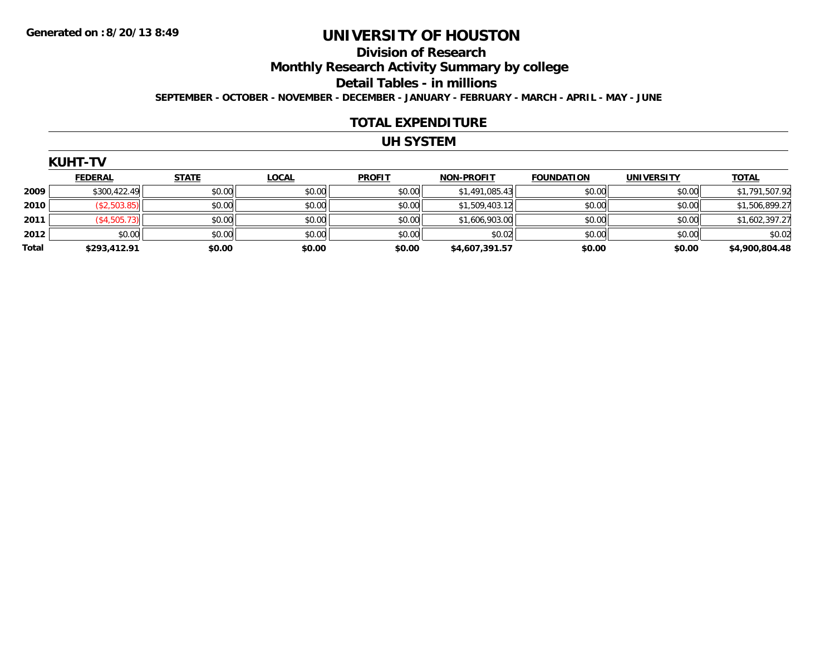#### **Division of Research**

**Monthly Research Activity Summary by college**

**Detail Tables - in millions**

**SEPTEMBER - OCTOBER - NOVEMBER - DECEMBER - JANUARY - FEBRUARY - MARCH - APRIL - MAY - JUNE**

#### **TOTAL EXPENDITURE**

## **UH SYSTEM**

| ш  | ┍ |  |
|----|---|--|
| ΙH |   |  |

|              | <b>FEDERAL</b> | <b>STATE</b> | <b>LOCAL</b> | <b>PROFIT</b> | <b>NON-PROFIT</b> | <b>FOUNDATION</b> | <b>UNIVERSITY</b> | <b>TOTAL</b>   |
|--------------|----------------|--------------|--------------|---------------|-------------------|-------------------|-------------------|----------------|
| 2009         | \$300,422.49   | \$0.00       | \$0.00       | \$0.00        | \$1,491,085.43    | \$0.00            | \$0.00            | \$1,791,507.92 |
| 2010         | (\$2,503.85)   | \$0.00       | \$0.00       | \$0.00        | \$1,509,403.12    | \$0.00            | \$0.00            | \$1,506,899.27 |
| 2011         | (\$4,505.73)   | \$0.00       | \$0.00       | \$0.00        | \$1,606,903.00    | \$0.00            | \$0.00            | \$1,602,397.27 |
| 2012         | \$0.00         | \$0.00       | \$0.00       | \$0.00        | \$0.02            | \$0.00            | \$0.00            | \$0.02         |
| <b>Total</b> | \$293,412.91   | \$0.00       | \$0.00       | \$0.00        | \$4,607,391.57    | \$0.00            | \$0.00            | \$4,900,804.48 |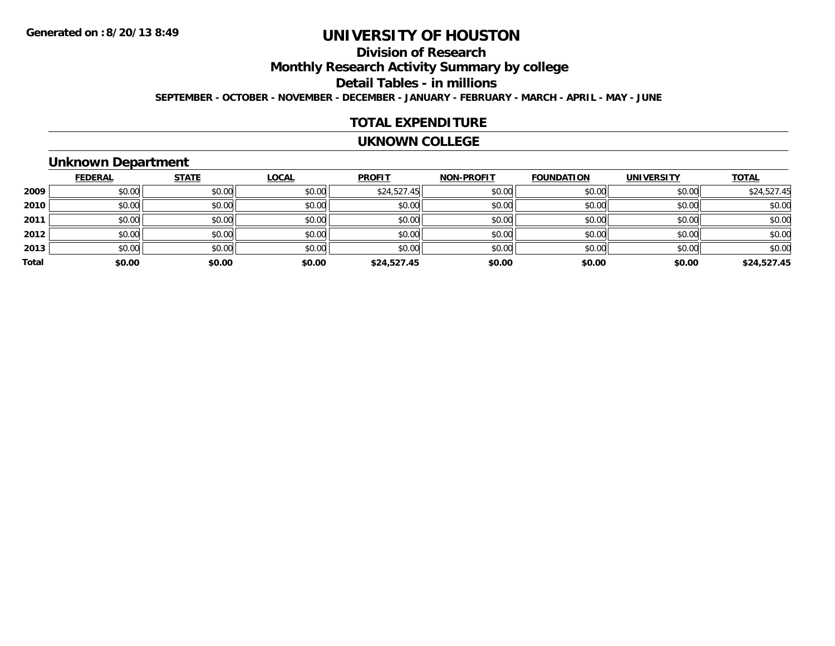## **Division of Research**

**Monthly Research Activity Summary by college**

**Detail Tables - in millions**

**SEPTEMBER - OCTOBER - NOVEMBER - DECEMBER - JANUARY - FEBRUARY - MARCH - APRIL - MAY - JUNE**

### **TOTAL EXPENDITURE**

#### **UKNOWN COLLEGE**

## **Unknown Department**

|       | <b>FEDERAL</b> | <b>STATE</b> | <b>LOCAL</b> | <b>PROFIT</b> | <b>NON-PROFIT</b> | <b>FOUNDATION</b> | <b>UNIVERSITY</b> | <b>TOTAL</b> |
|-------|----------------|--------------|--------------|---------------|-------------------|-------------------|-------------------|--------------|
| 2009  | \$0.00         | \$0.00       | \$0.00       | \$24,527.45   | \$0.00            | \$0.00            | \$0.00            | \$24,527.45  |
| 2010  | \$0.00         | \$0.00       | \$0.00       | \$0.00        | \$0.00            | \$0.00            | \$0.00            | \$0.00       |
| 2011  | \$0.00         | \$0.00       | \$0.00       | \$0.00        | \$0.00            | \$0.00            | \$0.00            | \$0.00       |
| 2012  | \$0.00         | \$0.00       | \$0.00       | \$0.00        | \$0.00            | \$0.00            | \$0.00            | \$0.00       |
| 2013  | \$0.00         | \$0.00       | \$0.00       | \$0.00        | \$0.00            | \$0.00            | \$0.00            | \$0.00       |
| Total | \$0.00         | \$0.00       | \$0.00       | \$24,527.45   | \$0.00            | \$0.00            | \$0.00            | \$24,527.45  |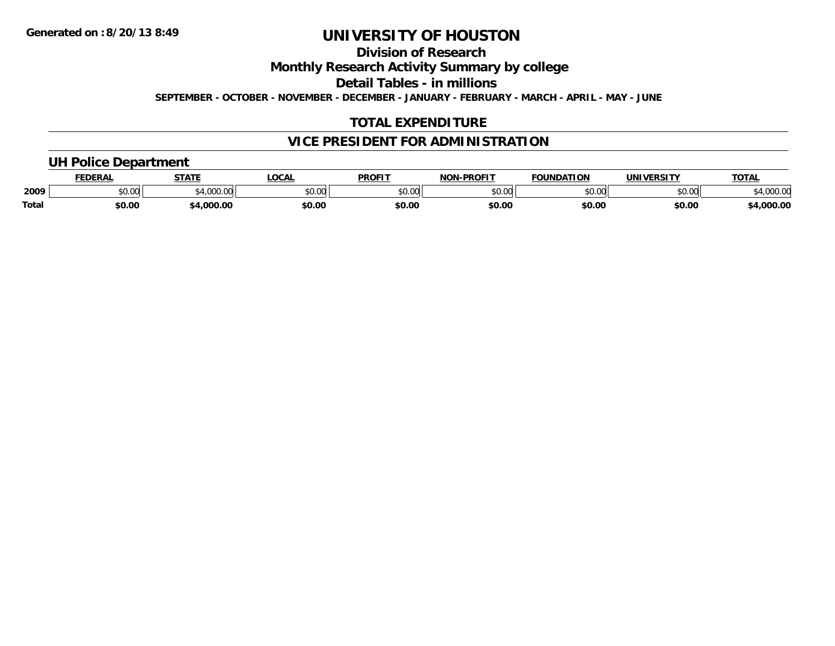## **Division of Research**

**Monthly Research Activity Summary by college**

**Detail Tables - in millions**

**SEPTEMBER - OCTOBER - NOVEMBER - DECEMBER - JANUARY - FEBRUARY - MARCH - APRIL - MAY - JUNE**

## **TOTAL EXPENDITURE**

## **VICE PRESIDENT FOR ADMINISTRATION**

## **UH Police Department**

|       | <b>FEDERAL</b> | <b>STATE</b>   | LOCAI         | <b>PROFIT</b>                   | <b>J-PROFIT</b><br><b>NON</b> | <b>FOUNDATION</b> | <b>UNIVERSITY</b> | <b>TOTAL</b>      |
|-------|----------------|----------------|---------------|---------------------------------|-------------------------------|-------------------|-------------------|-------------------|
| 2009  | 0000<br>vv.vv  | 00000<br>uuu.u | 0000<br>pv.uu | $\circ$ $\circ$ $\circ$<br>ט.טע | \$0.00                        | ደበ በበ<br>,,,,,    | 0000<br>יט.טי     | 00000<br>4,UUU.UL |
| Total | \$0.00         | .000.00        | \$0.OC        | \$0.00                          | \$0.00                        | \$0.00            | \$0.00            | 4,000.00          |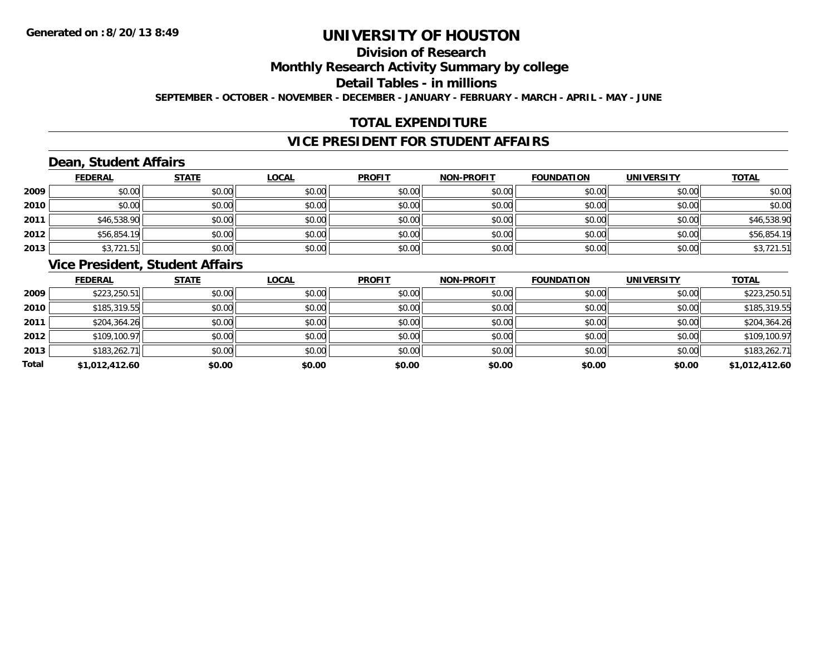## **Division of Research**

**Monthly Research Activity Summary by college**

**Detail Tables - in millions**

**SEPTEMBER - OCTOBER - NOVEMBER - DECEMBER - JANUARY - FEBRUARY - MARCH - APRIL - MAY - JUNE**

## **TOTAL EXPENDITURE**

## **VICE PRESIDENT FOR STUDENT AFFAIRS**

## **Dean, Student Affairs**

|      | <b>FEDERAL</b> | <b>STATE</b> | <b>LOCAL</b> | <b>PROFIT</b> | <b>NON-PROFIT</b> | <b>FOUNDATION</b> | <b>UNIVERSITY</b> | <b>TOTAL</b> |
|------|----------------|--------------|--------------|---------------|-------------------|-------------------|-------------------|--------------|
| 2009 | \$0.00         | \$0.00       | \$0.00       | \$0.00        | \$0.00            | \$0.00            | \$0.00            | \$0.00       |
| 2010 | \$0.00         | \$0.00       | \$0.00       | \$0.00        | \$0.00            | \$0.00            | \$0.00            | \$0.00       |
| 2011 | \$46,538.90    | \$0.00       | \$0.00       | \$0.00        | \$0.00            | \$0.00            | \$0.00            | \$46,538.90  |
| 2012 | \$56,854.19    | \$0.00       | \$0.00       | \$0.00        | \$0.00            | \$0.00            | \$0.00            | \$56,854.19  |
| 2013 | \$3,721.51     | \$0.00       | \$0.00       | \$0.00        | \$0.00            | \$0.00            | \$0.00            | \$3,721.51   |

## **Vice President, Student Affairs**

|       | <b>FEDERAL</b> | <b>STATE</b> | <b>LOCAL</b> | <b>PROFIT</b> | <b>NON-PROFIT</b> | <b>FOUNDATION</b> | <b>UNIVERSITY</b> | <b>TOTAL</b>   |
|-------|----------------|--------------|--------------|---------------|-------------------|-------------------|-------------------|----------------|
| 2009  | \$223,250.51   | \$0.00       | \$0.00       | \$0.00        | \$0.00            | \$0.00            | \$0.00            | \$223,250.51   |
| 2010  | \$185,319.55   | \$0.00       | \$0.00       | \$0.00        | \$0.00            | \$0.00            | \$0.00            | \$185,319.55   |
| 2011  | \$204,364.26   | \$0.00       | \$0.00       | \$0.00        | \$0.00            | \$0.00            | \$0.00            | \$204,364.26   |
| 2012  | \$109,100.97   | \$0.00       | \$0.00       | \$0.00        | \$0.00            | \$0.00            | \$0.00            | \$109,100.97   |
| 2013  | \$183,262.71   | \$0.00       | \$0.00       | \$0.00        | \$0.00            | \$0.00            | \$0.00            | \$183,262.71   |
| Total | \$1,012,412.60 | \$0.00       | \$0.00       | \$0.00        | \$0.00            | \$0.00            | \$0.00            | \$1,012,412.60 |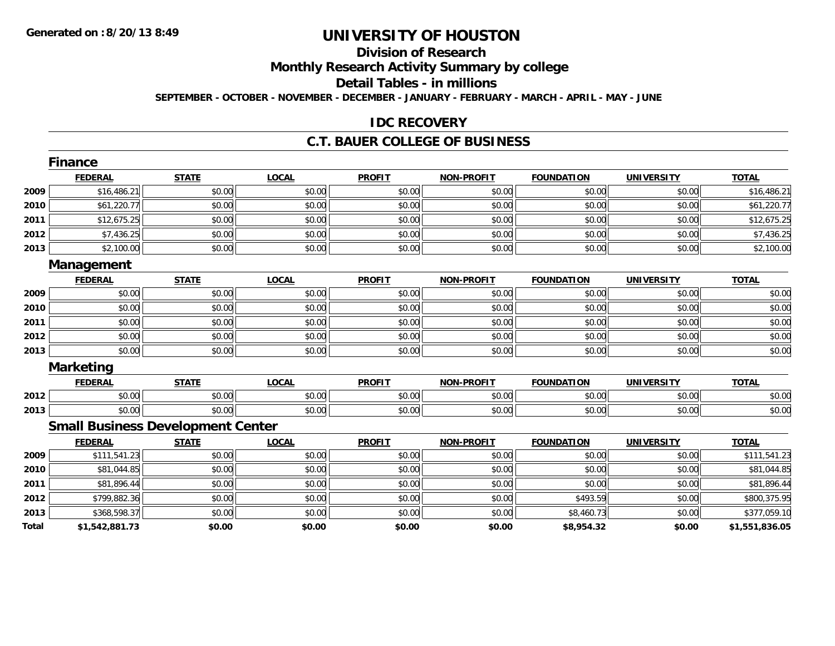# **Division of Research**

**Monthly Research Activity Summary by college**

#### **Detail Tables - in millions**

**SEPTEMBER - OCTOBER - NOVEMBER - DECEMBER - JANUARY - FEBRUARY - MARCH - APRIL - MAY - JUNE**

### **IDC RECOVERY**

#### **C.T. BAUER COLLEGE OF BUSINESS**

|       | <b>Finance</b>                           |              |              |               |                   |                   |                   |                |
|-------|------------------------------------------|--------------|--------------|---------------|-------------------|-------------------|-------------------|----------------|
|       | <b>FEDERAL</b>                           | <b>STATE</b> | <b>LOCAL</b> | <b>PROFIT</b> | <b>NON-PROFIT</b> | <b>FOUNDATION</b> | <b>UNIVERSITY</b> | <b>TOTAL</b>   |
| 2009  | \$16,486.21                              | \$0.00       | \$0.00       | \$0.00        | \$0.00            | \$0.00            | \$0.00            | \$16,486.21    |
| 2010  | \$61,220.77                              | \$0.00       | \$0.00       | \$0.00        | \$0.00            | \$0.00            | \$0.00            | \$61,220.77    |
| 2011  | \$12,675.25                              | \$0.00       | \$0.00       | \$0.00        | \$0.00            | \$0.00            | \$0.00            | \$12,675.25    |
| 2012  | \$7,436.25                               | \$0.00       | \$0.00       | \$0.00        | \$0.00            | \$0.00            | \$0.00            | \$7,436.25     |
| 2013  | \$2,100.00                               | \$0.00       | \$0.00       | \$0.00        | \$0.00            | \$0.00            | \$0.00            | \$2,100.00     |
|       | Management                               |              |              |               |                   |                   |                   |                |
|       | <b>FEDERAL</b>                           | <b>STATE</b> | <b>LOCAL</b> | <b>PROFIT</b> | <b>NON-PROFIT</b> | <b>FOUNDATION</b> | <b>UNIVERSITY</b> | <b>TOTAL</b>   |
| 2009  | \$0.00                                   | \$0.00       | \$0.00       | \$0.00        | \$0.00            | \$0.00            | \$0.00            | \$0.00         |
| 2010  | \$0.00                                   | \$0.00       | \$0.00       | \$0.00        | \$0.00            | \$0.00            | \$0.00            | \$0.00         |
| 2011  | \$0.00                                   | \$0.00       | \$0.00       | \$0.00        | \$0.00            | \$0.00            | \$0.00            | \$0.00         |
| 2012  | \$0.00                                   | \$0.00       | \$0.00       | \$0.00        | \$0.00            | \$0.00            | \$0.00            | \$0.00         |
| 2013  | \$0.00                                   | \$0.00       | \$0.00       | \$0.00        | \$0.00            | \$0.00            | \$0.00            | \$0.00         |
|       | <b>Marketing</b>                         |              |              |               |                   |                   |                   |                |
|       | <b>FEDERAL</b>                           | <b>STATE</b> | <b>LOCAL</b> | <b>PROFIT</b> | <b>NON-PROFIT</b> | <b>FOUNDATION</b> | <b>UNIVERSITY</b> | <b>TOTAL</b>   |
| 2012  | \$0.00                                   | \$0.00       | \$0.00       | \$0.00        | \$0.00            | \$0.00            | \$0.00            | \$0.00         |
| 2013  | \$0.00                                   | \$0.00       | \$0.00       | \$0.00        | \$0.00            | \$0.00            | \$0.00            | \$0.00         |
|       | <b>Small Business Development Center</b> |              |              |               |                   |                   |                   |                |
|       | <b>FEDERAL</b>                           | <b>STATE</b> | <b>LOCAL</b> | <b>PROFIT</b> | <b>NON-PROFIT</b> | <b>FOUNDATION</b> | <b>UNIVERSITY</b> | <b>TOTAL</b>   |
| 2009  | \$111,541.23                             | \$0.00       | \$0.00       | \$0.00        | \$0.00            | \$0.00            | \$0.00            | \$111,541.23   |
| 2010  | \$81,044.85                              | \$0.00       | \$0.00       | \$0.00        | \$0.00            | \$0.00            | \$0.00            | \$81,044.85    |
| 2011  | \$81,896.44                              | \$0.00       | \$0.00       | \$0.00        | \$0.00            | \$0.00            | \$0.00            | \$81,896.44    |
| 2012  | \$799,882.36                             | \$0.00       | \$0.00       | \$0.00        | \$0.00            | \$493.59          | \$0.00            | \$800,375.95   |
| 2013  | \$368,598.37                             | \$0.00       | \$0.00       | \$0.00        | \$0.00            | \$8,460.73        | \$0.00            | \$377,059.10   |
| Total | \$1,542,881.73                           | \$0.00       | \$0.00       | \$0.00        | \$0.00            | \$8,954.32        | \$0.00            | \$1,551,836.05 |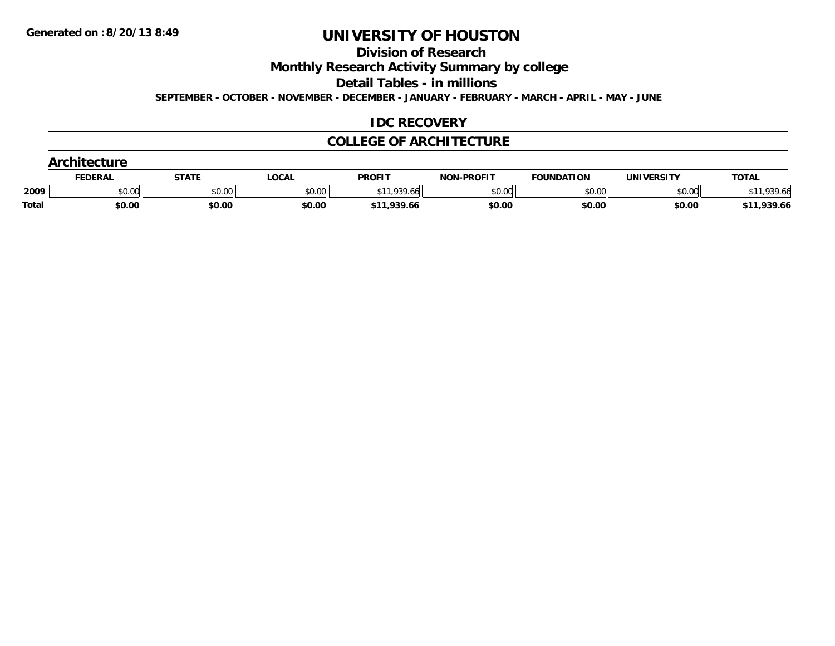**Division of Research**

**Monthly Research Activity Summary by college**

**Detail Tables - in millions**

**SEPTEMBER - OCTOBER - NOVEMBER - DECEMBER - JANUARY - FEBRUARY - MARCH - APRIL - MAY - JUNE**

## **IDC RECOVERY**

## **COLLEGE OF ARCHITECTURE**

|       | <b>Architecture</b> |              |        |               |                   |                   |                   |              |
|-------|---------------------|--------------|--------|---------------|-------------------|-------------------|-------------------|--------------|
|       | <b>FEDERAL</b>      | <b>STATE</b> | LOCAL  | <b>PROFIT</b> | <b>NON-PROFIT</b> | <b>FOUNDATION</b> | <b>UNIVERSITY</b> | <b>TOTAL</b> |
| 2009  | \$0.00              | \$0.00       | \$0.00 | \$11,939.66   | \$0.00            | \$0.00            | \$0.00            | \$11,939.66  |
| Total | \$0.00              | \$0.00       | \$0.00 | \$11,939.66   | \$0.00            | \$0.00            | \$0.00            | \$11,939.66  |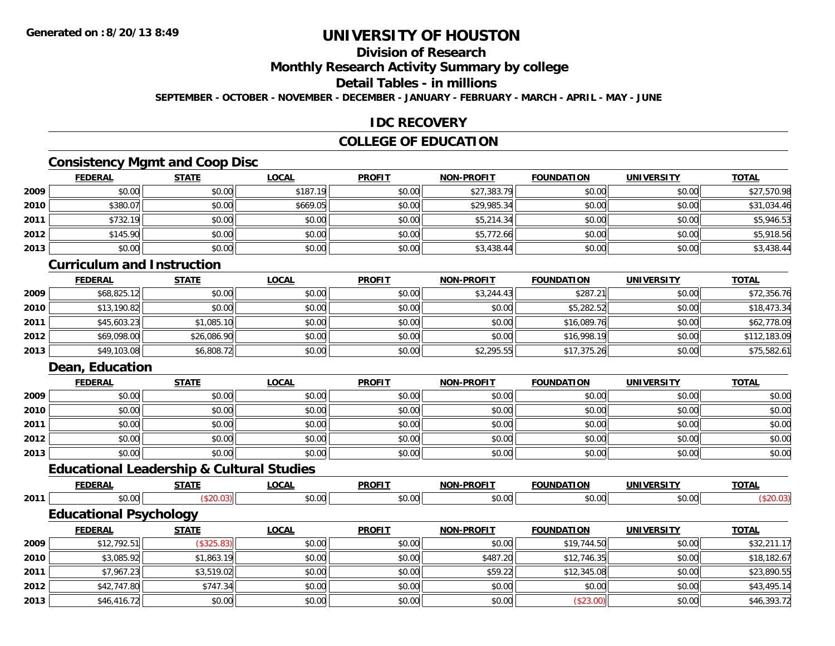## **Division of Research**

**Monthly Research Activity Summary by college**

### **Detail Tables - in millions**

**SEPTEMBER - OCTOBER - NOVEMBER - DECEMBER - JANUARY - FEBRUARY - MARCH - APRIL - MAY - JUNE**

## **IDC RECOVERY**

## **COLLEGE OF EDUCATION**

## **Consistency Mgmt and Coop Disc**

|      | <b>FEDERAL</b> | <b>STATE</b> | <b>LOCAL</b> | <b>PROFIT</b> | NON-PROFIT  | <b>FOUNDATION</b> | <b>UNIVERSITY</b> | <b>TOTAL</b> |
|------|----------------|--------------|--------------|---------------|-------------|-------------------|-------------------|--------------|
| 2009 | \$0.00         | \$0.00       | \$187.19     | \$0.00        | \$27,383.79 | \$0.00            | \$0.00            | \$27,570.98  |
| 2010 | \$380.07       | \$0.00       | \$669.05     | \$0.00        | \$29,985.34 | \$0.00            | \$0.00            | \$31,034.46  |
| 2011 | \$732.19       | \$0.00       | \$0.00       | \$0.00        | \$5,214.34  | \$0.00            | \$0.00            | \$5,946.53   |
| 2012 | \$145.90       | \$0.00       | \$0.00       | \$0.00        | \$5,772.66  | \$0.00            | \$0.00            | \$5,918.56   |
| 2013 | \$0.00         | \$0.00       | \$0.00       | \$0.00        | \$3,438.44  | \$0.00            | \$0.00            | \$3,438.44   |

### **Curriculum and Instruction**

|      | <u>FEDERAL</u> | <b>STATE</b> | <b>LOCAL</b> | <b>PROFIT</b> | <b>NON-PROFIT</b> | <b>FOUNDATION</b> | <b>UNIVERSITY</b> | <b>TOTAL</b> |
|------|----------------|--------------|--------------|---------------|-------------------|-------------------|-------------------|--------------|
| 2009 | \$68,825.12    | \$0.00       | \$0.00       | \$0.00        | \$3,244.43        | \$287.21          | \$0.00            | \$72,356.76  |
| 2010 | \$13,190.82    | \$0.00       | \$0.00       | \$0.00        | \$0.00            | \$5,282.52        | \$0.00            | \$18,473.34  |
| 2011 | \$45,603.23    | \$1,085.10   | \$0.00       | \$0.00        | \$0.00            | \$16,089.76       | \$0.00            | \$62,778.09  |
| 2012 | \$69,098.00    | \$26,086.90  | \$0.00       | \$0.00        | \$0.00            | \$16,998.19       | \$0.00            | \$112,183.09 |
| 2013 | \$49,103.08    | \$6,808.72   | \$0.00       | \$0.00        | \$2,295.55        | \$17,375.26       | \$0.00            | \$75,582.61  |

## **Dean, Education**

**2012**

**2013**

|      | <b>FEDERAL</b> | <b>STATE</b> | <b>LOCAL</b> | <b>PROFIT</b> | <b>NON-PROFIT</b> | <b>FOUNDATION</b> | <b>UNIVERSITY</b> | <b>TOTAL</b> |
|------|----------------|--------------|--------------|---------------|-------------------|-------------------|-------------------|--------------|
| 2009 | \$0.00         | \$0.00       | \$0.00       | \$0.00        | \$0.00            | \$0.00            | \$0.00            | \$0.00       |
| 2010 | \$0.00         | \$0.00       | \$0.00       | \$0.00        | \$0.00            | \$0.00            | \$0.00            | \$0.00       |
| 2011 | \$0.00         | \$0.00       | \$0.00       | \$0.00        | \$0.00            | \$0.00            | \$0.00            | \$0.00       |
| 2012 | \$0.00         | \$0.00       | \$0.00       | \$0.00        | \$0.00            | \$0.00            | \$0.00            | \$0.00       |
| 2013 | \$0.00         | \$0.00       | \$0.00       | \$0.00        | \$0.00            | \$0.00            | \$0.00            | \$0.00       |

## **Educational Leadership & Cultural Studies**

|      | <b>FEDERAL</b>                | <b>STATE</b> | <b>LOCAL</b> | <b>PROFIT</b> | <b>NON-PROFIT</b> | <b>FOUNDATION</b> | <b>UNIVERSITY</b> | <b>TOTAL</b> |
|------|-------------------------------|--------------|--------------|---------------|-------------------|-------------------|-------------------|--------------|
| 2011 | \$0.00                        | (\$20.03)    | \$0.00       | \$0.00        | \$0.00            | \$0.00            | \$0.00            | (\$20.03)    |
|      | <b>Educational Psychology</b> |              |              |               |                   |                   |                   |              |
|      | <b>FEDERAL</b>                | <b>STATE</b> | <b>LOCAL</b> | <b>PROFIT</b> | <b>NON-PROFIT</b> | <b>FOUNDATION</b> | <b>UNIVERSITY</b> | <b>TOTAL</b> |
| 2009 | \$12,792.51                   | (\$325.83)   | \$0.00       | \$0.00        | \$0.00            | \$19,744.50       | \$0.00            | \$32,211.17  |
| 2010 | \$3,085.92                    | \$1,863.19   | \$0.00       | \$0.00        | \$487.20          | \$12,746.35       | \$0.00            | \$18,182.67  |
| 2011 | \$7.967.23                    | \$3.519.02   | \$0.00       | \$0.00        | \$59.22           | \$12,345.08       | \$0.00            | \$23.890.55  |

\$7,967.23 \$3,519.02 \$0.00 \$0.00 \$59.22 \$12,345.08 \$0.00 \$23,890.55

\$42,747.80 \$747.34 \$0.00 \$0.00 \$0.00 \$0.00 \$0.00 \$43,495.14

\$46,416.72 \$0.00 \$0.00 \$0.00 \$0.00 (\$23.00) \$0.00 \$46,393.72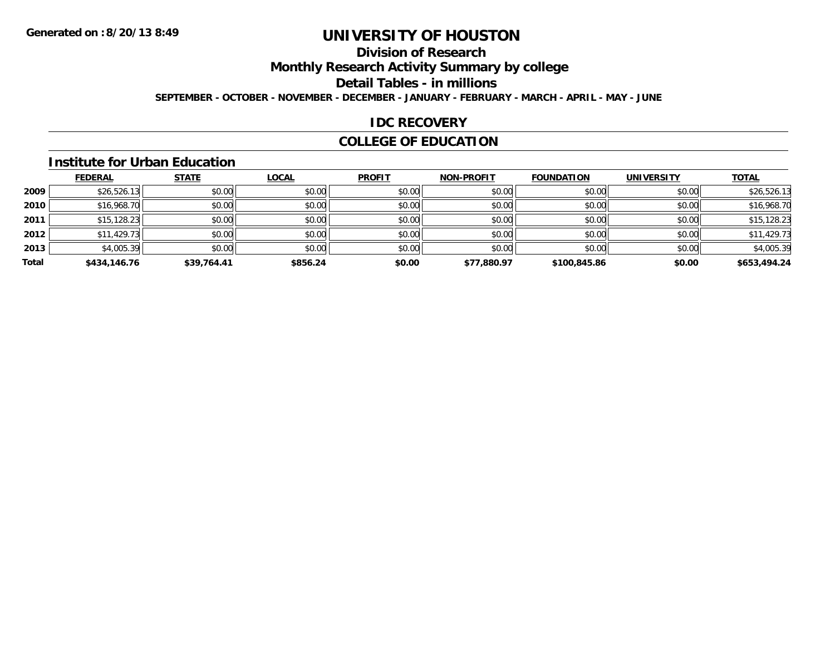## **Division of Research**

**Monthly Research Activity Summary by college**

**Detail Tables - in millions**

**SEPTEMBER - OCTOBER - NOVEMBER - DECEMBER - JANUARY - FEBRUARY - MARCH - APRIL - MAY - JUNE**

## **IDC RECOVERY**

## **COLLEGE OF EDUCATION**

#### **Institute for Urban Education**

|       | <b>FEDERAL</b> | <b>STATE</b> | <b>LOCAL</b> | <b>PROFIT</b> | <b>NON-PROFIT</b> | <b>FOUNDATION</b> | <b>UNIVERSITY</b> | <b>TOTAL</b> |
|-------|----------------|--------------|--------------|---------------|-------------------|-------------------|-------------------|--------------|
| 2009  | \$26,526.13    | \$0.00       | \$0.00       | \$0.00        | \$0.00            | \$0.00            | \$0.00            | \$26,526.13  |
| 2010  | \$16,968.70    | \$0.00       | \$0.00       | \$0.00        | \$0.00            | \$0.00            | \$0.00            | \$16,968.70  |
| 2011  | \$15, 128.23   | \$0.00       | \$0.00       | \$0.00        | \$0.00            | \$0.00            | \$0.00            | \$15,128.23  |
| 2012  | \$11,429.73    | \$0.00       | \$0.00       | \$0.00        | \$0.00            | \$0.00            | \$0.00            | \$11,429.73  |
| 2013  | \$4,005.39     | \$0.00       | \$0.00       | \$0.00        | \$0.00            | \$0.00            | \$0.00            | \$4,005.39   |
| Total | \$434,146.76   | \$39,764.41  | \$856.24     | \$0.00        | \$77,880.97       | \$100,845.86      | \$0.00            | \$653,494.24 |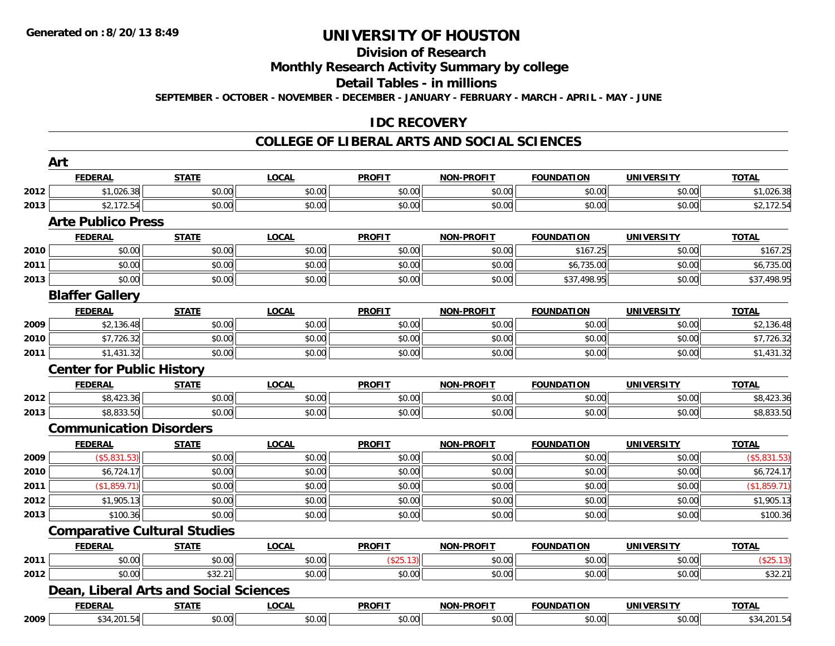# **Division of Research**

**Monthly Research Activity Summary by college**

**Detail Tables - in millions**

**SEPTEMBER - OCTOBER - NOVEMBER - DECEMBER - JANUARY - FEBRUARY - MARCH - APRIL - MAY - JUNE**

### **IDC RECOVERY**

#### **COLLEGE OF LIBERAL ARTS AND SOCIAL SCIENCES**

|      | Art                                    |              |              |               |                   |                   |                   |              |
|------|----------------------------------------|--------------|--------------|---------------|-------------------|-------------------|-------------------|--------------|
|      | <b>FEDERAL</b>                         | <b>STATE</b> | <b>LOCAL</b> | <b>PROFIT</b> | <b>NON-PROFIT</b> | <b>FOUNDATION</b> | <b>UNIVERSITY</b> | <b>TOTAL</b> |
| 2012 | \$1,026.38                             | \$0.00       | \$0.00       | \$0.00        | \$0.00            | \$0.00            | \$0.00            | \$1,026.38   |
| 2013 | \$2,172.54                             | \$0.00       | \$0.00       | \$0.00        | \$0.00            | \$0.00            | \$0.00            | \$2,172.54   |
|      | <b>Arte Publico Press</b>              |              |              |               |                   |                   |                   |              |
|      | <b>FEDERAL</b>                         | <b>STATE</b> | <b>LOCAL</b> | <b>PROFIT</b> | <b>NON-PROFIT</b> | <b>FOUNDATION</b> | <b>UNIVERSITY</b> | <b>TOTAL</b> |
| 2010 | \$0.00                                 | \$0.00       | \$0.00       | \$0.00        | \$0.00            | \$167.25          | \$0.00            | \$167.25     |
| 2011 | \$0.00                                 | \$0.00       | \$0.00       | \$0.00        | \$0.00            | \$6,735.00        | \$0.00            | \$6,735.00   |
| 2013 | \$0.00                                 | \$0.00       | \$0.00       | \$0.00        | \$0.00            | \$37,498.95       | \$0.00            | \$37,498.95  |
|      | <b>Blaffer Gallery</b>                 |              |              |               |                   |                   |                   |              |
|      | <b>FEDERAL</b>                         | <b>STATE</b> | <b>LOCAL</b> | <b>PROFIT</b> | <b>NON-PROFIT</b> | <b>FOUNDATION</b> | <b>UNIVERSITY</b> | <b>TOTAL</b> |
| 2009 | \$2,136.48                             | \$0.00       | \$0.00       | \$0.00        | \$0.00            | \$0.00            | \$0.00            | \$2,136.48   |
| 2010 | \$7,726.32                             | \$0.00       | \$0.00       | \$0.00        | \$0.00            | \$0.00            | \$0.00            | \$7,726.32   |
| 2011 | \$1,431.32                             | \$0.00       | \$0.00       | \$0.00        | \$0.00            | \$0.00            | \$0.00            | \$1,431.32   |
|      | <b>Center for Public History</b>       |              |              |               |                   |                   |                   |              |
|      | <b>FEDERAL</b>                         | <b>STATE</b> | <b>LOCAL</b> | <b>PROFIT</b> | <b>NON-PROFIT</b> | <b>FOUNDATION</b> | <b>UNIVERSITY</b> | <b>TOTAL</b> |
| 2012 | \$8,423.36                             | \$0.00       | \$0.00       | \$0.00        | \$0.00            | \$0.00            | \$0.00            | \$8,423.36   |
| 2013 | \$8,833.50                             | \$0.00       | \$0.00       | \$0.00        | \$0.00            | \$0.00            | \$0.00            | \$8,833.50   |
|      | <b>Communication Disorders</b>         |              |              |               |                   |                   |                   |              |
|      | <b>FEDERAL</b>                         | <b>STATE</b> | <b>LOCAL</b> | <b>PROFIT</b> | <b>NON-PROFIT</b> | <b>FOUNDATION</b> | <b>UNIVERSITY</b> | <b>TOTAL</b> |
| 2009 | (\$5,831.53)                           | \$0.00       | \$0.00       | \$0.00        | \$0.00            | \$0.00            | \$0.00            | (\$5,831.53) |
| 2010 | \$6,724.17                             | \$0.00       | \$0.00       | \$0.00        | \$0.00            | \$0.00            | \$0.00            | \$6,724.17   |
| 2011 | (\$1,859.71)                           | \$0.00       | \$0.00       | \$0.00        | \$0.00            | \$0.00            | \$0.00            | (\$1,859.71) |
| 2012 | \$1,905.13                             | \$0.00       | \$0.00       | \$0.00        | \$0.00            | \$0.00            | \$0.00            | \$1,905.13   |
| 2013 | \$100.36                               | \$0.00       | \$0.00       | \$0.00        | \$0.00            | \$0.00            | \$0.00            | \$100.36     |
|      | <b>Comparative Cultural Studies</b>    |              |              |               |                   |                   |                   |              |
|      | <b>FEDERAL</b>                         | <b>STATE</b> | <b>LOCAL</b> | <b>PROFIT</b> | <b>NON-PROFIT</b> | <b>FOUNDATION</b> | <b>UNIVERSITY</b> | <b>TOTAL</b> |
| 2011 | \$0.00                                 | \$0.00       | \$0.00       | (\$25.13)     | \$0.00            | \$0.00            | \$0.00            | (\$25.13)    |
| 2012 | \$0.00                                 | \$32.21      | \$0.00       | \$0.00        | \$0.00            | \$0.00            | \$0.00            | \$32.21      |
|      | Dean, Liberal Arts and Social Sciences |              |              |               |                   |                   |                   |              |
|      | <b>FEDERAL</b>                         | <b>STATE</b> | <b>LOCAL</b> | <b>PROFIT</b> | <b>NON-PROFIT</b> | <b>FOUNDATION</b> | <b>UNIVERSITY</b> | <b>TOTAL</b> |
| 2009 | \$34,201.54                            | \$0.00       | \$0.00       | \$0.00        | \$0.00            | \$0.00            | \$0.00            | \$34,201.54  |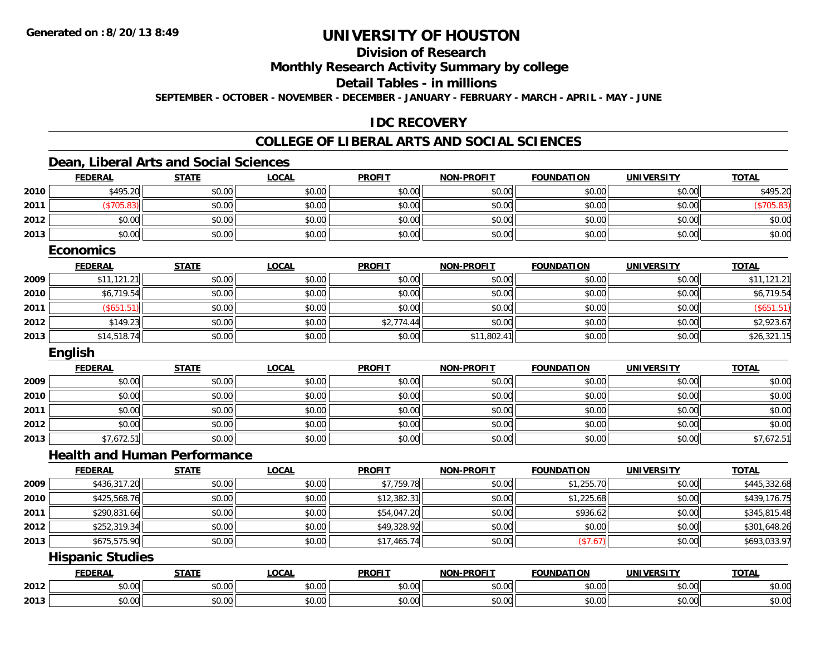# **Division of Research**

**Monthly Research Activity Summary by college**

**Detail Tables - in millions**

**SEPTEMBER - OCTOBER - NOVEMBER - DECEMBER - JANUARY - FEBRUARY - MARCH - APRIL - MAY - JUNE**

### **IDC RECOVERY**

#### **COLLEGE OF LIBERAL ARTS AND SOCIAL SCIENCES**

### **Dean, Liberal Arts and Social Sciences**

|      | <b>FEDERAL</b>                      | <b>STATE</b> | <b>LOCAL</b> | <b>PROFIT</b> | <b>NON-PROFIT</b> | <b>FOUNDATION</b> | <b>UNIVERSITY</b> | <b>TOTAL</b> |
|------|-------------------------------------|--------------|--------------|---------------|-------------------|-------------------|-------------------|--------------|
| 2010 | \$495.20                            | \$0.00       | \$0.00       | \$0.00        | \$0.00            | \$0.00            | \$0.00            | \$495.20     |
| 2011 | (\$705.83)                          | \$0.00       | \$0.00       | \$0.00        | \$0.00            | \$0.00            | \$0.00            | (\$705.83)   |
| 2012 | \$0.00                              | \$0.00       | \$0.00       | \$0.00        | \$0.00            | \$0.00            | \$0.00            | \$0.00       |
| 2013 | \$0.00                              | \$0.00       | \$0.00       | \$0.00        | \$0.00            | \$0.00            | \$0.00            | \$0.00       |
|      | <b>Economics</b>                    |              |              |               |                   |                   |                   |              |
|      | <b>FEDERAL</b>                      | <b>STATE</b> | <b>LOCAL</b> | <b>PROFIT</b> | <b>NON-PROFIT</b> | <b>FOUNDATION</b> | <b>UNIVERSITY</b> | <b>TOTAL</b> |
| 2009 | \$11,121.21                         | \$0.00       | \$0.00       | \$0.00        | \$0.00            | \$0.00            | \$0.00            | \$11,121.21  |
| 2010 | \$6,719.54                          | \$0.00       | \$0.00       | \$0.00        | \$0.00            | \$0.00            | \$0.00            | \$6,719.54   |
| 2011 | (\$651.51)                          | \$0.00       | \$0.00       | \$0.00        | \$0.00            | \$0.00            | \$0.00            | (\$651.51)   |
| 2012 | \$149.23                            | \$0.00       | \$0.00       | \$2,774.44    | \$0.00            | \$0.00            | \$0.00            | \$2,923.67   |
| 2013 | \$14,518.74                         | \$0.00       | \$0.00       | \$0.00        | \$11,802.41       | \$0.00            | \$0.00            | \$26,321.15  |
|      | <b>English</b>                      |              |              |               |                   |                   |                   |              |
|      | <b>FEDERAL</b>                      | <b>STATE</b> | <b>LOCAL</b> | <b>PROFIT</b> | <b>NON-PROFIT</b> | <b>FOUNDATION</b> | <b>UNIVERSITY</b> | <b>TOTAL</b> |
| 2009 | \$0.00                              | \$0.00       | \$0.00       | \$0.00        | \$0.00            | \$0.00            | \$0.00            | \$0.00       |
| 2010 | \$0.00                              | \$0.00       | \$0.00       | \$0.00        | \$0.00            | \$0.00            | \$0.00            | \$0.00       |
| 2011 | \$0.00                              | \$0.00       | \$0.00       | \$0.00        | \$0.00            | \$0.00            | \$0.00            | \$0.00       |
| 2012 | \$0.00                              | \$0.00       | \$0.00       | \$0.00        | \$0.00            | \$0.00            | \$0.00            | \$0.00       |
| 2013 | \$7,672.51                          | \$0.00       | \$0.00       | \$0.00        | \$0.00            | \$0.00            | \$0.00            | \$7,672.51   |
|      | <b>Health and Human Performance</b> |              |              |               |                   |                   |                   |              |
|      | <b>FEDERAL</b>                      | <b>STATE</b> | <b>LOCAL</b> | <b>PROFIT</b> | <b>NON-PROFIT</b> | <b>FOUNDATION</b> | <b>UNIVERSITY</b> | <b>TOTAL</b> |
| 2009 | \$436,317.20                        | \$0.00       | \$0.00       | \$7,759.78    | \$0.00            | \$1,255.70        | \$0.00            | \$445,332.68 |
| 2010 | \$425,568.76                        | \$0.00       | \$0.00       | \$12,382.31   | \$0.00            | \$1,225.68        | \$0.00            | \$439,176.75 |
| 2011 | \$290,831.66                        | \$0.00       | \$0.00       | \$54,047.20   | \$0.00            | \$936.62          | \$0.00            | \$345,815.48 |
| 2012 | \$252,319.34                        | \$0.00       | \$0.00       | \$49,328.92   | \$0.00            | \$0.00            | \$0.00            | \$301,648.26 |
| 2013 | \$675,575.90                        | \$0.00       | \$0.00       | \$17,465.74   | \$0.00            | (\$7.67)          | \$0.00            | \$693,033.97 |
|      | <b>Hispanic Studies</b>             |              |              |               |                   |                   |                   |              |
|      | <b>FEDERAL</b>                      | <b>STATE</b> | <b>LOCAL</b> | <b>PROFIT</b> | <b>NON-PROFIT</b> | <b>FOUNDATION</b> | <b>UNIVERSITY</b> | <b>TOTAL</b> |
| 2012 | \$0.00                              | \$0.00       | \$0.00       | \$0.00        | \$0.00            | \$0.00            | \$0.00            | \$0.00       |
| 2013 | \$0.00                              | \$0.00       | \$0.00       | \$0.00        | \$0.00            | \$0.00            | \$0.00            | \$0.00       |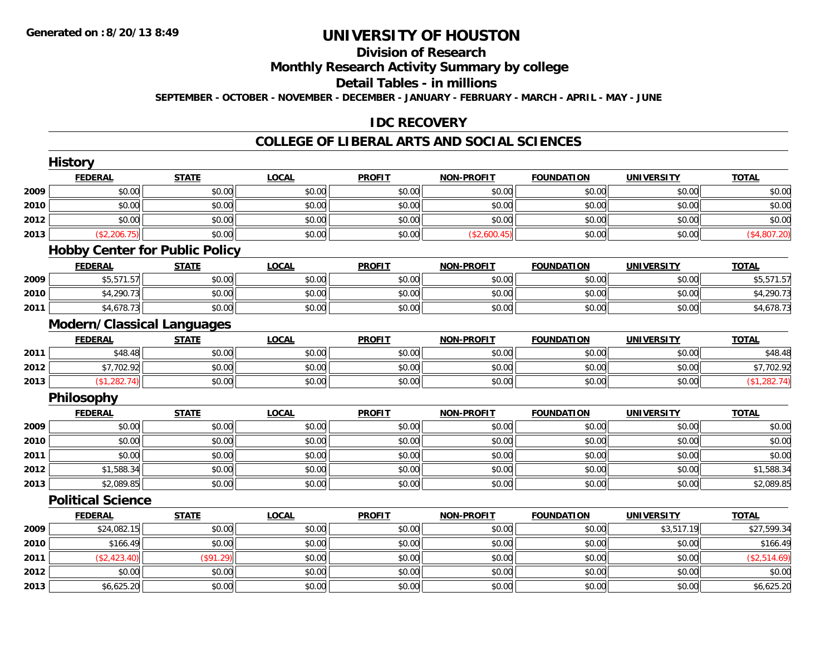# **Division of Research**

### **Monthly Research Activity Summary by college**

#### **Detail Tables - in millions**

#### **SEPTEMBER - OCTOBER - NOVEMBER - DECEMBER - JANUARY - FEBRUARY - MARCH - APRIL - MAY - JUNE**

#### **IDC RECOVERY**

#### **COLLEGE OF LIBERAL ARTS AND SOCIAL SCIENCES**

|      | <b>History</b>           |                                       |              |               |                   |                   |                   |                     |
|------|--------------------------|---------------------------------------|--------------|---------------|-------------------|-------------------|-------------------|---------------------|
|      | <b>FEDERAL</b>           | <b>STATE</b>                          | <b>LOCAL</b> | <b>PROFIT</b> | NON-PROFIT        | <b>FOUNDATION</b> | <b>UNIVERSITY</b> | <b>TOTAL</b>        |
| 2009 | \$0.00                   | \$0.00                                | \$0.00       | \$0.00        | \$0.00            | \$0.00            | \$0.00            | \$0.00              |
| 2010 | \$0.00                   | \$0.00                                | \$0.00       | \$0.00        | \$0.00            | \$0.00            | \$0.00            | \$0.00              |
| 2012 | \$0.00                   | \$0.00                                | \$0.00       | \$0.00        | \$0.00            | \$0.00            | \$0.00            | \$0.00              |
| 2013 | (\$2,206.75)             | \$0.00                                | \$0.00       | \$0.00        | (\$2,600.45)      | \$0.00            | \$0.00            | (\$4,807.20)        |
|      |                          | <b>Hobby Center for Public Policy</b> |              |               |                   |                   |                   |                     |
|      | <b>FEDERAL</b>           | <b>STATE</b>                          | <b>LOCAL</b> | <b>PROFIT</b> | <b>NON-PROFIT</b> | <b>FOUNDATION</b> | <b>UNIVERSITY</b> | <b>TOTAL</b>        |
| 2009 | \$5,571.57               | \$0.00                                | \$0.00       | \$0.00        | \$0.00            | \$0.00            | \$0.00            | \$5,571.57          |
| 2010 | \$4,290.73               | \$0.00                                | \$0.00       | \$0.00        | \$0.00            | \$0.00            | \$0.00            | \$4,290.73          |
| 2011 | \$4,678.73               | \$0.00                                | \$0.00       | \$0.00        | \$0.00            | \$0.00            | \$0.00            | \$4,678.73          |
|      |                          | <b>Modern/Classical Languages</b>     |              |               |                   |                   |                   |                     |
|      | <b>FEDERAL</b>           | <b>STATE</b>                          | <b>LOCAL</b> | <b>PROFIT</b> | <b>NON-PROFIT</b> | <b>FOUNDATION</b> | <b>UNIVERSITY</b> | <b>TOTAL</b>        |
| 2011 | \$48.48                  | \$0.00                                | \$0.00       | \$0.00        | \$0.00            | \$0.00            | \$0.00            | $\overline{$48.48}$ |
| 2012 | \$7,702.92               | \$0.00                                | \$0.00       | \$0.00        | \$0.00            | \$0.00            | \$0.00            | \$7,702.92          |
| 2013 | (\$1,282.74)             | \$0.00                                | \$0.00       | \$0.00        | \$0.00            | \$0.00            | \$0.00            | (\$1,282.74)        |
|      | Philosophy               |                                       |              |               |                   |                   |                   |                     |
|      | <b>FEDERAL</b>           | <b>STATE</b>                          | <b>LOCAL</b> | <b>PROFIT</b> | <b>NON-PROFIT</b> | <b>FOUNDATION</b> | <b>UNIVERSITY</b> | <b>TOTAL</b>        |
| 2009 | \$0.00                   | \$0.00                                | \$0.00       | \$0.00        | \$0.00            | \$0.00            | \$0.00            | \$0.00              |
| 2010 | \$0.00                   | \$0.00                                | \$0.00       | \$0.00        | \$0.00            | \$0.00            | \$0.00            | \$0.00              |
| 2011 | \$0.00                   | \$0.00                                | \$0.00       | \$0.00        | \$0.00            | \$0.00            | \$0.00            | \$0.00              |
| 2012 | \$1,588.34               | \$0.00                                | \$0.00       | \$0.00        | \$0.00            | \$0.00            | \$0.00            | \$1,588.34          |
| 2013 | \$2,089.85               | \$0.00                                | \$0.00       | \$0.00        | \$0.00            | \$0.00            | \$0.00            | \$2,089.85          |
|      | <b>Political Science</b> |                                       |              |               |                   |                   |                   |                     |
|      | <b>FEDERAL</b>           | <b>STATE</b>                          | <b>LOCAL</b> | <b>PROFIT</b> | <b>NON-PROFIT</b> | <b>FOUNDATION</b> | <b>UNIVERSITY</b> | <b>TOTAL</b>        |
| 2009 | \$24,082.15              | \$0.00                                | \$0.00       | \$0.00        | \$0.00            | \$0.00            | \$3,517.19        | \$27,599.34         |
| 2010 | \$166.49                 | \$0.00                                | \$0.00       | \$0.00        | \$0.00            | \$0.00            | \$0.00            | \$166.49            |
| 2011 | (\$2,423.40)             | (\$91.29)                             | \$0.00       | \$0.00        | \$0.00            | \$0.00            | \$0.00            | (\$2,514.69)        |
| 2012 | \$0.00                   | \$0.00                                | \$0.00       | \$0.00        | \$0.00            | \$0.00            | \$0.00            | \$0.00              |
| 2013 | \$6,625.20               | \$0.00                                | \$0.00       | \$0.00        | \$0.00            | \$0.00            | \$0.00            | \$6,625.20          |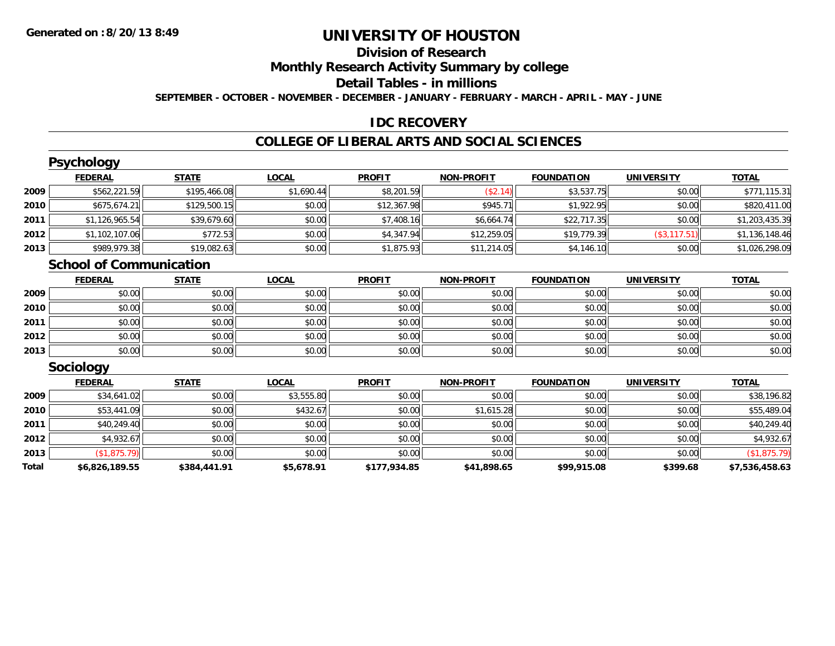# **Division of Research**

# **Monthly Research Activity Summary by college**

#### **Detail Tables - in millions**

#### **SEPTEMBER - OCTOBER - NOVEMBER - DECEMBER - JANUARY - FEBRUARY - MARCH - APRIL - MAY - JUNE**

#### **IDC RECOVERY**

#### **COLLEGE OF LIBERAL ARTS AND SOCIAL SCIENCES**

|      | <b>Psychology</b>              |                             |               |                         |                         |                   |                         |                |
|------|--------------------------------|-----------------------------|---------------|-------------------------|-------------------------|-------------------|-------------------------|----------------|
|      | <b>FEDERAL</b>                 | <b>STATE</b>                | <b>LOCAL</b>  | <b>PROFIT</b>           | <b>NON-PROFIT</b>       | <b>FOUNDATION</b> | <b>UNIVERSITY</b>       | <b>TOTAL</b>   |
| 2009 | \$562,221.59                   | \$195,466.08                | \$1,690.44    | \$8,201.59              | (\$2.14)                | \$3,537.75        | \$0.00                  | \$771,115.31   |
| 2010 | \$675,674.21                   | \$129,500.15                | \$0.00        | \$12,367.98             | \$945.71                | \$1,922.95        | \$0.00                  | \$820,411.00   |
| 2011 | \$1,126,965.54                 | \$39,679.60                 | \$0.00        | \$7,408.16              | \$6,664.74              | \$22,717.35       | \$0.00                  | \$1,203,435.39 |
| 2012 | \$1,102,107.06                 | \$772.53                    | \$0.00        | \$4,347.94              | \$12,259.05             | \$19,779.39       | $($ \$3,117.51) $ $     | \$1,136,148.46 |
| 2013 | \$989,979.38                   | \$19,082.63                 | \$0.00        | \$1,875.93              | \$11,214.05             | \$4,146.10        | \$0.00                  | \$1,026,298.09 |
|      | <b>School of Communication</b> |                             |               |                         |                         |                   |                         |                |
|      | <b>FEDERAL</b>                 | <b>STATE</b>                | <b>LOCAL</b>  | <b>PROFIT</b>           | <b>NON-PROFIT</b>       | <b>FOUNDATION</b> | <b>UNIVERSITY</b>       | <b>TOTAL</b>   |
| הממכ | $\circ$ $\circ$ $\circ$        | $\mathsf{on}$ $\mathsf{on}$ | $n \cap \neg$ | $\circ$ $\circ$ $\circ$ | $\circ$ $\circ$ $\circ$ | $n \cap \Omega$   | $\mathfrak{g}$ $\alpha$ | 0.00           |

| 2009 | \$0.00 | \$0.00 | \$0.00 | \$0.00 | \$0.00 | \$0.00 | \$0.00 | \$0.00 |
|------|--------|--------|--------|--------|--------|--------|--------|--------|
| 2010 | \$0.00 | \$0.00 | \$0.00 | \$0.00 | \$0.00 | \$0.00 | \$0.00 | \$0.00 |
| 2011 | \$0.00 | \$0.00 | \$0.00 | \$0.00 | \$0.00 | \$0.00 | \$0.00 | \$0.00 |
| 2012 | \$0.00 | \$0.00 | \$0.00 | \$0.00 | \$0.00 | \$0.00 | \$0.00 | \$0.00 |
| 2013 | \$0.00 | \$0.00 | \$0.00 | \$0.00 | \$0.00 | \$0.00 | \$0.00 | \$0.00 |

### **Sociology**

|       | <b>FEDERAL</b> | <b>STATE</b> | <u>LOCAL</u> | <b>PROFIT</b> | <b>NON-PROFIT</b> | <b>FOUNDATION</b> | <b>UNIVERSITY</b> | <b>TOTAL</b>   |
|-------|----------------|--------------|--------------|---------------|-------------------|-------------------|-------------------|----------------|
| 2009  | \$34,641.02    | \$0.00       | \$3,555.80   | \$0.00        | \$0.00            | \$0.00            | \$0.00            | \$38,196.82    |
| 2010  | \$53,441.09    | \$0.00       | \$432.67     | \$0.00        | \$1,615.28        | \$0.00            | \$0.00            | \$55,489.04    |
| 2011  | \$40,249.40    | \$0.00       | \$0.00       | \$0.00        | \$0.00            | \$0.00            | \$0.00            | \$40,249.40    |
| 2012  | \$4,932.67     | \$0.00       | \$0.00       | \$0.00        | \$0.00            | \$0.00            | \$0.00            | \$4,932.67     |
| 2013  | (\$1,875.79)   | \$0.00       | \$0.00       | \$0.00        | \$0.00            | \$0.00            | \$0.00            | (\$1,875.79)   |
| Total | \$6,826,189.55 | \$384,441.91 | \$5,678.91   | \$177,934.85  | \$41,898.65       | \$99,915.08       | \$399.68          | \$7,536,458.63 |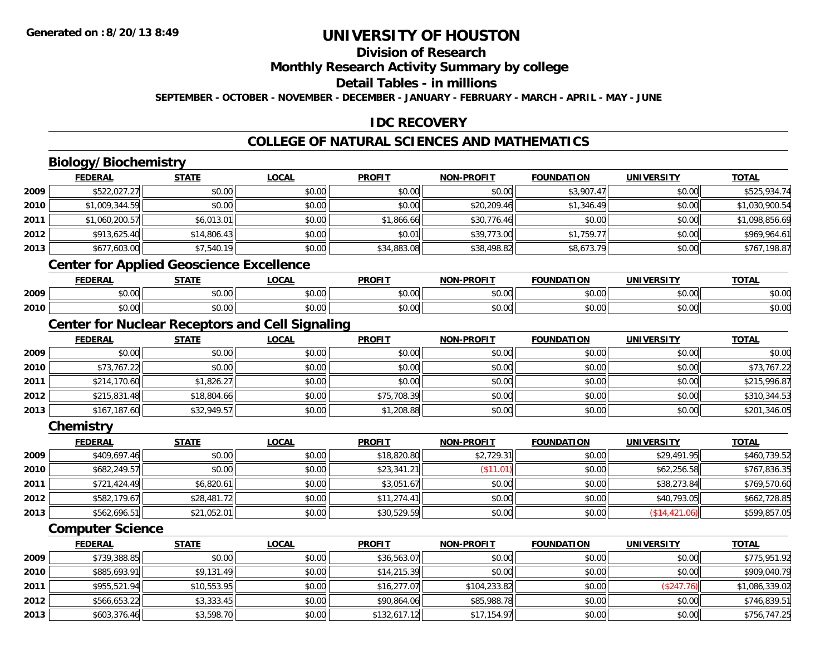## **Division of Research**

**Monthly Research Activity Summary by college**

**Detail Tables - in millions**

**SEPTEMBER - OCTOBER - NOVEMBER - DECEMBER - JANUARY - FEBRUARY - MARCH - APRIL - MAY - JUNE**

## **IDC RECOVERY**

## **COLLEGE OF NATURAL SCIENCES AND MATHEMATICS**

# **Biology/Biochemistry**

|      | <b>FEDERAL</b> | <b>STATE</b>                                    | <b>LOCAL</b> | <b>PROFIT</b> | <b>NON-PROFIT</b> | <b>FOUNDATION</b> | <b>UNIVERSITY</b> | <b>TOTAL</b>   |
|------|----------------|-------------------------------------------------|--------------|---------------|-------------------|-------------------|-------------------|----------------|
| 2009 | \$522,027.27   | \$0.00                                          | \$0.00       | \$0.00        | \$0.00            | \$3,907.47        | \$0.00            | \$525,934.74   |
| 2010 | \$1,009,344.59 | \$0.00                                          | \$0.00       | \$0.00        | \$20,209.46       | \$1,346.49        | \$0.00            | \$1,030,900.54 |
| 2011 | \$1,060,200.57 | \$6,013.01                                      | \$0.00       | \$1,866.66    | \$30,776.46       | \$0.00            | \$0.00            | \$1,098,856.69 |
| 2012 | \$913,625.40   | \$14,806.43                                     | \$0.00       | \$0.01        | \$39,773.00       | \$1,759.77        | \$0.00            | \$969,964.61   |
| 2013 | \$677,603.00   | \$7,540.19                                      | \$0.00       | \$34,883.08   | \$38,498.82       | \$8,673.79        | \$0.00            | \$767,198.87   |
|      |                | <b>Center for Applied Geoscience Excellence</b> |              |               |                   |                   |                   |                |
|      | <b>FEDERAL</b> | <b>STATE</b>                                    | <b>LOCAL</b> | <b>PROFIT</b> | <b>NON-PROFIT</b> | <b>FOUNDATION</b> | <b>UNIVERSITY</b> | <b>TOTAL</b>   |

|      | 1 LVLNAL | 3 I A I L | こひしへに         | FINVI I | IVUIVERUI I I      | וטה ומשטט | UNIVERSII                         | ושוטו  |
|------|----------|-----------|---------------|---------|--------------------|-----------|-----------------------------------|--------|
| 2009 | 0.00 ن   | \$0.00    | 0000<br>vu.uu | \$0.00  | $\sim$ 00<br>DU.UG | \$0.00    | $\uparrow$ $\cap$ $\cap$<br>DU.UG | \$0.00 |
| 2010 | \$0.00   | \$0.00    | 0000<br>J∪.∪∪ | \$0.00  | ስ ለሰ<br>DU.UU      | \$0.00    | nn na<br><b>DU.UU</b>             | \$0.00 |

### **Center for Nuclear Receptors and Cell Signaling**

|      | <b>FEDERAL</b> | <b>STATE</b> | <u>LOCAL</u> | <b>PROFIT</b> | <b>NON-PROFIT</b> | <b>FOUNDATION</b> | <b>UNIVERSITY</b> | <b>TOTAL</b> |
|------|----------------|--------------|--------------|---------------|-------------------|-------------------|-------------------|--------------|
| 2009 | \$0.00         | \$0.00       | \$0.00       | \$0.00        | \$0.00            | \$0.00            | \$0.00            | \$0.00       |
| 2010 | \$73,767.22    | \$0.00       | \$0.00       | \$0.00        | \$0.00            | \$0.00            | \$0.00            | \$73,767.22  |
| 2011 | \$214,170.60   | \$1,826.27   | \$0.00       | \$0.00        | \$0.00            | \$0.00            | \$0.00            | \$215,996.87 |
| 2012 | \$215,831.48   | \$18,804.66  | \$0.00       | \$75,708.39   | \$0.00            | \$0.00            | \$0.00            | \$310,344.53 |
| 2013 | \$167,187.60   | \$32,949.57  | \$0.00       | \$1,208.88    | \$0.00            | \$0.00            | \$0.00            | \$201,346.05 |

**Chemistry**

|      | <b>FEDERAL</b> | <u>STATE</u> | <u>LOCAL</u> | <b>PROFIT</b> | <b>NON-PROFIT</b> | <b>FOUNDATION</b> | <b>UNIVERSITY</b> | <b>TOTAL</b> |
|------|----------------|--------------|--------------|---------------|-------------------|-------------------|-------------------|--------------|
| 2009 | \$409,697.46   | \$0.00       | \$0.00       | \$18,820.80   | \$2,729.31        | \$0.00            | \$29,491.95       | \$460,739.52 |
| 2010 | \$682,249.57   | \$0.00       | \$0.00       | \$23,341.21   | \$11.01]          | \$0.00            | \$62,256.58       | \$767,836.35 |
| 2011 | \$721,424.49   | \$6,820.61   | \$0.00       | \$3,051.67    | \$0.00            | \$0.00            | \$38,273.84       | \$769,570.60 |
| 2012 | \$582,179.67   | \$28,481.72  | \$0.00       | \$11,274.41   | \$0.00            | \$0.00            | \$40,793.05       | \$662,728.85 |
| 2013 | \$562,696.51   | \$21,052.01  | \$0.00       | \$30,529.59   | \$0.00            | \$0.00            | (\$14,421.06)     | \$599,857.05 |

#### **Computer Science**

|      | <b>FEDERAL</b> | <u>STATE</u> | <b>LOCAL</b> | <b>PROFIT</b> | <b>NON-PROFIT</b> | <b>FOUNDATION</b> | <b>UNIVERSITY</b> | <u>TOTAL</u>   |
|------|----------------|--------------|--------------|---------------|-------------------|-------------------|-------------------|----------------|
| 2009 | \$739,388.85   | \$0.00       | \$0.00       | \$36,563.07   | \$0.00            | \$0.00            | \$0.00            | \$775,951.92   |
| 2010 | \$885,693.91   | \$9,131.49   | \$0.00       | \$14,215.39   | \$0.00            | \$0.00            | \$0.00            | \$909,040.79   |
| 2011 | \$955,521.94   | \$10,553.95  | \$0.00       | \$16,277.07   | \$104,233.82      | \$0.00            | (\$247.76)        | \$1,086,339.02 |
| 2012 | \$566,653.22   | \$3,333.45   | \$0.00       | \$90,864.06   | \$85,988.78       | \$0.00            | \$0.00            | \$746,839.51   |
| 2013 | \$603,376.46   | \$3,598.70   | \$0.00       | \$132,617.12  | \$17,154.97       | \$0.00            | \$0.00            | \$756,747.25   |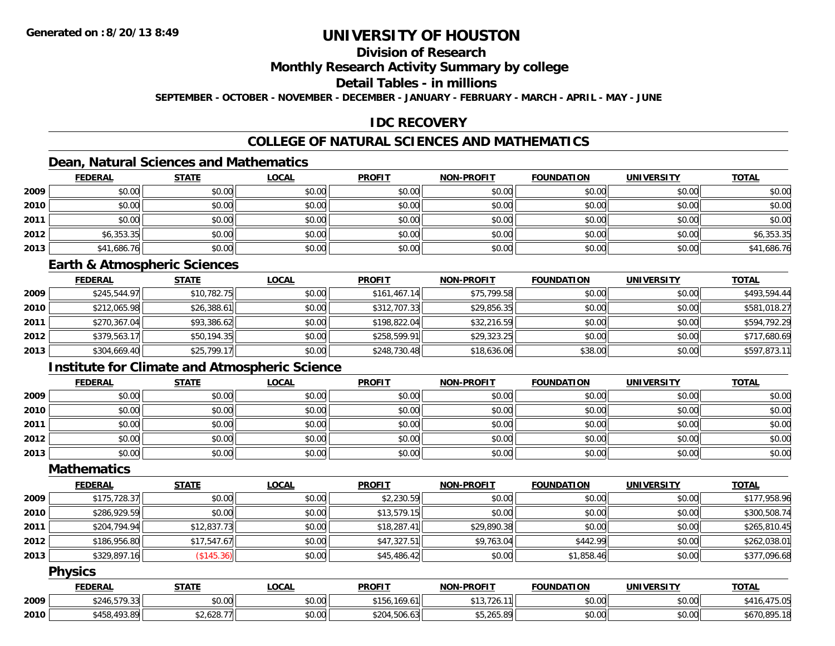# **Division of Research**

#### **Monthly Research Activity Summary by college**

#### **Detail Tables - in millions**

**SEPTEMBER - OCTOBER - NOVEMBER - DECEMBER - JANUARY - FEBRUARY - MARCH - APRIL - MAY - JUNE**

### **IDC RECOVERY**

## **COLLEGE OF NATURAL SCIENCES AND MATHEMATICS**

### **Dean, Natural Sciences and Mathematics**

|      | <b>FEDERAL</b> | <b>STATE</b> | <b>LOCAL</b> | <b>PROFIT</b> | <b>NON-PROFIT</b> | <b>FOUNDATION</b> | <b>UNIVERSITY</b> | <b>TOTAL</b> |
|------|----------------|--------------|--------------|---------------|-------------------|-------------------|-------------------|--------------|
| 2009 | \$0.00         | \$0.00       | \$0.00       | \$0.00        | \$0.00            | \$0.00            | \$0.00            | \$0.00       |
| 2010 | \$0.00         | \$0.00       | \$0.00       | \$0.00        | \$0.00            | \$0.00            | \$0.00            | \$0.00       |
| 2011 | \$0.00         | \$0.00       | \$0.00       | \$0.00        | \$0.00            | \$0.00            | \$0.00            | \$0.00       |
| 2012 | \$6,353.35     | \$0.00       | \$0.00       | \$0.00        | \$0.00            | \$0.00            | \$0.00            | \$6,353.35   |
| 2013 | \$41,686.76    | \$0.00       | \$0.00       | \$0.00        | \$0.00            | \$0.00            | \$0.00            | \$41,686.76  |

### **Earth & Atmospheric Sciences**

|      | <b>FEDERAL</b> | <u>STATE</u> | <b>LOCAL</b> | <b>PROFIT</b> | <b>NON-PROFIT</b> | <b>FOUNDATION</b> | <b>UNIVERSITY</b> | <b>TOTAL</b> |
|------|----------------|--------------|--------------|---------------|-------------------|-------------------|-------------------|--------------|
| 2009 | \$245,544.97   | \$10,782.75  | \$0.00       | \$161,467.14  | \$75,799.58       | \$0.00            | \$0.00            | \$493,594.44 |
| 2010 | \$212,065.98   | \$26,388.61  | \$0.00       | \$312,707.33  | \$29,856.35       | \$0.00            | \$0.00            | \$581,018.27 |
| 2011 | \$270,367.04   | \$93,386.62  | \$0.00       | \$198,822.04  | \$32,216.59       | \$0.00            | \$0.00            | \$594,792.29 |
| 2012 | \$379,563.17   | \$50,194.35  | \$0.00       | \$258,599.91  | \$29,323.25       | \$0.00            | \$0.00            | \$717,680.69 |
| 2013 | \$304,669.40   | \$25,799.17  | \$0.00       | \$248,730.48  | \$18,636.06       | \$38.00           | \$0.00            | \$597,873.11 |

### **Institute for Climate and Atmospheric Science**

|      | <b>FEDERAL</b> | <b>STATE</b> | <b>LOCAL</b> | <b>PROFIT</b> | <b>NON-PROFIT</b> | <b>FOUNDATION</b> | <b>UNIVERSITY</b> | <b>TOTAL</b> |
|------|----------------|--------------|--------------|---------------|-------------------|-------------------|-------------------|--------------|
| 2009 | \$0.00         | \$0.00       | \$0.00       | \$0.00        | \$0.00            | \$0.00            | \$0.00            | \$0.00       |
| 2010 | \$0.00         | \$0.00       | \$0.00       | \$0.00        | \$0.00            | \$0.00            | \$0.00            | \$0.00       |
| 2011 | \$0.00         | \$0.00       | \$0.00       | \$0.00        | \$0.00            | \$0.00            | \$0.00            | \$0.00       |
| 2012 | \$0.00         | \$0.00       | \$0.00       | \$0.00        | \$0.00            | \$0.00            | \$0.00            | \$0.00       |
| 2013 | \$0.00         | \$0.00       | \$0.00       | \$0.00        | \$0.00            | \$0.00            | \$0.00            | \$0.00       |

#### **Mathematics**

|      | <b>FEDERAL</b> | <b>STATE</b> | <u>LOCAL</u> | <b>PROFIT</b> | <b>NON-PROFIT</b> | <b>FOUNDATION</b> | <b>UNIVERSITY</b> | <b>TOTAL</b> |
|------|----------------|--------------|--------------|---------------|-------------------|-------------------|-------------------|--------------|
| 2009 | \$175,728.37   | \$0.00       | \$0.00       | \$2,230.59    | \$0.00            | \$0.00            | \$0.00            | \$177,958.96 |
| 2010 | \$286,929.59   | \$0.00       | \$0.00       | \$13,579.15   | \$0.00            | \$0.00            | \$0.00            | \$300,508.74 |
| 2011 | \$204,794.94   | \$12,837.73  | \$0.00       | \$18.287.41   | \$29,890.38       | \$0.00            | \$0.00            | \$265,810.45 |
| 2012 | \$186,956.80   | \$17,547.67  | \$0.00       | \$47,327.51   | \$9,763.04        | \$442.99          | \$0.00            | \$262,038.01 |
| 2013 | \$329,897.16   | (\$145.36)   | \$0.00       | \$45,486.42   | \$0.00            | \$1,858.46        | \$0.00            | \$377,096.68 |

#### **Physics**

|      | <b>FEDERAL</b>                   | <b>STATE</b>   | LOCAI  | <b>PROFIT</b>    | $J-PROF1$<br>NON-                | <b>FOUNDATION</b> | <b>UNIVERSITY</b> | <b>TOTAL</b>   |
|------|----------------------------------|----------------|--------|------------------|----------------------------------|-------------------|-------------------|----------------|
| 2009 | $-70.00$<br>\$246.5.<br>, ,<br>. | ልስ ለሰ<br>pv.uu | \$0.00 | $\overline{110}$ | `13,726.<br>11 <sub>1</sub>      | \$0.00            | \$0.00            | 17E OE<br>,u.c |
| 2010 | 458,493.89<br>ATO                | \$2,628.77     | \$0.00 | \$204,506.63     | $AT$ $Q$ $T$ $Q$ $T$<br>5.Z05.8Y | \$0.00            | \$0.00            | \$670,895.18   |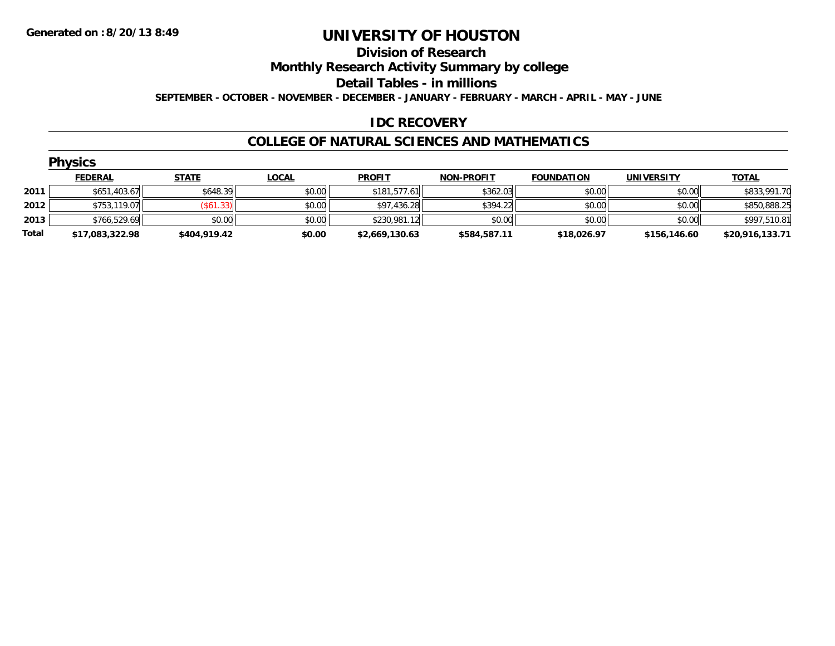#### **Division of Research**

**Monthly Research Activity Summary by college**

**Detail Tables - in millions**

**SEPTEMBER - OCTOBER - NOVEMBER - DECEMBER - JANUARY - FEBRUARY - MARCH - APRIL - MAY - JUNE**

### **IDC RECOVERY**

#### **COLLEGE OF NATURAL SCIENCES AND MATHEMATICS**

|       | <b>Physics</b>  |              |              |                |                   |                   |                   |                 |  |  |  |
|-------|-----------------|--------------|--------------|----------------|-------------------|-------------------|-------------------|-----------------|--|--|--|
|       | <b>FEDERAL</b>  | <b>STATE</b> | <u>LOCAL</u> | <b>PROFIT</b>  | <b>NON-PROFIT</b> | <b>FOUNDATION</b> | <b>UNIVERSITY</b> | <b>TOTAL</b>    |  |  |  |
| 2011  | \$651,403.67    | \$648.39     | \$0.00       | \$181,577.61   | \$362.03          | \$0.00            | \$0.00            | \$833,991.70    |  |  |  |
| 2012  | \$753,119.07    | (\$61.33)    | \$0.00       | \$97,436.28    | \$394.22          | \$0.00            | \$0.00            | \$850,888.25    |  |  |  |
| 2013  | \$766,529.69    | \$0.00       | \$0.00       | \$230,981.12   | \$0.00            | \$0.00            | \$0.00            | \$997,510.81    |  |  |  |
| Total | \$17,083,322.98 | \$404,919.42 | \$0.00       | \$2,669,130.63 | \$584,587.11      | \$18,026.97       | \$156,146.60      | \$20,916,133.71 |  |  |  |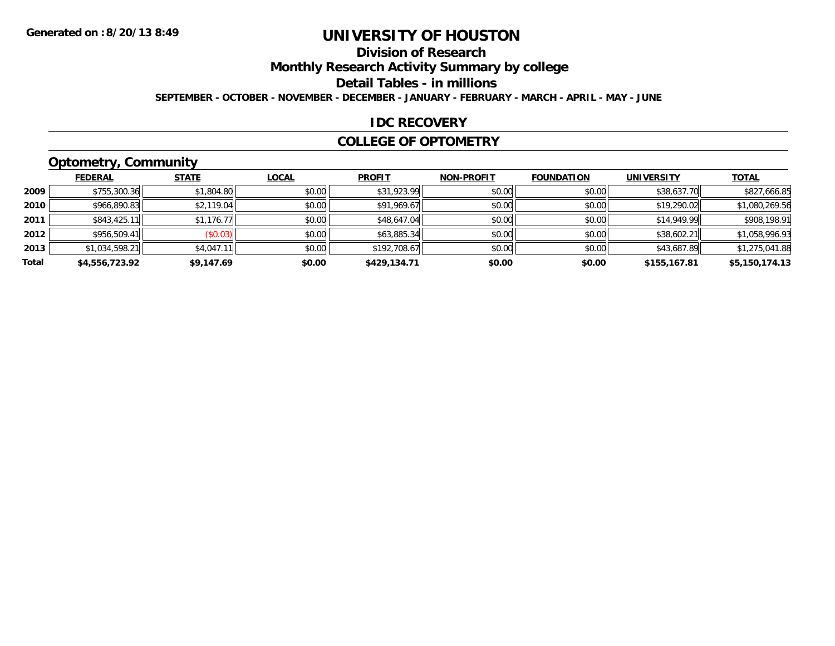# **Division of Research**

**Monthly Research Activity Summary by college**

**Detail Tables - in millions**

**SEPTEMBER - OCTOBER - NOVEMBER - DECEMBER - JANUARY - FEBRUARY - MARCH - APRIL - MAY - JUNE**

### **IDC RECOVERY**

#### **COLLEGE OF OPTOMETRY**

# **Optometry, Community**

|       | <b>FEDERAL</b> | <b>STATE</b> | <b>LOCAL</b> | <b>PROFIT</b> | <b>NON-PROFIT</b> | <b>FOUNDATION</b> | <b>UNIVERSITY</b> | <b>TOTAL</b>   |
|-------|----------------|--------------|--------------|---------------|-------------------|-------------------|-------------------|----------------|
| 2009  | \$755,300.36   | \$1,804.80   | \$0.00       | \$31,923.99   | \$0.00            | \$0.00            | \$38,637.70       | \$827,666.85   |
| 2010  | \$966,890.83   | \$2,119.04   | \$0.00       | \$91,969.67   | \$0.00            | \$0.00            | \$19,290.02       | \$1,080,269.56 |
| 2011  | \$843,425.11   | \$1,176.77   | \$0.00       | \$48,647.04   | \$0.00            | \$0.00            | \$14,949.99       | \$908,198.91   |
| 2012  | \$956,509.41   | (\$0.03)     | \$0.00       | \$63,885.34   | \$0.00            | \$0.00            | \$38,602.21       | \$1,058,996.93 |
| 2013  | \$1,034,598.21 | \$4,047.11   | \$0.00       | \$192,708.67  | \$0.00            | \$0.00            | \$43,687.89       | \$1,275,041.88 |
| Total | \$4,556,723.92 | \$9,147.69   | \$0.00       | \$429,134.71  | \$0.00            | \$0.00            | \$155,167.81      | \$5,150,174.13 |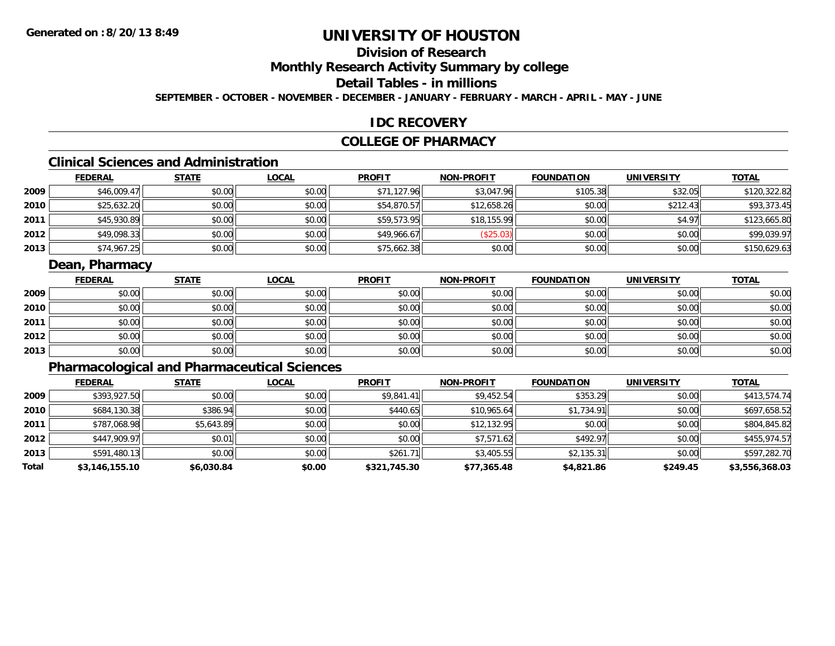# **Division of Research**

**Monthly Research Activity Summary by college**

## **Detail Tables - in millions**

**SEPTEMBER - OCTOBER - NOVEMBER - DECEMBER - JANUARY - FEBRUARY - MARCH - APRIL - MAY - JUNE**

#### **IDC RECOVERY**

### **COLLEGE OF PHARMACY**

# **Clinical Sciences and Administration**

|      | <b>FEDERAL</b> | <b>STATE</b> | <u>LOCAL</u> | <b>PROFIT</b> | <b>NON-PROFIT</b> | <b>FOUNDATION</b> | <b>UNIVERSITY</b> | <b>TOTAL</b> |
|------|----------------|--------------|--------------|---------------|-------------------|-------------------|-------------------|--------------|
| 2009 | \$46,009.47    | \$0.00       | \$0.00       | \$71,127.96   | \$3,047.96        | \$105.38          | \$32.05           | \$120,322.82 |
| 2010 | \$25,632.20    | \$0.00       | \$0.00       | \$54,870.57   | \$12,658.26       | \$0.00            | \$212.43          | \$93,373.45  |
| 2011 | \$45,930.89    | \$0.00       | \$0.00       | \$59,573.95   | \$18,155.99       | \$0.00            | \$4.97            | \$123,665.80 |
| 2012 | \$49,098.33    | \$0.00       | \$0.00       | \$49,966.67   | \$25.03           | \$0.00            | \$0.00            | \$99,039.97  |
| 2013 | \$74,967.25    | \$0.00       | \$0.00       | \$75,662.38   | \$0.00            | \$0.00            | \$0.00            | \$150,629.63 |

### **Dean, Pharmacy**

|      | <u>FEDERAL</u> | <b>STATE</b> | <u>LOCAL</u> | <b>PROFIT</b> | <b>NON-PROFIT</b> | <b>FOUNDATION</b> | <b>UNIVERSITY</b> | <b>TOTAL</b> |
|------|----------------|--------------|--------------|---------------|-------------------|-------------------|-------------------|--------------|
| 2009 | \$0.00         | \$0.00       | \$0.00       | \$0.00        | \$0.00            | \$0.00            | \$0.00            | \$0.00       |
| 2010 | \$0.00         | \$0.00       | \$0.00       | \$0.00        | \$0.00            | \$0.00            | \$0.00            | \$0.00       |
| 2011 | \$0.00         | \$0.00       | \$0.00       | \$0.00        | \$0.00            | \$0.00            | \$0.00            | \$0.00       |
| 2012 | \$0.00         | \$0.00       | \$0.00       | \$0.00        | \$0.00            | \$0.00            | \$0.00            | \$0.00       |
| 2013 | \$0.00         | \$0.00       | \$0.00       | \$0.00        | \$0.00            | \$0.00            | \$0.00            | \$0.00       |

# **Pharmacological and Pharmaceutical Sciences**

|       | <b>FEDERAL</b> | <b>STATE</b> | <b>LOCAL</b> | <b>PROFIT</b> | <b>NON-PROFIT</b> | <b>FOUNDATION</b> | <b>UNIVERSITY</b> | <u>TOTAL</u>   |
|-------|----------------|--------------|--------------|---------------|-------------------|-------------------|-------------------|----------------|
| 2009  | \$393,927.50   | \$0.00       | \$0.00       | \$9,841.41    | \$9,452.54        | \$353.29          | \$0.00            | \$413,574.74   |
| 2010  | \$684,130.38   | \$386.94     | \$0.00       | \$440.65      | \$10,965.64       | \$1,734.91        | \$0.00            | \$697,658.52   |
| 2011  | \$787,068.98   | \$5,643.89   | \$0.00       | \$0.00        | \$12,132.95       | \$0.00            | \$0.00            | \$804,845.82   |
| 2012  | \$447,909.97   | \$0.01       | \$0.00       | \$0.00        | \$7,571.62        | \$492.97          | \$0.00            | \$455,974.57   |
| 2013  | \$591,480.13   | \$0.00       | \$0.00       | \$261.71      | \$3,405.55        | \$2,135.31        | \$0.00            | \$597,282.70   |
| Total | \$3,146,155.10 | \$6,030.84   | \$0.00       | \$321,745.30  | \$77,365.48       | \$4,821.86        | \$249.45          | \$3,556,368.03 |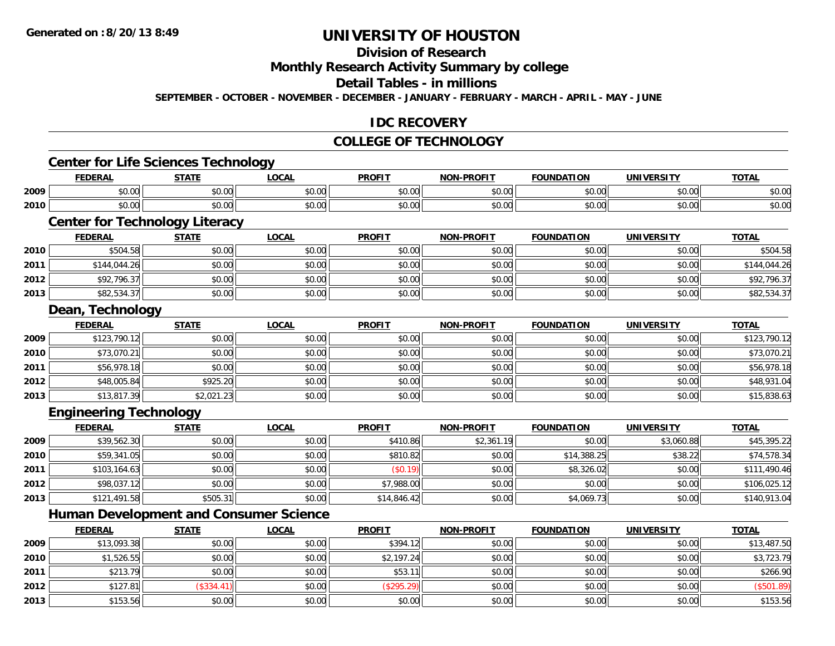# **Division of Research**

#### **Monthly Research Activity Summary by college**

#### **Detail Tables - in millions**

**SEPTEMBER - OCTOBER - NOVEMBER - DECEMBER - JANUARY - FEBRUARY - MARCH - APRIL - MAY - JUNE**

### **IDC RECOVERY**

#### **COLLEGE OF TECHNOLOGY**

# **Center for Life Sciences Technology**

|      | rrnrn m<br>LI\ <i>r</i>                 | <b>CTATE</b>           | <b>OCAL</b><br>-Vuni | <b>PROFIT</b>                            | <b>DDAEIT</b><br>א∩ו | <b>FOUNDATION</b> | <b>UNIVERSITY</b> | $-0$<br><b>UI</b>                                                                      |
|------|-----------------------------------------|------------------------|----------------------|------------------------------------------|----------------------|-------------------|-------------------|----------------------------------------------------------------------------------------|
| 2009 | $\sim$ $\sim$<br>$\sim$ $\sim$<br>JU.UU | ტი იი<br>JU.UU         | 0000<br><b>JU.UU</b> | 0 <sub>n</sub><br>JU.U                   | $\sim$ 00<br>vv.vv   | 0000<br>∍∪.∪ບ     | 0.00<br>JU.UU     | $\begin{array}{c} \hline \text{A} & \text{A} & \text{A} \\ \hline \end{array}$<br>ง∪.∪ |
| 2010 | $\sim$ $\sim$<br>vv.vv                  | $\sim$ $\sim$<br>PO.OO | 0000<br>PO.OO        | $\uparrow$ $\uparrow$ $\uparrow$<br>vv.v | $\sim$ 00<br>JU.UU   | 0000<br>vu.uu.    | 0.00<br>PO.OO     | \$0.00                                                                                 |

# **Center for Technology Literacy**

|      | <b>FEDERAL</b> | <u>STATE</u> | <b>LOCAL</b> | <b>PROFIT</b> | <b>NON-PROFIT</b> | <b>FOUNDATION</b> | <b>UNIVERSITY</b> | <u>TOTAL</u> |
|------|----------------|--------------|--------------|---------------|-------------------|-------------------|-------------------|--------------|
| 2010 | \$504.58       | \$0.00       | \$0.00       | \$0.00        | \$0.00            | \$0.00            | \$0.00            | \$504.58     |
| 2011 | \$144,044.26   | \$0.00       | \$0.00       | \$0.00        | \$0.00            | \$0.00            | \$0.00            | \$144,044.26 |
| 2012 | \$92,796.37    | \$0.00       | \$0.00       | \$0.00        | \$0.00            | \$0.00            | \$0.00            | \$92,796.37  |
| 2013 | \$82,534.37    | \$0.00       | \$0.00       | \$0.00        | \$0.00            | \$0.00            | \$0.00            | \$82,534.37  |

<u> 1989 - Andrea State Barbara, amerikan basar dan berasal dan berasal dalam berasal dalam berasal dalam berasa</u>

#### **Dean, Technology**

|      | <u>FEDERAL</u> | <u>STATE</u> | <b>LOCAL</b> | <b>PROFIT</b> | <b>NON-PROFIT</b> | <b>FOUNDATION</b> | <b>UNIVERSITY</b> | <b>TOTAL</b> |
|------|----------------|--------------|--------------|---------------|-------------------|-------------------|-------------------|--------------|
| 2009 | \$123,790.12   | \$0.00       | \$0.00       | \$0.00        | \$0.00            | \$0.00            | \$0.00            | \$123,790.12 |
| 2010 | \$73,070.21    | \$0.00       | \$0.00       | \$0.00        | \$0.00            | \$0.00            | \$0.00            | \$73,070.21  |
| 2011 | \$56,978.18    | \$0.00       | \$0.00       | \$0.00        | \$0.00            | \$0.00            | \$0.00            | \$56,978.18  |
| 2012 | \$48,005.84    | \$925.20     | \$0.00       | \$0.00        | \$0.00            | \$0.00            | \$0.00            | \$48,931.04  |
| 2013 | \$13,817.39    | \$2,021.23   | \$0.00       | \$0.00        | \$0.00            | \$0.00            | \$0.00            | \$15,838.63  |

### **Engineering Technology**

|      | <b>FEDERAL</b> | <b>STATE</b> | <b>LOCAL</b> | <b>PROFIT</b> | <b>NON-PROFIT</b> | <b>FOUNDATION</b> | <b>UNIVERSITY</b> | <b>TOTAL</b> |
|------|----------------|--------------|--------------|---------------|-------------------|-------------------|-------------------|--------------|
| 2009 | \$39,562.30    | \$0.00       | \$0.00       | \$410.86      | \$2,361.19        | \$0.00            | \$3,060.88        | \$45,395.22  |
| 2010 | \$59,341.05    | \$0.00       | \$0.00       | \$810.82      | \$0.00            | \$14,388.25       | \$38.22           | \$74,578.34  |
| 2011 | \$103,164.63   | \$0.00       | \$0.00       | (\$0.19)      | \$0.00            | \$8,326.02        | \$0.00            | \$111,490.46 |
| 2012 | \$98,037.12    | \$0.00       | \$0.00       | \$7,988.00    | \$0.00            | \$0.00            | \$0.00            | \$106,025.12 |
| 2013 | \$121,491.58   | \$505.31     | \$0.00       | \$14,846.42   | \$0.00            | \$4,069.73        | \$0.00            | \$140,913.04 |

### **Human Development and Consumer Science**

|      | <u>FEDERAL</u> | <b>STATE</b> | <u>LOCAL</u> | <b>PROFIT</b> | <b>NON-PROFIT</b> | <b>FOUNDATION</b> | <b>UNIVERSITY</b> | <b>TOTAL</b> |
|------|----------------|--------------|--------------|---------------|-------------------|-------------------|-------------------|--------------|
| 2009 | \$13,093.38    | \$0.00       | \$0.00       | \$394.12      | \$0.00            | \$0.00            | \$0.00            | \$13,487.50  |
| 2010 | \$1,526.55     | \$0.00       | \$0.00       | \$2,197.24    | \$0.00            | \$0.00            | \$0.00            | \$3,723.79   |
| 2011 | \$213.79       | \$0.00       | \$0.00       | \$53.         | \$0.00            | \$0.00            | \$0.00            | \$266.90     |
| 2012 | \$127.81       | (\$334.41)   | \$0.00       | (\$295.29)    | \$0.00            | \$0.00            | \$0.00            | (\$501.89)   |
| 2013 | \$153.56       | \$0.00       | \$0.00       | \$0.00        | \$0.00            | \$0.00            | \$0.00            | \$153.56     |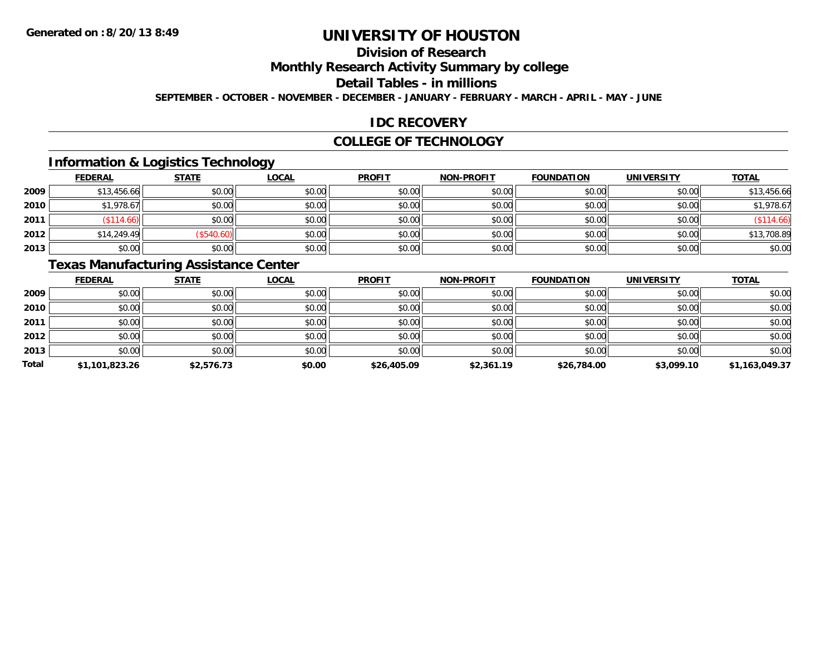# **Division of Research**

**Monthly Research Activity Summary by college**

#### **Detail Tables - in millions**

**SEPTEMBER - OCTOBER - NOVEMBER - DECEMBER - JANUARY - FEBRUARY - MARCH - APRIL - MAY - JUNE**

### **IDC RECOVERY**

#### **COLLEGE OF TECHNOLOGY**

### **Information & Logistics Technology**

|      | <b>FEDERAL</b> | <b>STATE</b> | <b>LOCAL</b> | <b>PROFIT</b> | <b>NON-PROFIT</b> | <b>FOUNDATION</b> | <b>UNIVERSITY</b> | <b>TOTAL</b> |
|------|----------------|--------------|--------------|---------------|-------------------|-------------------|-------------------|--------------|
| 2009 | \$13,456.66    | \$0.00       | \$0.00       | \$0.00        | \$0.00            | \$0.00            | \$0.00            | \$13,456.66  |
| 2010 | \$1,978.67     | \$0.00       | \$0.00       | \$0.00        | \$0.00            | \$0.00            | \$0.00            | \$1,978.67   |
| 2011 | \$114.66       | \$0.00       | \$0.00       | \$0.00        | \$0.00            | \$0.00            | \$0.00            | \$114.66     |
| 2012 | \$14,249.49    | \$540.60     | \$0.00       | \$0.00        | \$0.00            | \$0.00            | \$0.00            | \$13,708.89  |
| 2013 | \$0.00         | \$0.00       | \$0.00       | \$0.00        | \$0.00            | \$0.00            | \$0.00            | \$0.00       |

# **Texas Manufacturing Assistance Center**

|              | <b>FEDERAL</b> | <b>STATE</b> | <b>LOCAL</b> | <b>PROFIT</b> | <b>NON-PROFIT</b> | <b>FOUNDATION</b> | <b>UNIVERSITY</b> | <b>TOTAL</b>   |
|--------------|----------------|--------------|--------------|---------------|-------------------|-------------------|-------------------|----------------|
| 2009         | \$0.00         | \$0.00       | \$0.00       | \$0.00        | \$0.00            | \$0.00            | \$0.00            | \$0.00         |
| 2010         | \$0.00         | \$0.00       | \$0.00       | \$0.00        | \$0.00            | \$0.00            | \$0.00            | \$0.00         |
| 2011         | \$0.00         | \$0.00       | \$0.00       | \$0.00        | \$0.00            | \$0.00            | \$0.00            | \$0.00         |
| 2012         | \$0.00         | \$0.00       | \$0.00       | \$0.00        | \$0.00            | \$0.00            | \$0.00            | \$0.00         |
| 2013         | \$0.00         | \$0.00       | \$0.00       | \$0.00        | \$0.00            | \$0.00            | \$0.00            | \$0.00         |
| <b>Total</b> | \$1,101,823.26 | \$2,576.73   | \$0.00       | \$26,405.09   | \$2,361.19        | \$26,784.00       | \$3,099.10        | \$1,163,049.37 |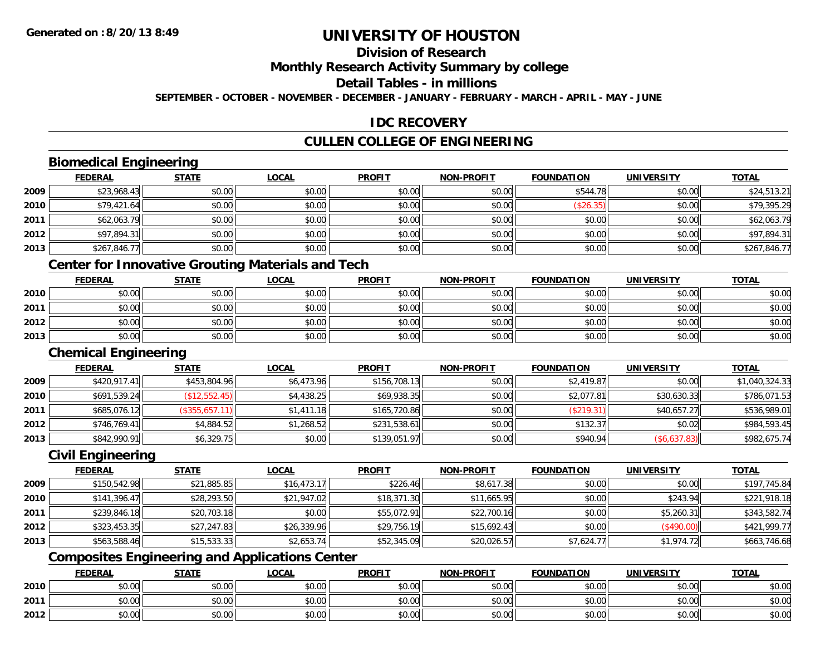# **Division of Research**

#### **Monthly Research Activity Summary by college**

### **Detail Tables - in millions**

**SEPTEMBER - OCTOBER - NOVEMBER - DECEMBER - JANUARY - FEBRUARY - MARCH - APRIL - MAY - JUNE**

### **IDC RECOVERY**

## **CULLEN COLLEGE OF ENGINEERING**

### **Biomedical Engineering**

|      | <b>FEDERAL</b> | <b>STATE</b> | <b>LOCAL</b> | <b>PROFIT</b> | <b>NON-PROFIT</b> | <b>FOUNDATION</b> | <b>UNIVERSITY</b> | <u>TOTAL</u> |
|------|----------------|--------------|--------------|---------------|-------------------|-------------------|-------------------|--------------|
| 2009 | \$23,968.43    | \$0.00       | \$0.00       | \$0.00        | \$0.00            | \$544.78          | \$0.00            | \$24,513.21  |
| 2010 | \$79,421.64    | \$0.00       | \$0.00       | \$0.00        | \$0.00            | (\$26.35)         | \$0.00            | \$79,395.29  |
| 2011 | \$62,063.79    | \$0.00       | \$0.00       | \$0.00        | \$0.00            | \$0.00            | \$0.00            | \$62,063.79  |
| 2012 | \$97,894.31    | \$0.00       | \$0.00       | \$0.00        | \$0.00            | \$0.00            | \$0.00            | \$97,894.31  |
| 2013 | \$267,846.77   | \$0.00       | \$0.00       | \$0.00        | \$0.00            | \$0.00            | \$0.00            | \$267,846.77 |

## **Center for Innovative Grouting Materials and Tech**

|      | <u>FEDERAL</u> | <b>STATE</b> | <u>LOCAL</u> | <b>PROFIT</b> | <b>NON-PROFIT</b> | <b>FOUNDATION</b> | <b>UNIVERSITY</b> | <b>TOTAL</b> |
|------|----------------|--------------|--------------|---------------|-------------------|-------------------|-------------------|--------------|
| 2010 | \$0.00         | \$0.00       | \$0.00       | \$0.00        | \$0.00            | \$0.00            | \$0.00            | \$0.00       |
| 2011 | \$0.00         | \$0.00       | \$0.00       | \$0.00        | \$0.00            | \$0.00            | \$0.00            | \$0.00       |
| 2012 | \$0.00         | \$0.00       | \$0.00       | \$0.00        | \$0.00            | \$0.00            | \$0.00            | \$0.00       |
| 2013 | \$0.00         | \$0.00       | \$0.00       | \$0.00        | \$0.00            | \$0.00            | \$0.00            | \$0.00       |

## **Chemical Engineering**

|      | <b>FEDERAL</b> | <b>STATE</b>   | <u>LOCAL</u> | <b>PROFIT</b> | <b>NON-PROFIT</b> | <b>FOUNDATION</b> | UNIVERSITY   | <b>TOTAL</b>   |
|------|----------------|----------------|--------------|---------------|-------------------|-------------------|--------------|----------------|
| 2009 | \$420,917.41   | \$453,804.96   | \$6,473.96   | \$156,708.13  | \$0.00            | \$2,419.87        | \$0.00       | \$1,040,324.33 |
| 2010 | \$691,539.24   | (\$12,552.45)  | \$4,438.25   | \$69,938.35   | \$0.00            | \$2,077.81        | \$30,630.33  | \$786,071.53   |
| 2011 | \$685,076.12   | (\$355,657.11) | \$1,411.18   | \$165,720.86  | \$0.00            | (\$219.31)        | \$40,657.27  | \$536,989.01   |
| 2012 | \$746,769.41   | \$4,884.52     | \$1,268.52   | \$231,538.61  | \$0.00            | \$132.37          | \$0.02       | \$984,593.45   |
| 2013 | \$842,990.91   | \$6,329.75     | \$0.00       | \$139,051.97  | \$0.00            | \$940.94          | (\$6,637.83) | \$982,675.74   |

#### **Civil Engineering**

|      | <b>FEDERAL</b> | <b>STATE</b> | <u>LOCAL</u> | <b>PROFIT</b> | <b>NON-PROFIT</b> | <b>FOUNDATION</b> | <b>UNIVERSITY</b> | <b>TOTAL</b> |
|------|----------------|--------------|--------------|---------------|-------------------|-------------------|-------------------|--------------|
| 2009 | \$150,542.98   | \$21,885.85  | \$16,473.17  | \$226.46      | \$8,617.38        | \$0.00            | \$0.00            | \$197,745.84 |
| 2010 | \$141,396.47   | \$28,293.50  | \$21,947.02  | \$18,371.30   | \$11,665.95       | \$0.00            | \$243.94          | \$221,918.18 |
| 2011 | \$239,846.18   | \$20,703.18  | \$0.00       | \$55,072.91   | \$22,700.16       | \$0.00            | \$5,260.31        | \$343,582.74 |
| 2012 | \$323,453.35   | \$27,247.83  | \$26,339.96  | \$29,756.19   | \$15,692.43       | \$0.00            | (\$490.00)        | \$421,999.77 |
| 2013 | \$563,588.46   | \$15,533.33  | \$2,653.74   | \$52,345.09   | \$20,026.57       | \$7,624.77        | \$1,974.72        | \$663,746.68 |

## **Composites Engineering and Applications Center**

|      | <b>FEDERAL</b>                                        | <b>STATE</b> | LOCAL          | <b>PROFIT</b> | <b>NON-PROFIT</b> | <b>FOUNDATION</b> | <b>UNIVERSITY</b> | <b>TOTAL</b> |
|------|-------------------------------------------------------|--------------|----------------|---------------|-------------------|-------------------|-------------------|--------------|
| 2010 | 0.00<br>vu.uu                                         | \$0.00       | \$0.00         | \$0.00        | \$0.00            | \$0.00            | \$0.00            | \$0.00       |
| 2011 | $\sim$<br>JU.UU                                       | \$0.00       | 0000<br>\$U.UU | \$0.00        | \$0.00            | \$0.00            | \$0.00            | \$0.00       |
| 2012 | $\mathsf{A} \cap \mathsf{A} \cap \mathsf{A}$<br>DU.U¢ | \$0.00       | 0000<br>\$0.00 | \$0.00        | \$0.00            | \$0.00            | \$0.00            | \$0.00       |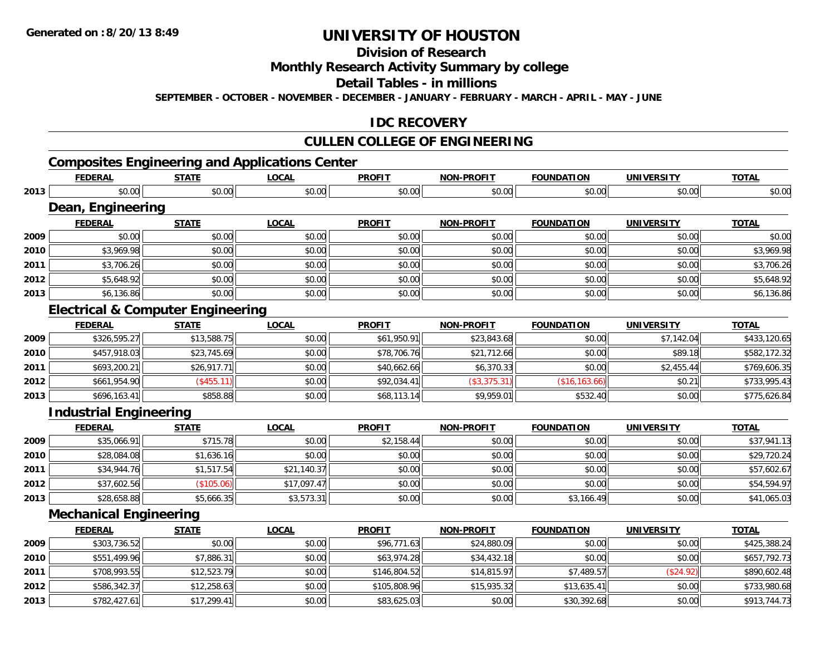**2013**

# **UNIVERSITY OF HOUSTON**

# **Division of Research**

#### **Monthly Research Activity Summary by college**

#### **Detail Tables - in millions**

**SEPTEMBER - OCTOBER - NOVEMBER - DECEMBER - JANUARY - FEBRUARY - MARCH - APRIL - MAY - JUNE**

### **IDC RECOVERY**

### **CULLEN COLLEGE OF ENGINEERING**

## **Composites Engineering and Applications Center**

|      | <b>FEDERAL</b>                               | <b>STATE</b> | <b>LOCAL</b> | <b>PROFIT</b> | <b>NON-PROFIT</b> | <b>FOUNDATION</b> | <b>UNIVERSITY</b> | <b>TOTAL</b> |
|------|----------------------------------------------|--------------|--------------|---------------|-------------------|-------------------|-------------------|--------------|
| 2013 | \$0.00                                       | \$0.00       | \$0.00       | \$0.00        | \$0.00            | \$0.00            | \$0.00            | \$0.00       |
|      | Dean, Engineering                            |              |              |               |                   |                   |                   |              |
|      | <b>FEDERAL</b>                               | <b>STATE</b> | <b>LOCAL</b> | <b>PROFIT</b> | NON-PROFIT        | <b>FOUNDATION</b> | <b>UNIVERSITY</b> | <b>TOTAL</b> |
| 2009 | \$0.00                                       | \$0.00       | \$0.00       | \$0.00        | \$0.00            | \$0.00            | \$0.00            | \$0.00       |
| 2010 | \$3,969.98                                   | \$0.00       | \$0.00       | \$0.00        | \$0.00            | \$0.00            | \$0.00            | \$3,969.98   |
| 2011 | \$3,706.26                                   | \$0.00       | \$0.00       | \$0.00        | \$0.00            | \$0.00            | \$0.00            | \$3,706.26   |
| 2012 | \$5,648.92                                   | \$0.00       | \$0.00       | \$0.00        | \$0.00            | \$0.00            | \$0.00            | \$5,648.92   |
| 2013 | \$6,136.86                                   | \$0.00       | \$0.00       | \$0.00        | \$0.00            | \$0.00            | \$0.00            | \$6,136.86   |
|      | <b>Electrical &amp; Computer Engineering</b> |              |              |               |                   |                   |                   |              |
|      | <b>FEDERAL</b>                               | <b>STATE</b> | <b>LOCAL</b> | <b>PROFIT</b> | <b>NON-PROFIT</b> | <b>FOUNDATION</b> | <b>UNIVERSITY</b> | <b>TOTAL</b> |
| 2009 | \$326,595.27                                 | \$13,588.75  | \$0.00       | \$61,950.91   | \$23,843.68       | \$0.00            | \$7,142.04        | \$433,120.65 |
| 2010 | \$457,918.03                                 | \$23,745.69  | \$0.00       | \$78,706.76   | \$21,712.66       | \$0.00            | \$89.18           | \$582,172.32 |
| 2011 | \$693,200.21                                 | \$26,917.71  | \$0.00       | \$40,662.66   | \$6,370.33        | \$0.00            | \$2,455.44        | \$769,606.35 |
| 2012 | \$661,954.90                                 | (\$455.11)   | \$0.00       | \$92,034.41   | (\$3,375.31)      | (\$16, 163.66)    | \$0.21            | \$733,995.43 |
| 2013 | \$696,163.41                                 | \$858.88     | \$0.00       | \$68,113.14   | \$9,959.01        | \$532.40          | \$0.00            | \$775,626.84 |
|      | <b>Industrial Engineering</b>                |              |              |               |                   |                   |                   |              |
|      | <b>FEDERAL</b>                               | <b>STATE</b> | <b>LOCAL</b> | <b>PROFIT</b> | NON-PROFIT        | <b>FOUNDATION</b> | <b>UNIVERSITY</b> | <b>TOTAL</b> |
| 2009 | \$35,066.91                                  | \$715.78     | \$0.00       | \$2,158.44    | \$0.00            | \$0.00            | \$0.00            | \$37,941.13  |
| 2010 | \$28,084.08                                  | \$1,636.16   | \$0.00       | \$0.00        | \$0.00            | \$0.00            | \$0.00            | \$29,720.24  |
| 2011 | \$34,944.76                                  | \$1,517.54   | \$21,140.37  | \$0.00        | \$0.00            | \$0.00            | \$0.00            | \$57,602.67  |
| 2012 | \$37,602.56                                  | (\$105.06)   | \$17,097.47  | \$0.00        | \$0.00            | \$0.00            | \$0.00            | \$54,594.97  |
| 2013 | \$28,658.88                                  | \$5,666.35   | \$3,573.31   | \$0.00        | \$0.00            | \$3,166.49        | \$0.00            | \$41,065.03  |
|      | <b>Mechanical Engineering</b>                |              |              |               |                   |                   |                   |              |
|      | <b>FEDERAL</b>                               | <b>STATE</b> | <b>LOCAL</b> | <b>PROFIT</b> | <b>NON-PROFIT</b> | <b>FOUNDATION</b> | <b>UNIVERSITY</b> | <b>TOTAL</b> |
| 2009 | \$303,736.52                                 | \$0.00       | \$0.00       | \$96,771.63   | \$24,880.09       | \$0.00            | \$0.00            | \$425,388.24 |
| 2010 | \$551,499.96                                 | \$7,886.31   | \$0.00       | \$63,974.28   | \$34,432.18       | \$0.00            | \$0.00            | \$657,792.73 |
| 2011 | \$708,993.55                                 | \$12,523.79  | \$0.00       | \$146,804.52  | \$14,815.97       | \$7,489.57        | (\$24.92)         | \$890,602.48 |
| 2012 | \$586,342.37                                 | \$12,258.63  | \$0.00       | \$105,808.96  | \$15,935.32       | \$13,635.41       | \$0.00            | \$733,980.68 |

\$782,427.61 \$17,299.41 \$0.00 \$83,625.03 \$0.00 \$30,392.68 \$0.00 \$913,744.73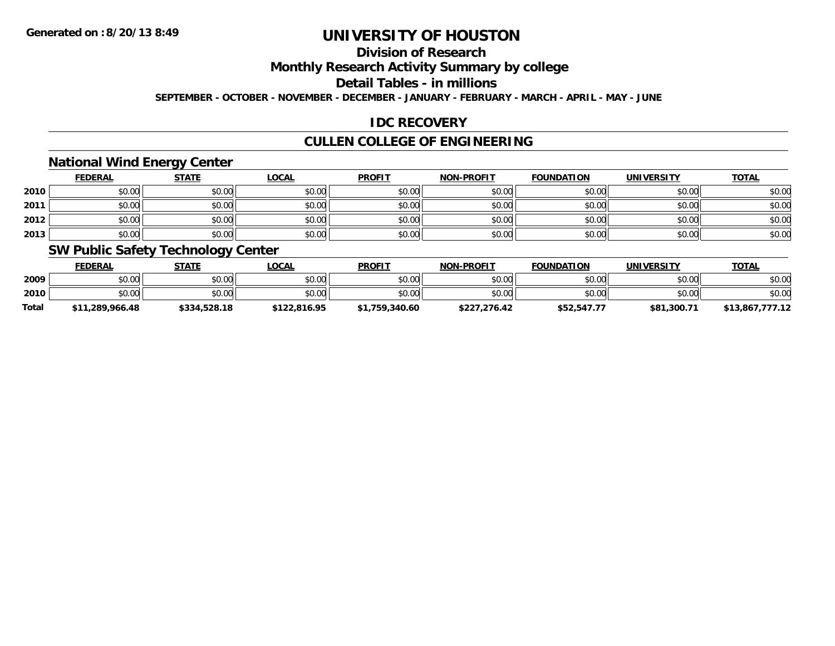# **Division of Research**

### **Monthly Research Activity Summary by college**

## **Detail Tables - in millions**

**SEPTEMBER - OCTOBER - NOVEMBER - DECEMBER - JANUARY - FEBRUARY - MARCH - APRIL - MAY - JUNE**

### **IDC RECOVERY**

## **CULLEN COLLEGE OF ENGINEERING**

### **National Wind Energy Center**

|      | <b>FEDERAL</b> | <b>STATE</b> | <u>LOCAL</u> | <b>PROFIT</b> | <b>NON-PROFIT</b> | <b>FOUNDATION</b> | <b>UNIVERSITY</b> | <b>TOTAL</b> |
|------|----------------|--------------|--------------|---------------|-------------------|-------------------|-------------------|--------------|
| 2010 | \$0.00         | \$0.00       | \$0.00       | \$0.00        | \$0.00            | \$0.00            | \$0.00            | \$0.00       |
| 2011 | \$0.00         | \$0.00       | \$0.00       | \$0.00        | \$0.00            | \$0.00            | \$0.00            | \$0.00       |
| 2012 | \$0.00         | \$0.00       | \$0.00       | \$0.00        | \$0.00            | \$0.00            | \$0.00            | \$0.00       |
| 2013 | \$0.00         | \$0.00       | \$0.00       | \$0.00        | \$0.00            | \$0.00            | \$0.00            | \$0.00       |

### **SW Public Safety Technology Center**

|              | <b>FEDERAL</b>  | STATE        | _OCAL        | <b>PROFIT</b>  | <b>NON-PROFIT</b> | <b>FOUNDATION</b> | <b>UNIVERSITY</b> | <u>TOTAL</u>    |
|--------------|-----------------|--------------|--------------|----------------|-------------------|-------------------|-------------------|-----------------|
| 2009         | \$0.00          | \$0.00       | \$0.00       | \$0.00         | \$0.00            | \$0.00            | \$0.00            | \$0.00          |
| 2010         | \$0.00          | \$0.00       | \$0.00       | \$0.00         | \$0.00            | \$0.00            | \$0.00            | \$0.00          |
| <b>Total</b> | \$11,289,966.48 | \$334,528.18 | \$122,816.95 | \$1,759,340.60 | \$227,276.42      | \$52,547.77       | \$81,300.71       | \$13,867,777.12 |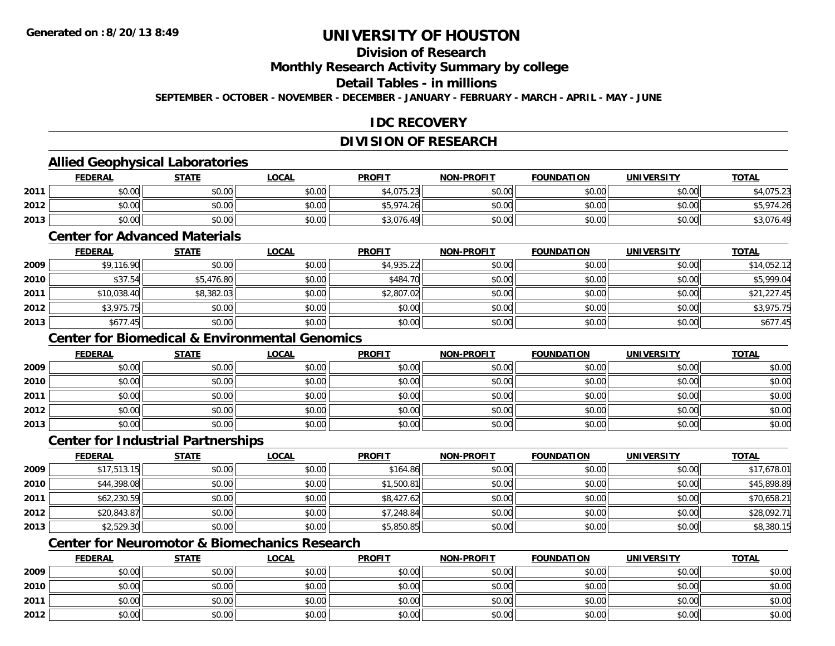# **Division of Research**

**Monthly Research Activity Summary by college**

#### **Detail Tables - in millions**

**SEPTEMBER - OCTOBER - NOVEMBER - DECEMBER - JANUARY - FEBRUARY - MARCH - APRIL - MAY - JUNE**

### **IDC RECOVERY**

## **DIVISION OF RESEARCH**

### **Allied Geophysical Laboratories**

|      | <b>FEDERAL</b> | <b>STATE</b> | <u>LOCAL</u> | <b>PROFIT</b>  | <b>NON-PROFIT</b> | <b>FOUNDATION</b> | <b>UNIVERSITY</b> | <b>TOTAL</b>       |
|------|----------------|--------------|--------------|----------------|-------------------|-------------------|-------------------|--------------------|
| 2011 | \$0.00         | \$0.00       | \$0.00       | \$4,075.23     | \$0.00            | \$0.00            | \$0.00            | .075.23<br>ان ے را |
| 2012 | \$0.00         | \$0.00       | \$0.00       | \$5,974<br>.26 | \$0.00            | \$0.00            | \$0.00            | $-974$<br>11.21    |
| 2013 | \$0.00         | \$0.00       | \$0.00       | \$3,076.49     | \$0.00            | \$0.00            | \$0.00            | 07L<br>45,016.4    |

#### **Center for Advanced Materials**

|      | <b>FEDERAL</b> | <b>STATE</b> | <b>LOCAL</b> | <b>PROFIT</b> | <b>NON-PROFIT</b> | <b>FOUNDATION</b> | <b>UNIVERSITY</b> | <b>TOTAL</b> |
|------|----------------|--------------|--------------|---------------|-------------------|-------------------|-------------------|--------------|
| 2009 | \$9,116.90     | \$0.00       | \$0.00       | \$4,935.22    | \$0.00            | \$0.00            | \$0.00            | \$14,052.12  |
| 2010 | \$37.54        | \$5,476.80   | \$0.00       | \$484.70      | \$0.00            | \$0.00            | \$0.00            | \$5,999.04   |
| 2011 | \$10,038.40    | \$8,382.03   | \$0.00       | \$2,807.02    | \$0.00            | \$0.00            | \$0.00            | \$21,227.45  |
| 2012 | \$3,975.75     | \$0.00       | \$0.00       | \$0.00        | \$0.00            | \$0.00            | \$0.00            | \$3,975.75   |
| 2013 | \$677.45       | \$0.00       | \$0.00       | \$0.00        | \$0.00            | \$0.00            | \$0.00            | \$677.45     |

## **Center for Biomedical & Environmental Genomics**

|      | <u>FEDERAL</u> | <b>STATE</b> | <u>LOCAL</u> | <b>PROFIT</b> | <b>NON-PROFIT</b> | <b>FOUNDATION</b> | <b>UNIVERSITY</b> | <b>TOTAL</b> |
|------|----------------|--------------|--------------|---------------|-------------------|-------------------|-------------------|--------------|
| 2009 | \$0.00         | \$0.00       | \$0.00       | \$0.00        | \$0.00            | \$0.00            | \$0.00            | \$0.00       |
| 2010 | \$0.00         | \$0.00       | \$0.00       | \$0.00        | \$0.00            | \$0.00            | \$0.00            | \$0.00       |
| 2011 | \$0.00         | \$0.00       | \$0.00       | \$0.00        | \$0.00            | \$0.00            | \$0.00            | \$0.00       |
| 2012 | \$0.00         | \$0.00       | \$0.00       | \$0.00        | \$0.00            | \$0.00            | \$0.00            | \$0.00       |
| 2013 | \$0.00         | \$0.00       | \$0.00       | \$0.00        | \$0.00            | \$0.00            | \$0.00            | \$0.00       |

#### **Center for Industrial Partnerships**

|      | <b>FEDERAL</b> | <b>STATE</b> | <b>LOCAL</b> | <b>PROFIT</b> | <b>NON-PROFIT</b> | <b>FOUNDATION</b> | <b>UNIVERSITY</b> | <b>TOTAL</b> |
|------|----------------|--------------|--------------|---------------|-------------------|-------------------|-------------------|--------------|
| 2009 | \$17,513.15    | \$0.00       | \$0.00       | \$164.86      | \$0.00            | \$0.00            | \$0.00            | \$17,678.01  |
| 2010 | \$44,398.08    | \$0.00       | \$0.00       | \$1,500.81    | \$0.00            | \$0.00            | \$0.00            | \$45,898.89  |
| 2011 | \$62,230.59    | \$0.00       | \$0.00       | \$8,427.62    | \$0.00            | \$0.00            | \$0.00            | \$70,658.21  |
| 2012 | \$20,843.87    | \$0.00       | \$0.00       | \$7,248.84    | \$0.00            | \$0.00            | \$0.00            | \$28,092.71  |
| 2013 | \$2,529.30     | \$0.00       | \$0.00       | \$5,850.85    | \$0.00            | \$0.00            | \$0.00            | \$8,380.15   |

# **Center for Neuromotor & Biomechanics Research**

|      | <b>FEDERAL</b> | <b>STATE</b> | <u>LOCAL</u> | <b>PROFIT</b> | <b>NON-PROFIT</b> | <b>FOUNDATION</b> | <b>UNIVERSITY</b> | <b>TOTAL</b> |
|------|----------------|--------------|--------------|---------------|-------------------|-------------------|-------------------|--------------|
| 2009 | \$0.00         | \$0.00       | \$0.00       | \$0.00        | \$0.00            | \$0.00            | \$0.00            | \$0.00       |
| 2010 | \$0.00         | \$0.00       | \$0.00       | \$0.00        | \$0.00            | \$0.00            | \$0.00            | \$0.00       |
| 2011 | \$0.00         | \$0.00       | \$0.00       | \$0.00        | \$0.00            | \$0.00            | \$0.00            | \$0.00       |
| 2012 | \$0.00         | \$0.00       | \$0.00       | \$0.00        | \$0.00            | \$0.00            | \$0.00            | \$0.00       |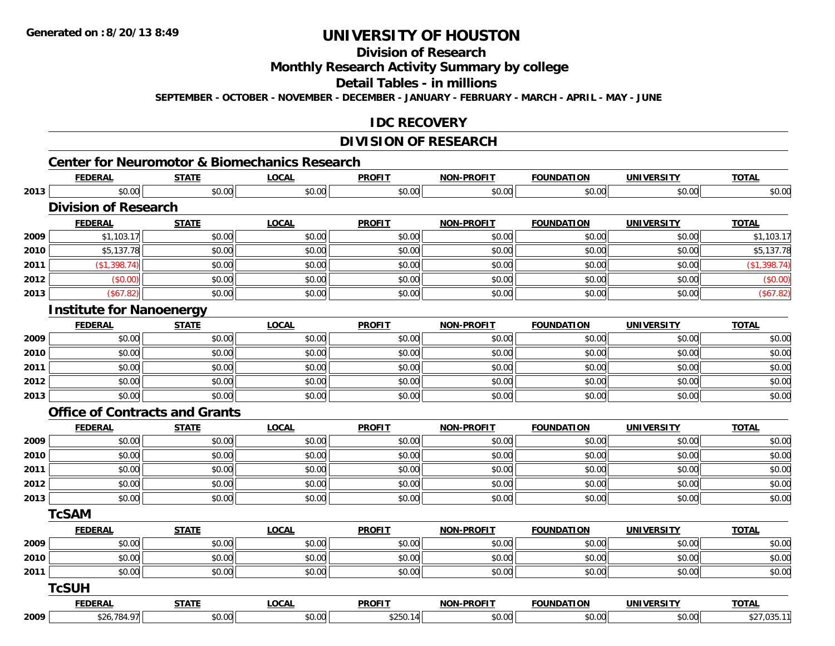# **Division of Research**

**Monthly Research Activity Summary by college**

**Detail Tables - in millions**

**SEPTEMBER - OCTOBER - NOVEMBER - DECEMBER - JANUARY - FEBRUARY - MARCH - APRIL - MAY - JUNE**

### **IDC RECOVERY**

### **DIVISION OF RESEARCH**

# **Center for Neuromotor & Biomechanics Research**

|      | <b>FEDERAL</b>                  | <b>STATE</b>                          | <b>LOCAL</b> | <b>PROFIT</b> | NON-PROFIT        | <b>FOUNDATION</b> | <b>UNIVERSITY</b> | <b>TOTAL</b> |
|------|---------------------------------|---------------------------------------|--------------|---------------|-------------------|-------------------|-------------------|--------------|
| 2013 | \$0.00                          | \$0.00                                | \$0.00       | \$0.00        | \$0.00            | \$0.00            | \$0.00            | \$0.00       |
|      | <b>Division of Research</b>     |                                       |              |               |                   |                   |                   |              |
|      | <b>FEDERAL</b>                  | <b>STATE</b>                          | <b>LOCAL</b> | <b>PROFIT</b> | NON-PROFIT        | <b>FOUNDATION</b> | <b>UNIVERSITY</b> | <b>TOTAL</b> |
| 2009 | \$1,103.17                      | \$0.00                                | \$0.00       | \$0.00        | \$0.00            | \$0.00            | \$0.00            | \$1,103.17   |
| 2010 | \$5,137.78                      | \$0.00                                | \$0.00       | \$0.00        | \$0.00            | \$0.00            | \$0.00            | \$5,137.78   |
| 2011 | (\$1,398.74)                    | \$0.00                                | \$0.00       | \$0.00        | \$0.00            | \$0.00            | \$0.00            | (\$1,398.74) |
| 2012 | (\$0.00)                        | \$0.00                                | \$0.00       | \$0.00        | \$0.00            | \$0.00            | \$0.00            | (\$0.00)     |
| 2013 | (\$67.82)                       | \$0.00                                | \$0.00       | \$0.00        | \$0.00            | \$0.00            | \$0.00            | (\$67.82)    |
|      | <b>Institute for Nanoenergy</b> |                                       |              |               |                   |                   |                   |              |
|      | <b>FEDERAL</b>                  | <b>STATE</b>                          | <b>LOCAL</b> | <b>PROFIT</b> | <b>NON-PROFIT</b> | <b>FOUNDATION</b> | <b>UNIVERSITY</b> | <b>TOTAL</b> |
| 2009 | \$0.00                          | \$0.00                                | \$0.00       | \$0.00        | \$0.00            | \$0.00            | \$0.00            | \$0.00       |
| 2010 | \$0.00                          | \$0.00                                | \$0.00       | \$0.00        | \$0.00            | \$0.00            | \$0.00            | \$0.00       |
| 2011 | \$0.00                          | \$0.00                                | \$0.00       | \$0.00        | \$0.00            | \$0.00            | \$0.00            | \$0.00       |
| 2012 | \$0.00                          | \$0.00                                | \$0.00       | \$0.00        | \$0.00            | \$0.00            | \$0.00            | \$0.00       |
| 2013 | \$0.00                          | \$0.00                                | \$0.00       | \$0.00        | \$0.00            | \$0.00            | \$0.00            | \$0.00       |
|      |                                 | <b>Office of Contracts and Grants</b> |              |               |                   |                   |                   |              |
|      | <b>FEDERAL</b>                  | <b>STATE</b>                          | <b>LOCAL</b> | <b>PROFIT</b> | <b>NON-PROFIT</b> | <b>FOUNDATION</b> | <b>UNIVERSITY</b> | <b>TOTAL</b> |
| 2009 | \$0.00                          | \$0.00                                | \$0.00       | \$0.00        | \$0.00            | \$0.00            | \$0.00            | \$0.00       |
| 2010 | \$0.00                          | \$0.00                                | \$0.00       | \$0.00        | \$0.00            | \$0.00            | \$0.00            | \$0.00       |
| 2011 | \$0.00                          | \$0.00                                | \$0.00       | \$0.00        | \$0.00            | \$0.00            | \$0.00            | \$0.00       |
| 2012 | \$0.00                          | \$0.00                                | \$0.00       | \$0.00        | \$0.00            | \$0.00            | \$0.00            | \$0.00       |
| 2013 | \$0.00                          | \$0.00                                | \$0.00       | \$0.00        | \$0.00            | \$0.00            | \$0.00            | \$0.00       |
|      | <b>TcSAM</b>                    |                                       |              |               |                   |                   |                   |              |
|      | <b>FEDERAL</b>                  | <b>STATE</b>                          | <b>LOCAL</b> | <b>PROFIT</b> | <b>NON-PROFIT</b> | <b>FOUNDATION</b> | <b>UNIVERSITY</b> | <b>TOTAL</b> |
| 2009 | \$0.00                          | \$0.00                                | \$0.00       | \$0.00        | \$0.00            | \$0.00            | \$0.00            | \$0.00       |
| 2010 | \$0.00                          | \$0.00                                | \$0.00       | \$0.00        | \$0.00            | \$0.00            | \$0.00            | \$0.00       |
| 2011 | \$0.00                          | \$0.00                                | \$0.00       | \$0.00        | \$0.00            | \$0.00            | \$0.00            | \$0.00       |
|      | <b>TcSUH</b>                    |                                       |              |               |                   |                   |                   |              |
|      | <b>FEDERAL</b>                  | <b>STATE</b>                          | <b>LOCAL</b> | <b>PROFIT</b> | <b>NON-PROFIT</b> | <b>FOUNDATION</b> | <b>UNIVERSITY</b> | <b>TOTAL</b> |
| 2009 | \$26,784.97                     | \$0.00                                | \$0.00       | \$250.14      | \$0.00            | \$0.00            | \$0.00            | \$27,035.11  |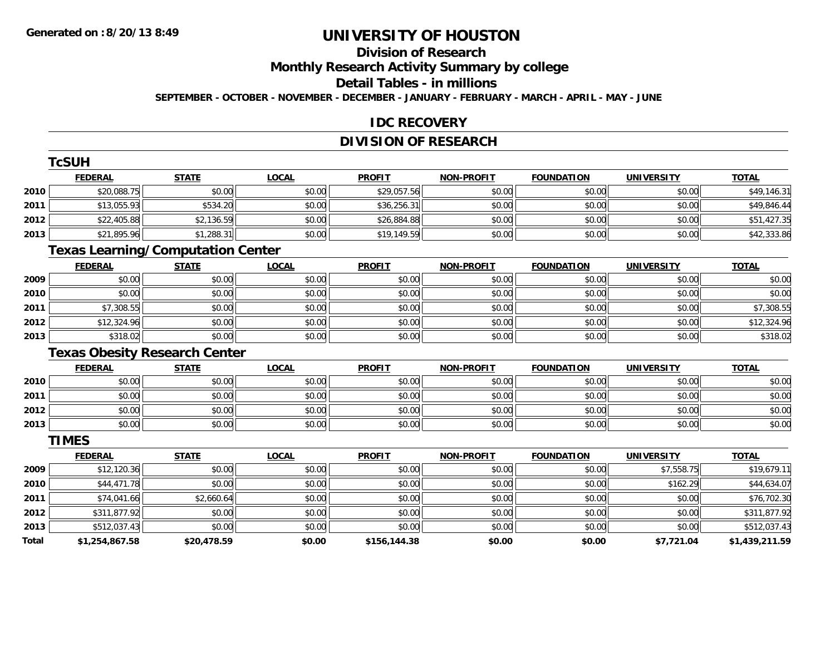**The Contract Contract Contract** 

# **UNIVERSITY OF HOUSTON**

# **Division of Research**

**Monthly Research Activity Summary by college**

#### **Detail Tables - in millions**

**SEPTEMBER - OCTOBER - NOVEMBER - DECEMBER - JANUARY - FEBRUARY - MARCH - APRIL - MAY - JUNE**

### **IDC RECOVERY**

### **DIVISION OF RESEARCH**

|       | <b>ICSUH</b>                             |              |              |               |                   |                   |                   |                |
|-------|------------------------------------------|--------------|--------------|---------------|-------------------|-------------------|-------------------|----------------|
|       | <b>FEDERAL</b>                           | <b>STATE</b> | <b>LOCAL</b> | <b>PROFIT</b> | <b>NON-PROFIT</b> | <b>FOUNDATION</b> | <b>UNIVERSITY</b> | <b>TOTAL</b>   |
| 2010  | \$20,088.75                              | \$0.00       | \$0.00       | \$29,057.56   | \$0.00            | \$0.00            | \$0.00            | \$49,146.31    |
| 2011  | \$13,055.93                              | \$534.20     | \$0.00       | \$36,256.31   | \$0.00            | \$0.00            | \$0.00            | \$49,846.44    |
| 2012  | \$22,405.88                              | \$2,136.59   | \$0.00       | \$26,884.88   | \$0.00            | \$0.00            | \$0.00            | \$51,427.35    |
| 2013  | \$21,895.96                              | \$1,288.31   | \$0.00       | \$19,149.59   | \$0.00            | \$0.00            | \$0.00            | \$42,333.86    |
|       | <b>Texas Learning/Computation Center</b> |              |              |               |                   |                   |                   |                |
|       | <b>FEDERAL</b>                           | <b>STATE</b> | <b>LOCAL</b> | <b>PROFIT</b> | <b>NON-PROFIT</b> | <b>FOUNDATION</b> | <b>UNIVERSITY</b> | <b>TOTAL</b>   |
| 2009  | \$0.00                                   | \$0.00       | \$0.00       | \$0.00        | \$0.00            | \$0.00            | \$0.00            | \$0.00         |
| 2010  | \$0.00                                   | \$0.00       | \$0.00       | \$0.00        | \$0.00            | \$0.00            | \$0.00            | \$0.00         |
| 2011  | \$7,308.55                               | \$0.00       | \$0.00       | \$0.00        | \$0.00            | \$0.00            | \$0.00            | \$7,308.55     |
| 2012  | \$12,324.96                              | \$0.00       | \$0.00       | \$0.00        | \$0.00            | \$0.00            | \$0.00            | \$12,324.96    |
| 2013  | \$318.02                                 | \$0.00       | \$0.00       | \$0.00        | \$0.00            | \$0.00            | \$0.00            | \$318.02       |
|       | <b>Texas Obesity Research Center</b>     |              |              |               |                   |                   |                   |                |
|       | <b>FEDERAL</b>                           | <b>STATE</b> | <b>LOCAL</b> | <b>PROFIT</b> | <b>NON-PROFIT</b> | <b>FOUNDATION</b> | <b>UNIVERSITY</b> | <b>TOTAL</b>   |
| 2010  | \$0.00                                   | \$0.00       | \$0.00       | \$0.00        | \$0.00            | \$0.00            | \$0.00            | \$0.00         |
| 2011  | \$0.00                                   | \$0.00       | \$0.00       | \$0.00        | \$0.00            | \$0.00            | \$0.00            | \$0.00         |
| 2012  | \$0.00                                   | \$0.00       | \$0.00       | \$0.00        | \$0.00            | \$0.00            | \$0.00            | \$0.00         |
| 2013  | \$0.00                                   | \$0.00       | \$0.00       | \$0.00        | \$0.00            | \$0.00            | \$0.00            | \$0.00         |
|       | <b>TIMES</b>                             |              |              |               |                   |                   |                   |                |
|       | <b>FEDERAL</b>                           | <b>STATE</b> | <b>LOCAL</b> | <b>PROFIT</b> | <b>NON-PROFIT</b> | <b>FOUNDATION</b> | <b>UNIVERSITY</b> | <b>TOTAL</b>   |
| 2009  | \$12,120.36                              | \$0.00       | \$0.00       | \$0.00        | \$0.00            | \$0.00            | \$7,558.75        | \$19,679.11    |
| 2010  | \$44,471.78                              | \$0.00       | \$0.00       | \$0.00        | \$0.00            | \$0.00            | \$162.29          | \$44,634.07    |
| 2011  | \$74,041.66                              | \$2,660.64   | \$0.00       | \$0.00        | \$0.00            | \$0.00            | \$0.00            | \$76,702.30    |
| 2012  | \$311,877.92                             | \$0.00       | \$0.00       | \$0.00        | \$0.00            | \$0.00            | \$0.00            | \$311,877.92   |
| 2013  | \$512,037.43                             | \$0.00       | \$0.00       | \$0.00        | \$0.00            | \$0.00            | \$0.00            | \$512,037.43   |
| Total | \$1,254,867.58                           | \$20,478.59  | \$0.00       | \$156,144.38  | \$0.00            | \$0.00            | \$7,721.04        | \$1,439,211.59 |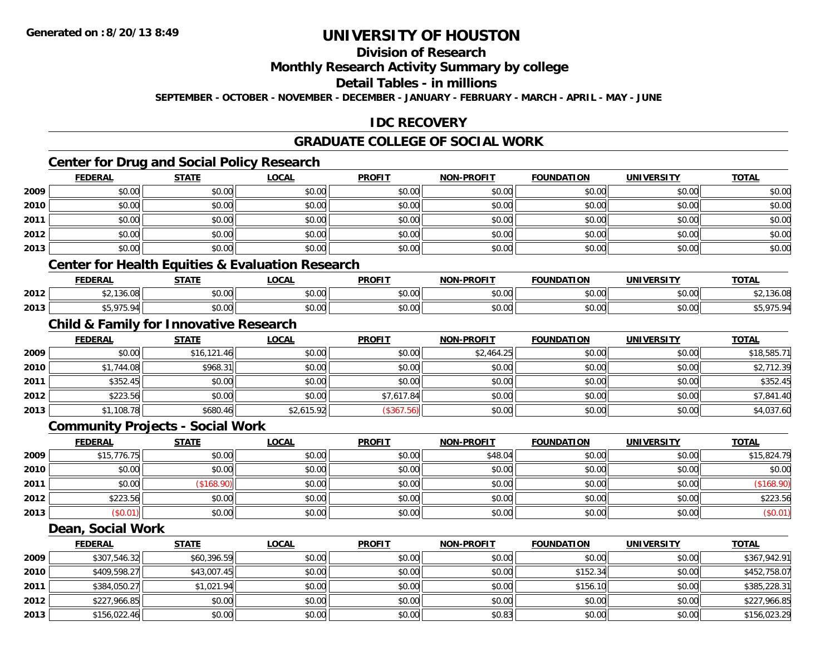# **Division of Research**

#### **Monthly Research Activity Summary by college**

#### **Detail Tables - in millions**

**SEPTEMBER - OCTOBER - NOVEMBER - DECEMBER - JANUARY - FEBRUARY - MARCH - APRIL - MAY - JUNE**

### **IDC RECOVERY**

## **GRADUATE COLLEGE OF SOCIAL WORK**

### **Center for Drug and Social Policy Research**

|      | <b>FEDERAL</b> | <b>STATE</b> | <u>LOCAL</u> | <b>PROFIT</b> | <b>NON-PROFIT</b> | <b>FOUNDATION</b> | <b>UNIVERSITY</b> | <b>TOTAL</b> |
|------|----------------|--------------|--------------|---------------|-------------------|-------------------|-------------------|--------------|
| 2009 | \$0.00         | \$0.00       | \$0.00       | \$0.00        | \$0.00            | \$0.00            | \$0.00            | \$0.00       |
| 2010 | \$0.00         | \$0.00       | \$0.00       | \$0.00        | \$0.00            | \$0.00            | \$0.00            | \$0.00       |
| 2011 | \$0.00         | \$0.00       | \$0.00       | \$0.00        | \$0.00            | \$0.00            | \$0.00            | \$0.00       |
| 2012 | \$0.00         | \$0.00       | \$0.00       | \$0.00        | \$0.00            | \$0.00            | \$0.00            | \$0.00       |
| 2013 | \$0.00         | \$0.00       | \$0.00       | \$0.00        | \$0.00            | \$0.00            | \$0.00            | \$0.00       |

### **Center for Health Equities & Evaluation Research**

|      | ------<br>-175 | <b>CTATE</b>       | <b>OCAL</b>   | <b>PROFIT</b> | <b>DDAEIT</b><br><b>NICK</b> | MTIOR<br><b>FOUNDA.</b><br>- нэг | <b>IINIWEDSI</b>   | $-0$ |
|------|----------------|--------------------|---------------|---------------|------------------------------|----------------------------------|--------------------|------|
| 2012 |                | $\sim$ 00<br>JU.UU | 0.00<br>וטטיט | \$0.00        | $\sim$ $\sim$<br>pv.uu       | $\sim$ $\sim$                    | $\sim$ 00<br>pu.uu |      |
| 2013 | $\sim$         | 0000<br>JU.UU      | \$0.00        | \$0.00        | ልስ ስስ<br>pu.uu               | $\sim$ $\sim$<br>vu.uu           | $\sim$ 00<br>vv.vv |      |

### **Child & Family for Innovative Research**

|      | <b>FEDERAL</b> | <b>STATE</b> | <u>LOCAL</u> | <b>PROFIT</b> | <b>NON-PROFIT</b> | FOUNDATION | <b>UNIVERSITY</b> | <b>TOTAL</b> |
|------|----------------|--------------|--------------|---------------|-------------------|------------|-------------------|--------------|
| 2009 | \$0.00         | \$16,121.46  | \$0.00       | \$0.00        | \$2,464.25        | \$0.00     | \$0.00            | \$18,585.71  |
| 2010 | \$1,744.08     | \$968.31     | \$0.00       | \$0.00        | \$0.00            | \$0.00     | \$0.00            | \$2,712.39   |
| 2011 | \$352.45       | \$0.00       | \$0.00       | \$0.00        | \$0.00            | \$0.00     | \$0.00            | \$352.45     |
| 2012 | \$223.56       | \$0.00       | \$0.00       | \$7,617.84    | \$0.00            | \$0.00     | \$0.00            | \$7,841.40   |
| 2013 | \$1,108.78     | \$680.46     | \$2,615.92   | (\$367.56)    | \$0.00            | \$0.00     | \$0.00            | \$4,037.60   |

#### **Community Projects - Social Work**

|      | <b>FEDERAL</b> | <b>STATE</b> | <b>LOCAL</b> | <b>PROFIT</b> | <b>NON-PROFIT</b> | <b>FOUNDATION</b> | <b>UNIVERSITY</b> | <b>TOTAL</b> |
|------|----------------|--------------|--------------|---------------|-------------------|-------------------|-------------------|--------------|
| 2009 | \$15,776.75    | \$0.00       | \$0.00       | \$0.00        | \$48.04           | \$0.00            | \$0.00            | \$15,824.79  |
| 2010 | \$0.00         | \$0.00       | \$0.00       | \$0.00        | \$0.00            | \$0.00            | \$0.00            | \$0.00       |
| 2011 | \$0.00         | \$168.90     | \$0.00       | \$0.00        | \$0.00            | \$0.00            | \$0.00            | (\$168.90)   |
| 2012 | \$223.56       | \$0.00       | \$0.00       | \$0.00        | \$0.00            | \$0.00            | \$0.00            | \$223.56     |
| 2013 | \$0.01         | \$0.00       | \$0.00       | \$0.00        | \$0.00            | \$0.00            | \$0.00            | (\$0.01)     |

#### **Dean, Social Work**

|      | <b>FEDERAL</b> | <b>STATE</b> | <u>LOCAL</u> | <b>PROFIT</b> | <b>NON-PROFIT</b> | <b>FOUNDATION</b> | <b>UNIVERSITY</b> | <b>TOTAL</b> |
|------|----------------|--------------|--------------|---------------|-------------------|-------------------|-------------------|--------------|
| 2009 | \$307,546.32   | \$60,396.59  | \$0.00       | \$0.00        | \$0.00            | \$0.00            | \$0.00            | \$367,942.91 |
| 2010 | \$409,598.27   | \$43,007.45  | \$0.00       | \$0.00        | \$0.00            | \$152.34          | \$0.00            | \$452,758.07 |
| 2011 | \$384,050.27   | \$1,021.94   | \$0.00       | \$0.00        | \$0.00            | \$156.10          | \$0.00            | \$385,228.31 |
| 2012 | \$227,966.85   | \$0.00       | \$0.00       | \$0.00        | \$0.00            | \$0.00            | \$0.00            | \$227,966.85 |
| 2013 | \$156,022.46   | \$0.00       | \$0.00       | \$0.00        | \$0.83            | \$0.00            | \$0.00            | \$156,023.29 |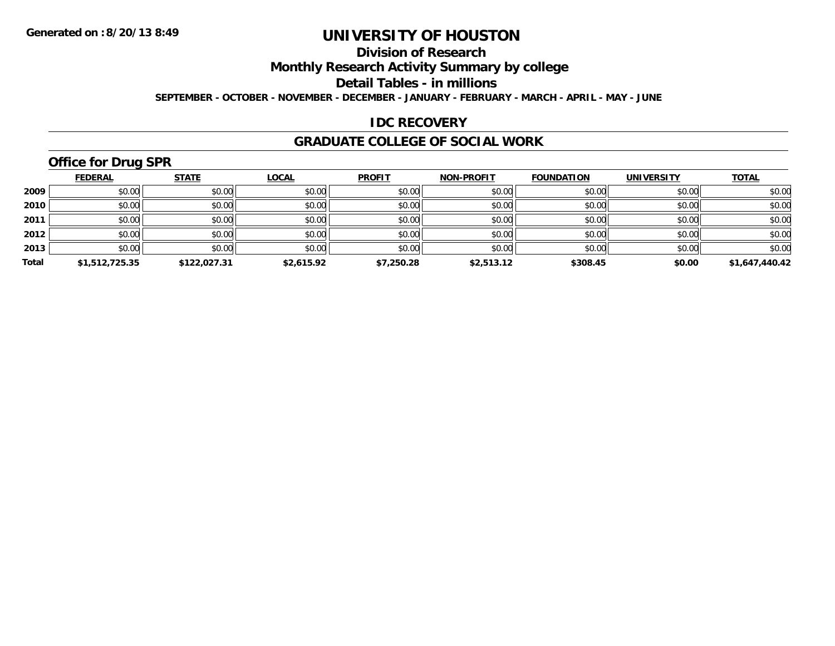# **Division of Research**

**Monthly Research Activity Summary by college**

**Detail Tables - in millions**

**SEPTEMBER - OCTOBER - NOVEMBER - DECEMBER - JANUARY - FEBRUARY - MARCH - APRIL - MAY - JUNE**

### **IDC RECOVERY**

#### **GRADUATE COLLEGE OF SOCIAL WORK**

# **Office for Drug SPR**

|       | <b>FEDERAL</b> | <b>STATE</b> | <b>LOCAL</b> | <b>PROFIT</b> | <b>NON-PROFIT</b> | <b>FOUNDATION</b> | <b>UNIVERSITY</b> | <b>TOTAL</b>   |
|-------|----------------|--------------|--------------|---------------|-------------------|-------------------|-------------------|----------------|
| 2009  | \$0.00         | \$0.00       | \$0.00       | \$0.00        | \$0.00            | \$0.00            | \$0.00            | \$0.00         |
| 2010  | \$0.00         | \$0.00       | \$0.00       | \$0.00        | \$0.00            | \$0.00            | \$0.00            | \$0.00         |
| 2011  | \$0.00         | \$0.00       | \$0.00       | \$0.00        | \$0.00            | \$0.00            | \$0.00            | \$0.00         |
| 2012  | \$0.00         | \$0.00       | \$0.00       | \$0.00        | \$0.00            | \$0.00            | \$0.00            | \$0.00         |
| 2013  | \$0.00         | \$0.00       | \$0.00       | \$0.00        | \$0.00            | \$0.00            | \$0.00            | \$0.00         |
| Total | \$1,512,725.35 | \$122,027.31 | \$2,615.92   | \$7,250.28    | \$2,513.12        | \$308.45          | \$0.00            | \$1,647,440.42 |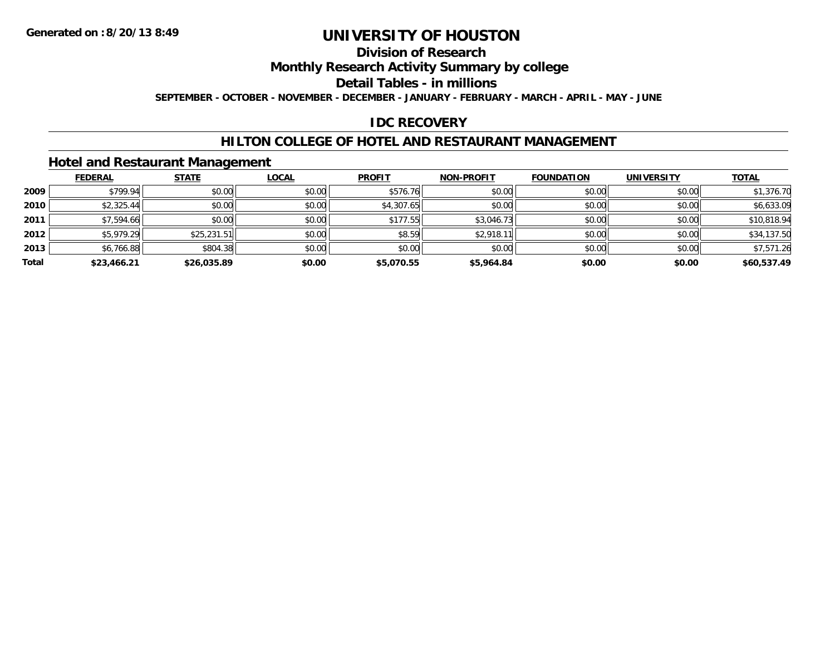# **Division of Research**

**Monthly Research Activity Summary by college**

**Detail Tables - in millions**

**SEPTEMBER - OCTOBER - NOVEMBER - DECEMBER - JANUARY - FEBRUARY - MARCH - APRIL - MAY - JUNE**

### **IDC RECOVERY**

### **HILTON COLLEGE OF HOTEL AND RESTAURANT MANAGEMENT**

#### **Hotel and Restaurant Management**

|       | <b>FEDERAL</b> | <b>STATE</b> | <b>LOCAL</b> | <b>PROFIT</b> | <b>NON-PROFIT</b> | <b>FOUNDATION</b> | <b>UNIVERSITY</b> | <b>TOTAL</b> |
|-------|----------------|--------------|--------------|---------------|-------------------|-------------------|-------------------|--------------|
| 2009  | \$799.94       | \$0.00       | \$0.00       | \$576.76      | \$0.00            | \$0.00            | \$0.00            | \$1,376.70   |
| 2010  | \$2,325.44     | \$0.00       | \$0.00       | \$4,307.65    | \$0.00            | \$0.00            | \$0.00            | \$6,633.09   |
| 2011  | \$7,594.66     | \$0.00       | \$0.00       | \$177.55      | \$3,046.73        | \$0.00            | \$0.00            | \$10,818.94  |
| 2012  | \$5,979.29     | \$25,231.51  | \$0.00       | \$8.59        | \$2,918.11        | \$0.00            | \$0.00            | \$34,137.50  |
| 2013  | \$6,766.88     | \$804.38     | \$0.00       | \$0.00        | \$0.00            | \$0.00            | \$0.00            | \$7,571.26   |
| Total | \$23,466.21    | \$26,035.89  | \$0.00       | \$5,070.55    | \$5,964.84        | \$0.00            | \$0.00            | \$60,537.49  |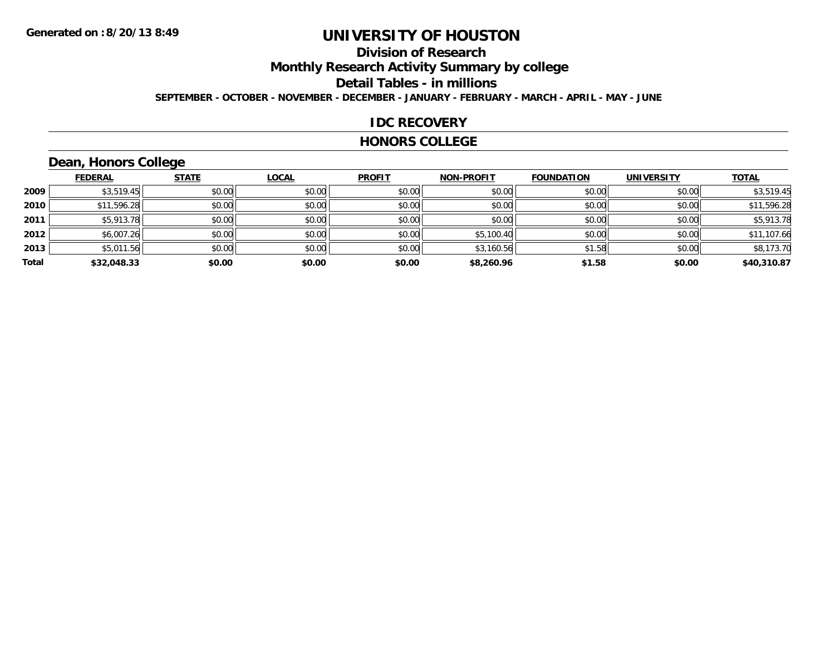# **Division of Research**

**Monthly Research Activity Summary by college**

#### **Detail Tables - in millions**

**SEPTEMBER - OCTOBER - NOVEMBER - DECEMBER - JANUARY - FEBRUARY - MARCH - APRIL - MAY - JUNE**

#### **IDC RECOVERY**

#### **HONORS COLLEGE**

# **Dean, Honors College**

|       | <b>FEDERAL</b> | <b>STATE</b> | <b>LOCAL</b> | <b>PROFIT</b> | <b>NON-PROFIT</b> | <b>FOUNDATION</b> | <b>UNIVERSITY</b> | <b>TOTAL</b> |
|-------|----------------|--------------|--------------|---------------|-------------------|-------------------|-------------------|--------------|
| 2009  | \$3,519.45     | \$0.00       | \$0.00       | \$0.00        | \$0.00            | \$0.00            | \$0.00            | \$3,519.45   |
| 2010  | \$11,596.28    | \$0.00       | \$0.00       | \$0.00        | \$0.00            | \$0.00            | \$0.00            | \$11,596.28  |
| 2011  | \$5,913.78     | \$0.00       | \$0.00       | \$0.00        | \$0.00            | \$0.00            | \$0.00            | \$5,913.78   |
| 2012  | \$6,007.26     | \$0.00       | \$0.00       | \$0.00        | \$5,100.40        | \$0.00            | \$0.00            | \$11,107.66  |
| 2013  | \$5,011.56     | \$0.00       | \$0.00       | \$0.00        | \$3,160.56        | \$1.58            | \$0.00            | \$8,173.70   |
| Total | \$32,048.33    | \$0.00       | \$0.00       | \$0.00        | \$8,260.96        | \$1.58            | \$0.00            | \$40,310.87  |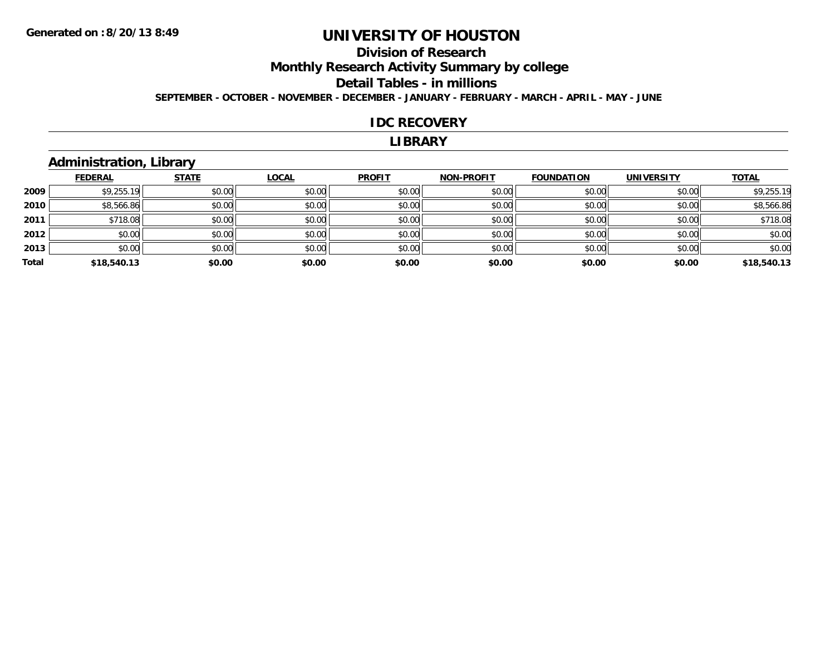# **Division of Research**

**Monthly Research Activity Summary by college**

#### **Detail Tables - in millions**

**SEPTEMBER - OCTOBER - NOVEMBER - DECEMBER - JANUARY - FEBRUARY - MARCH - APRIL - MAY - JUNE**

#### **IDC RECOVERY**

#### **LIBRARY**

## **Administration, Library**

|       | <b>FEDERAL</b> | <b>STATE</b> | <b>LOCAL</b> | <b>PROFIT</b> | <b>NON-PROFIT</b> | <b>FOUNDATION</b> | <b>UNIVERSITY</b> | <b>TOTAL</b> |
|-------|----------------|--------------|--------------|---------------|-------------------|-------------------|-------------------|--------------|
| 2009  | \$9,255.19     | \$0.00       | \$0.00       | \$0.00        | \$0.00            | \$0.00            | \$0.00            | \$9,255.19   |
| 2010  | \$8,566.86     | \$0.00       | \$0.00       | \$0.00        | \$0.00            | \$0.00            | \$0.00            | \$8,566.86   |
| 2011  | \$718.08       | \$0.00       | \$0.00       | \$0.00        | \$0.00            | \$0.00            | \$0.00            | \$718.08     |
| 2012  | \$0.00         | \$0.00       | \$0.00       | \$0.00        | \$0.00            | \$0.00            | \$0.00            | \$0.00       |
| 2013  | \$0.00         | \$0.00       | \$0.00       | \$0.00        | \$0.00            | \$0.00            | \$0.00            | \$0.00       |
| Total | \$18,540.13    | \$0.00       | \$0.00       | \$0.00        | \$0.00            | \$0.00            | \$0.00            | \$18,540.13  |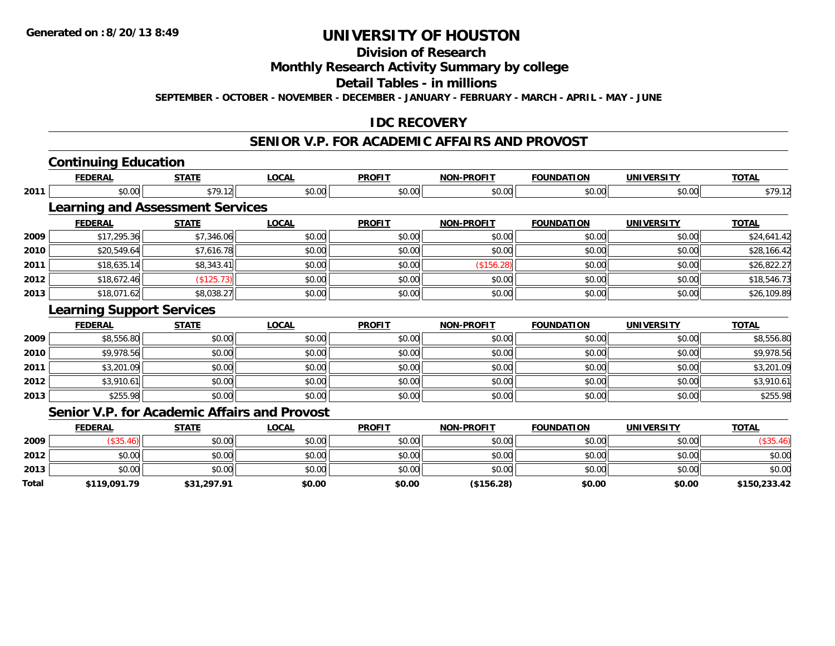**Total**

# **UNIVERSITY OF HOUSTON**

## **Division of Research**

**Monthly Research Activity Summary by college**

**Detail Tables - in millions**

**SEPTEMBER - OCTOBER - NOVEMBER - DECEMBER - JANUARY - FEBRUARY - MARCH - APRIL - MAY - JUNE**

### **IDC RECOVERY**

#### **SENIOR V.P. FOR ACADEMIC AFFAIRS AND PROVOST**

|      | <b>Continuing Education</b>                         |              |              |               |                   |                   |                   |              |
|------|-----------------------------------------------------|--------------|--------------|---------------|-------------------|-------------------|-------------------|--------------|
|      | <b>FEDERAL</b>                                      | <b>STATE</b> | LOCAL        | <b>PROFIT</b> | <b>NON-PROFIT</b> | <b>FOUNDATION</b> | <b>UNIVERSITY</b> | <b>TOTAL</b> |
| 2011 | \$0.00                                              | \$79.12      | \$0.00       | \$0.00        | \$0.00            | \$0.00            | \$0.00            | \$79.12      |
|      | <b>Learning and Assessment Services</b>             |              |              |               |                   |                   |                   |              |
|      | <b>FEDERAL</b>                                      | <b>STATE</b> | <b>LOCAL</b> | <b>PROFIT</b> | <b>NON-PROFIT</b> | <b>FOUNDATION</b> | <b>UNIVERSITY</b> | <b>TOTAL</b> |
| 2009 | \$17,295.36                                         | \$7,346.06   | \$0.00       | \$0.00        | \$0.00            | \$0.00            | \$0.00            | \$24,641.42  |
| 2010 | \$20,549.64                                         | \$7,616.78   | \$0.00       | \$0.00        | \$0.00            | \$0.00            | \$0.00            | \$28,166.42  |
| 2011 | \$18,635.14                                         | \$8,343.41   | \$0.00       | \$0.00        | (\$156.28)        | \$0.00            | \$0.00            | \$26,822.27  |
| 2012 | \$18,672.46                                         | (\$125.73)   | \$0.00       | \$0.00        | \$0.00            | \$0.00            | \$0.00            | \$18,546.73  |
| 2013 | \$18,071.62                                         | \$8,038.27   | \$0.00       | \$0.00        | \$0.00            | \$0.00            | \$0.00            | \$26,109.89  |
|      | <b>Learning Support Services</b>                    |              |              |               |                   |                   |                   |              |
|      | <b>FEDERAL</b>                                      | <b>STATE</b> | <b>LOCAL</b> | <b>PROFIT</b> | <b>NON-PROFIT</b> | <b>FOUNDATION</b> | <b>UNIVERSITY</b> | <b>TOTAL</b> |
| 2009 | \$8,556.80                                          | \$0.00       | \$0.00       | \$0.00        | \$0.00            | \$0.00            | \$0.00            | \$8,556.80   |
| 2010 | \$9,978.56                                          | \$0.00       | \$0.00       | \$0.00        | \$0.00            | \$0.00            | \$0.00            | \$9,978.56   |
| 2011 | \$3,201.09                                          | \$0.00       | \$0.00       | \$0.00        | \$0.00            | \$0.00            | \$0.00            | \$3,201.09   |
| 2012 | \$3,910.61                                          | \$0.00       | \$0.00       | \$0.00        | \$0.00            | \$0.00            | \$0.00            | \$3,910.61   |
| 2013 | \$255.98                                            | \$0.00       | \$0.00       | \$0.00        | \$0.00            | \$0.00            | \$0.00            | \$255.98     |
|      | <b>Senior V.P. for Academic Affairs and Provost</b> |              |              |               |                   |                   |                   |              |
|      | <b>FEDERAL</b>                                      | <b>STATE</b> | <b>LOCAL</b> | <b>PROFIT</b> | <b>NON-PROFIT</b> | <b>FOUNDATION</b> | <b>UNIVERSITY</b> | <b>TOTAL</b> |
| 2009 | (\$35.46)                                           | \$0.00       | \$0.00       | \$0.00        | \$0.00            | \$0.00            | \$0.00            | (\$35.46)    |
| 2012 | \$0.00                                              | \$0.00       | \$0.00       | \$0.00        | \$0.00            | \$0.00            | \$0.00            | \$0.00       |
| 2013 | \$0.00                                              | \$0.00       | \$0.00       | \$0.00        | \$0.00            | \$0.00            | \$0.00            | \$0.00       |

**\$119,091.79 \$31,297.91 \$0.00 \$0.00 (\$156.28) \$0.00 \$0.00 \$150,233.42**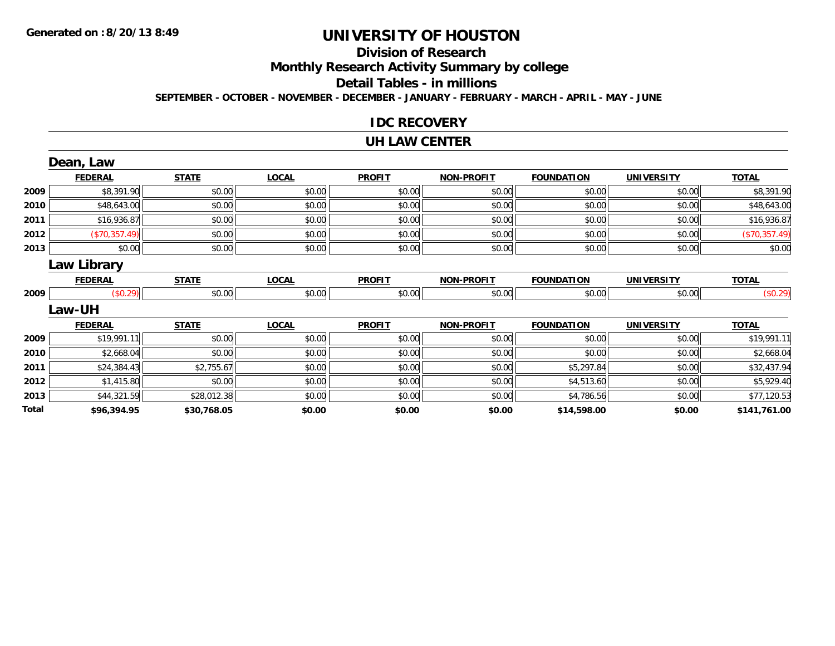# **Division of Research**

**Monthly Research Activity Summary by college**

#### **Detail Tables - in millions**

**SEPTEMBER - OCTOBER - NOVEMBER - DECEMBER - JANUARY - FEBRUARY - MARCH - APRIL - MAY - JUNE**

#### **IDC RECOVERY**

#### **UH LAW CENTER**

|       | Dean, Law      |              |              |               |                   |                   |                   |               |
|-------|----------------|--------------|--------------|---------------|-------------------|-------------------|-------------------|---------------|
|       | <b>FEDERAL</b> | <b>STATE</b> | <b>LOCAL</b> | <b>PROFIT</b> | <b>NON-PROFIT</b> | <b>FOUNDATION</b> | <b>UNIVERSITY</b> | <b>TOTAL</b>  |
| 2009  | \$8,391.90     | \$0.00       | \$0.00       | \$0.00        | \$0.00            | \$0.00            | \$0.00            | \$8,391.90    |
| 2010  | \$48,643.00    | \$0.00       | \$0.00       | \$0.00        | \$0.00            | \$0.00            | \$0.00            | \$48,643.00   |
| 2011  | \$16,936.87    | \$0.00       | \$0.00       | \$0.00        | \$0.00            | \$0.00            | \$0.00            | \$16,936.87   |
| 2012  | (\$70,357.49)  | \$0.00       | \$0.00       | \$0.00        | \$0.00            | \$0.00            | \$0.00            | (\$70,357.49) |
| 2013  | \$0.00         | \$0.00       | \$0.00       | \$0.00        | \$0.00            | \$0.00            | \$0.00            | \$0.00        |
|       | Law Library    |              |              |               |                   |                   |                   |               |
|       | <b>FEDERAL</b> | <b>STATE</b> | <b>LOCAL</b> | <b>PROFIT</b> | <b>NON-PROFIT</b> | <b>FOUNDATION</b> | <b>UNIVERSITY</b> | <b>TOTAL</b>  |
| 2009  | (\$0.29)       | \$0.00       | \$0.00       | \$0.00        | \$0.00            | \$0.00            | \$0.00            | (\$0.29)      |
|       | <b>Law-UH</b>  |              |              |               |                   |                   |                   |               |
|       | <b>FEDERAL</b> | <b>STATE</b> | <b>LOCAL</b> | <b>PROFIT</b> | <b>NON-PROFIT</b> | <b>FOUNDATION</b> | <b>UNIVERSITY</b> | <b>TOTAL</b>  |
| 2009  | \$19,991.11    | \$0.00       | \$0.00       | \$0.00        | \$0.00            | \$0.00            | \$0.00            | \$19,991.11   |
| 2010  | \$2,668.04     | \$0.00       | \$0.00       | \$0.00        | \$0.00            | \$0.00            | \$0.00            | \$2,668.04    |
| 2011  | \$24,384.43    | \$2,755.67   | \$0.00       | \$0.00        | \$0.00            | \$5,297.84        | \$0.00            | \$32,437.94   |
| 2012  | \$1,415.80     | \$0.00       | \$0.00       | \$0.00        | \$0.00            | \$4,513.60        | \$0.00            | \$5,929.40    |
| 2013  | \$44,321.59    | \$28,012.38  | \$0.00       | \$0.00        | \$0.00            | \$4,786.56        | \$0.00            | \$77,120.53   |
| Total | \$96,394.95    | \$30,768.05  | \$0.00       | \$0.00        | \$0.00            | \$14,598.00       | \$0.00            | \$141,761.00  |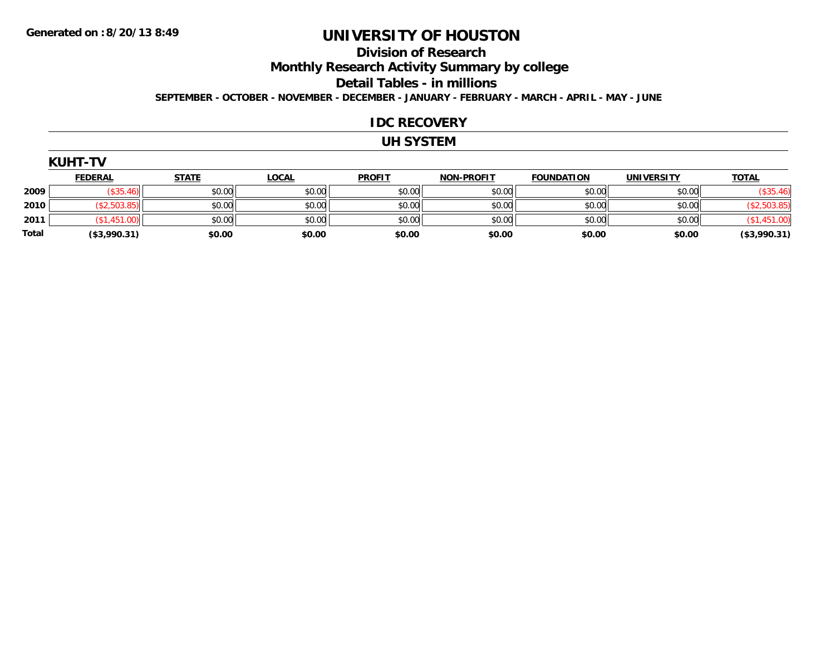#### **Division of Research**

**Monthly Research Activity Summary by college**

**Detail Tables - in millions**

**SEPTEMBER - OCTOBER - NOVEMBER - DECEMBER - JANUARY - FEBRUARY - MARCH - APRIL - MAY - JUNE**

#### **IDC RECOVERY**

### **UH SYSTEM**

|       | <b>KUHT-TV</b> |              |              |               |                   |                   |                   |              |  |  |  |
|-------|----------------|--------------|--------------|---------------|-------------------|-------------------|-------------------|--------------|--|--|--|
|       | <b>FEDERAL</b> | <b>STATE</b> | <b>LOCAL</b> | <b>PROFIT</b> | <b>NON-PROFIT</b> | <b>FOUNDATION</b> | <b>UNIVERSITY</b> | <b>TOTAL</b> |  |  |  |
| 2009  | (\$35.46)      | \$0.00       | \$0.00       | \$0.00        | \$0.00            | \$0.00            | \$0.00            | (\$35.46)    |  |  |  |
| 2010  | (\$2,503.85)   | \$0.00       | \$0.00       | \$0.00        | \$0.00            | \$0.00            | \$0.00            | (\$2,503.85) |  |  |  |
| 2011  | (\$1,451.00)   | \$0.00       | \$0.00       | \$0.00        | \$0.00            | \$0.00            | \$0.00            | (\$1,451.00) |  |  |  |
| Total | (\$3,990.31)   | \$0.00       | \$0.00       | \$0.00        | \$0.00            | \$0.00            | \$0.00            | (\$3,990.31) |  |  |  |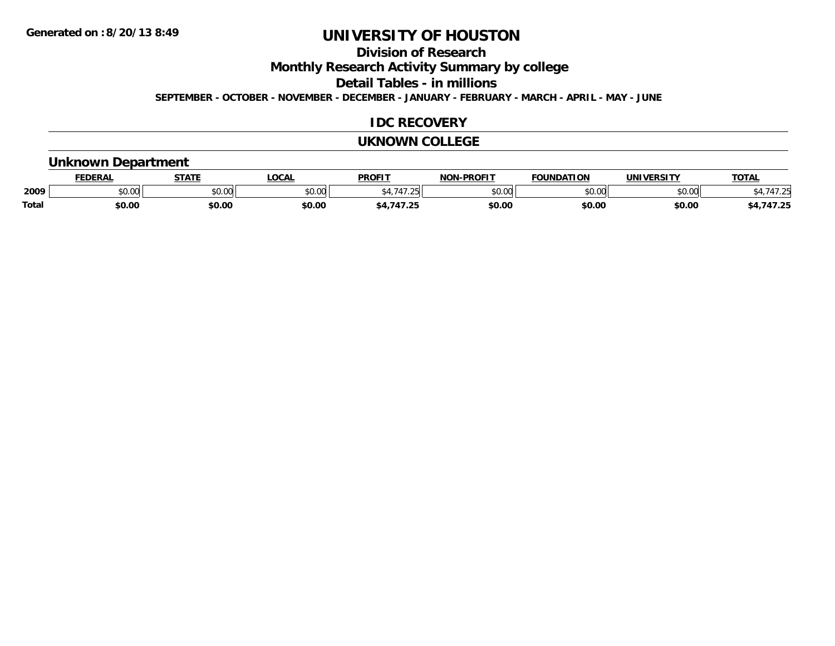## **Division of Research**

**Monthly Research Activity Summary by college**

**Detail Tables - in millions**

**SEPTEMBER - OCTOBER - NOVEMBER - DECEMBER - JANUARY - FEBRUARY - MARCH - APRIL - MAY - JUNE**

### **IDC RECOVERY**

#### **UKNOWN COLLEGE**

### **Unknown Department**

|              | ccncda                                                | CTATI         | <b>OCAL</b>   | <b>PROFIT</b>            | -PROFIT<br>חחו          | חחו<br>`מרווווח        | INIVI<br>EDCITY | <b>TOTA</b> |
|--------------|-------------------------------------------------------|---------------|---------------|--------------------------|-------------------------|------------------------|-----------------|-------------|
| 2009         | $\mathsf{A} \cap \mathsf{A} \cap \mathsf{A}$<br>JU.UU | 0000<br>JU.UU | 0.00<br>⊸∪.∪ພ | $\overline{\phantom{a}}$ | 0 <sup>n</sup><br>PU.UU | $\sim$ 00<br>$\cdot$ u | ልስ ባህ<br>pu.uu  |             |
| <b>Total</b> | \$0.00                                                | \$0.00        | \$0.OC        | $\sim$                   | \$0.00                  | \$0.00                 | \$0.00          | .           |